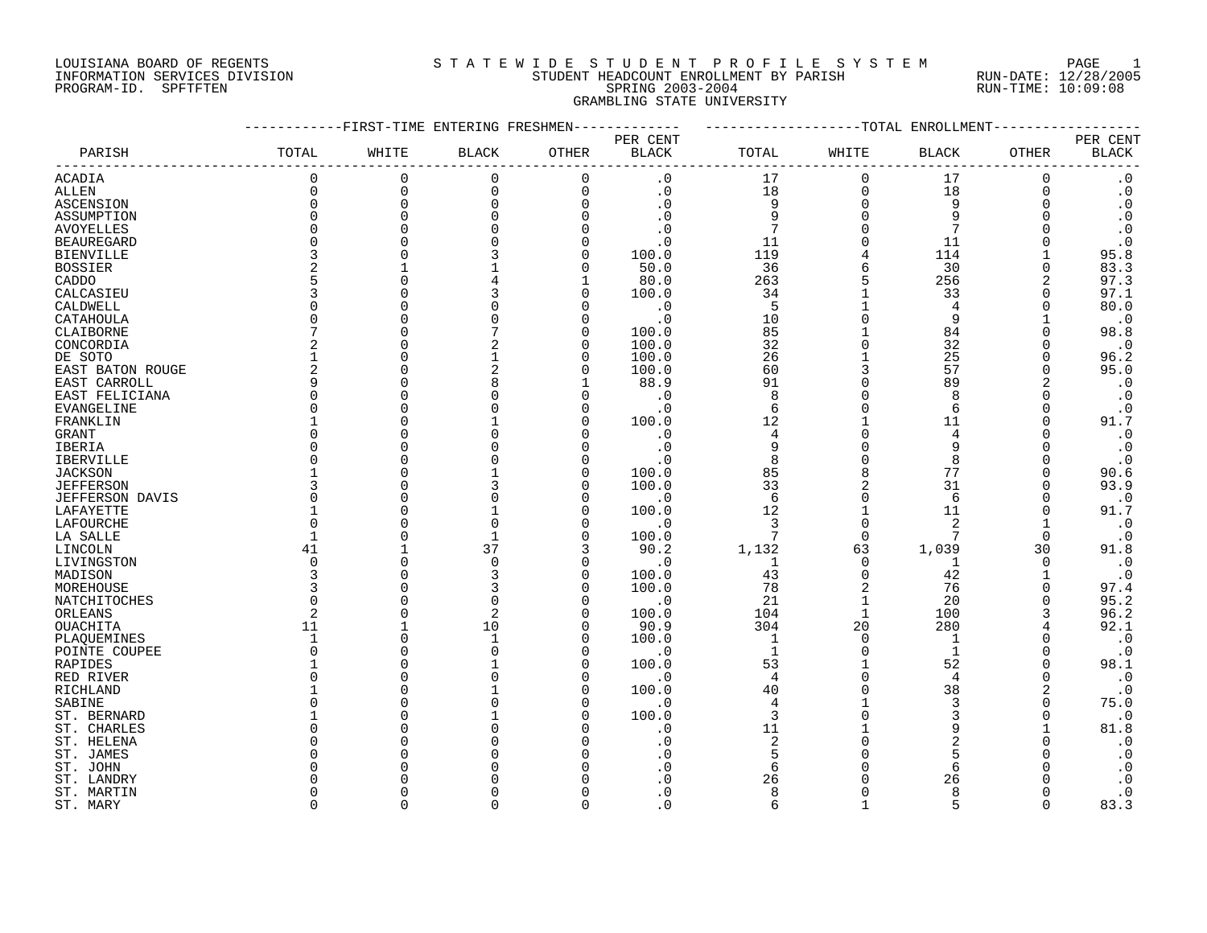#### LOUISIANA BOARD OF REGENTS SOURCLEARIE WIDE STUDENT PROFILE SYSTEM PAGE 1 INFORMATION SERVICES DIVISION STUDENT HEADCOUNT ENROLLMENT BY PARISH RUN-DATE: 12/28/2005 PROGRAM-ID. SPFTFTEN SPRING 2003-2004 RUN-TIME: 10:09:08 GRAMBLING STATE UNIVERSITY

|                          |                    | -FIRST-TIME ENTERING FRESHMEN- |                    |                      |                    |                |                | -------------TOTAL ENROLLMENT |               |                        |
|--------------------------|--------------------|--------------------------------|--------------------|----------------------|--------------------|----------------|----------------|-------------------------------|---------------|------------------------|
|                          |                    |                                |                    |                      | PER CENT           |                |                |                               |               | PER CENT               |
| PARISH                   | TOTAL              | WHITE                          | <b>BLACK</b>       | OTHER                | <b>BLACK</b>       | TOTAL          | WHITE          | BLACK                         | OTHER         | $\operatorname{BLACK}$ |
| <b>ACADIA</b>            | 0                  | $\mathbf 0$                    | 0                  | $\mathbf 0$          | $\cdot$ 0          | 17             | $\mathbf{0}$   | 17                            | 0             | $\boldsymbol{\cdot}$ 0 |
| <b>ALLEN</b>             | $\Omega$           | $\mathbf 0$                    | $\mathbf 0$        | $\Omega$             | $\cdot$ 0          | 18             | $\mathbf 0$    | 18                            | $\Omega$      | $\boldsymbol{\cdot}$ 0 |
| ASCENSION                | $\Omega$           | $\Omega$                       | 0                  | $\Omega$             | $\cdot$ 0          | 9              | $\Omega$       | 9                             | $\Omega$      | $\cdot$ 0              |
| ASSUMPTION               | $\Omega$           | $\Omega$                       |                    |                      | $\cdot$ 0          | 9              | $\Omega$       | 9                             | $\Omega$      | $\boldsymbol{\cdot}$ 0 |
| <b>AVOYELLES</b>         | $\Omega$           |                                |                    |                      | $\cdot$ 0          | 7              |                |                               |               | $\cdot$ 0              |
| <b>BEAUREGARD</b>        | $\Omega$           |                                |                    | $\Omega$             | . 0                | 11             | $\Omega$       | 11                            |               | $\cdot$ 0              |
| <b>BIENVILLE</b>         | 3                  |                                |                    | $\Omega$             | 100.0              | 119            | 4              | 114                           |               | 95.8                   |
| <b>BOSSIER</b>           | $\overline{2}$     |                                |                    | $\Omega$             | 50.0               | 36             | 6              | 30                            | $\Omega$      | 83.3                   |
| CADDO                    |                    |                                |                    |                      | 80.0               | 263            |                | 256                           | 2             | 97.3                   |
| CALCASIEU                |                    |                                |                    | ∩                    | 100.0              | 34             |                | 33                            | $\Omega$      | 97.1                   |
| CALDWELL                 | $\Omega$           |                                |                    | $\Omega$             | $\cdot$ 0          | 5              | $\mathbf{1}$   | $\overline{4}$                | $\Omega$      | 80.0                   |
| CATAHOULA                | $\Omega$           |                                |                    | $\Omega$             | $\cdot$ 0          | 10             | $\Omega$       | 9                             |               | $\cdot$ 0              |
| CLAIBORNE                | 7                  |                                |                    | $\Omega$             | 100.0              | 85             |                | 84                            |               | 98.8                   |
| CONCORDIA                | $\mathfrak{D}$     |                                | 2                  | $\Omega$             | 100.0              | 32             | $\Omega$       | 32                            | O             | $\cdot$ 0              |
| DE SOTO                  |                    |                                |                    | $\Omega$             | 100.0              | 26             |                | 25                            | $\Omega$      | 96.2                   |
| EAST BATON ROUGE         | $\overline{2}$     |                                | 2                  | $\cap$               | 100.0              | 60             | 3              | 57                            | $\Omega$      | 95.0                   |
| EAST CARROLL             | 9                  |                                |                    |                      | 88.9               | 91             | $\Omega$       | 89                            | 2             | $\cdot$ 0              |
| EAST FELICIANA           | $\Omega$           |                                |                    |                      | $\cdot$ 0          | 8              |                | 8                             | $\Omega$      | $\cdot$ 0              |
| EVANGELINE               | $\Omega$           |                                |                    |                      | $\cdot$ 0          | 6              | $\Omega$       | 6                             | $\Omega$      | $\cdot$ 0              |
| FRANKLIN                 |                    |                                |                    |                      | 100.0              | 12             |                | 11                            | $\Omega$      | 91.7                   |
| GRANT                    | <sup>0</sup>       |                                |                    | ∩                    | $\cdot$ 0          | 4              | $\Omega$       | 4                             | O             | $\cdot$ 0              |
| IBERIA                   | $\Omega$           |                                |                    |                      | $\cdot$ 0          | 9              |                | 9                             | O             | $\cdot$ 0              |
| <b>IBERVILLE</b>         | $\Omega$           |                                |                    |                      | $\cdot$ 0          | 8              |                | $\mathsf{R}$                  |               | $\cdot$ 0              |
| <b>JACKSON</b>           |                    |                                |                    | $\cap$               | 100.0              | 85             | 8              | 77                            | $\Omega$      | 90.6                   |
| <b>JEFFERSON</b>         | ζ                  |                                |                    | $\cap$               | 100.0              | 33             |                | 31                            | $\Omega$      | 93.9                   |
| <b>JEFFERSON DAVIS</b>   | $\Omega$           |                                |                    | $\cap$               | $\cdot$ 0          | 6              | $\Omega$       | 6                             | $\Omega$      | $\cdot$ 0              |
| LAFAYETTE                |                    |                                |                    | $\cap$               | 100.0              | 12             |                | 11                            | $\Omega$      | 91.7                   |
| LAFOURCHE                | $\Omega$           |                                |                    | $\Omega$             | $\cdot$ 0          | 3              | $\mathbf{0}$   | 2                             |               | $\cdot$ 0              |
| LA SALLE                 | $\mathbf{1}$       |                                |                    | $\Omega$             | 100.0              | 7              | $\Omega$       | 7                             | 0             | $\cdot$ 0              |
| LINCOLN                  | 41                 |                                | 37                 | 3                    | 90.2               | 1,132          | 63             | 1,039                         | 30            | 91.8                   |
| LIVINGSTON               | 0                  | $\Omega$                       | $\Omega$           | $\Omega$             | $\cdot$ 0          | 1              | $\mathbf 0$    | 1                             | 0             | $\cdot$ 0              |
| MADISON                  | 3                  |                                | 3                  | $\Omega$             | 100.0              | 43             | $\Omega$       | 42                            |               | $\cdot$ 0              |
| MOREHOUSE                | 3                  | $\cap$                         |                    | $\cap$               | 100.0              | 78             | $\overline{2}$ | 76                            | $\Omega$      | 97.4                   |
| NATCHITOCHES             | $\Omega$           |                                |                    | $\cap$               | $\cdot$ 0          | 21             | $\mathbf 1$    | 20                            | $\Omega$      | 95.2                   |
| ORLEANS                  | $\overline{2}$     | $\bigcap$                      | $\overline{2}$     | $\Omega$             | 100.0              | 104            | $\mathbf{1}$   | 100                           | 3             | 96.2                   |
| OUACHITA                 | 11<br>$\mathbf{1}$ | U                              | 10<br>$\mathbf{1}$ | $\Omega$<br>$\Omega$ | 90.9               | 304<br>1       | 20<br>$\Omega$ | 280                           |               | 92.1                   |
| PLAQUEMINES              | $\Omega$           |                                |                    | $\cap$               | 100.0              | $\mathbf{1}$   | $\Omega$       | 1<br>$\mathbf{1}$             | 0<br>$\Omega$ | $\cdot$ 0<br>$\cdot$ 0 |
| POINTE COUPEE<br>RAPIDES |                    |                                |                    | ∩                    | $\cdot$ 0<br>100.0 | 53             |                | 52                            | $\Omega$      | 98.1                   |
| RED RIVER                | $\Omega$           |                                |                    | $\cap$               | $\cdot$ 0          | $\overline{4}$ | $\Omega$       | 4                             | $\Omega$      | $\cdot$ 0              |
| RICHLAND                 |                    |                                |                    |                      | 100.0              | 40             |                | 38                            | 2             | $\cdot$ 0              |
| SABINE                   | $\Omega$           |                                |                    |                      | $\cdot$ 0          | $\overline{4}$ |                | 3                             | $\Omega$      | 75.0                   |
| ST. BERNARD              |                    |                                |                    |                      | 100.0              | $\overline{3}$ |                | 3                             | $\Omega$      | $\cdot$ 0              |
| ST. CHARLES              | O                  |                                |                    |                      | . 0                | 11             |                | 9                             |               | 81.8                   |
| ST. HELENA               | O                  |                                |                    |                      | . 0                | $\overline{2}$ |                | $\overline{a}$                |               | $\cdot$ 0              |
| ST. JAMES                | U                  |                                |                    |                      | . 0                | 5              |                | 5                             |               | $\cdot$ 0              |
| ST. JOHN                 |                    |                                |                    |                      |                    | 6              |                | 6                             |               | $\cdot$ 0              |
| ST. LANDRY               |                    |                                |                    |                      |                    | 26             |                | 26                            |               | $\cdot$ 0              |
| ST. MARTIN               | O                  |                                |                    |                      | . 0                | 8              |                | $\mathsf{R}$                  |               | $\cdot$ 0              |
| ST. MARY                 | $\cap$             | $\cap$                         | U                  | $\Omega$             | $\Omega$           | 6              |                | $\sqrt{2}$                    | $\cap$        | 83.3                   |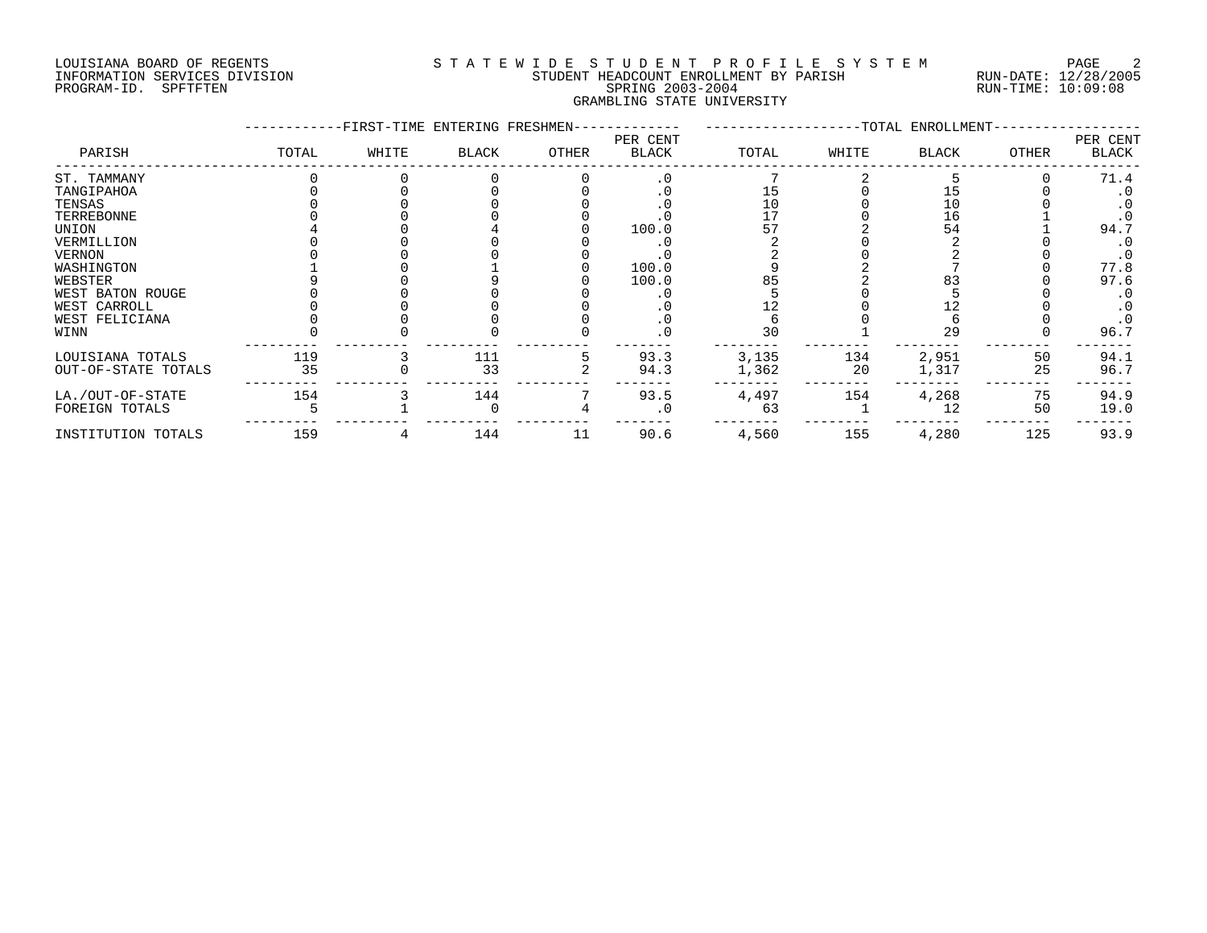#### LOUISIANA BOARD OF REGENTS SOURCLEARIE WIDE STUDENT PROFILE SYSTEM PAGE 2 INFORMATION SERVICES DIVISION STUDENT HEADCOUNT ENROLLMENT BY PARISH RUN-DATE: 12/28/2005 PROGRAM-ID. SPFTFTEN SPRING 2003-2004 RUN-TIME: 10:09:08 GRAMBLING STATE UNIVERSITY

|                     |       | -FIRST-TIME ENTERING FRESHMEN- |              |       |                          |       |       | --TOTAL ENROLLMENT- |       |                   |
|---------------------|-------|--------------------------------|--------------|-------|--------------------------|-------|-------|---------------------|-------|-------------------|
| PARISH              | TOTAL | WHITE                          | <b>BLACK</b> | OTHER | PER CENT<br><b>BLACK</b> | TOTAL | WHITE | <b>BLACK</b>        | OTHER | PER CENT<br>BLACK |
| ST. TAMMANY         |       |                                |              |       | $\cdot$ 0                |       |       |                     |       | 71.4              |
| TANGIPAHOA          |       |                                |              |       | $\cdot$ 0                | 15    |       |                     |       | . 0               |
| TENSAS              |       |                                |              |       | . 0                      | 10    |       | 10                  |       |                   |
| TERREBONNE          |       |                                |              |       |                          | 17    |       | 16                  |       |                   |
| UNION               |       |                                |              |       | 100.0                    |       |       | 54                  |       | 94.7              |
| VERMILLION          |       |                                |              |       |                          |       |       |                     |       |                   |
| VERNON              |       |                                |              |       |                          |       |       |                     |       | $\cdot$ 0         |
| WASHINGTON          |       |                                |              |       | 100.0                    |       |       |                     |       | 77.8              |
| WEBSTER             |       |                                |              |       | 100.0                    |       |       |                     |       | 97.6              |
| WEST BATON ROUGE    |       |                                |              |       |                          |       |       |                     |       |                   |
| WEST CARROLL        |       |                                |              |       |                          |       |       |                     |       |                   |
| WEST FELICIANA      |       |                                |              |       | . 0                      |       |       |                     |       |                   |
| WINN                |       |                                |              |       | . 0                      | 30    |       | 29                  |       | 96.7              |
| LOUISIANA TOTALS    | 119   |                                | 111          |       | 93.3                     | 3,135 | 134   | 2,951               | 50    | 94.1              |
| OUT-OF-STATE TOTALS | 35    |                                | 33           |       | 94.3                     | 1,362 | 20    | 1,317               | 25    | 96.7              |
| LA./OUT-OF-STATE    | 154   |                                | 144          |       | 93.5                     | 4,497 | 154   | 4,268               | 75    | 94.9              |
| FOREIGN TOTALS      |       |                                |              |       | . 0                      | 63    |       | 12                  | 50    | 19.0              |
| INSTITUTION TOTALS  | 159   |                                | 144          | 11    | 90.6                     | 4,560 | 155   | 4,280               | 125   | 93.9              |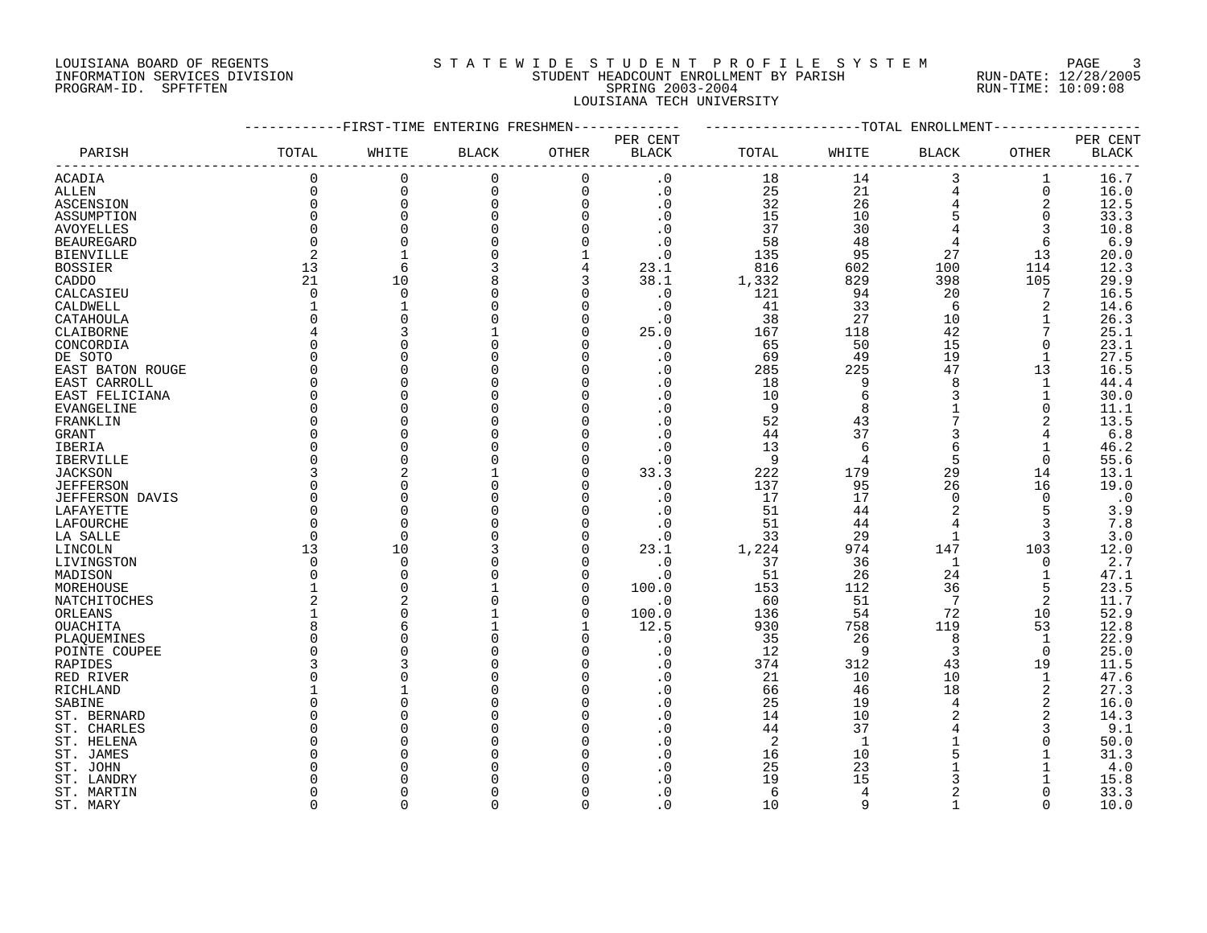#### LOUISIANA BOARD OF REGENTS SOURCLEARIE STA T E W I D E S T U D E N T P R O F I L E S Y S T E M PAGE 3 INFORMATION SERVICES DIVISION STUDENT HEADCOUNT ENROLLMENT BY PARISH RUN-DATE: 12/28/2005 PROGRAM-ID. SPFTFTEN SPRING 2003-2004 RUN-TIME: 10:09:08 LOUISIANA TECH UNIVERSITY

|                          |                    | -------FIRST-TIME ENTERING FRESHMEN- |              |                | -----------      | -------------------TOTAL ENROLLMENT- |                |                |             |              |
|--------------------------|--------------------|--------------------------------------|--------------|----------------|------------------|--------------------------------------|----------------|----------------|-------------|--------------|
|                          |                    |                                      |              |                | PER CENT         |                                      |                |                |             | PER CENT     |
| PARISH                   | TOTAL              | WHITE                                | <b>BLACK</b> | OTHER          | BLACK            | TOTAL                                | WHITE          | BLACK          | OTHER       | <b>BLACK</b> |
| <b>ACADIA</b>            | $\Omega$           | 0                                    | 0            | $\mathbf 0$    | $\cdot$ 0        | 18                                   | 14             | 3              | 1           | 16.7         |
| <b>ALLEN</b>             | $\Omega$           | $\mathsf 0$                          | $\mathbf 0$  | $\mathbf 0$    | $\cdot$ 0        | 25                                   | 21             | $\overline{4}$ | $\mathbf 0$ | 16.0         |
| ASCENSION                | $\mathbf 0$        | 0                                    | 0            | $\mathbf 0$    | $\cdot$ 0        | 32                                   | 26             | $\bf 4$        | 2           | 12.5         |
| ASSUMPTION               | $\Omega$           | $\overline{0}$                       | 0            | $\Omega$       | $\cdot$ 0        | 15                                   | 10             | 5              | $\mathbf 0$ | 33.3         |
| <b>AVOYELLES</b>         | $\Omega$           |                                      |              |                | $\cdot$ 0        | 37                                   | 30             |                | 3           | 10.8         |
| <b>BEAUREGARD</b>        | $\Omega$           | $\Omega$                             |              | $\Omega$       | $\cdot$ 0        | 58                                   | 48             | $\overline{4}$ | 6           | 6.9          |
| <b>BIENVILLE</b>         | 2                  |                                      |              |                | $\cdot$ 0        | 135                                  | 95             | 27             | 13          | 20.0         |
| <b>BOSSIER</b>           | 13                 | -6                                   | 3            | $\overline{4}$ | 23.1             | 816                                  | 602            | 100            | 114         | 12.3         |
| CADDO                    | 21                 | 10                                   | 8            | 3              | 38.1             | 1,332                                | 829            | 398            | 105         | 29.9         |
| CALCASIEU                | $\Omega$           | $\overline{0}$                       |              | $\Omega$       | $\cdot$ 0        | 121                                  | 94             | 20             | 7           | 16.5         |
| CALDWELL                 | 1                  |                                      |              | $\Omega$       | $\cdot$ 0        | 41                                   | 33             | 6              | 2           | 14.6         |
| CATAHOULA                | $\Omega$           | $\cap$                               |              | $\Omega$       | $\cdot$ 0        | 38                                   | 27             | 10             | 1           | 26.3         |
| CLAIBORNE                | 4                  |                                      |              | $\Omega$       | 25.0             | 167                                  | 118            | 42             |             | 25.1         |
| CONCORDIA                | $\Omega$           |                                      |              |                | $\cdot$ 0        | 65                                   | 50             | 15             | 0           | 23.1         |
| DE SOTO                  | $\Omega$           |                                      |              |                | $\cdot$ 0        | 69                                   | 49             | 19             |             | 27.5         |
| EAST BATON ROUGE         | $\Omega$           |                                      |              |                | $\cdot$ 0        | 285                                  | 225            | 47             | 13          | 16.5         |
| EAST CARROLL             | $\Omega$           |                                      |              | $\Omega$       | $\cdot$ 0        | 18                                   | 9              | 8              | 1           | 44.4         |
| EAST FELICIANA           | $\Omega$           |                                      |              |                | $\cdot$ 0        | 10                                   | 6              | 3              | 1           | 30.0         |
| EVANGELINE               | $\Omega$           |                                      |              |                | $\cdot$ 0        | 9                                    | 8              |                | 0           | 11.1         |
| FRANKLIN                 | $\Omega$           |                                      |              |                | $\cdot$ 0        | 52                                   | 43             |                | 2           | 13.5         |
| GRANT                    | $\Omega$           |                                      |              |                | $\cdot$ 0        | 44                                   | 37             | 3              | 4           | $6.8$        |
| IBERIA                   | O                  |                                      |              | $\Omega$       | $\cdot$ 0        | 13                                   | 6              |                |             | 46.2         |
| IBERVILLE                | $\Omega$           |                                      |              |                | $\cdot$ 0        | 9                                    | 4              | 5              | $\mathbf 0$ | 55.6         |
| <b>JACKSON</b>           | 3                  |                                      |              |                | 33.3             | 222                                  | 179            | 29             | 14          | 13.1         |
| <b>JEFFERSON</b>         | $\Omega$           |                                      |              |                | $\cdot$ 0        | 137                                  | 95             | 26             | 16          | 19.0         |
| <b>JEFFERSON DAVIS</b>   | $\Omega$           | $\cap$                               |              | $\Omega$       | $\cdot$ 0        | 17                                   | 17             | $\Omega$       | $\Omega$    | $\ddotsc 0$  |
| LAFAYETTE                | $\Omega$           |                                      |              |                | $\cdot$ 0        | 51                                   | 44             | 2              | 5           | 3.9          |
| LAFOURCHE                | $\Omega$           |                                      |              |                | $\cdot$ 0        | 51                                   | 44             | $\overline{4}$ | 3           | 7.8          |
| LA SALLE                 | $\Omega$           | $\overline{0}$                       |              |                | $\cdot$ 0        | 33                                   | 29             | 1              | 3           | 3.0          |
| LINCOLN                  | 13                 | 10                                   |              | $\Omega$       | 23.1             | 1,224                                | 974            | 147            | 103         | 12.0         |
| LIVINGSTON               | $\Omega$           | $\Omega$                             |              | $\Omega$       | $\cdot$ 0        | 37                                   | 36             | 1              | $\Omega$    | 2.7          |
| MADISON                  | $\Omega$           | $\Omega$                             |              | $\Omega$       | $\cdot$ 0        | 51                                   | 26             | 24             | 1           | 47.1         |
| MOREHOUSE                |                    | $\Omega$                             |              | $\Omega$       | 100.0            | 153                                  | 112            | 36             | 5           | 23.5         |
| NATCHITOCHES             | 2                  |                                      |              | $\Omega$       | $\cdot$ 0        | 60                                   | 51             | 7              | 2           | 11.7         |
| ORLEANS                  |                    | $\cap$                               |              | $\Omega$       | 100.0            | 136                                  | 54             | 72             | 10          | 52.9         |
| OUACHITA                 | 8                  | 6                                    |              |                | 12.5             | 930                                  | 758            | 119            | 53          | 12.8         |
| PLAQUEMINES              | $\Omega$           |                                      |              |                | $\cdot$ 0        | 35                                   | 26             | 8              | 1           | 22.9         |
| POINTE COUPEE            | $\Omega$           |                                      |              |                | $\cdot$ 0        | 12                                   | $\overline{9}$ | 3              | $\Omega$    | 25.0         |
| RAPIDES                  | 3                  |                                      |              |                | . 0              | 374                                  | 312            | 43             | 19          | 11.5         |
| RED RIVER                | O                  |                                      |              |                | $\cdot$ 0        | 21                                   | 10             | 10             | 1           | 47.6         |
| RICHLAND                 |                    |                                      |              |                | $\cdot$ 0        | 66                                   | 46             | 18             | 2           | 27.3         |
| SABINE                   | U                  |                                      |              |                | $\cdot$ 0        | 25                                   | 19             | 4              | 2           | 16.0         |
| ST. BERNARD              | $\cap$<br>$\Omega$ |                                      |              | $\Omega$       | $\cdot$ 0        | 14                                   | 10             |                | 2           | 14.3         |
| ST. CHARLES              |                    |                                      |              |                | .0               | 44                                   | 37             |                | 3           | 9.1          |
| ST. HELENA               | O<br>U             |                                      |              |                | $\cdot$ 0        | 2                                    | 1              |                | 0           | 50.0         |
| ST. JAMES                |                    |                                      |              |                | $\cdot$ 0<br>. 0 | 16<br>25                             | 10<br>23       | 5              |             | 31.3<br>4.0  |
| ST. JOHN                 |                    |                                      |              |                |                  | 19                                   | 15             | 3              |             | 15.8         |
| ST. LANDRY<br>ST. MARTIN | O                  |                                      |              | $\cap$         | $\cdot$ 0        | 6                                    | 4              | $\overline{2}$ |             | 33.3         |
| ST. MARY                 | $\cap$             | $\cap$                               | $\Omega$     | $\Omega$       | $\Omega$         | 10                                   | q              |                | $\Omega$    | 10.0         |
|                          |                    |                                      |              |                |                  |                                      |                |                |             |              |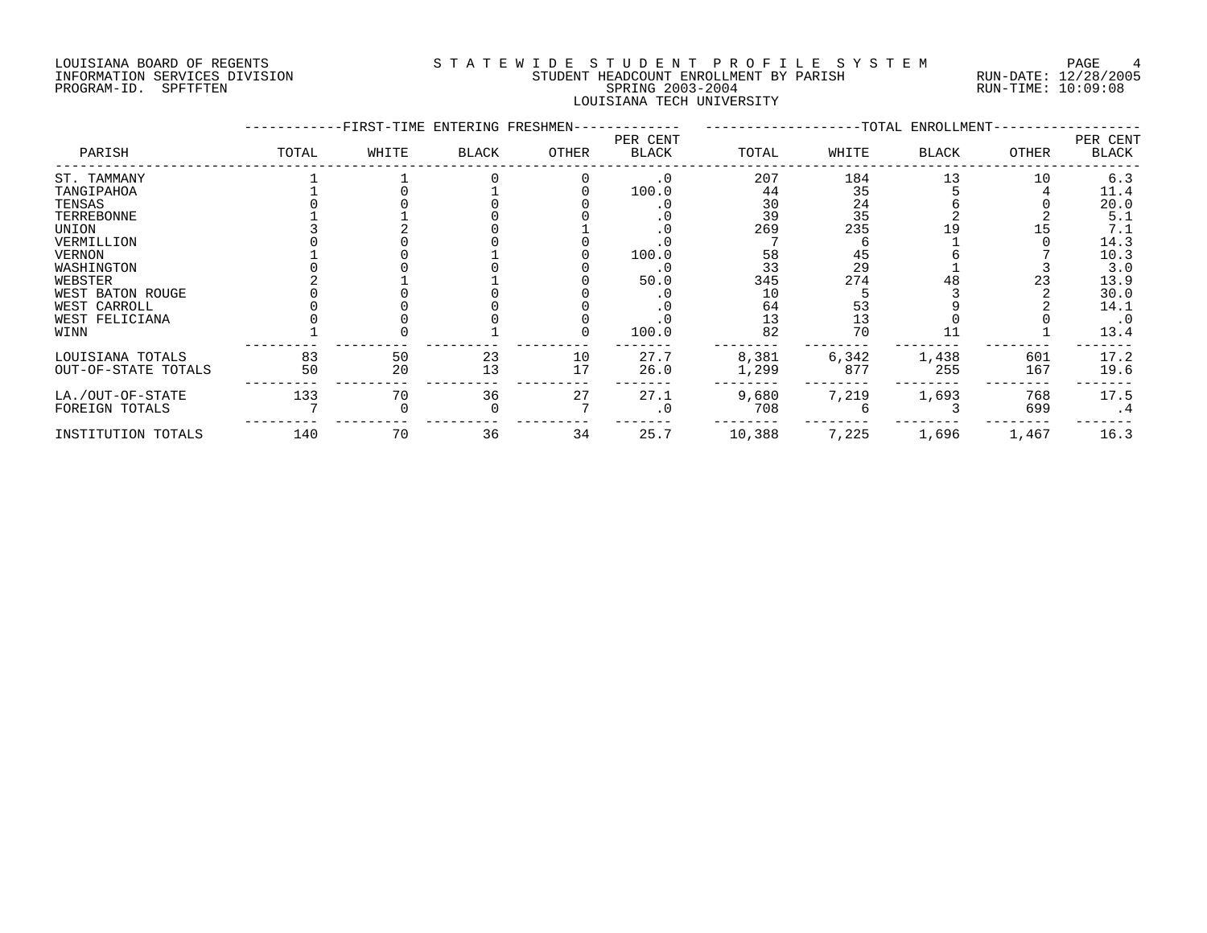PROGRAM-ID. SPFTFTEN

# LOUISIANA BOARD OF REGENTS SOURCLAST A TEWIDE STUDE NT PROFILE SYSTEM PAGE 4<br>INFORMATION SERVICES DIVISION STUDENT HEADCOUNT ENROLLMENT BY PARISH RUN-DATE: 12/28/2005 INFORMATION SERVICES DIVISION SUNG SERVICES ON STUDENT HEADCOUNT ENROLLMENT BY PARISH SERISH RUN-DATE: 12/28/200<br>PROGRAM-ID. SPFTFTEN SPRING 2003-2004 SPRING 2003-2004 LOUISIANA TECH UNIVERSITY

|                     |       |       | -FIRST-TIME ENTERING FRESHMEN- |       |                   |        |                                         | -TOTAL ENROLLMENT- |       |                   |
|---------------------|-------|-------|--------------------------------|-------|-------------------|--------|-----------------------------------------|--------------------|-------|-------------------|
| PARISH              | TOTAL | WHITE | <b>BLACK</b>                   | OTHER | PER CENT<br>BLACK | TOTAL  | WHITE                                   | <b>BLACK</b>       | OTHER | PER CENT<br>BLACK |
| ST. TAMMANY         |       |       |                                |       | $\cdot$ 0         | 207    | 184                                     | 13                 | 10    | 6.3               |
| TANGIPAHOA          |       |       |                                |       | 100.0             | 44     | 35                                      |                    |       | 11.4              |
| TENSAS              |       |       |                                |       |                   | 30     |                                         |                    |       | 20.0              |
| TERREBONNE          |       |       |                                |       |                   | 39     | $\begin{array}{c} 24 \\ 35 \end{array}$ |                    |       | 5.1               |
| UNION               |       |       |                                |       |                   | 269    | 235                                     |                    |       | 7.1               |
| VERMILLION          |       |       |                                |       |                   |        |                                         |                    |       | 14.3              |
| <b>VERNON</b>       |       |       |                                |       | 100.0             | 58     | 45                                      |                    |       | 10.3              |
| WASHINGTON          |       |       |                                |       |                   | 33     | 29                                      |                    |       | 3.0               |
| WEBSTER             |       |       |                                |       | 50.0              | 345    | 274                                     | 48                 | 23    | 13.9              |
| WEST BATON ROUGE    |       |       |                                |       |                   | 10     |                                         |                    |       | 30.0              |
| WEST CARROLL        |       |       |                                |       |                   | 64     | 53                                      |                    |       | 14.1              |
| WEST FELICIANA      |       |       |                                |       |                   | 13     | 13                                      |                    |       | $\cdot$ 0         |
| WINN                |       |       |                                |       | 100.0             | 82     | 70                                      |                    |       | 13.4              |
| LOUISIANA TOTALS    | 83    | 50    | 23                             | 10    | 27.7              | 8,381  | 6,342                                   | 1,438              | 601   | 17.2              |
| OUT-OF-STATE TOTALS | 50    | 20    | 13                             | 17    | 26.0              | 1,299  | 877                                     | 255                | 167   | 19.6              |
| LA./OUT-OF-STATE    | 133   | 70    | 36                             | 27    | 27.1              | 9,680  | 7,219                                   | 1,693              | 768   | 17.5              |
| FOREIGN TOTALS      |       |       |                                |       | . 0               | 708    |                                         |                    | 699   | . 4               |
| INSTITUTION TOTALS  | 140   | 70    | 36                             | 34    | 25.7              | 10,388 | 7,225                                   | 1,696              | 1,467 | 16.3              |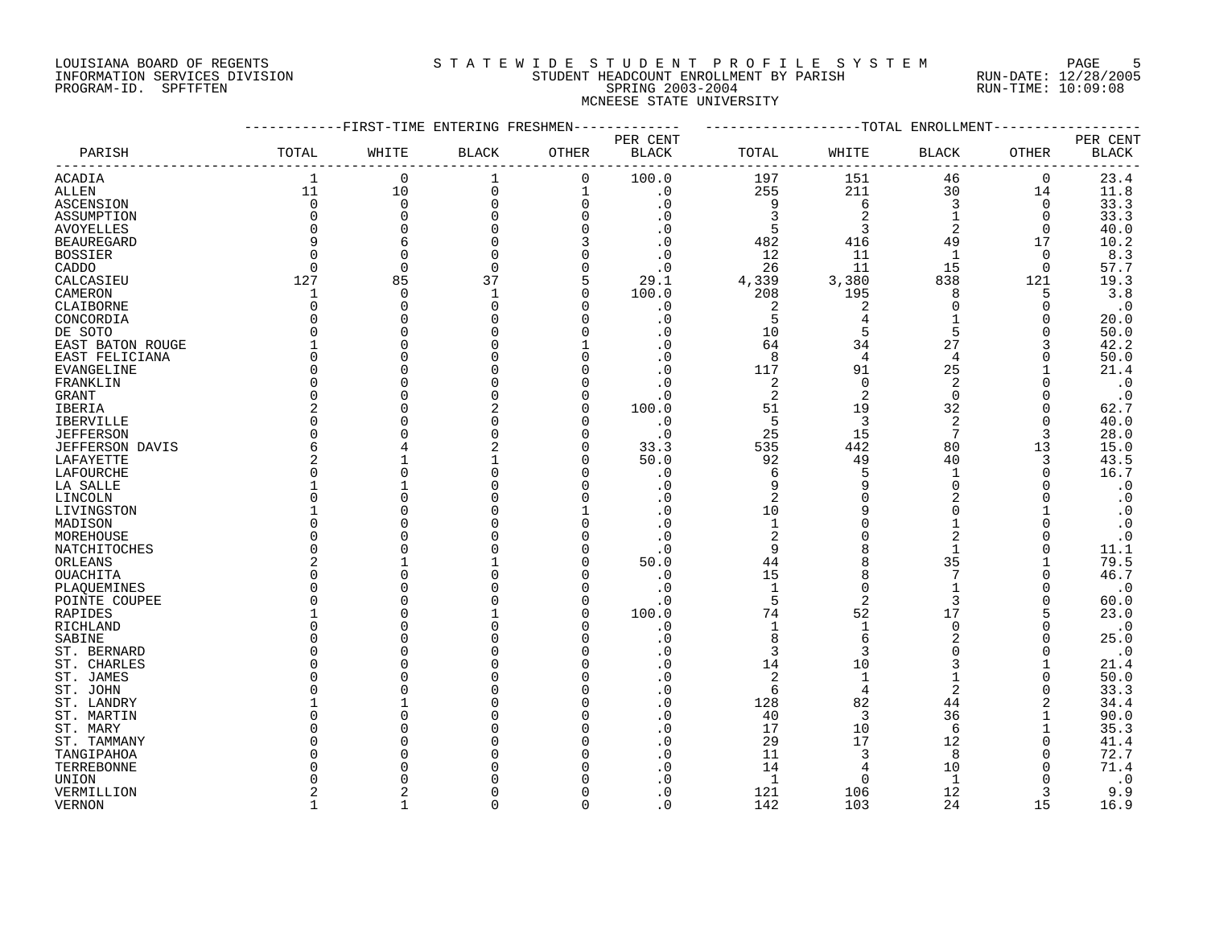#### LOUISIANA BOARD OF REGENTS SOURCLEARIE STA T E W I D E S T U D E N T P R O F I L E S Y S T E M PAGE 5 INFORMATION SERVICES DIVISION STUDENT HEADCOUNT ENROLLMENT BY PARISH RUN-DATE: 12/28/2005 PROGRAM-ID. SPFTFTEN SPRING 2003-2004 RUN-TIME: 10:09:08 MCNEESE STATE UNIVERSITY

| PER CENT<br>PER CENT<br>PARISH<br>TOTAL<br><b>BLACK</b><br>$\operatorname{BLACK}$<br>WHITE<br><b>BLACK</b><br>OTHER<br>TOTAL<br>WHITE<br>BLACK<br>OTHER<br>$\mathbf{1}$<br>100.0<br>23.4<br>$\mathbf 0$<br>$\mathbf 0$<br>197<br>151<br>46<br>$\mathbf 0$<br><b>ACADIA</b><br>1<br>211<br>11<br>10<br>$\mathbf 0$<br>255<br>30<br>11.8<br>$\mathbf 1$<br>$\cdot$ 0<br>14<br>ALLEN<br>$\mathbf 0$<br>$\mathbf 0$<br>$\overline{0}$<br>6<br>3<br>33.3<br>ASCENSION<br>0<br>$\cdot$ 0<br>9<br>$\mathbf 0$<br>3<br>0<br>$\Omega$<br>2<br>33.3<br>0<br>$\Omega$<br>. 0<br>1<br>0<br>ASSUMPTION<br>0<br>5<br>3<br>2<br>40.0<br><b>AVOYELLES</b><br>$\Omega$<br>$\Omega$<br>. 0<br>$\Omega$<br>9<br>10.2<br><b>BEAUREGARD</b><br>6<br>$\Omega$<br>$\cdot$ 0<br>482<br>416<br>49<br>17<br>8.3<br><b>BOSSIER</b><br>$\Omega$<br>$\Omega$<br>12<br>11<br>$\overline{1}$<br>. 0<br>$\Omega$<br>26<br>11<br>15<br>57.7<br>$\Omega$<br>$\Omega$<br>$\Omega$<br>$\Omega$<br>CADDO<br>$\Omega$<br>$\cdot$ 0<br>127<br>85<br>19.3<br>37<br>5<br>29.1<br>4,339<br>3,380<br>838<br>121<br>CALCASIEU<br>$3.8$<br>100.0<br>208<br>195<br>CAMERON<br>$\overline{0}$<br>$\mathbf 1$<br>$\Omega$<br>8<br>5<br>1<br>$\cdot$ 0<br>$\Omega$<br>$\mathbf 0$<br>2<br>2<br>$\Omega$<br>$\Omega$<br>$\Omega$<br>. 0<br>$\Omega$<br>CLAIBORNE<br>5<br>20.0<br>CONCORDIA<br>O<br>$\Omega$<br>. 0<br>4<br>O<br>O<br>5<br>5<br>$\Omega$<br>10<br>50.0<br>DE SOTO<br>$\bigcap$<br>$\cap$<br>. 0<br>$\Omega$<br>64<br>27<br>42.2<br>34<br>EAST BATON ROUGE<br>. 0<br>3<br>8<br>50.0<br>$\Omega$<br>$\cdot$ 0<br>$\overline{4}$<br>$\overline{4}$<br>EAST FELICIANA<br>$\Omega$<br>25<br>21.4<br><b>EVANGELINE</b><br>$\Omega$<br>$\cdot$ 0<br>117<br>91<br>$\cdot$ 0<br>FRANKLIN<br>0<br>. 0<br>2<br>$\Omega$<br>2<br>C<br>$\Omega$<br>0<br>$\overline{2}$<br>$\cdot$ 0<br>0<br>2<br>$\mathbf 0$<br>$\cdot$ 0<br>$\Omega$<br>GRANT<br>2<br>51<br>19<br>32<br>62.7<br>IBERIA<br>2<br>$\Omega$<br>100.0<br>0<br>5<br>$\overline{2}$<br>$\Omega$<br>3<br>40.0<br><b>IBERVILLE</b><br>$\cap$<br>$\cdot$ 0<br>$\Omega$<br>25<br>15<br>7<br><b>JEFFERSON</b><br>$\Omega$<br>$\cdot$ 0<br>3<br>28.0<br>$\Omega$<br>6<br>535<br>442<br>80<br>15.0<br><b>JEFFERSON DAVIS</b><br>$\cap$<br>33.3<br>13<br>2<br>50.0<br>92<br>49<br>40<br>43.5<br>3<br>LAFAYETTE<br>16.7<br>6<br><sup>0</sup><br>. 0<br>5<br>LAFOURCHE<br>1<br>0<br>$\cdot$ 0<br>9<br>9<br>$\Omega$<br>LA SALLE<br>. 0<br>2<br>$\Omega$<br>2<br>$\cdot$ 0<br>LINCOLN<br><sup>0</sup><br>$\Omega$<br>. 0<br>10<br>$\cdot$ 0<br>9<br>$\Omega$<br>. 0<br>$\mathbf{1}$<br>$\cdot$ 0<br>MADISON<br>U<br>$\overline{c}$<br>$\overline{2}$<br>$\cdot$ 0<br>$\Omega$<br>$\cap$<br>MOREHOUSE<br>. 0<br>∩<br>11.1<br>9<br>$\Omega$<br>$\mathbf{1}$<br>$\cdot$ 0<br>79.5<br>35<br>2<br>50.0<br>44<br>ORLEANS<br>O<br>46.7<br>15<br>7<br><sup>0</sup><br>8<br>OUACHITA<br>. 0<br>$\Omega$<br>$\mathbf{1}$<br>$\Omega$<br>$\cdot$ 0<br>PLAQUEMINES<br><sup>0</sup><br>$\cdot$ 0<br>$\Omega$<br>5<br>$\overline{2}$<br>3<br>$\Omega$<br>60.0<br>POINTE COUPEE<br>$\cap$<br>. 0<br>$\Omega$<br>52<br>17<br>RAPIDES<br>100.0<br>74<br>23.0<br>$\cap$<br>5<br>$\Omega$<br>$\cdot$ 0<br>$\Omega$<br>$\mathbf{1}$<br>$\mathbf 1$<br>RICHLAND<br>$\cdot$ 0<br>$\Omega$<br>8<br>6<br>$\overline{2}$<br>25.0<br>$\Omega$<br>. 0<br>SABINE<br>0<br>3<br>$\cdot$ 0<br>ST. BERNARD<br>O<br>. 0<br>3<br><sup>0</sup><br>$\Omega$<br>14<br>10<br>21.4<br>ST. CHARLES<br>O<br>. 0<br>3<br>1<br>$\overline{2}$<br>50.0<br>ST. JAMES<br>O<br>. 0<br>1<br>$\Omega$<br>2<br>33.3<br>. 0<br>6<br>4<br>O<br>$\Omega$<br>ST. JOHN<br>. 0<br>128<br>82<br>44<br>34.4<br>ST. LANDRY<br>2<br>3<br>36<br>90.0<br>$\Omega$<br>$\cdot$ 0<br>40<br>ST. MARTIN<br>17<br>10<br>35.3<br>$\cdot$ 0<br>6<br>ST. MARY<br>O<br>29<br>17<br>12<br>41.4<br>ST. TAMMANY<br>. 0<br>O<br>0<br>11<br>8<br>72.7<br>TANGIPAHOA<br>O<br>. 0<br>3<br>14<br>10<br>71.4<br>TERREBONNE<br>. 0<br>⋂<br>O<br>$\cdot$ 0<br>$\mathbf{1}$<br>$\mathbf{1}$<br>UNION<br>. 0<br>$\cap$<br>2<br>$\cdot$ 0<br>121<br>106<br>12<br>9.9<br>VERMILLION<br>3<br>$\Omega$<br>15<br>16.9<br>$\mathbf{1}$<br>$\Omega$<br>. 0<br>142<br>103<br>24<br><b>VERNON</b> |              | -------FIRST-TIME ENTERING FRESHMEN- |  | ------ | -------------------TOTAL ENROLLMENT- |  |  |
|----------------------------------------------------------------------------------------------------------------------------------------------------------------------------------------------------------------------------------------------------------------------------------------------------------------------------------------------------------------------------------------------------------------------------------------------------------------------------------------------------------------------------------------------------------------------------------------------------------------------------------------------------------------------------------------------------------------------------------------------------------------------------------------------------------------------------------------------------------------------------------------------------------------------------------------------------------------------------------------------------------------------------------------------------------------------------------------------------------------------------------------------------------------------------------------------------------------------------------------------------------------------------------------------------------------------------------------------------------------------------------------------------------------------------------------------------------------------------------------------------------------------------------------------------------------------------------------------------------------------------------------------------------------------------------------------------------------------------------------------------------------------------------------------------------------------------------------------------------------------------------------------------------------------------------------------------------------------------------------------------------------------------------------------------------------------------------------------------------------------------------------------------------------------------------------------------------------------------------------------------------------------------------------------------------------------------------------------------------------------------------------------------------------------------------------------------------------------------------------------------------------------------------------------------------------------------------------------------------------------------------------------------------------------------------------------------------------------------------------------------------------------------------------------------------------------------------------------------------------------------------------------------------------------------------------------------------------------------------------------------------------------------------------------------------------------------------------------------------------------------------------------------------------------------------------------------------------------------------------------------------------------------------------------------------------------------------------------------------------------------------------------------------------------------------------------------------------------------------------------------------------------------------------------------------------------------------------------------------------------------------------------------------------------------------------------------------------------------------------------------------------------------------------------------------------------------------------------------------------------------------------------------------------------------------------------------------------------------------------------------------------------------------------------------------------------------------------------------------------------------------------------------------------------------------------------------|--------------|--------------------------------------|--|--------|--------------------------------------|--|--|
|                                                                                                                                                                                                                                                                                                                                                                                                                                                                                                                                                                                                                                                                                                                                                                                                                                                                                                                                                                                                                                                                                                                                                                                                                                                                                                                                                                                                                                                                                                                                                                                                                                                                                                                                                                                                                                                                                                                                                                                                                                                                                                                                                                                                                                                                                                                                                                                                                                                                                                                                                                                                                                                                                                                                                                                                                                                                                                                                                                                                                                                                                                                                                                                                                                                                                                                                                                                                                                                                                                                                                                                                                                                                                                                                                                                                                                                                                                                                                                                                                                                                                                                                                                                                    |              |                                      |  |        |                                      |  |  |
|                                                                                                                                                                                                                                                                                                                                                                                                                                                                                                                                                                                                                                                                                                                                                                                                                                                                                                                                                                                                                                                                                                                                                                                                                                                                                                                                                                                                                                                                                                                                                                                                                                                                                                                                                                                                                                                                                                                                                                                                                                                                                                                                                                                                                                                                                                                                                                                                                                                                                                                                                                                                                                                                                                                                                                                                                                                                                                                                                                                                                                                                                                                                                                                                                                                                                                                                                                                                                                                                                                                                                                                                                                                                                                                                                                                                                                                                                                                                                                                                                                                                                                                                                                                                    |              |                                      |  |        |                                      |  |  |
|                                                                                                                                                                                                                                                                                                                                                                                                                                                                                                                                                                                                                                                                                                                                                                                                                                                                                                                                                                                                                                                                                                                                                                                                                                                                                                                                                                                                                                                                                                                                                                                                                                                                                                                                                                                                                                                                                                                                                                                                                                                                                                                                                                                                                                                                                                                                                                                                                                                                                                                                                                                                                                                                                                                                                                                                                                                                                                                                                                                                                                                                                                                                                                                                                                                                                                                                                                                                                                                                                                                                                                                                                                                                                                                                                                                                                                                                                                                                                                                                                                                                                                                                                                                                    |              |                                      |  |        |                                      |  |  |
|                                                                                                                                                                                                                                                                                                                                                                                                                                                                                                                                                                                                                                                                                                                                                                                                                                                                                                                                                                                                                                                                                                                                                                                                                                                                                                                                                                                                                                                                                                                                                                                                                                                                                                                                                                                                                                                                                                                                                                                                                                                                                                                                                                                                                                                                                                                                                                                                                                                                                                                                                                                                                                                                                                                                                                                                                                                                                                                                                                                                                                                                                                                                                                                                                                                                                                                                                                                                                                                                                                                                                                                                                                                                                                                                                                                                                                                                                                                                                                                                                                                                                                                                                                                                    |              |                                      |  |        |                                      |  |  |
|                                                                                                                                                                                                                                                                                                                                                                                                                                                                                                                                                                                                                                                                                                                                                                                                                                                                                                                                                                                                                                                                                                                                                                                                                                                                                                                                                                                                                                                                                                                                                                                                                                                                                                                                                                                                                                                                                                                                                                                                                                                                                                                                                                                                                                                                                                                                                                                                                                                                                                                                                                                                                                                                                                                                                                                                                                                                                                                                                                                                                                                                                                                                                                                                                                                                                                                                                                                                                                                                                                                                                                                                                                                                                                                                                                                                                                                                                                                                                                                                                                                                                                                                                                                                    |              |                                      |  |        |                                      |  |  |
|                                                                                                                                                                                                                                                                                                                                                                                                                                                                                                                                                                                                                                                                                                                                                                                                                                                                                                                                                                                                                                                                                                                                                                                                                                                                                                                                                                                                                                                                                                                                                                                                                                                                                                                                                                                                                                                                                                                                                                                                                                                                                                                                                                                                                                                                                                                                                                                                                                                                                                                                                                                                                                                                                                                                                                                                                                                                                                                                                                                                                                                                                                                                                                                                                                                                                                                                                                                                                                                                                                                                                                                                                                                                                                                                                                                                                                                                                                                                                                                                                                                                                                                                                                                                    |              |                                      |  |        |                                      |  |  |
|                                                                                                                                                                                                                                                                                                                                                                                                                                                                                                                                                                                                                                                                                                                                                                                                                                                                                                                                                                                                                                                                                                                                                                                                                                                                                                                                                                                                                                                                                                                                                                                                                                                                                                                                                                                                                                                                                                                                                                                                                                                                                                                                                                                                                                                                                                                                                                                                                                                                                                                                                                                                                                                                                                                                                                                                                                                                                                                                                                                                                                                                                                                                                                                                                                                                                                                                                                                                                                                                                                                                                                                                                                                                                                                                                                                                                                                                                                                                                                                                                                                                                                                                                                                                    |              |                                      |  |        |                                      |  |  |
|                                                                                                                                                                                                                                                                                                                                                                                                                                                                                                                                                                                                                                                                                                                                                                                                                                                                                                                                                                                                                                                                                                                                                                                                                                                                                                                                                                                                                                                                                                                                                                                                                                                                                                                                                                                                                                                                                                                                                                                                                                                                                                                                                                                                                                                                                                                                                                                                                                                                                                                                                                                                                                                                                                                                                                                                                                                                                                                                                                                                                                                                                                                                                                                                                                                                                                                                                                                                                                                                                                                                                                                                                                                                                                                                                                                                                                                                                                                                                                                                                                                                                                                                                                                                    |              |                                      |  |        |                                      |  |  |
|                                                                                                                                                                                                                                                                                                                                                                                                                                                                                                                                                                                                                                                                                                                                                                                                                                                                                                                                                                                                                                                                                                                                                                                                                                                                                                                                                                                                                                                                                                                                                                                                                                                                                                                                                                                                                                                                                                                                                                                                                                                                                                                                                                                                                                                                                                                                                                                                                                                                                                                                                                                                                                                                                                                                                                                                                                                                                                                                                                                                                                                                                                                                                                                                                                                                                                                                                                                                                                                                                                                                                                                                                                                                                                                                                                                                                                                                                                                                                                                                                                                                                                                                                                                                    |              |                                      |  |        |                                      |  |  |
|                                                                                                                                                                                                                                                                                                                                                                                                                                                                                                                                                                                                                                                                                                                                                                                                                                                                                                                                                                                                                                                                                                                                                                                                                                                                                                                                                                                                                                                                                                                                                                                                                                                                                                                                                                                                                                                                                                                                                                                                                                                                                                                                                                                                                                                                                                                                                                                                                                                                                                                                                                                                                                                                                                                                                                                                                                                                                                                                                                                                                                                                                                                                                                                                                                                                                                                                                                                                                                                                                                                                                                                                                                                                                                                                                                                                                                                                                                                                                                                                                                                                                                                                                                                                    |              |                                      |  |        |                                      |  |  |
|                                                                                                                                                                                                                                                                                                                                                                                                                                                                                                                                                                                                                                                                                                                                                                                                                                                                                                                                                                                                                                                                                                                                                                                                                                                                                                                                                                                                                                                                                                                                                                                                                                                                                                                                                                                                                                                                                                                                                                                                                                                                                                                                                                                                                                                                                                                                                                                                                                                                                                                                                                                                                                                                                                                                                                                                                                                                                                                                                                                                                                                                                                                                                                                                                                                                                                                                                                                                                                                                                                                                                                                                                                                                                                                                                                                                                                                                                                                                                                                                                                                                                                                                                                                                    |              |                                      |  |        |                                      |  |  |
|                                                                                                                                                                                                                                                                                                                                                                                                                                                                                                                                                                                                                                                                                                                                                                                                                                                                                                                                                                                                                                                                                                                                                                                                                                                                                                                                                                                                                                                                                                                                                                                                                                                                                                                                                                                                                                                                                                                                                                                                                                                                                                                                                                                                                                                                                                                                                                                                                                                                                                                                                                                                                                                                                                                                                                                                                                                                                                                                                                                                                                                                                                                                                                                                                                                                                                                                                                                                                                                                                                                                                                                                                                                                                                                                                                                                                                                                                                                                                                                                                                                                                                                                                                                                    |              |                                      |  |        |                                      |  |  |
|                                                                                                                                                                                                                                                                                                                                                                                                                                                                                                                                                                                                                                                                                                                                                                                                                                                                                                                                                                                                                                                                                                                                                                                                                                                                                                                                                                                                                                                                                                                                                                                                                                                                                                                                                                                                                                                                                                                                                                                                                                                                                                                                                                                                                                                                                                                                                                                                                                                                                                                                                                                                                                                                                                                                                                                                                                                                                                                                                                                                                                                                                                                                                                                                                                                                                                                                                                                                                                                                                                                                                                                                                                                                                                                                                                                                                                                                                                                                                                                                                                                                                                                                                                                                    |              |                                      |  |        |                                      |  |  |
|                                                                                                                                                                                                                                                                                                                                                                                                                                                                                                                                                                                                                                                                                                                                                                                                                                                                                                                                                                                                                                                                                                                                                                                                                                                                                                                                                                                                                                                                                                                                                                                                                                                                                                                                                                                                                                                                                                                                                                                                                                                                                                                                                                                                                                                                                                                                                                                                                                                                                                                                                                                                                                                                                                                                                                                                                                                                                                                                                                                                                                                                                                                                                                                                                                                                                                                                                                                                                                                                                                                                                                                                                                                                                                                                                                                                                                                                                                                                                                                                                                                                                                                                                                                                    |              |                                      |  |        |                                      |  |  |
|                                                                                                                                                                                                                                                                                                                                                                                                                                                                                                                                                                                                                                                                                                                                                                                                                                                                                                                                                                                                                                                                                                                                                                                                                                                                                                                                                                                                                                                                                                                                                                                                                                                                                                                                                                                                                                                                                                                                                                                                                                                                                                                                                                                                                                                                                                                                                                                                                                                                                                                                                                                                                                                                                                                                                                                                                                                                                                                                                                                                                                                                                                                                                                                                                                                                                                                                                                                                                                                                                                                                                                                                                                                                                                                                                                                                                                                                                                                                                                                                                                                                                                                                                                                                    |              |                                      |  |        |                                      |  |  |
|                                                                                                                                                                                                                                                                                                                                                                                                                                                                                                                                                                                                                                                                                                                                                                                                                                                                                                                                                                                                                                                                                                                                                                                                                                                                                                                                                                                                                                                                                                                                                                                                                                                                                                                                                                                                                                                                                                                                                                                                                                                                                                                                                                                                                                                                                                                                                                                                                                                                                                                                                                                                                                                                                                                                                                                                                                                                                                                                                                                                                                                                                                                                                                                                                                                                                                                                                                                                                                                                                                                                                                                                                                                                                                                                                                                                                                                                                                                                                                                                                                                                                                                                                                                                    |              |                                      |  |        |                                      |  |  |
|                                                                                                                                                                                                                                                                                                                                                                                                                                                                                                                                                                                                                                                                                                                                                                                                                                                                                                                                                                                                                                                                                                                                                                                                                                                                                                                                                                                                                                                                                                                                                                                                                                                                                                                                                                                                                                                                                                                                                                                                                                                                                                                                                                                                                                                                                                                                                                                                                                                                                                                                                                                                                                                                                                                                                                                                                                                                                                                                                                                                                                                                                                                                                                                                                                                                                                                                                                                                                                                                                                                                                                                                                                                                                                                                                                                                                                                                                                                                                                                                                                                                                                                                                                                                    |              |                                      |  |        |                                      |  |  |
|                                                                                                                                                                                                                                                                                                                                                                                                                                                                                                                                                                                                                                                                                                                                                                                                                                                                                                                                                                                                                                                                                                                                                                                                                                                                                                                                                                                                                                                                                                                                                                                                                                                                                                                                                                                                                                                                                                                                                                                                                                                                                                                                                                                                                                                                                                                                                                                                                                                                                                                                                                                                                                                                                                                                                                                                                                                                                                                                                                                                                                                                                                                                                                                                                                                                                                                                                                                                                                                                                                                                                                                                                                                                                                                                                                                                                                                                                                                                                                                                                                                                                                                                                                                                    |              |                                      |  |        |                                      |  |  |
|                                                                                                                                                                                                                                                                                                                                                                                                                                                                                                                                                                                                                                                                                                                                                                                                                                                                                                                                                                                                                                                                                                                                                                                                                                                                                                                                                                                                                                                                                                                                                                                                                                                                                                                                                                                                                                                                                                                                                                                                                                                                                                                                                                                                                                                                                                                                                                                                                                                                                                                                                                                                                                                                                                                                                                                                                                                                                                                                                                                                                                                                                                                                                                                                                                                                                                                                                                                                                                                                                                                                                                                                                                                                                                                                                                                                                                                                                                                                                                                                                                                                                                                                                                                                    |              |                                      |  |        |                                      |  |  |
|                                                                                                                                                                                                                                                                                                                                                                                                                                                                                                                                                                                                                                                                                                                                                                                                                                                                                                                                                                                                                                                                                                                                                                                                                                                                                                                                                                                                                                                                                                                                                                                                                                                                                                                                                                                                                                                                                                                                                                                                                                                                                                                                                                                                                                                                                                                                                                                                                                                                                                                                                                                                                                                                                                                                                                                                                                                                                                                                                                                                                                                                                                                                                                                                                                                                                                                                                                                                                                                                                                                                                                                                                                                                                                                                                                                                                                                                                                                                                                                                                                                                                                                                                                                                    |              |                                      |  |        |                                      |  |  |
|                                                                                                                                                                                                                                                                                                                                                                                                                                                                                                                                                                                                                                                                                                                                                                                                                                                                                                                                                                                                                                                                                                                                                                                                                                                                                                                                                                                                                                                                                                                                                                                                                                                                                                                                                                                                                                                                                                                                                                                                                                                                                                                                                                                                                                                                                                                                                                                                                                                                                                                                                                                                                                                                                                                                                                                                                                                                                                                                                                                                                                                                                                                                                                                                                                                                                                                                                                                                                                                                                                                                                                                                                                                                                                                                                                                                                                                                                                                                                                                                                                                                                                                                                                                                    |              |                                      |  |        |                                      |  |  |
|                                                                                                                                                                                                                                                                                                                                                                                                                                                                                                                                                                                                                                                                                                                                                                                                                                                                                                                                                                                                                                                                                                                                                                                                                                                                                                                                                                                                                                                                                                                                                                                                                                                                                                                                                                                                                                                                                                                                                                                                                                                                                                                                                                                                                                                                                                                                                                                                                                                                                                                                                                                                                                                                                                                                                                                                                                                                                                                                                                                                                                                                                                                                                                                                                                                                                                                                                                                                                                                                                                                                                                                                                                                                                                                                                                                                                                                                                                                                                                                                                                                                                                                                                                                                    |              |                                      |  |        |                                      |  |  |
|                                                                                                                                                                                                                                                                                                                                                                                                                                                                                                                                                                                                                                                                                                                                                                                                                                                                                                                                                                                                                                                                                                                                                                                                                                                                                                                                                                                                                                                                                                                                                                                                                                                                                                                                                                                                                                                                                                                                                                                                                                                                                                                                                                                                                                                                                                                                                                                                                                                                                                                                                                                                                                                                                                                                                                                                                                                                                                                                                                                                                                                                                                                                                                                                                                                                                                                                                                                                                                                                                                                                                                                                                                                                                                                                                                                                                                                                                                                                                                                                                                                                                                                                                                                                    |              |                                      |  |        |                                      |  |  |
|                                                                                                                                                                                                                                                                                                                                                                                                                                                                                                                                                                                                                                                                                                                                                                                                                                                                                                                                                                                                                                                                                                                                                                                                                                                                                                                                                                                                                                                                                                                                                                                                                                                                                                                                                                                                                                                                                                                                                                                                                                                                                                                                                                                                                                                                                                                                                                                                                                                                                                                                                                                                                                                                                                                                                                                                                                                                                                                                                                                                                                                                                                                                                                                                                                                                                                                                                                                                                                                                                                                                                                                                                                                                                                                                                                                                                                                                                                                                                                                                                                                                                                                                                                                                    |              |                                      |  |        |                                      |  |  |
|                                                                                                                                                                                                                                                                                                                                                                                                                                                                                                                                                                                                                                                                                                                                                                                                                                                                                                                                                                                                                                                                                                                                                                                                                                                                                                                                                                                                                                                                                                                                                                                                                                                                                                                                                                                                                                                                                                                                                                                                                                                                                                                                                                                                                                                                                                                                                                                                                                                                                                                                                                                                                                                                                                                                                                                                                                                                                                                                                                                                                                                                                                                                                                                                                                                                                                                                                                                                                                                                                                                                                                                                                                                                                                                                                                                                                                                                                                                                                                                                                                                                                                                                                                                                    |              |                                      |  |        |                                      |  |  |
|                                                                                                                                                                                                                                                                                                                                                                                                                                                                                                                                                                                                                                                                                                                                                                                                                                                                                                                                                                                                                                                                                                                                                                                                                                                                                                                                                                                                                                                                                                                                                                                                                                                                                                                                                                                                                                                                                                                                                                                                                                                                                                                                                                                                                                                                                                                                                                                                                                                                                                                                                                                                                                                                                                                                                                                                                                                                                                                                                                                                                                                                                                                                                                                                                                                                                                                                                                                                                                                                                                                                                                                                                                                                                                                                                                                                                                                                                                                                                                                                                                                                                                                                                                                                    |              |                                      |  |        |                                      |  |  |
|                                                                                                                                                                                                                                                                                                                                                                                                                                                                                                                                                                                                                                                                                                                                                                                                                                                                                                                                                                                                                                                                                                                                                                                                                                                                                                                                                                                                                                                                                                                                                                                                                                                                                                                                                                                                                                                                                                                                                                                                                                                                                                                                                                                                                                                                                                                                                                                                                                                                                                                                                                                                                                                                                                                                                                                                                                                                                                                                                                                                                                                                                                                                                                                                                                                                                                                                                                                                                                                                                                                                                                                                                                                                                                                                                                                                                                                                                                                                                                                                                                                                                                                                                                                                    |              |                                      |  |        |                                      |  |  |
|                                                                                                                                                                                                                                                                                                                                                                                                                                                                                                                                                                                                                                                                                                                                                                                                                                                                                                                                                                                                                                                                                                                                                                                                                                                                                                                                                                                                                                                                                                                                                                                                                                                                                                                                                                                                                                                                                                                                                                                                                                                                                                                                                                                                                                                                                                                                                                                                                                                                                                                                                                                                                                                                                                                                                                                                                                                                                                                                                                                                                                                                                                                                                                                                                                                                                                                                                                                                                                                                                                                                                                                                                                                                                                                                                                                                                                                                                                                                                                                                                                                                                                                                                                                                    |              |                                      |  |        |                                      |  |  |
|                                                                                                                                                                                                                                                                                                                                                                                                                                                                                                                                                                                                                                                                                                                                                                                                                                                                                                                                                                                                                                                                                                                                                                                                                                                                                                                                                                                                                                                                                                                                                                                                                                                                                                                                                                                                                                                                                                                                                                                                                                                                                                                                                                                                                                                                                                                                                                                                                                                                                                                                                                                                                                                                                                                                                                                                                                                                                                                                                                                                                                                                                                                                                                                                                                                                                                                                                                                                                                                                                                                                                                                                                                                                                                                                                                                                                                                                                                                                                                                                                                                                                                                                                                                                    | LIVINGSTON   |                                      |  |        |                                      |  |  |
|                                                                                                                                                                                                                                                                                                                                                                                                                                                                                                                                                                                                                                                                                                                                                                                                                                                                                                                                                                                                                                                                                                                                                                                                                                                                                                                                                                                                                                                                                                                                                                                                                                                                                                                                                                                                                                                                                                                                                                                                                                                                                                                                                                                                                                                                                                                                                                                                                                                                                                                                                                                                                                                                                                                                                                                                                                                                                                                                                                                                                                                                                                                                                                                                                                                                                                                                                                                                                                                                                                                                                                                                                                                                                                                                                                                                                                                                                                                                                                                                                                                                                                                                                                                                    |              |                                      |  |        |                                      |  |  |
|                                                                                                                                                                                                                                                                                                                                                                                                                                                                                                                                                                                                                                                                                                                                                                                                                                                                                                                                                                                                                                                                                                                                                                                                                                                                                                                                                                                                                                                                                                                                                                                                                                                                                                                                                                                                                                                                                                                                                                                                                                                                                                                                                                                                                                                                                                                                                                                                                                                                                                                                                                                                                                                                                                                                                                                                                                                                                                                                                                                                                                                                                                                                                                                                                                                                                                                                                                                                                                                                                                                                                                                                                                                                                                                                                                                                                                                                                                                                                                                                                                                                                                                                                                                                    |              |                                      |  |        |                                      |  |  |
|                                                                                                                                                                                                                                                                                                                                                                                                                                                                                                                                                                                                                                                                                                                                                                                                                                                                                                                                                                                                                                                                                                                                                                                                                                                                                                                                                                                                                                                                                                                                                                                                                                                                                                                                                                                                                                                                                                                                                                                                                                                                                                                                                                                                                                                                                                                                                                                                                                                                                                                                                                                                                                                                                                                                                                                                                                                                                                                                                                                                                                                                                                                                                                                                                                                                                                                                                                                                                                                                                                                                                                                                                                                                                                                                                                                                                                                                                                                                                                                                                                                                                                                                                                                                    | NATCHITOCHES |                                      |  |        |                                      |  |  |
|                                                                                                                                                                                                                                                                                                                                                                                                                                                                                                                                                                                                                                                                                                                                                                                                                                                                                                                                                                                                                                                                                                                                                                                                                                                                                                                                                                                                                                                                                                                                                                                                                                                                                                                                                                                                                                                                                                                                                                                                                                                                                                                                                                                                                                                                                                                                                                                                                                                                                                                                                                                                                                                                                                                                                                                                                                                                                                                                                                                                                                                                                                                                                                                                                                                                                                                                                                                                                                                                                                                                                                                                                                                                                                                                                                                                                                                                                                                                                                                                                                                                                                                                                                                                    |              |                                      |  |        |                                      |  |  |
|                                                                                                                                                                                                                                                                                                                                                                                                                                                                                                                                                                                                                                                                                                                                                                                                                                                                                                                                                                                                                                                                                                                                                                                                                                                                                                                                                                                                                                                                                                                                                                                                                                                                                                                                                                                                                                                                                                                                                                                                                                                                                                                                                                                                                                                                                                                                                                                                                                                                                                                                                                                                                                                                                                                                                                                                                                                                                                                                                                                                                                                                                                                                                                                                                                                                                                                                                                                                                                                                                                                                                                                                                                                                                                                                                                                                                                                                                                                                                                                                                                                                                                                                                                                                    |              |                                      |  |        |                                      |  |  |
|                                                                                                                                                                                                                                                                                                                                                                                                                                                                                                                                                                                                                                                                                                                                                                                                                                                                                                                                                                                                                                                                                                                                                                                                                                                                                                                                                                                                                                                                                                                                                                                                                                                                                                                                                                                                                                                                                                                                                                                                                                                                                                                                                                                                                                                                                                                                                                                                                                                                                                                                                                                                                                                                                                                                                                                                                                                                                                                                                                                                                                                                                                                                                                                                                                                                                                                                                                                                                                                                                                                                                                                                                                                                                                                                                                                                                                                                                                                                                                                                                                                                                                                                                                                                    |              |                                      |  |        |                                      |  |  |
|                                                                                                                                                                                                                                                                                                                                                                                                                                                                                                                                                                                                                                                                                                                                                                                                                                                                                                                                                                                                                                                                                                                                                                                                                                                                                                                                                                                                                                                                                                                                                                                                                                                                                                                                                                                                                                                                                                                                                                                                                                                                                                                                                                                                                                                                                                                                                                                                                                                                                                                                                                                                                                                                                                                                                                                                                                                                                                                                                                                                                                                                                                                                                                                                                                                                                                                                                                                                                                                                                                                                                                                                                                                                                                                                                                                                                                                                                                                                                                                                                                                                                                                                                                                                    |              |                                      |  |        |                                      |  |  |
|                                                                                                                                                                                                                                                                                                                                                                                                                                                                                                                                                                                                                                                                                                                                                                                                                                                                                                                                                                                                                                                                                                                                                                                                                                                                                                                                                                                                                                                                                                                                                                                                                                                                                                                                                                                                                                                                                                                                                                                                                                                                                                                                                                                                                                                                                                                                                                                                                                                                                                                                                                                                                                                                                                                                                                                                                                                                                                                                                                                                                                                                                                                                                                                                                                                                                                                                                                                                                                                                                                                                                                                                                                                                                                                                                                                                                                                                                                                                                                                                                                                                                                                                                                                                    |              |                                      |  |        |                                      |  |  |
|                                                                                                                                                                                                                                                                                                                                                                                                                                                                                                                                                                                                                                                                                                                                                                                                                                                                                                                                                                                                                                                                                                                                                                                                                                                                                                                                                                                                                                                                                                                                                                                                                                                                                                                                                                                                                                                                                                                                                                                                                                                                                                                                                                                                                                                                                                                                                                                                                                                                                                                                                                                                                                                                                                                                                                                                                                                                                                                                                                                                                                                                                                                                                                                                                                                                                                                                                                                                                                                                                                                                                                                                                                                                                                                                                                                                                                                                                                                                                                                                                                                                                                                                                                                                    |              |                                      |  |        |                                      |  |  |
|                                                                                                                                                                                                                                                                                                                                                                                                                                                                                                                                                                                                                                                                                                                                                                                                                                                                                                                                                                                                                                                                                                                                                                                                                                                                                                                                                                                                                                                                                                                                                                                                                                                                                                                                                                                                                                                                                                                                                                                                                                                                                                                                                                                                                                                                                                                                                                                                                                                                                                                                                                                                                                                                                                                                                                                                                                                                                                                                                                                                                                                                                                                                                                                                                                                                                                                                                                                                                                                                                                                                                                                                                                                                                                                                                                                                                                                                                                                                                                                                                                                                                                                                                                                                    |              |                                      |  |        |                                      |  |  |
|                                                                                                                                                                                                                                                                                                                                                                                                                                                                                                                                                                                                                                                                                                                                                                                                                                                                                                                                                                                                                                                                                                                                                                                                                                                                                                                                                                                                                                                                                                                                                                                                                                                                                                                                                                                                                                                                                                                                                                                                                                                                                                                                                                                                                                                                                                                                                                                                                                                                                                                                                                                                                                                                                                                                                                                                                                                                                                                                                                                                                                                                                                                                                                                                                                                                                                                                                                                                                                                                                                                                                                                                                                                                                                                                                                                                                                                                                                                                                                                                                                                                                                                                                                                                    |              |                                      |  |        |                                      |  |  |
|                                                                                                                                                                                                                                                                                                                                                                                                                                                                                                                                                                                                                                                                                                                                                                                                                                                                                                                                                                                                                                                                                                                                                                                                                                                                                                                                                                                                                                                                                                                                                                                                                                                                                                                                                                                                                                                                                                                                                                                                                                                                                                                                                                                                                                                                                                                                                                                                                                                                                                                                                                                                                                                                                                                                                                                                                                                                                                                                                                                                                                                                                                                                                                                                                                                                                                                                                                                                                                                                                                                                                                                                                                                                                                                                                                                                                                                                                                                                                                                                                                                                                                                                                                                                    |              |                                      |  |        |                                      |  |  |
|                                                                                                                                                                                                                                                                                                                                                                                                                                                                                                                                                                                                                                                                                                                                                                                                                                                                                                                                                                                                                                                                                                                                                                                                                                                                                                                                                                                                                                                                                                                                                                                                                                                                                                                                                                                                                                                                                                                                                                                                                                                                                                                                                                                                                                                                                                                                                                                                                                                                                                                                                                                                                                                                                                                                                                                                                                                                                                                                                                                                                                                                                                                                                                                                                                                                                                                                                                                                                                                                                                                                                                                                                                                                                                                                                                                                                                                                                                                                                                                                                                                                                                                                                                                                    |              |                                      |  |        |                                      |  |  |
|                                                                                                                                                                                                                                                                                                                                                                                                                                                                                                                                                                                                                                                                                                                                                                                                                                                                                                                                                                                                                                                                                                                                                                                                                                                                                                                                                                                                                                                                                                                                                                                                                                                                                                                                                                                                                                                                                                                                                                                                                                                                                                                                                                                                                                                                                                                                                                                                                                                                                                                                                                                                                                                                                                                                                                                                                                                                                                                                                                                                                                                                                                                                                                                                                                                                                                                                                                                                                                                                                                                                                                                                                                                                                                                                                                                                                                                                                                                                                                                                                                                                                                                                                                                                    |              |                                      |  |        |                                      |  |  |
|                                                                                                                                                                                                                                                                                                                                                                                                                                                                                                                                                                                                                                                                                                                                                                                                                                                                                                                                                                                                                                                                                                                                                                                                                                                                                                                                                                                                                                                                                                                                                                                                                                                                                                                                                                                                                                                                                                                                                                                                                                                                                                                                                                                                                                                                                                                                                                                                                                                                                                                                                                                                                                                                                                                                                                                                                                                                                                                                                                                                                                                                                                                                                                                                                                                                                                                                                                                                                                                                                                                                                                                                                                                                                                                                                                                                                                                                                                                                                                                                                                                                                                                                                                                                    |              |                                      |  |        |                                      |  |  |
|                                                                                                                                                                                                                                                                                                                                                                                                                                                                                                                                                                                                                                                                                                                                                                                                                                                                                                                                                                                                                                                                                                                                                                                                                                                                                                                                                                                                                                                                                                                                                                                                                                                                                                                                                                                                                                                                                                                                                                                                                                                                                                                                                                                                                                                                                                                                                                                                                                                                                                                                                                                                                                                                                                                                                                                                                                                                                                                                                                                                                                                                                                                                                                                                                                                                                                                                                                                                                                                                                                                                                                                                                                                                                                                                                                                                                                                                                                                                                                                                                                                                                                                                                                                                    |              |                                      |  |        |                                      |  |  |
|                                                                                                                                                                                                                                                                                                                                                                                                                                                                                                                                                                                                                                                                                                                                                                                                                                                                                                                                                                                                                                                                                                                                                                                                                                                                                                                                                                                                                                                                                                                                                                                                                                                                                                                                                                                                                                                                                                                                                                                                                                                                                                                                                                                                                                                                                                                                                                                                                                                                                                                                                                                                                                                                                                                                                                                                                                                                                                                                                                                                                                                                                                                                                                                                                                                                                                                                                                                                                                                                                                                                                                                                                                                                                                                                                                                                                                                                                                                                                                                                                                                                                                                                                                                                    |              |                                      |  |        |                                      |  |  |
|                                                                                                                                                                                                                                                                                                                                                                                                                                                                                                                                                                                                                                                                                                                                                                                                                                                                                                                                                                                                                                                                                                                                                                                                                                                                                                                                                                                                                                                                                                                                                                                                                                                                                                                                                                                                                                                                                                                                                                                                                                                                                                                                                                                                                                                                                                                                                                                                                                                                                                                                                                                                                                                                                                                                                                                                                                                                                                                                                                                                                                                                                                                                                                                                                                                                                                                                                                                                                                                                                                                                                                                                                                                                                                                                                                                                                                                                                                                                                                                                                                                                                                                                                                                                    |              |                                      |  |        |                                      |  |  |
|                                                                                                                                                                                                                                                                                                                                                                                                                                                                                                                                                                                                                                                                                                                                                                                                                                                                                                                                                                                                                                                                                                                                                                                                                                                                                                                                                                                                                                                                                                                                                                                                                                                                                                                                                                                                                                                                                                                                                                                                                                                                                                                                                                                                                                                                                                                                                                                                                                                                                                                                                                                                                                                                                                                                                                                                                                                                                                                                                                                                                                                                                                                                                                                                                                                                                                                                                                                                                                                                                                                                                                                                                                                                                                                                                                                                                                                                                                                                                                                                                                                                                                                                                                                                    |              |                                      |  |        |                                      |  |  |
|                                                                                                                                                                                                                                                                                                                                                                                                                                                                                                                                                                                                                                                                                                                                                                                                                                                                                                                                                                                                                                                                                                                                                                                                                                                                                                                                                                                                                                                                                                                                                                                                                                                                                                                                                                                                                                                                                                                                                                                                                                                                                                                                                                                                                                                                                                                                                                                                                                                                                                                                                                                                                                                                                                                                                                                                                                                                                                                                                                                                                                                                                                                                                                                                                                                                                                                                                                                                                                                                                                                                                                                                                                                                                                                                                                                                                                                                                                                                                                                                                                                                                                                                                                                                    |              |                                      |  |        |                                      |  |  |
|                                                                                                                                                                                                                                                                                                                                                                                                                                                                                                                                                                                                                                                                                                                                                                                                                                                                                                                                                                                                                                                                                                                                                                                                                                                                                                                                                                                                                                                                                                                                                                                                                                                                                                                                                                                                                                                                                                                                                                                                                                                                                                                                                                                                                                                                                                                                                                                                                                                                                                                                                                                                                                                                                                                                                                                                                                                                                                                                                                                                                                                                                                                                                                                                                                                                                                                                                                                                                                                                                                                                                                                                                                                                                                                                                                                                                                                                                                                                                                                                                                                                                                                                                                                                    |              |                                      |  |        |                                      |  |  |
|                                                                                                                                                                                                                                                                                                                                                                                                                                                                                                                                                                                                                                                                                                                                                                                                                                                                                                                                                                                                                                                                                                                                                                                                                                                                                                                                                                                                                                                                                                                                                                                                                                                                                                                                                                                                                                                                                                                                                                                                                                                                                                                                                                                                                                                                                                                                                                                                                                                                                                                                                                                                                                                                                                                                                                                                                                                                                                                                                                                                                                                                                                                                                                                                                                                                                                                                                                                                                                                                                                                                                                                                                                                                                                                                                                                                                                                                                                                                                                                                                                                                                                                                                                                                    |              |                                      |  |        |                                      |  |  |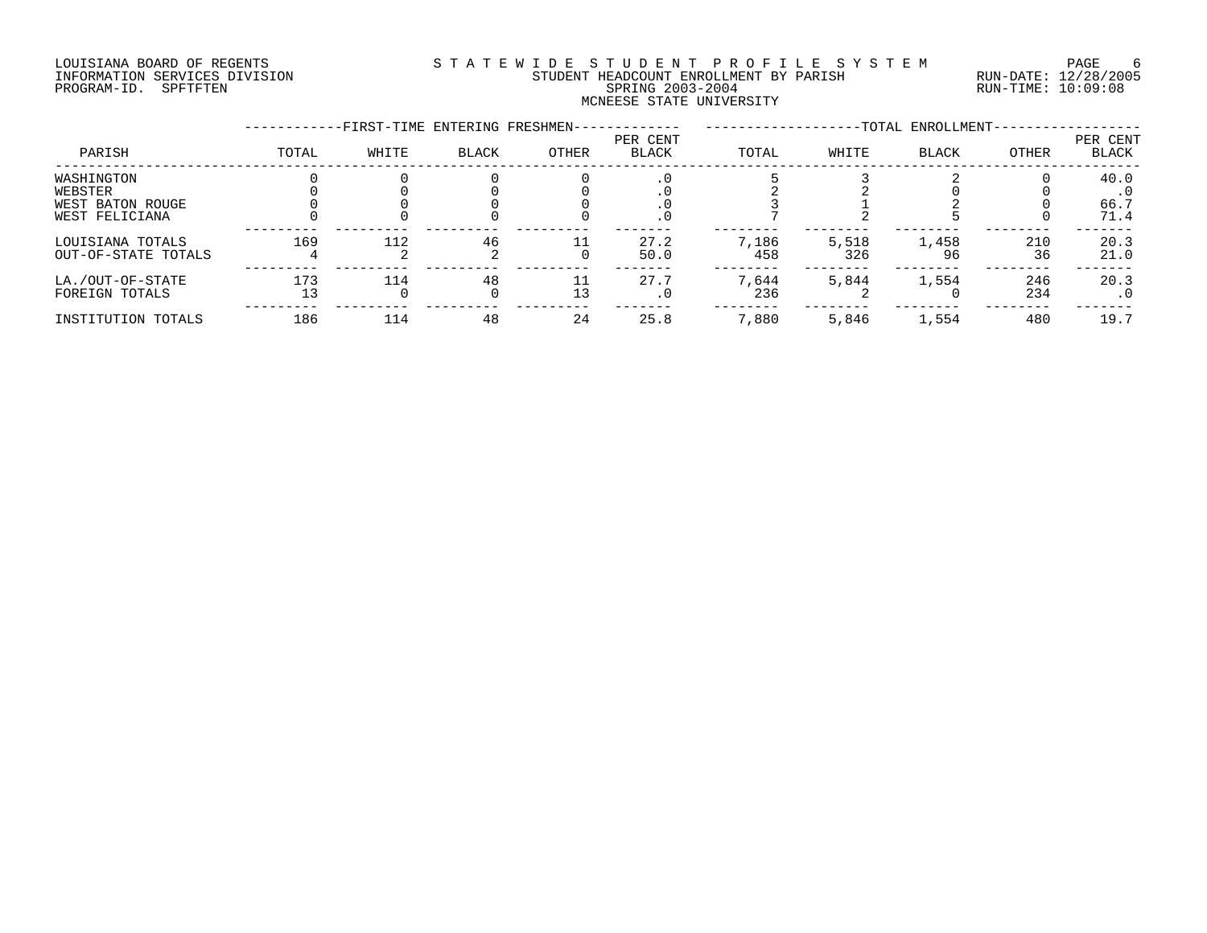# LOUISIANA BOARD OF REGENTS SOURCLEARIE STA T E W I D E S T U D E N T P R O F I L E S Y S T E M PAGE 6 INFORMATION SERVICES DIVISION STUDENT HEADCOUNT ENROLLMENT BY PARISH RUN-DATE: 12/28/2005 PROGRAM-ID. SPFTFTEN SPRING 2003-2004 RUN-TIME: 10:09:08 MCNEESE STATE UNIVERSITY

|                                                             |       | -FIRST-TIME ENTERING FRESHMEN- |                        |          |                          |              |              | -TOTAL ENROLLMENT- |            |                                   |
|-------------------------------------------------------------|-------|--------------------------------|------------------------|----------|--------------------------|--------------|--------------|--------------------|------------|-----------------------------------|
| PARISH                                                      | TOTAL | WHITE                          | <b>BLACK</b>           | OTHER    | PER CENT<br><b>BLACK</b> | TOTAL        | WHITE        | <b>BLACK</b>       | OTHER      | PER CENT<br><b>BLACK</b>          |
| WASHINGTON<br>WEBSTER<br>WEST BATON ROUGE<br>WEST FELICIANA |       |                                |                        |          | . 0                      |              |              |                    |            | 40.0<br>$\cdot$ 0<br>66.7<br>71.4 |
| LOUISIANA TOTALS<br>OUT-OF-STATE TOTALS                     | 169   | 112                            | 46                     |          | 27.2<br>50.0             | 7,186<br>458 | 5,518<br>326 | 1,458<br>96        | 210<br>36  | 20.3<br>21.0                      |
| LA./OUT-OF-STATE<br>FOREIGN TOTALS                          | 173   | 114<br>O                       | 48<br>$\left( \right)$ | 11<br>13 | 27.7<br>$\cdot$ 0        | 7,644<br>236 | 5,844        | 1,554              | 246<br>234 | 20.3<br>. 0                       |
| INSTITUTION TOTALS                                          | 186   | 114                            | 48                     | 24       | 25.8                     | 7,880        | 5,846        | 1,554              | 480        | 19.7                              |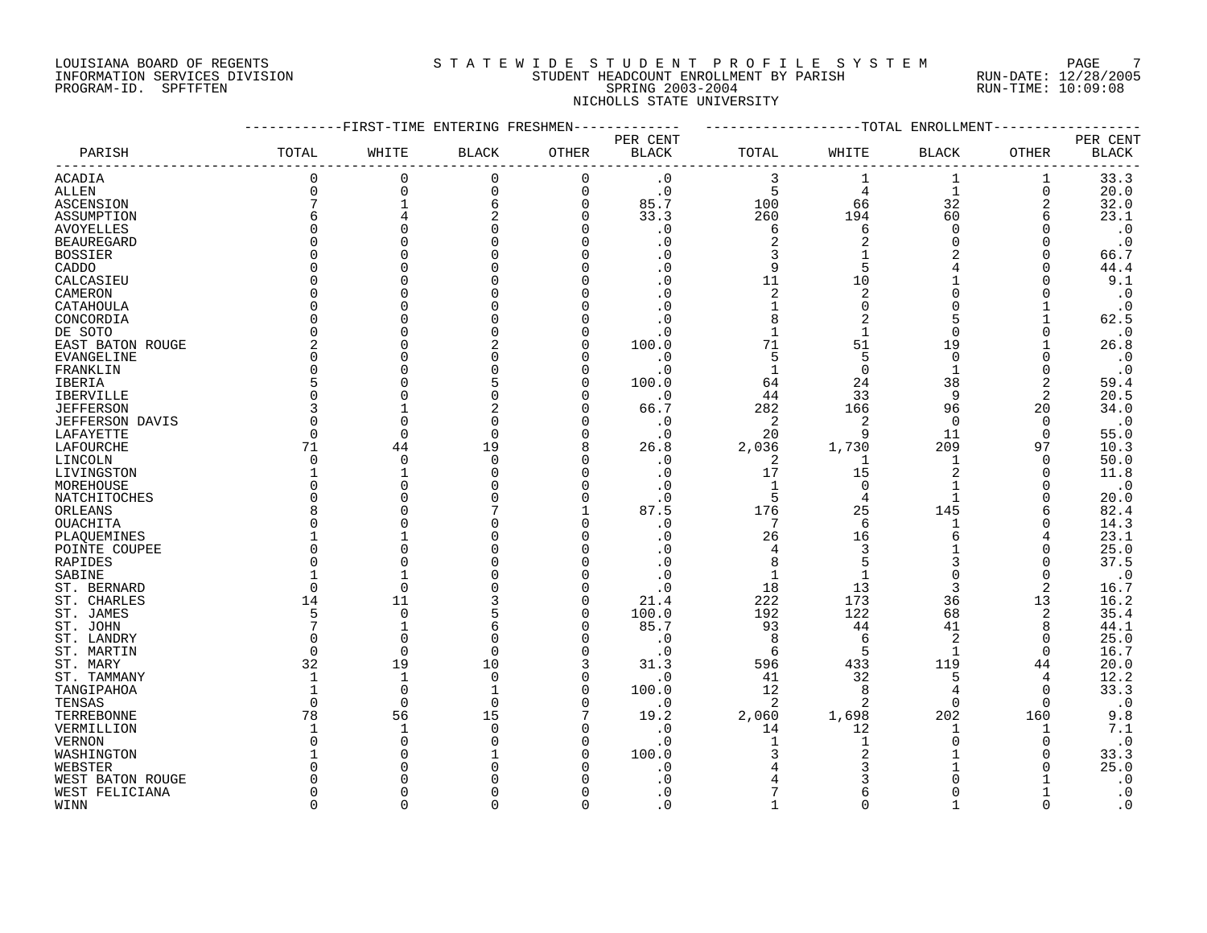# LOUISIANA BOARD OF REGENTS SOURCLEARIE STA T E W I D E S T U D E N T P R O F I L E S Y S T E M PAGE 7 INFORMATION SERVICES DIVISION STUDENT HEADCOUNT ENROLLMENT BY PARISH RUN-DATE: 12/28/2005 PROGRAM-ID. SPFTFTEN SPRING 2003-2004 RUN-TIME: 10:09:08 NICHOLLS STATE UNIVERSITY

|                   |              | -FIRST-TIME ENTERING FRESHMEN- |              |             |              |                |                | -------------TOTAL ENROLLMENT |              |                        |
|-------------------|--------------|--------------------------------|--------------|-------------|--------------|----------------|----------------|-------------------------------|--------------|------------------------|
|                   |              |                                |              |             | PER CENT     |                |                |                               |              | PER CENT               |
| PARISH            | TOTAL        | WHITE                          | <b>BLACK</b> | OTHER       | <b>BLACK</b> | TOTAL          | WHITE          | BLACK                         | OTHER        | <b>BLACK</b>           |
| <b>ACADIA</b>     | $\Omega$     | $\mathbf 0$                    | 0            | $\mathbf 0$ | $\cdot$ 0    | 3              | 1              | 1                             | 1            | 33.3                   |
| <b>ALLEN</b>      | 0            | $\Omega$                       | $\mathbf 0$  | $\Omega$    | $\cdot$ 0    | 5              | $\overline{4}$ | $\mathbf{1}$                  | $\mathbf 0$  | 20.0                   |
| ASCENSION         | 7            |                                | 6            | $\Omega$    | 85.7         | 100            | 66             | 32                            | 2            | 32.0                   |
| ASSUMPTION        | 6            |                                | 2            | n           | 33.3         | 260            | 194            | 60                            | 6            | 23.1                   |
| <b>AVOYELLES</b>  | 0            |                                |              |             | . 0          | 6              | 6              | $\Omega$                      | $\Omega$     | $\cdot$ 0              |
| <b>BEAUREGARD</b> | <sup>0</sup> |                                |              |             | . 0          | $\overline{2}$ | 2              | $\Omega$                      | $\Omega$     | $\cdot$ 0              |
| <b>BOSSIER</b>    | O            |                                |              |             |              | 3              |                |                               | $\Omega$     | 66.7                   |
| CADDO             | O            |                                |              |             | . 0          | 9              |                |                               | <sup>0</sup> | 44.4                   |
| CALCASIEU         | O            |                                |              |             |              | 11             | 10             |                               |              | 9.1                    |
| CAMERON           | O            |                                |              |             |              | $\overline{c}$ | $\overline{2}$ |                               |              | $\cdot$ 0              |
| CATAHOULA         | $\Omega$     |                                |              |             | . 0          | $\mathbf{1}$   | $\Omega$       |                               |              | $\cdot$ 0              |
| CONCORDIA         | 0            |                                |              |             |              | 8              | $\overline{2}$ | 5                             |              | 62.5                   |
| DE SOTO           | 0            |                                |              |             | . 0          | $\mathbf{1}$   |                | $\Omega$                      | <sup>0</sup> | $\cdot$ 0              |
| EAST BATON ROUGE  | 2            |                                | 2            | ∩           | 100.0        | 71             | 51             | 19                            |              | 26.8                   |
|                   | <sup>0</sup> |                                |              | ∩           |              | 5              | 5              | $\Omega$                      | <sup>0</sup> |                        |
| EVANGELINE        | $\Omega$     |                                |              |             | $\cdot$ 0    | $\mathbf{1}$   | $\Omega$       | $\mathbf{1}$                  | <sup>0</sup> | $\cdot$ 0<br>$\cdot$ 0 |
| FRANKLIN          | 5            |                                |              | n           | $\cdot$ 0    |                |                |                               |              |                        |
| IBERIA            |              |                                |              |             | 100.0        | 64             | 24             | 38                            | 2            | 59.4                   |
| <b>IBERVILLE</b>  | $\Omega$     |                                |              |             | $\cdot$ 0    | 44             | 33             | 9                             | 2            | 20.5                   |
| <b>JEFFERSON</b>  | 3            |                                |              |             | 66.7         | 282            | 166            | 96                            | 20           | 34.0                   |
| JEFFERSON DAVIS   | $\Omega$     | $\Omega$                       | O            |             | $\cdot$ 0    | 2              | $\overline{2}$ | $\Omega$                      | $\Omega$     | $\cdot$ 0              |
| LAFAYETTE         | 0            | $\Omega$                       | $\Omega$     | O           | $\cdot$ 0    | 20             | 9              | 11                            | $\Omega$     | 55.0                   |
| LAFOURCHE         | 71           | 44                             | 19           | 8           | 26.8         | 2,036          | 1,730          | 209                           | 97           | 10.3                   |
| LINCOLN           | $\Omega$     | $\Omega$                       | $\Omega$     |             | $\cdot$ 0    | 2              | -1             | 1                             | $\Omega$     | 50.0                   |
| LIVINGSTON        | 1            |                                |              |             | $\cdot$ 0    | 17             | 15             | $\overline{2}$                | $\Omega$     | 11.8                   |
| MOREHOUSE         | U            |                                |              |             | . 0          | $\mathbf{1}$   | $\Omega$       |                               |              | $\cdot$ 0              |
| NATCHITOCHES      | $\Omega$     |                                |              | n           | $\cdot$ 0    | 5              | 4              | $\mathbf{1}$                  | <sup>0</sup> | 20.0                   |
| ORLEANS           | 8            |                                |              |             | 87.5         | 176            | 25             | 145                           | 6            | 82.4                   |
| OUACHITA          | O            |                                |              |             | . 0          | 7              | 6              |                               | $\Omega$     | 14.3                   |
| PLAQUEMINES       |              |                                |              |             | . 0          | 26             | 16             |                               | 4            | 23.1                   |
| POINTE COUPEE     | O            |                                |              |             |              | 4              | 3              |                               | <sup>0</sup> | 25.0                   |
| RAPIDES           | O            |                                |              |             |              | 8              |                |                               | O            | 37.5                   |
| SABINE            |              |                                |              |             | . 0          | $\mathbf{1}$   |                | $\Omega$                      | 0            | $\cdot$ 0              |
| ST. BERNARD       | $\Omega$     | $\Omega$                       |              |             | $\cdot$ 0    | 18             | 13             | 3                             | 2            | 16.7                   |
| ST. CHARLES       | 14           | 11                             |              |             | 21.4         | 222            | 173            | 36                            | 13           | 16.2                   |
| ST. JAMES         | 5            | $\overline{0}$                 |              | $\Omega$    | 100.0        | 192            | 122            | 68                            | 2            | 35.4                   |
| ST. JOHN          | 7            |                                | 6            | ∩           | 85.7         | 93             | 44             | 41                            | 8            | 44.1                   |
| ST. LANDRY        | $\Omega$     | $\Omega$                       |              |             | $\cdot$ 0    | 8              | 6              | 2                             | 0            | 25.0                   |
| ST. MARTIN        | $\Omega$     | $\Omega$                       | $\Omega$     |             | $\cdot$ 0    | 6              | 5              |                               | $\Omega$     | 16.7                   |
| ST. MARY          | 32           | 19                             | 10           | 3           | 31.3         | 596            | 433            | 119                           | 44           | 20.0                   |
| ST. TAMMANY       | $\mathbf 1$  | $\mathbf{1}$                   | $\Omega$     | $\Omega$    | $\cdot$ 0    | 41             | 32             | 5                             | 4            | 12.2                   |
| TANGIPAHOA        |              | $\overline{0}$                 |              |             | 100.0        | 12             | 8              | $\overline{4}$                | $\Omega$     | 33.3                   |
| TENSAS            | $\Omega$     | $\Omega$                       | $\Omega$     |             | $\cdot$ 0    | 2              | $\overline{2}$ | $\Omega$                      | $\Omega$     | $\cdot$ 0              |
| TERREBONNE        | 78           | 56                             | 15           |             | 19.2         | 2,060          | 1,698          | 202                           | 160          | 9.8                    |
| VERMILLION        |              | $\mathbf{1}$                   | <sup>0</sup> |             | $\cdot$ 0    | 14             | 12             | 1                             |              | 7.1                    |
| <b>VERNON</b>     | O            | $\bigcap$                      |              |             | $\cdot$ 0    |                |                | $\Omega$                      | O            | $\cdot$ 0              |
| WASHINGTON        |              |                                |              |             | 100.0        |                |                |                               |              | 33.3                   |
| WEBSTER           | U            |                                |              |             | . 0          |                |                |                               |              | 25.0                   |
| WEST BATON ROUGE  | U            |                                |              |             | . 0          |                |                |                               |              | $\cdot$ 0              |
| WEST FELICIANA    | <sup>0</sup> |                                |              |             | . 0          |                |                |                               |              | $\cdot$ 0              |
| WINN              | $\cap$       | $\cap$                         |              | $\Omega$    | $\Omega$     |                | $\cap$         |                               | $\cap$       | $\cdot$ 0              |
|                   |              |                                |              |             |              |                |                |                               |              |                        |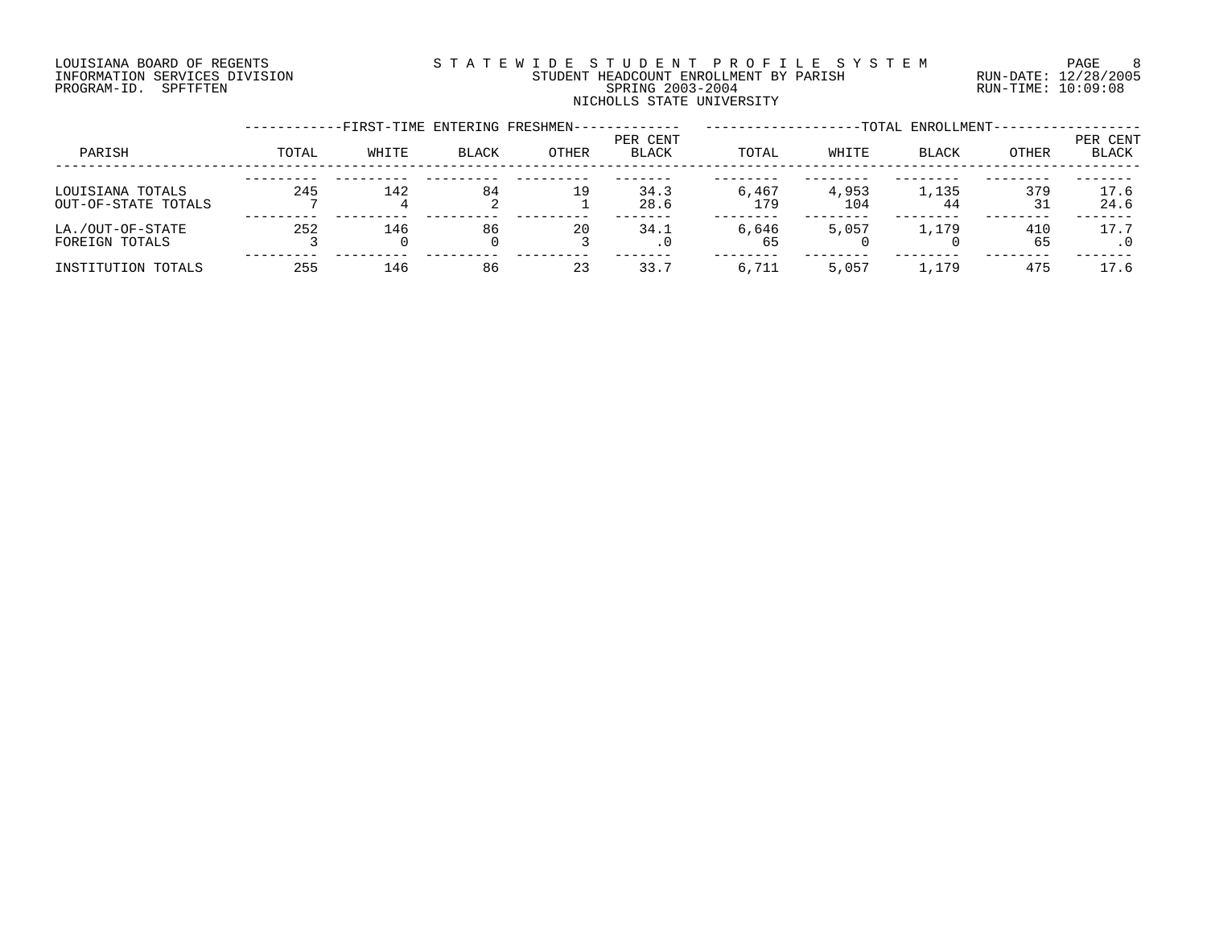# LOUISIANA BOARD OF REGENTS SOURCLEARIE STA T E W I D E S T U D E N T P R O F I L E S Y S T E M PAGE 8 INFORMATION SERVICES DIVISION STUDENT HEADCOUNT ENROLLMENT BY PARISH RUN-DATE: 12/28/2005 PROGRAM-ID. SPFTFTEN SPRING 2003-2004 RUN-TIME: 10:09:08 NICHOLLS STATE UNIVERSITY

|                                         |       | -FIRST-TIME ENTERING FRESHMEN- |              |       |                   |              |              | -TOTAL ENROLLMENT- |           |                   |
|-----------------------------------------|-------|--------------------------------|--------------|-------|-------------------|--------------|--------------|--------------------|-----------|-------------------|
| PARISH                                  | TOTAL | WHITE                          | <b>BLACK</b> | OTHER | PER CENT<br>BLACK | TOTAL        | WHITE        | <b>BLACK</b>       | OTHER     | PER CENT<br>BLACK |
| LOUISIANA TOTALS<br>OUT-OF-STATE TOTALS | 245   | 142                            | 84           | 19    | 34.3<br>28.6      | 6,467<br>179 | 4,953<br>104 | 1,135<br>44        | 379<br>31 | 17.6<br>24.6      |
| LA./OUT-OF-STATE<br>FOREIGN TOTALS      | 252   | 146                            | 86           | 20    | 34.1              | 6,646<br>65  | 5,057        | 1,179              | 410<br>65 | 17.7              |
| INSTITUTION TOTALS                      | 255   | 146                            | 86           | 23    | 33.7              | 6,711        | 5,057        | 1,179              | 475       | 17.6              |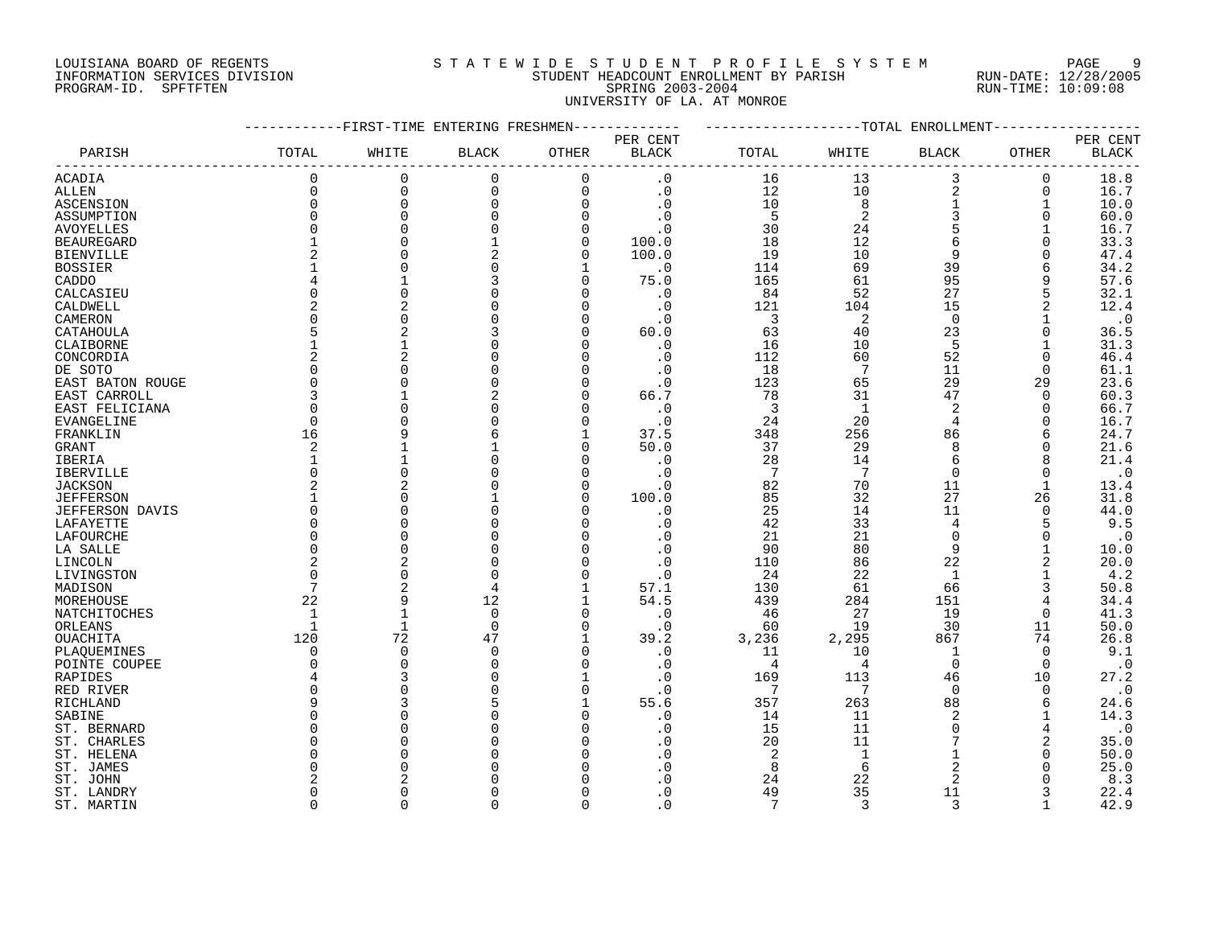# LOUISIANA BOARD OF REGENTS SOURCLEARIE WIDE STUDENT PROFILE SYSTEM PAGE 9 INFORMATION SERVICES DIVISION STUDENT HEADCOUNT ENROLLMENT BY PARISH RUN-DATE: 12/28/2005 PROGRAM-ID. SPFTFTEN SPRING 2003-2004 RUN-TIME: 10:09:08 UNIVERSITY OF LA. AT MONROE

|                        |                | -FIRST-TIME ENTERING FRESHMEN- |              |                      |                        |         |                | ------------TOTAL ENROLLMENT |                      |                        |
|------------------------|----------------|--------------------------------|--------------|----------------------|------------------------|---------|----------------|------------------------------|----------------------|------------------------|
|                        |                |                                |              |                      | PER CENT               |         |                |                              |                      | PER CENT               |
| PARISH                 | TOTAL          | WHITE                          | <b>BLACK</b> | OTHER                | <b>BLACK</b>           | TOTAL   | WHITE          | BLACK                        | OTHER                | <b>BLACK</b>           |
| <b>ACADIA</b>          | $\Omega$       | $\mathbf 0$                    | 0            | $\mathbf 0$          | $\cdot$ 0              | 16      | 13             | 3                            | 0                    | 18.8                   |
| <b>ALLEN</b>           | $\Omega$       | $\mathbf 0$                    | $\mathbf 0$  | $\Omega$             | $\cdot$ 0              | 12      | 10             | 2                            | 0                    | 16.7                   |
| ASCENSION              | 0              | $\Omega$                       | 0            | $\Omega$             | $\cdot$ 0              | 10      | 8              | $\mathbf{1}$                 |                      | 10.0                   |
| ASSUMPTION             | $\Omega$       | $\Omega$                       |              | $\Omega$             | $\cdot$ 0              | 5       | $\overline{c}$ | 3                            | $\Omega$             | 60.0                   |
| <b>AVOYELLES</b>       | <sup>0</sup>   |                                |              | $\Omega$             | $\cdot$ 0              | 30      | 24             | 5                            |                      | 16.7                   |
| <b>BEAUREGARD</b>      | 1              |                                |              | $\Omega$             | 100.0                  | 18      | 12             | 6                            | 0                    | 33.3                   |
| <b>BIENVILLE</b>       | 2              |                                | 2            | $\Omega$             | 100.0                  | 19      | 10             | 9                            |                      | 47.4                   |
| <b>BOSSIER</b>         |                |                                |              |                      | $\cdot$ 0              | 114     | 69             | 39                           |                      | 34.2                   |
| CADDO                  |                |                                | 3            |                      | 75.0                   | 165     | 61             | 95                           | 9                    | 57.6                   |
| CALCASIEU              | $\Omega$       | $\cap$                         |              |                      | $\cdot$ 0              | 84      | 52             | 27                           | 5                    | 32.1                   |
| CALDWELL               | 2              |                                |              | n                    | $\cdot$ 0              | 121     | 104            | 15                           | 2                    | 12.4                   |
| CAMERON                | 0              | C                              |              | $\Omega$             | $\cdot$ 0              | 3       | 2              | $\mathbf 0$                  |                      | $\boldsymbol{\cdot}$ 0 |
| CATAHOULA              | 5              |                                |              |                      | 60.0                   | 63      | 40             | 23                           | 0                    | 36.5                   |
| CLAIBORNE              |                |                                |              |                      | $\cdot$ 0              | 16      | 10             | 5                            |                      | 31.3                   |
| CONCORDIA              | $\overline{2}$ |                                |              |                      | $\cdot$ 0              | 112     | 60             | 52                           | $\Omega$             | 46.4                   |
| DE SOTO                | $\Omega$       |                                |              |                      | . 0                    | 18      | 7              | 11                           | $\Omega$             | 61.1                   |
| EAST BATON ROUGE       | $\Omega$       |                                |              | n                    | $\cdot$ 0              | 123     | 65             | 29                           | 29                   | 23.6                   |
| EAST CARROLL           | 3              |                                |              |                      | 66.7                   | 78      | 31             | 47                           | $\Omega$             | 60.3                   |
| EAST FELICIANA         | $\Omega$       |                                |              |                      | $\cdot$ 0              | 3       | $\mathbf{1}$   | 2                            | 0                    | 66.7                   |
| EVANGELINE             | $\Omega$       |                                |              |                      | $\cdot$ 0              | 24      | 20             | $\overline{4}$               | $\Omega$             | 16.7                   |
| FRANKLIN               | 16             |                                |              |                      | 37.5                   | 348     | 256            | 86                           | 6                    | 24.7                   |
| GRANT                  | 2              |                                |              | $\Omega$             | 50.0                   | 37      | 29             | 8                            | 0                    | 21.6                   |
| IBERIA                 | $\mathbf 1$    |                                |              |                      | $\cdot$ 0              | 28      | 14             | 6                            |                      | 21.4                   |
| <b>IBERVILLE</b>       | $\Omega$       |                                |              |                      | . 0                    | 7       | 7              | $\Omega$                     | 0                    | $\cdot$ 0              |
| <b>JACKSON</b>         | $\overline{2}$ |                                |              |                      | . 0                    | 82      | 70             | 11                           | 1                    | 13.4                   |
| <b>JEFFERSON</b>       | 1              |                                |              | ∩                    | 100.0                  | 85      | 32             | 27                           | 26                   | 31.8                   |
| <b>JEFFERSON DAVIS</b> | $\Omega$       |                                |              |                      | $\cdot$ 0              | 25      | 14             | 11                           | $\Omega$             | 44.0                   |
| LAFAYETTE              | 0              |                                |              |                      | . 0                    | 42      | 33             | $\overline{4}$               |                      | 9.5                    |
| LAFOURCHE              | $\Omega$       | $\cap$                         |              |                      | . 0                    | 21      | 21             | $\Omega$                     | $\Omega$             | $\cdot$ 0              |
| LA SALLE               | $\Omega$       | $\Omega$                       |              |                      | . 0                    | 90      | 80             | 9                            |                      | 10.0                   |
| LINCOLN                | 2              |                                |              | n                    | $\cdot$ 0              | 110     | 86             | 22                           |                      | 20.0                   |
| LIVINGSTON             | $\Omega$       | $\Omega$                       | $\Omega$     |                      | . 0                    | 24      | 22             | $\mathbf{1}$                 |                      | 4.2                    |
| MADISON                | 7              |                                | 4            |                      | 57.1                   | 130     | 61             | 66                           | 3                    | 50.8                   |
| MOREHOUSE              | 22             | q                              | 12           | 1                    | 54.5                   | 439     | 284            | 151                          | 4                    | 34.4                   |
| NATCHITOCHES           | $\mathbf{1}$   |                                | $\mathbf 0$  | $\Omega$             | $\cdot$ 0              | 46      | 27             | 19                           | 0                    | 41.3                   |
| ORLEANS                | 1              | 1                              | $\mathbf 0$  | $\Omega$             | $\cdot$ 0              | 60      | 19             | 30                           | 11                   | 50.0                   |
| OUACHITA               | 120            | 72                             | 47           | 1                    | 39.2                   | 3,236   | 2,295          | 867                          | 74                   | 26.8                   |
| PLAQUEMINES            | 0<br>$\Omega$  | $\Omega$<br>$\cap$             | $\Omega$     | $\Omega$<br>$\Omega$ | $\cdot$ 0              | 11<br>4 | 10<br>4        | -1<br>$\Omega$               | $\Omega$<br>$\Omega$ | 9.1                    |
| POINTE COUPEE          | 4              |                                |              |                      | $\cdot$ 0<br>$\cdot$ 0 | 169     | 113            | 46                           | 10                   | $\cdot$ 0<br>27.2      |
| RAPIDES                | $\Omega$       |                                |              |                      | $\cdot$ 0              | 7       | 7              | $\Omega$                     | $\Omega$             | $\cdot$ 0              |
| RED RIVER<br>RICHLAND  | q              |                                |              |                      | 55.6                   | 357     | 263            | 88                           | 6                    | 24.6                   |
| SABINE                 | $\Omega$       |                                |              |                      | $\cdot$ 0              | 14      | 11             | $\overline{2}$               |                      | 14.3                   |
| ST. BERNARD            | O              |                                |              |                      | . 0                    | 15      | 11             | $\Omega$                     | 4                    | $\cdot$ 0              |
| ST. CHARLES            | O              |                                |              |                      | . 0                    | 20      | 11             | 7                            | 2                    | 35.0                   |
| ST. HELENA             | O              |                                |              |                      | . 0                    | 2       | $\mathbf{1}$   |                              | $\Omega$             | 50.0                   |
| ST. JAMES              | U              |                                |              |                      | . 0                    | 8       | 6              | $\overline{2}$               | O                    | 25.0                   |
| ST. JOHN               |                |                                |              |                      | $\Omega$               | 24      | 22             | $\overline{2}$               |                      | 8.3                    |
| ST. LANDRY             | <sup>0</sup>   |                                |              |                      | . 0                    | 49      | 35             | 11                           |                      | 22.4                   |
| ST. MARTIN             | $\cap$         | $\cap$                         | U            | $\Omega$             | $\Omega$               | 7       | $\mathbf{3}$   | $\mathbf{3}$                 |                      | 42.9                   |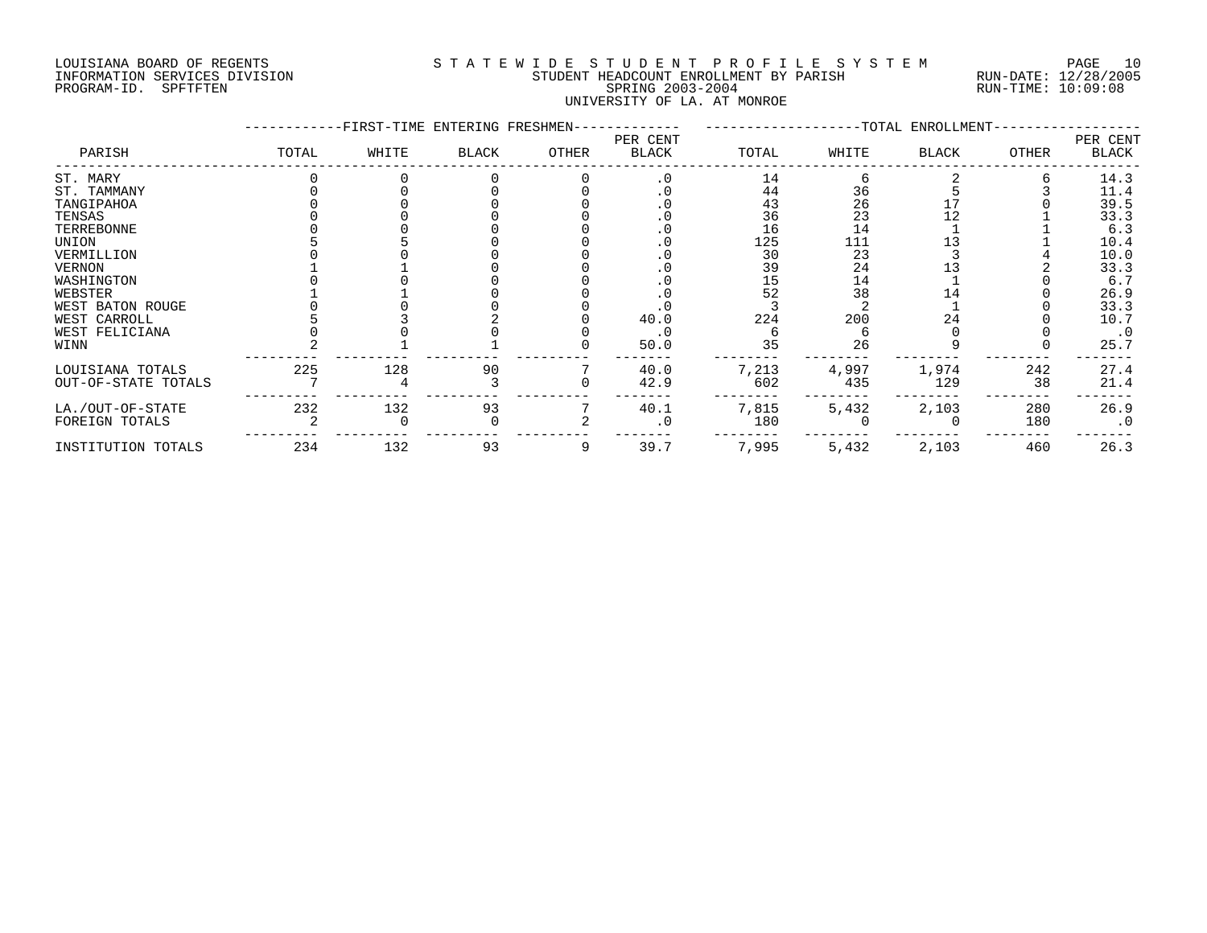# LOUISIANA BOARD OF REGENTS S T A T E W I D E S T U D E N T P R O F I L E S Y S T E M PAGE 10 INFORMATION SERVICES DIVISION STUDENT HEADCOUNT ENROLLMENT BY PARISH RUN-DATE: 12/28/2005 PROGRAM-ID. SPFTFTEN SPRING 2003-2004 RUN-TIME: 10:09:08 UNIVERSITY OF LA. AT MONROE

|                     |       | -FIRST-TIME ENTERING FRESHMEN- |       |       |                   |       |       | --TOTAL ENROLLMENT- |       |                   |
|---------------------|-------|--------------------------------|-------|-------|-------------------|-------|-------|---------------------|-------|-------------------|
| PARISH              | TOTAL | WHITE                          | BLACK | OTHER | PER CENT<br>BLACK | TOTAL | WHITE | <b>BLACK</b>        | OTHER | PER CENT<br>BLACK |
| ST. MARY            |       |                                |       |       | $\cdot$ 0         | 14    |       |                     |       | 14.3              |
| ST. TAMMANY         |       |                                |       |       | . 0               | 44    | 36    |                     |       | 11.4              |
| TANGIPAHOA          |       |                                |       |       | $\cdot$ 0         | 43    | 26    |                     |       | 39.5              |
| TENSAS              |       |                                |       |       | $\cdot$ 0         | 36    | 23    | 12                  |       | 33.3              |
| TERREBONNE          |       |                                |       |       | $\cdot$ 0         | 16    | 14    |                     |       | 6.3               |
| UNION               |       |                                |       |       | . 0               | 125   | 111   |                     |       | 10.4              |
| VERMILLION          |       |                                |       |       |                   | 30    | 23    |                     |       | 10.0              |
| VERNON              |       |                                |       |       | . 0               | 39    | 24    |                     |       | 33.3              |
| WASHINGTON          |       |                                |       |       | . 0               | 15    | 14    |                     |       | 6.7               |
| WEBSTER             |       |                                |       |       |                   | 52    | 38    | 14                  |       | 26.9              |
| WEST BATON ROUGE    |       |                                |       |       |                   |       |       |                     |       | 33.3              |
| WEST CARROLL        |       |                                |       |       | 40.0              | 224   | 200   | 24                  |       | 10.7              |
| WEST FELICIANA      |       |                                |       |       | $\cdot$ 0         |       |       |                     |       | $\cdot$ 0         |
| WINN                |       |                                |       |       | 50.0              | 35    | 26    |                     |       | 25.7              |
| LOUISIANA TOTALS    | 225   | 128                            | 90    |       | 40.0              | 7,213 | 4,997 | 1,974               | 242   | 27.4              |
| OUT-OF-STATE TOTALS |       |                                |       |       | 42.9              | 602   | 435   | 129                 | 38    | 21.4              |
| LA./OUT-OF-STATE    | 232   | 132                            | 93    |       | 40.1              | 7,815 | 5,432 | 2,103               | 280   | 26.9              |
| FOREIGN TOTALS      |       |                                |       |       | . 0               | 180   |       |                     | 180   | $\cdot$ 0         |
| INSTITUTION TOTALS  | 234   | 132                            | 93    | 9     | 39.7              | 7,995 | 5,432 | 2,103               | 460   | 26.3              |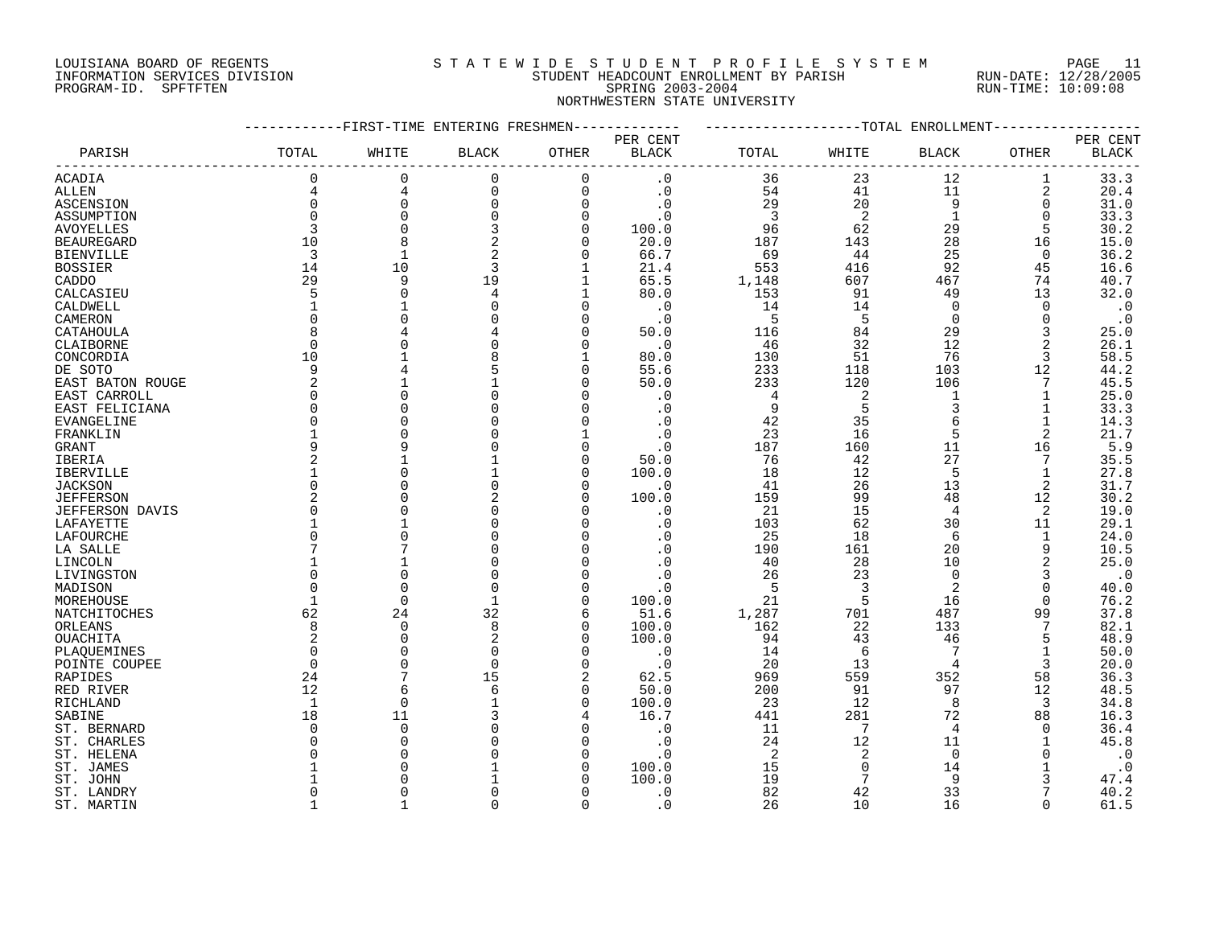# LOUISIANA BOARD OF REGENTS S T A T E W I D E S T U D E N T P R O F I L E S Y S T E M PAGE 11 INFORMATION SERVICES DIVISION STUDENT HEADCOUNT ENROLLMENT BY PARISH RUN-DATE: 12/28/2005 PROGRAM-ID. SPFTFTEN SPRING 2003-2004 RUN-TIME: 10:09:08 NORTHWESTERN STATE UNIVERSITY

|                              |              | -FIRST-TIME ENTERING FRESHMEN |              |                      |                        |                |                | -TOTAL ENROLLMENT |                |              |
|------------------------------|--------------|-------------------------------|--------------|----------------------|------------------------|----------------|----------------|-------------------|----------------|--------------|
|                              |              |                               |              |                      | PER CENT               |                |                |                   |                | PER CENT     |
| PARISH                       | TOTAL        | WHITE                         | <b>BLACK</b> | OTHER                | <b>BLACK</b>           | TOTAL          | WHITE          | <b>BLACK</b>      | OTHER          | <b>BLACK</b> |
| ACADIA                       | 0            | 0                             | $\mathbf 0$  | $\Omega$             | . 0                    | 36             | 23             | 12                | 1              | 33.3         |
| ALLEN                        | 4            | 4                             | 0            | $\Omega$             | $\cdot$ 0              | 54             | 41             | 11                | 2              | 20.4         |
| ASCENSION                    | 0            | $\mathbf 0$                   | 0            | $\Omega$             | $\cdot$ 0              | 29             | 20             | 9                 | 0              | 31.0         |
| ASSUMPTION                   | $\Omega$     | $\Omega$                      | 0            | $\Omega$             | $\cdot$ 0              | $\overline{3}$ | 2              | $\mathbf{1}$      | $\Omega$       | 33.3         |
| <b>AVOYELLES</b>             | 3            | $\Omega$                      | 3            | $\Omega$             | 100.0                  | 96             | 62             | 29                | 5              | 30.2         |
| <b>BEAUREGARD</b>            | 10           | 8                             | 2            | $\Omega$             | 20.0                   | 187            | 143            | 28                | 16             | 15.0         |
| <b>BIENVILLE</b>             | 3            | 1                             | 2            | $\Omega$             | 66.7                   | 69             | 44             | 25                | 0              | 36.2         |
| <b>BOSSIER</b>               | 14           | 10                            | 3            | -1                   | 21.4                   | 553            | 416            | 92                | 45             | 16.6         |
| CADDO                        | 29           | 9                             | 19           | 1                    | 65.5                   | 1,148          | 607            | 467               | 74             | 40.7         |
| CALCASIEU                    | 5            | $\Omega$                      | 4            |                      | 80.0                   | 153            | 91             | 49                | 13             | 32.0         |
| CALDWELL                     | $\mathbf{1}$ |                               |              | $\Omega$             | . 0                    | 14             | 14             | $\Omega$          | $\Omega$       | $\cdot$ 0    |
| CAMERON                      | $\Omega$     |                               |              | n                    | $\cdot$ 0              | 5              | 5              | $\Omega$          | $\Omega$       | $\cdot$ 0    |
| CATAHOULA                    | 8            |                               |              |                      | 50.0                   | 116            | 84             | 29                | 3              | 25.0         |
| CLAIBORNE                    | $\Omega$     |                               |              | n                    | $\cdot$ 0              | 46             | 32             | 12                | 2              | 26.1         |
| CONCORDIA                    | 10           |                               |              |                      | 80.0                   | 130            | 51             | 76                | 3              | 58.5         |
| DE SOTO                      | 9            |                               |              | $\Omega$             | 55.6                   | 233            | 118            | 103               | 12             | 44.2         |
| EAST BATON ROUGE             | 2            |                               |              |                      | 50.0                   | 233            | 120            | 106               | 7              | 45.5         |
| EAST CARROLL                 | 0            |                               |              |                      | . 0                    | 4              | 2              |                   |                | 25.0         |
| EAST FELICIANA               | $\Omega$     |                               |              |                      | . 0                    | 9              | 5              | 3                 |                | 33.3         |
| <b>EVANGELINE</b>            | $\Omega$     |                               |              |                      | . 0                    | 42             | 35             |                   |                | 14.3         |
| FRANKLIN                     |              |                               |              |                      | $\cdot$ 0              | 23             | 16             | 5                 | $\overline{2}$ | 21.7         |
| GRANT                        | 9            |                               |              | n                    | . 0                    | 187            | 160            | 11                | 16             | 5.9          |
| <b>IBERIA</b>                |              |                               |              | n                    | 50.0                   | 76             | 42             | 27                | 7              | 35.5         |
| IBERVILLE                    | 1            | C                             |              | O                    | 100.0                  | 18             | 12             | 5                 | $\mathbf{1}$   | 27.8         |
| <b>JACKSON</b>               | $\Omega$     |                               |              |                      | . 0                    | 41             | 26             | 13                | 2              | 31.7         |
| <b>JEFFERSON</b>             | 2            |                               | 2            | ∩                    | 100.0                  | 159            | 99             | 48                | 12             | 30.2         |
| <b>JEFFERSON DAVIS</b>       | $\Omega$     |                               |              |                      | . 0                    | 21             | 15             | 4                 | 2              | 19.0         |
| LAFAYETTE                    |              |                               |              |                      | . 0                    | 103            | 62             | 30                | 11             | 29.1         |
| LAFOURCHE                    | $\Omega$     |                               |              |                      | . 0                    | 25             | 18             | 6                 | 1              | 24.0         |
| LA SALLE                     |              |                               |              |                      | $\cdot$ 0              | 190            | 161            | 20                | 9              | 10.5         |
| LINCOLN                      |              |                               |              |                      | . 0                    | 40             | 28             | 10                | $\overline{2}$ | 25.0         |
| LIVINGSTON                   | $\Omega$     | $\bigcap$                     |              |                      | $\cdot$ 0              | 26             | 23             | $\Omega$          | 3              | $\cdot$ 0    |
| MADISON                      | O            | $\bigcap$                     | $\Omega$     |                      | . 0                    | 5              | 3              | 2                 | $\Omega$       | 40.0         |
| MOREHOUSE                    | 1            | $\Omega$                      | 1            | $\Omega$             | 100.0                  | 21             | 5              | 16                | $\Omega$       | 76.2         |
| NATCHITOCHES                 | 62           | 24                            | 32           | 6                    | 51.6                   | 1,287          | 701            | 487               | 99             | 37.8         |
| ORLEANS                      | 8<br>2       | $\overline{0}$<br>$\Omega$    | 8<br>2       | $\Omega$<br>$\Omega$ | 100.0<br>100.0         | 162<br>94      | 22<br>43       | 133<br>46         | 5              | 82.1<br>48.9 |
| OUACHITA                     | $\Omega$     | $\cap$                        | $\Omega$     |                      |                        | 14             | 6              |                   |                | 50.0         |
| PLAQUEMINES<br>POINTE COUPEE | $\Omega$     | $\cap$                        | $\Omega$     | $\cap$               | $\cdot$ 0<br>$\cdot$ 0 | 20             | 13             | $\overline{4}$    | 3              | 20.0         |
| RAPIDES                      | 24           |                               | 15           | $\overline{2}$       | 62.5                   | 969            | 559            | 352               | 58             | 36.3         |
| RED RIVER                    | 12           | 6                             | 6            | $\Omega$             | 50.0                   | 200            | 91             | 97                | 12             | 48.5         |
| RICHLAND                     | 1            | 0                             |              | $\Omega$             | 100.0                  | 23             | 12             | 8                 | 3              | 34.8         |
| SABINE                       | 18           | 11                            |              |                      | 16.7                   | 441            | 281            | 72                | 88             | 16.3         |
| ST. BERNARD                  | $\Omega$     | $\overline{0}$                |              |                      | . 0                    | 11             | 7              | 4                 | $\Omega$       | 36.4         |
| ST. CHARLES                  | O            | $\bigcap$                     |              |                      | . 0                    | 24             | 12             | 11                |                | 45.8         |
| ST. HELENA                   | U            |                               |              |                      | $\cdot$ 0              | 2              | $\overline{2}$ | $\Omega$          |                | $\cdot$ 0    |
| ST. JAMES                    |              |                               |              |                      | 100.0                  | 15             | $\Omega$       | 14                |                | $\cdot$ 0    |
| ST. JOHN                     |              |                               |              |                      | 100.0                  | 19             | 7              | q                 |                | 47.4         |
| ST. LANDRY                   | <sup>0</sup> |                               |              |                      | $\cdot$ 0              | 82             | 42             | 33                |                | 40.2         |
| ST. MARTIN                   |              |                               | $\Omega$     | $\Omega$             | . 0                    | 26             | 10             | 16                |                | 61.5         |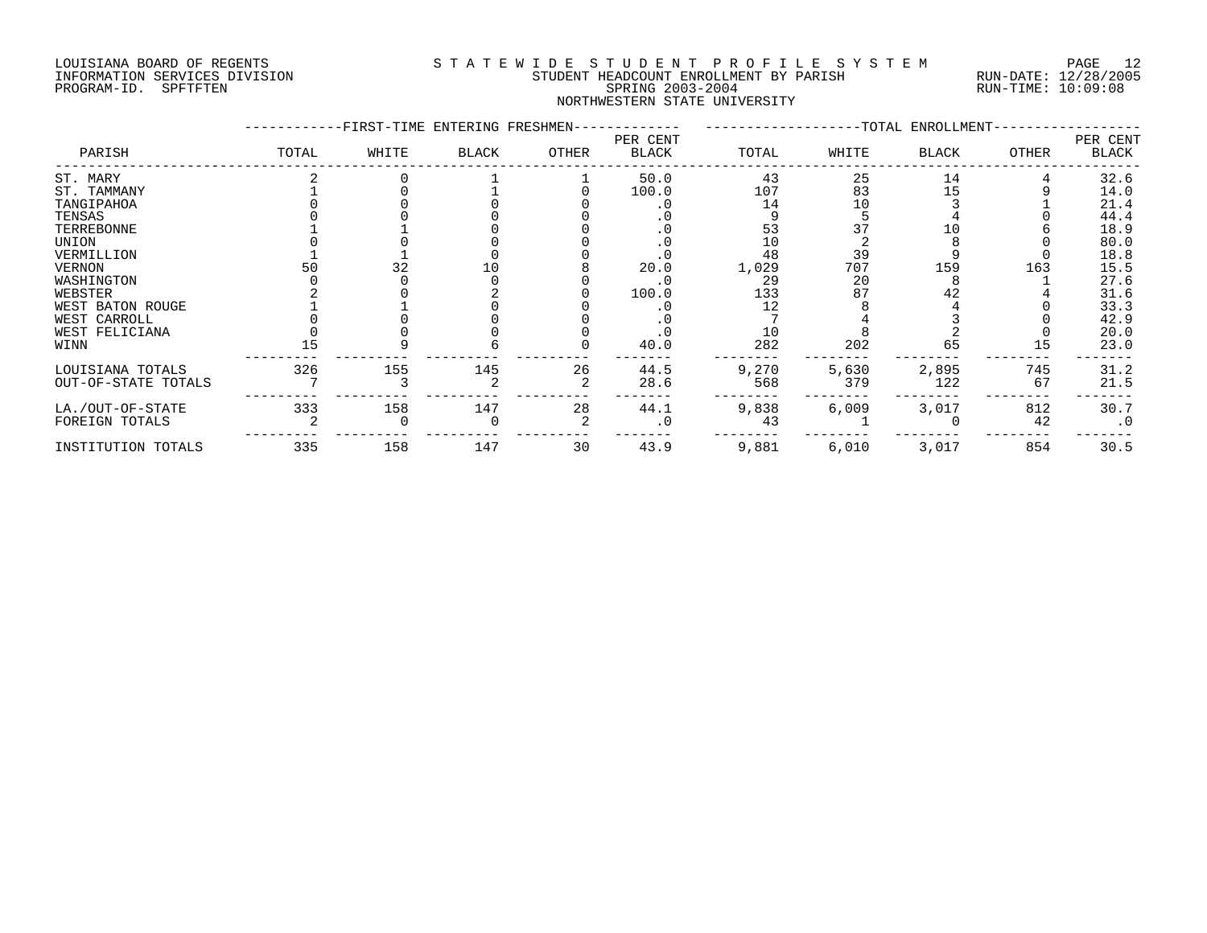# LOUISIANA BOARD OF REGENTS S T A T E W I D E S T U D E N T P R O F I L E S Y S T E M PAGE 12 INFORMATION SERVICES DIVISION STUDENT HEADCOUNT ENROLLMENT BY PARISH RUN-DATE: 12/28/2005 PROGRAM-ID. SPFTFTEN SPRING 2003-2004 RUN-TIME: 10:09:08 NORTHWESTERN STATE UNIVERSITY

|                     |       |       | -FIRST-TIME ENTERING FRESHMEN- |       |                          |       |       | --TOTAL ENROLLMENT- |       |                   |
|---------------------|-------|-------|--------------------------------|-------|--------------------------|-------|-------|---------------------|-------|-------------------|
| PARISH              | TOTAL | WHITE | <b>BLACK</b>                   | OTHER | PER CENT<br><b>BLACK</b> | TOTAL | WHITE | <b>BLACK</b>        | OTHER | PER CENT<br>BLACK |
| ST. MARY            |       |       |                                |       | 50.0                     | 43    | 25    | 14                  |       | 32.6              |
| ST. TAMMANY         |       |       |                                |       | 100.0                    | 107   | 83    | 15                  |       | 14.0              |
| TANGIPAHOA          |       |       |                                |       | $\cdot$ 0                | 14    | 10    |                     |       | 21.4              |
| TENSAS              |       |       |                                |       | . 0                      |       |       |                     |       | 44.4              |
| TERREBONNE          |       |       |                                |       | $\cdot$ 0                | 53    |       |                     |       | 18.9              |
| UNION               |       |       |                                |       | $\cdot$ 0                | 10    |       |                     |       | 80.0              |
| VERMILLION          |       |       |                                |       |                          | 48    | 39    |                     |       | 18.8              |
| <b>VERNON</b>       | 50    | 32    |                                |       | 20.0                     | 1,029 | 707   | 159                 | 163   | 15.5              |
| WASHINGTON          |       |       |                                |       | $\cdot$ 0                | 29    | 20    |                     |       | 27.6              |
| WEBSTER             |       |       |                                |       | 100.0                    | 133   | 87    | 42                  |       | 31.6              |
| WEST BATON ROUGE    |       |       |                                |       |                          | 12    |       |                     |       | 33.3              |
| WEST CARROLL        |       |       |                                |       |                          |       |       |                     |       | 42.9              |
| WEST FELICIANA      |       |       |                                |       |                          | 10    |       |                     |       | 20.0              |
| WINN                | 15    |       |                                |       | 40.0                     | 282   | 202   | 65                  | 15    | 23.0              |
| LOUISIANA TOTALS    | 326   | 155   | 145                            | 26    | 44.5                     | 9,270 | 5,630 | 2,895               | 745   | 31.2              |
| OUT-OF-STATE TOTALS |       |       |                                |       | 28.6                     | 568   | 379   | 122                 | 67    | 21.5              |
| LA./OUT-OF-STATE    | 333   | 158   | 147                            | 28    | 44.1                     | 9,838 | 6,009 | 3,017               | 812   | 30.7              |
| FOREIGN TOTALS      |       |       |                                |       | $\cdot$ 0                | 43    |       |                     | 42    | $\cdot$ 0         |
| INSTITUTION TOTALS  | 335   | 158   | 147                            | 30    | 43.9                     | 9,881 | 6,010 | 3,017               | 854   | 30.5              |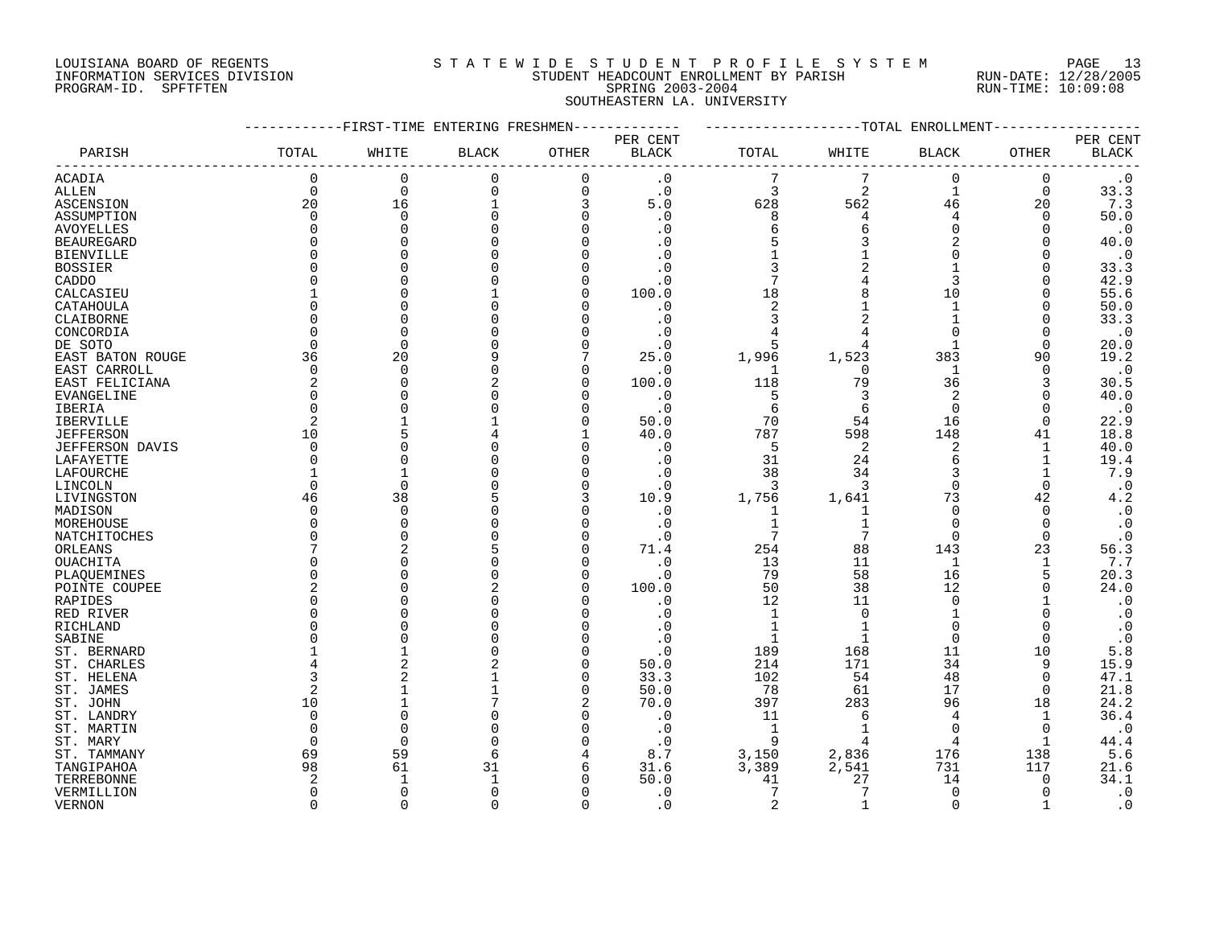# LOUISIANA BOARD OF REGENTS S T A T E W I D E S T U D E N T P R O F I L E S Y S T E M PAGE 13 INFORMATION SERVICES DIVISION STUDENT HEADCOUNT ENROLLMENT BY PARISH RUN-DATE: 12/28/2005 PROGRAM-ID. SPFTFTEN SPRING 2003-2004 RUN-TIME: 10:09:08 SOUTHEASTERN LA. UNIVERSITY

|                       |                | -------FIRST-TIME ENTERING FRESHMEN- |              |                          | ----------   | ------------------TOTAL ENROLLMENT- |            |                |                      |                        |
|-----------------------|----------------|--------------------------------------|--------------|--------------------------|--------------|-------------------------------------|------------|----------------|----------------------|------------------------|
|                       |                |                                      |              |                          | PER CENT     |                                     |            |                |                      | PER CENT               |
| PARISH                | TOTAL          | WHITE                                | <b>BLACK</b> | OTHER                    | <b>BLACK</b> | TOTAL                               | WHITE      | BLACK          | OTHER                | $\operatorname{BLACK}$ |
| ACADIA                | $\mathbf 0$    | $\mathbf 0$                          | $\mathbf 0$  | 0                        | $\cdot$ 0    | 7                                   | 7          | $\mathbf 0$    | $\mathbf 0$          | $\cdot$ 0              |
| <b>ALLEN</b>          | $\Omega$       | $\Omega$                             | $\Omega$     | $\mathbf 0$              | $\cdot$ 0    | 3                                   | 2          | $\mathbf{1}$   | $\mathbf 0$          | 33.3                   |
| ASCENSION             | 20             | 16                                   |              | 3                        | 5.0          | 628                                 | 562        | 46             | 20                   | 7.3                    |
| ASSUMPTION            | 0              | $\Omega$                             |              | $\Omega$                 | . 0          | 8                                   | 4          | 4              | 0                    | 50.0                   |
| <b>AVOYELLES</b>      | $\Omega$       |                                      |              | $\Omega$                 | . 0          | 6                                   | 6          | $\Omega$       | $\Omega$             | $\cdot$ 0              |
| <b>BEAUREGARD</b>     | ∩              |                                      |              | <sup>0</sup>             |              |                                     |            | $\overline{2}$ | O                    | 40.0                   |
| <b>BIENVILLE</b>      |                |                                      |              |                          | . 0          |                                     |            | ∩              |                      | $\cdot$ 0              |
| <b>BOSSIER</b>        |                |                                      |              | $\Omega$                 | $\cdot$ 0    | 3                                   |            |                | O                    | 33.3                   |
| CADDO                 |                |                                      |              | $\Omega$                 | . 0          | 7                                   |            | 3              | ∩                    | 42.9                   |
| CALCASIEU             |                |                                      |              | $\Omega$                 | 100.0        | 18                                  |            | 10             | $\Omega$             | 55.6                   |
| CATAHOULA             |                |                                      |              | <sup>0</sup>             | . 0          | $\overline{2}$                      |            | $\mathbf{1}$   | O                    | 50.0                   |
| CLAIBORNE             |                |                                      |              | <sup>0</sup>             | . 0          | 3                                   | 2          |                | O                    | 33.3                   |
| CONCORDIA             | O              |                                      |              | $\Omega$                 | . 0          |                                     |            | $\Omega$       | O                    | $\cdot$ 0              |
| DE SOTO               | $\Omega$       | $\cap$                               |              | $\Omega$                 | . 0          | 5                                   |            | $\mathbf{1}$   | $\Omega$             | 20.0                   |
| EAST BATON ROUGE      | 36             | 20                                   |              |                          | 25.0         | 1,996                               | 1,523      | 383            | 90                   | 19.2                   |
| EAST CARROLL          | $\Omega$       | $\Omega$                             |              | $\Omega$                 | . 0          | J.                                  | $\Omega$   | $\mathbf{1}$   | $\Omega$             | $\cdot$ 0              |
| EAST FELICIANA        | 2              | ∩                                    |              | $\Omega$                 | 100.0        | 118                                 | 79         | 36             | 3                    | 30.5                   |
| EVANGELINE            | $\Omega$       |                                      |              | $\Omega$                 | $\cdot$ 0    | 5                                   | 3          | 2              | $\Omega$             | 40.0                   |
| IBERIA                | $\Omega$       |                                      |              | $\Omega$                 | $\cdot$ 0    | 6                                   | 6          | $\mathbf 0$    | $\Omega$             | $\cdot$ 0              |
| <b>IBERVILLE</b>      | $\overline{2}$ |                                      |              | $\Omega$                 | 50.0         | 70                                  | 54         | 16             | $\Omega$             | 22.9                   |
| <b>JEFFERSON</b>      | 10             |                                      |              | $\mathbf{1}$             | 40.0         | 787                                 | 598        | 148            | 41                   | 18.8                   |
| JEFFERSON DAVIS       | ∩              |                                      |              | $\Omega$                 | $\cdot$ 0    | -5                                  | 2          | 2              | 1                    | 40.0                   |
| LAFAYETTE             |                |                                      |              | $\Omega$                 | $\cdot$ 0    | 31                                  | 24         | 6              |                      | 19.4                   |
| LAFOURCHE             |                |                                      |              | $\Omega$                 | . 0          | 38                                  | 34         | 3              |                      | 7.9                    |
| LINCOLN               | $\Omega$       |                                      |              | $\Omega$                 | $\cdot$ 0    | -3                                  | 3          | $\Omega$       | $\Omega$             | $\cdot$ 0              |
| LIVINGSTON            | 46             | 38                                   |              | 3                        | 10.9         | 1,756                               | 1,641      | 73             | 42                   | 4.2                    |
| MADISON               | O              | $\cap$                               |              | $\Omega$                 | $\cdot$ 0    | 1                                   |            | $\Omega$       | 0                    | $\cdot$ 0              |
| MOREHOUSE             | ∩              |                                      |              | $\Omega$                 | $\cdot$ 0    | 1                                   |            | $\Omega$       | $\Omega$             | $\cdot$ 0              |
| NATCHITOCHES          | U              |                                      |              | $\Omega$                 | . 0          | 7                                   |            | $\Omega$       | $\Omega$             | $\cdot$ 0              |
| ORLEANS               |                |                                      |              | $\Omega$                 | 71.4         | 254                                 | 88         | 143            | 23                   | 56.3                   |
| OUACHITA              | O              |                                      |              | $\Omega$                 | $\cdot$ 0    | 13                                  | 11         | 1              | 1                    | 7.7                    |
| PLAQUEMINES           |                |                                      |              | $\Omega$                 | . 0          | 79                                  | 58         | 16             | 5                    | 20.3                   |
| POINTE COUPEE         |                |                                      |              | $\Omega$                 | 100.0        | 50                                  | 38         | 12             | $\Omega$             | 24.0                   |
| RAPIDES               | ∩              |                                      |              | $\Omega$                 | . 0          | 12                                  | 11         | $\Omega$       |                      | $\cdot$ 0              |
| RED RIVER             |                |                                      |              |                          | . 0          | $\mathbf{1}$                        | $\Omega$   | 1              |                      | $\boldsymbol{\cdot}$ 0 |
| RICHLAND              |                |                                      |              | $\Omega$                 | $\cdot$ 0    |                                     |            | $\Omega$       | ∩                    | $\cdot$ 0              |
| SABINE                |                |                                      |              | $\Omega$                 | $\cdot$ 0    | 1                                   |            | $\mathbf 0$    | $\mathbf 0$          | $\cdot$ 0              |
| ST. BERNARD           |                |                                      |              | <sup>0</sup><br>$\Omega$ | $\cdot$ 0    | 189                                 | 168<br>171 | 11             | 10                   | 5.8                    |
| ST. CHARLES           |                |                                      |              |                          | 50.0         | 214                                 | 54         | 34             | 9                    | 15.9                   |
| ST. HELENA            |                |                                      |              | $\Omega$<br>$\Omega$     | 33.3<br>50.0 | 102<br>78                           | 61         | 48<br>17       | $\Omega$<br>$\Omega$ | 47.1<br>21.8           |
| ST. JAMES<br>ST. JOHN | 10             |                                      |              | 2                        | 70.0         | 397                                 | 283        | 96             | 18                   | 24.2                   |
| ST. LANDRY            | ∩              |                                      |              | $\Omega$                 | $\cdot$ 0    | 11                                  | 6          | 4              |                      | 36.4                   |
| ST. MARTIN            | $\Omega$       |                                      |              | $\Omega$                 | $\cdot$ 0    | $\mathbf{1}$                        |            | $\Omega$       | $\Omega$             | $\cdot$ 0              |
| ST. MARY              | $\Omega$       |                                      |              | $\Omega$                 | $\cdot$ 0    | 9                                   |            |                | 1                    | 44.4                   |
| ST. TAMMANY           | 69             | 59                                   | 6            |                          | 8.7          | 3,150                               | 2,836      | 176            | 138                  | 5.6                    |
| TANGIPAHOA            | 98             | 61                                   | 31           | 6                        | 31.6         | 3,389                               | 2,541      | 731            | 117                  | 21.6                   |
| TERREBONNE            | 2              |                                      |              | ∩                        | 50.0         | 41                                  | 27         | 14             | O                    | 34.1                   |
| VERMILLION            | $\Omega$       | ∩                                    |              | $\Omega$                 | $\cdot$ 0    | 7                                   |            | $\mathbf 0$    | $\Omega$             | $\cdot$ 0              |
| <b>VERNON</b>         | $\Omega$       | $\Omega$                             |              | $\Omega$                 | . 0          | $\overline{2}$                      |            | $\Omega$       |                      | $\cdot$ 0              |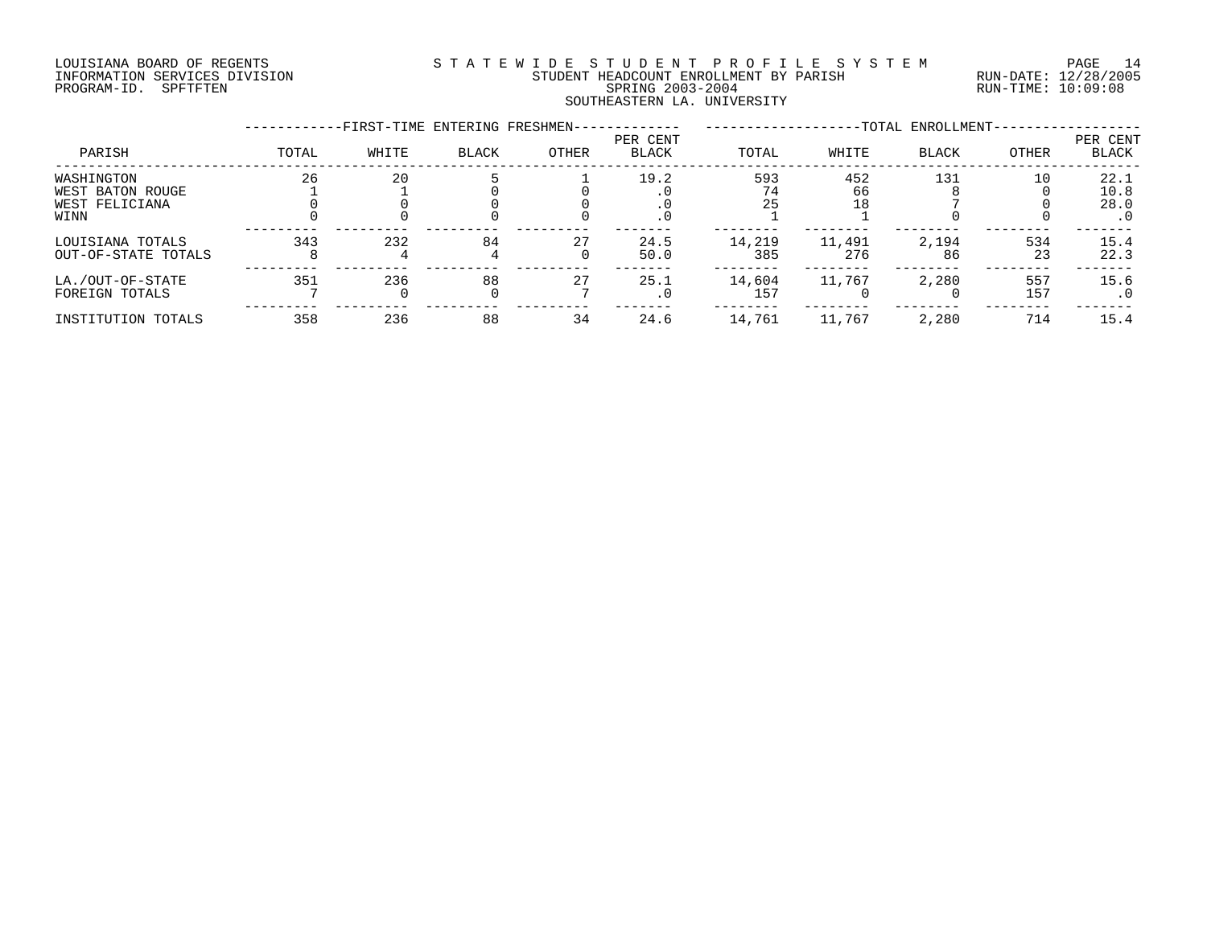# LOUISIANA BOARD OF REGENTS S T A T E W I D E S T U D E N T P R O F I L E S Y S T E M PAGE 14 INFORMATION SERVICES DIVISION STUDENT HEADCOUNT ENROLLMENT BY PARISH RUN-DATE: 12/28/2005 PROGRAM-ID. SPFTFTEN SPRING 2003-2004 RUN-TIME: 10:09:08 SOUTHEASTERN LA. UNIVERSITY

|                                         |       | -FIRST-TIME ENTERING FRESHMEN- |              |       |                          |               |               | -TOTAL ENROLLMENT- |           |                   |
|-----------------------------------------|-------|--------------------------------|--------------|-------|--------------------------|---------------|---------------|--------------------|-----------|-------------------|
| PARISH                                  | TOTAL | WHITE                          | <b>BLACK</b> | OTHER | PER CENT<br><b>BLACK</b> | TOTAL         | WHITE         | <b>BLACK</b>       | OTHER     | PER CENT<br>BLACK |
| WASHINGTON                              | 26    | 20                             |              |       | 19.2                     | 593           | 452           | 131                | 10        | 22.1              |
| WEST BATON ROUGE                        |       |                                |              |       |                          |               | 66            |                    |           | 10.8              |
| WEST FELICIANA                          |       |                                |              |       |                          | 25            | 18            |                    |           | 28.0              |
| WINN                                    |       |                                |              |       |                          |               |               |                    |           | . 0               |
| LOUISIANA TOTALS<br>OUT-OF-STATE TOTALS | 343   | 232                            | 84           | 27    | 24.5<br>50.0             | 14,219<br>385 | 11,491<br>276 | 2,194<br>86        | 534<br>23 | 15.4<br>22.3      |
|                                         |       |                                |              |       |                          |               |               |                    |           |                   |
| LA./OUT-OF-STATE                        | 351   | 236                            | 88           | 27    | 25.1                     | 14,604        | 11,767        | 2,280              | 557       | 15.6              |
| FOREIGN TOTALS                          |       |                                |              |       |                          | 157           |               |                    | 157       | . 0               |
| INSTITUTION TOTALS                      | 358   | 236                            | 88           | 34    | 24.6                     | 14,761        | 11,767        | 2,280              | 714       | 15.4              |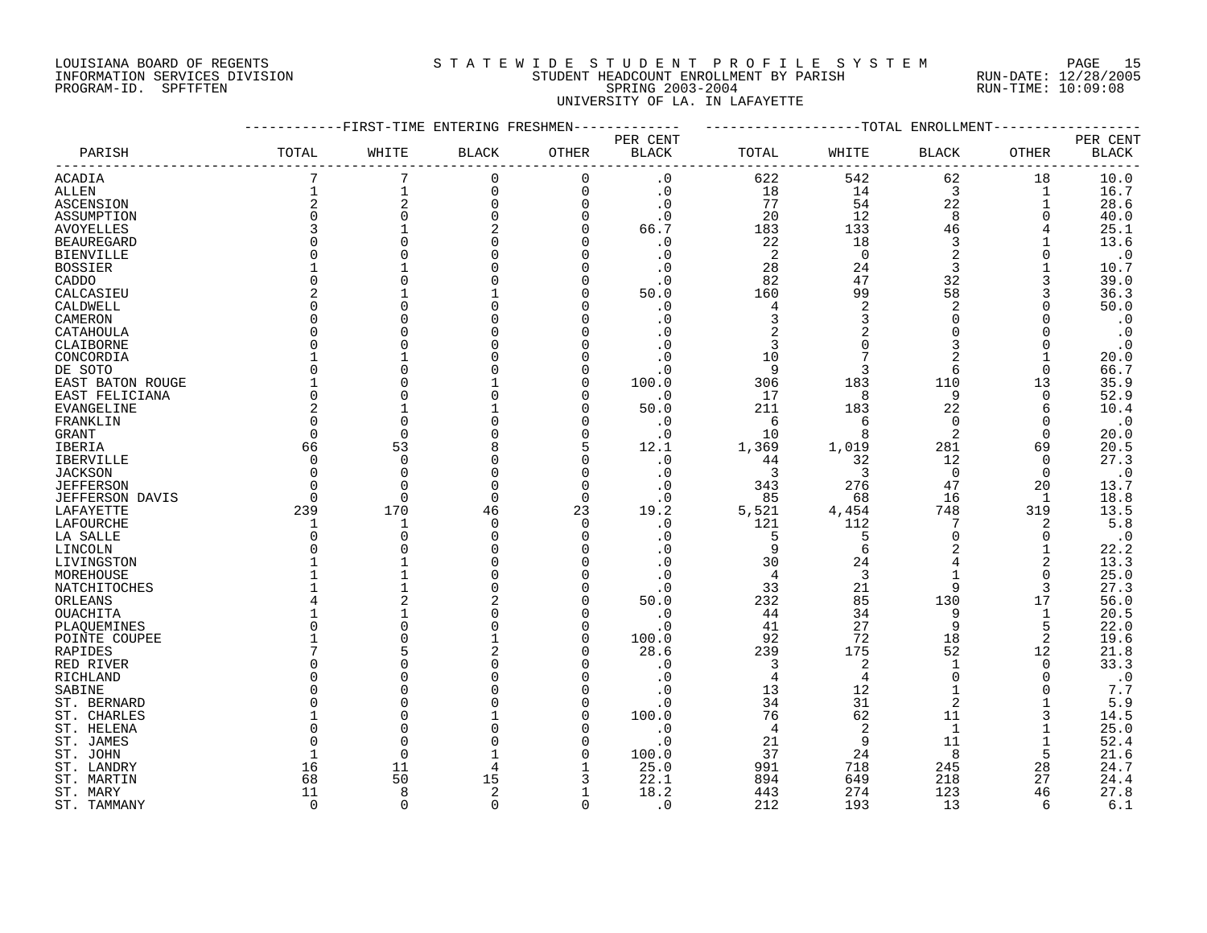# LOUISIANA BOARD OF REGENTS S T A T E W I D E S T U D E N T P R O F I L E S Y S T E M PAGE 15 INFORMATION SERVICES DIVISION STUDENT HEADCOUNT ENROLLMENT BY PARISH RUN-DATE: 12/28/2005 PROGRAM-ID. SPFTFTEN SPRING 2003-2004 RUN-TIME: 10:09:08 UNIVERSITY OF LA. IN LAFAYETTE

|                      |              |                | -FIRST-TIME ENTERING FRESHMEN |                |                   |                |                | -TOTAL ENROLLMENT |               |                   |
|----------------------|--------------|----------------|-------------------------------|----------------|-------------------|----------------|----------------|-------------------|---------------|-------------------|
|                      |              |                |                               |                | PER CENT          |                |                |                   |               | PER CENT          |
| PARISH               | TOTAL        | WHITE          | <b>BLACK</b>                  | OTHER          | <b>BLACK</b>      | TOTAL          | WHITE          | BLACK             | OTHER         | <b>BLACK</b>      |
| <b>ACADIA</b>        | 7            | 7              | $\mathbf 0$                   | $\Omega$       | . 0               | 622            | 542            | 62                | 18            | 10.0              |
| ALLEN                |              | 1              | $\mathbf 0$                   | $\mathbf 0$    | $\cdot$ 0         | 18             | 14             | 3                 | 1             | 16.7              |
| ASCENSION            | 2            | $\overline{2}$ | $\mathbf 0$                   | $\Omega$       | $\cdot$ 0         | 77             | 54             | 22                |               | 28.6              |
| ASSUMPTION           | $\Omega$     | $\Omega$       | $\Omega$                      | $\Omega$       | . 0               | 20             | 12             | 8                 | O             | 40.0              |
| <b>AVOYELLES</b>     | 3            |                |                               | $\Omega$       | 66.7              | 183            | 133            | 46                |               | 25.1              |
| <b>BEAUREGARD</b>    | $\Omega$     |                |                               |                | $\cdot$ 0         | 22             | 18             | 3                 |               | 13.6              |
| <b>BIENVILLE</b>     | O            |                |                               | O              | $\cdot$ 0         | 2              | $\Omega$       | $\overline{2}$    | $\Omega$      | $\cdot$ 0         |
| <b>BOSSIER</b>       |              |                |                               |                | $\cdot$ 0         | 28             | 24             | 3                 |               | 10.7              |
| CADDO                | $\Omega$     |                |                               |                | $\cdot$ 0         | 82             | 47             | 32                | 3             | 39.0              |
| CALCASIEU            | 2            |                |                               |                | 50.0              | 160            | 99             | 58                |               | 36.3              |
| CALDWELL             | $\Omega$     |                |                               |                | . 0               | 4              | $\overline{2}$ | $\overline{2}$    |               | 50.0              |
| CAMERON              | U            |                |                               |                | . 0               | 3              | 3              | $\Omega$          | <sup>0</sup>  | $\cdot$ 0         |
| CATAHOULA            | $\Omega$     |                |                               |                |                   | 2              |                | $\Omega$          |               | $\cdot$ 0         |
| CLAIBORNE            | $\Omega$     |                |                               |                | . 0               | 3              |                | 3                 | $\Omega$      | $\cdot$ 0         |
|                      |              |                |                               |                | $\cdot$ 0         | 10             |                | 2                 |               | 20.0              |
| CONCORDIA<br>DE SOTO | O            |                |                               |                | $\cdot$ 0         | 9              | 3              | 6                 | 0             | 66.7              |
|                      |              |                |                               | ∩              | 100.0             | 306            | 183            | 110               | 13            | 35.9              |
| EAST BATON ROUGE     | $\Omega$     |                |                               |                | $\cdot$ 0         | 17             | 8              | 9                 | $\Omega$      | 52.9              |
| EAST FELICIANA       | 2            |                |                               | O              |                   |                |                | 22                |               | 10.4              |
| EVANGELINE           | $\Omega$     | $\cap$         |                               |                | 50.0              | 211            | 183<br>6       | $\Omega$          | 6<br>$\Omega$ |                   |
| FRANKLIN             | $\Omega$     | $\Omega$       |                               | $\Omega$       | $\cdot$ 0         | 6<br>10        | 8              | $\overline{2}$    | $\Omega$      | $\cdot$ 0         |
| GRANT                | 66           | 53             | 8                             | 5              | $\cdot$ 0<br>12.1 | 1,369          | 1,019          | 281               | 69            | 20.0<br>20.5      |
| IBERIA               | $\Omega$     | $\Omega$       | $\Omega$                      | $\Omega$       |                   |                |                | 12                | $\Omega$      |                   |
| <b>IBERVILLE</b>     | $\Omega$     | $\Omega$       | $\Omega$                      | $\Omega$       | $\cdot$ 0         | 44             | 32             | $\mathbf 0$       |               | 27.3<br>$\cdot$ 0 |
| <b>JACKSON</b>       | $\Omega$     | $\cap$         | $\Omega$                      |                | . 0               | 3              | 3              |                   | 0             |                   |
| <b>JEFFERSON</b>     |              |                |                               | $\Omega$       | . 0               | 343            | 276            | 47                | 20            | 13.7              |
| JEFFERSON DAVIS      | 0            | 0              | 0                             | $\Omega$       | $\cdot$ 0         | 85             | 68             | 16                | 1             | 18.8              |
| LAFAYETTE            | 239          | 170            | 46<br>$\Omega$                | 23<br>$\Omega$ | 19.2              | 5,521          | 4,454          | 748<br>7          | 319           | 13.5<br>$5.8$     |
| LAFOURCHE            | $\Omega$     | 1<br>$\cap$    | $\Omega$                      |                | $\cdot$ 0         | 121            | 112            | $\Omega$          | 2             |                   |
| LA SALLE             |              |                |                               |                | . 0               | 5<br>9         | 5<br>6         | $\mathcal{D}$     | 0             | $\cdot$ 0         |
| LINCOLN              |              |                |                               |                | $\cdot$ 0         | 30             |                |                   | 1             | 22.2<br>13.3      |
| LIVINGSTON           |              |                |                               |                | $\cdot$ 0         |                | 24<br>3        |                   | 2             |                   |
| MOREHOUSE            |              |                |                               |                |                   | $\overline{4}$ |                |                   | 0             | 25.0              |
| NATCHITOCHES         |              |                |                               | n              | $\cdot$ 0         | 33             | 21             | 9                 | 3             | 27.3              |
| ORLEANS              |              |                |                               |                | 50.0              | 232            | 85             | 130               | 17            | 56.0              |
| OUACHITA             |              |                |                               | $\Omega$       | $\cdot$ 0         | 44             | 34             | 9                 | 1             | 20.5              |
| PLAQUEMINES          | $\Omega$     |                |                               | n              | $\cdot$ 0         | 41             | 27             | 9                 | 5             | 22.0              |
| POINTE COUPEE        |              |                |                               | $\Omega$       | 100.0             | 92             | 72             | 18                | 2             | 19.6              |
| RAPIDES              |              |                |                               | ∩              | 28.6              | 239            | 175            | 52                | 12            | 21.8              |
| RED RIVER            | U            |                |                               |                | . 0               | 3              | $\overline{2}$ | $\mathbf{1}$      | $\Omega$      | 33.3              |
| RICHLAND             | U            | C              |                               |                | . 0               | $\overline{4}$ | 4              | $\Omega$          | $\Omega$      | $\cdot$ 0         |
| SABINE               | $\Omega$     |                |                               |                | . 0               | 13             | 12             |                   |               | $7.7\,$           |
| ST. BERNARD          | <sup>0</sup> |                |                               |                | . 0               | 34             | 31             | $\overline{2}$    |               | $5.9$             |
| ST. CHARLES          |              |                |                               |                | 100.0             | 76             | 62             | 11                | 3             | 14.5              |
| ST. HELENA           | O            |                |                               | ∩              | $\cdot$ 0         | 4              | 2              | 1                 |               | 25.0              |
| ST. JAMES            | O            | $\bigcap$      |                               |                | $\cdot$ 0         | 21             | 9              | 11                |               | 52.4              |
| ST. JOHN             |              | $\Omega$       |                               |                | 100.0             | 37             | 24             | 8                 | 5             | 21.6              |
| ST. LANDRY           | 16           | 11             | 4                             |                | 25.0              | 991            | 718            | 245               | 28            | 24.7              |
| ST. MARTIN           | 68           | 50             | 15                            | 3              | 22.1              | 894            | 649            | 218               | 27            | 24.4              |
| ST. MARY             | 11           | 8              | 2                             |                | 18.2              | 443            | 274            | 123               | 46            | 27.8              |
| ST. TAMMANY          | $\Omega$     | $\cap$         | $\Omega$                      | $\Omega$       | . 0               | 212            | 193            | 13                | 6             | 6.1               |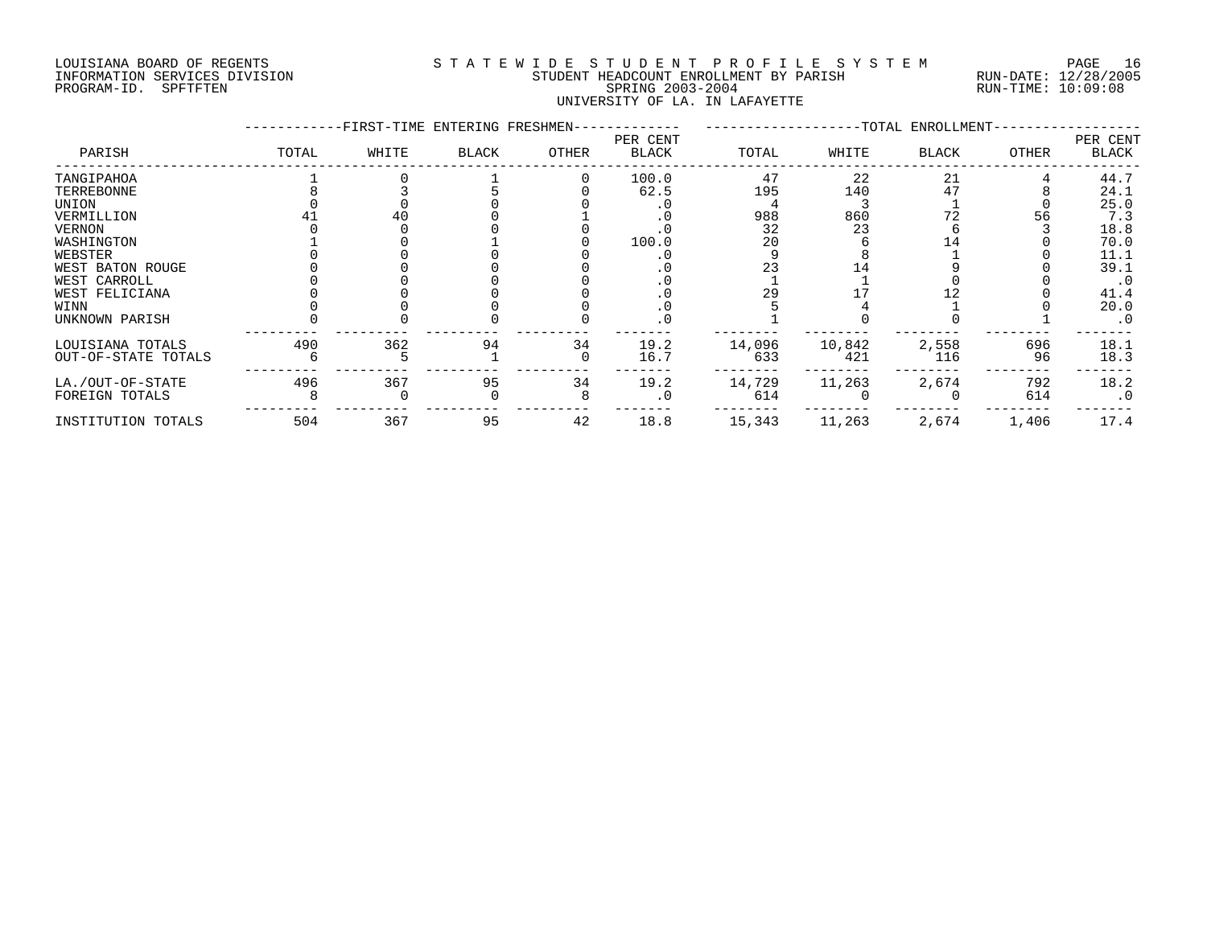# LOUISIANA BOARD OF REGENTS S T A T E W I D E S T U D E N T P R O F I L E S Y S T E M PAGE 16 INFORMATION SERVICES DIVISION STUDENT HEADCOUNT ENROLLMENT BY PARISH RUN-DATE: 12/28/2005 PROGRAM-ID. SPFTFTEN SPRING 2003-2004 RUN-TIME: 10:09:08 UNIVERSITY OF LA. IN LAFAYETTE

|                     |       | -FIRST-TIME ENTERING FRESHMEN- |              |       |                   |        |        | -TOTAL ENROLLMENT- |              |                   |
|---------------------|-------|--------------------------------|--------------|-------|-------------------|--------|--------|--------------------|--------------|-------------------|
| PARISH              | TOTAL | WHITE                          | <b>BLACK</b> | OTHER | PER CENT<br>BLACK | TOTAL  | WHITE  | <b>BLACK</b>       | <b>OTHER</b> | PER CENT<br>BLACK |
| TANGIPAHOA          |       |                                |              |       | 100.0             | 47     | 22     | 21                 |              | 44.7              |
| TERREBONNE          |       |                                |              |       | 62.5              | 195    | 140    |                    |              | 24.1              |
| UNION               |       |                                |              |       |                   |        |        |                    |              | 25.0              |
| VERMILLION          |       |                                |              |       |                   | 988    | 860    |                    | 56           | 7.3               |
| <b>VERNON</b>       |       |                                |              |       |                   | 32     | 23     |                    |              | 18.8              |
| WASHINGTON          |       |                                |              |       | 100.0             | 20     |        |                    |              | 70.0              |
| WEBSTER             |       |                                |              |       |                   |        |        |                    |              | 11.1              |
| WEST BATON ROUGE    |       |                                |              |       |                   |        |        |                    |              | 39.1              |
| WEST CARROLL        |       |                                |              |       |                   |        |        |                    |              |                   |
| WEST FELICIANA      |       |                                |              |       |                   | 29     |        |                    |              | 41.4              |
| WINN                |       |                                |              |       | . u               |        |        |                    |              | 20.0              |
| UNKNOWN PARISH      |       |                                |              |       | . 0               |        |        |                    |              | $\cdot$ 0         |
| LOUISIANA TOTALS    | 490   | 362                            | 94           | 34    | 19.2              | 14,096 | 10,842 | 2,558              | 696          | 18.1              |
| OUT-OF-STATE TOTALS |       |                                |              |       | 16.7              | 633    | 421    | 116                | 96           | 18.3              |
| LA./OUT-OF-STATE    | 496   | 367                            | 95           | 34    | 19.2              | 14,729 | 11,263 | 2,674              | 792          | 18.2              |
| FOREIGN TOTALS      |       |                                |              |       |                   | 614    |        |                    | 614          | $\cdot$ 0         |
| INSTITUTION TOTALS  | 504   | 367                            | 95           | 42    | 18.8              | 15,343 | 11,263 | 2,674              | 1,406        | 17.4              |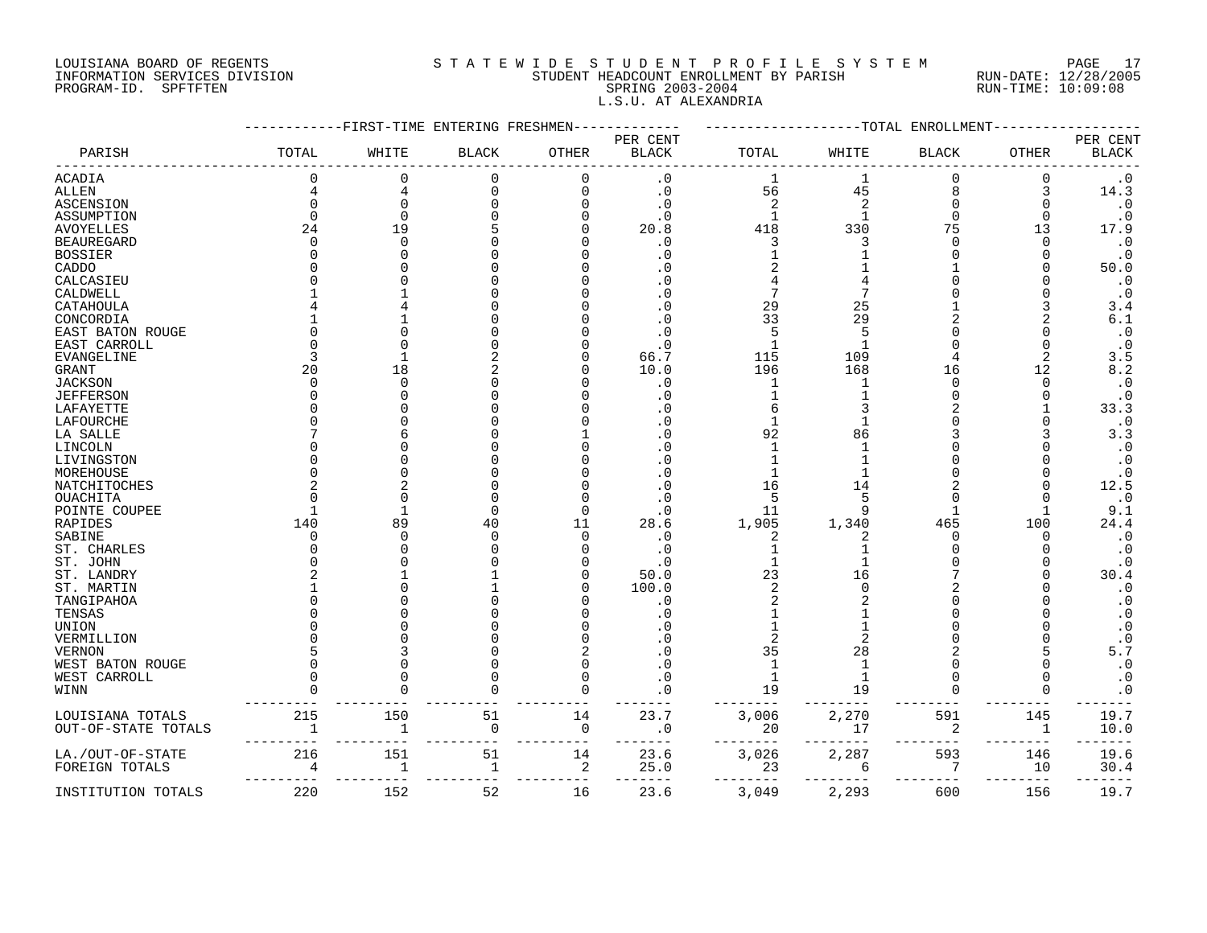# LOUISIANA BOARD OF REGENTS S T A T E W I D E S T U D E N T P R O F I L E S Y S T E M PAGE 17 INFORMATION SERVICES DIVISION STUDENT HEADCOUNT ENROLLMENT BY PARISH RUN-DATE: 12/28/2005 PROGRAM-ID. SPFTFTEN SPRING 2003-2004 RUN-TIME: 10:09:08 L.S.U. AT ALEXANDRIA

|                     |              | FIRST-TIME <sup>.</sup> | ENTERING FRESHMEN  |             |                          |                | -TOTAL | ENROLLMEN.   |              |                          |
|---------------------|--------------|-------------------------|--------------------|-------------|--------------------------|----------------|--------|--------------|--------------|--------------------------|
| PARISH              | TOTAL        | WHITE                   | <b>BLACK</b>       | OTHER       | PER CENT<br><b>BLACK</b> | TOTAL          | WHITE  | <b>BLACK</b> | <b>OTHER</b> | PER CENT<br><b>BLACK</b> |
|                     |              |                         |                    |             |                          |                |        |              |              |                          |
| <b>ACADIA</b>       | $\Omega$     | $\Omega$                | $\mathbf 0$        | 0           | $\cdot$ 0                | 1              |        | 0            | $\mathbf 0$  | $\boldsymbol{\cdot}$ 0   |
| <b>ALLEN</b>        |              | 4                       | $\Omega$           | $\Omega$    | $\cdot$ 0                | 56             | 45     | 8            | 3            | 14.3                     |
| ASCENSION           |              | $\Omega$                |                    |             | . 0                      | $\overline{2}$ | 2      | $\Omega$     |              | $\cdot$ 0                |
| ASSUMPTION          |              | $\Omega$                |                    |             | . 0                      | $\mathbf{1}$   |        | $\Omega$     | O            | $\cdot$ 0                |
| <b>AVOYELLES</b>    | 24           | 19                      |                    |             | 20.8                     | 418            | 330    | 75           | 13           | 17.9                     |
| <b>BEAUREGARD</b>   |              | $\Omega$                |                    |             | . 0                      | 3              |        |              |              | $\boldsymbol{\cdot}$ 0   |
| BOSSIER             |              |                         |                    |             | . 0                      |                |        |              |              | $\cdot$ 0                |
| CADDO               |              |                         |                    |             | <sup>0</sup>             |                |        |              |              | 50.0                     |
| CALCASIEU           |              |                         |                    |             |                          |                |        |              |              | $\cdot$ 0                |
| CALDWELL            |              |                         |                    |             | . 0                      |                |        |              |              | $\cdot$ 0                |
| CATAHOULA           |              |                         |                    |             | . 0                      | 29             | 25     |              |              | 3.4                      |
| CONCORDIA           |              |                         |                    |             |                          | 33             | 29     |              |              | 6.1                      |
| EAST BATON ROUGE    |              |                         |                    |             | . 0                      | 5              | 5      |              |              | $\boldsymbol{\cdot}$ 0   |
| EAST CARROLL        |              |                         |                    |             | . 0                      |                |        |              |              | $\cdot$ 0                |
|                     |              |                         |                    |             |                          |                |        |              |              |                          |
| <b>EVANGELINE</b>   |              |                         |                    |             | 66.7                     | 115            | 109    |              | 12           | 3.5<br>8.2               |
| <b>GRANT</b>        | 20           | 18<br>$\Omega$          |                    |             | 10.0                     | 196            | 168    | 16<br>∩      | ∩            |                          |
| <b>JACKSON</b>      |              |                         |                    |             | $\cdot$ 0                | 1              |        |              |              | $\boldsymbol{\cdot}$ 0   |
| <b>JEFFERSON</b>    |              |                         |                    |             | $\overline{0}$           |                |        |              |              | $\cdot$ 0                |
| LAFAYETTE           |              |                         |                    |             | . 0                      |                |        |              |              | 33.3                     |
| LAFOURCHE           |              |                         |                    |             | . 0                      |                |        |              |              | $\cdot$ 0                |
| LA SALLE            |              |                         |                    |             |                          | 92             | 86     |              |              | 3.3                      |
| LINCOLN             |              |                         |                    |             | $\Omega$                 |                |        |              |              | $\boldsymbol{\cdot}$ 0   |
| LIVINGSTON          |              |                         |                    |             | n                        |                |        |              |              | $\cdot$ 0                |
| MOREHOUSE           |              |                         |                    |             |                          |                |        |              |              | $\cdot$ 0                |
| NATCHITOCHES        |              |                         |                    |             | . 0                      | 16             | 14     |              |              | 12.5                     |
| OUACHITA            |              | ∩                       |                    |             | $\Omega$                 | 5              |        |              |              | $\cdot$ 0                |
| POINTE COUPEE       |              |                         |                    | U           | . 0                      | 11             | 9      |              |              | 9.1                      |
| RAPIDES             | 140          | 89                      | 40                 | 11          | 28.6                     | 1,905          | 1,340  | 465          | 100          | 24.4                     |
| SABINE              |              | ∩                       |                    | $\Omega$    | . 0                      | 2              | 2      | ∩            | O            | $\cdot$ 0                |
| ST. CHARLES         |              |                         |                    |             | . 0                      |                |        |              |              | $\boldsymbol{\cdot}$ 0   |
| ST. JOHN            |              |                         |                    |             | . 0                      |                |        |              |              | $\cdot$ 0                |
| ST. LANDRY          |              |                         |                    |             | 50.0                     | 23             | 16     |              |              | 30.4                     |
| ST. MARTIN          |              |                         |                    |             | 100.0                    | $\overline{c}$ |        |              |              | $\boldsymbol{\cdot}$ 0   |
| TANGIPAHOA          |              |                         |                    |             | . 0                      |                |        |              |              | $\boldsymbol{\cdot}$ 0   |
| TENSAS              |              |                         |                    |             |                          |                |        |              |              | $\boldsymbol{\cdot}$ 0   |
| UNION               |              |                         |                    |             |                          |                |        |              |              | $\boldsymbol{\cdot}$ 0   |
| VERMILLION          |              |                         |                    |             | . 0                      |                |        |              |              | $\cdot$ 0                |
| VERNON              |              |                         |                    |             |                          | 35             | 28     |              |              | 5.7                      |
| WEST BATON ROUGE    |              |                         |                    | U           |                          | $\mathbf{1}$   |        | ∩            |              | $\cdot$ 0                |
|                     |              |                         |                    |             |                          |                |        |              |              |                          |
| WEST CARROLL        |              |                         |                    |             | $\Omega$                 | $\mathbf{1}$   |        |              |              | $\cdot$ 0                |
| WINN                |              |                         |                    | U           | 0                        | 19             | 19     |              |              | $\boldsymbol{\cdot}$ 0   |
|                     |              |                         |                    |             |                          |                |        |              |              |                          |
| LOUISIANA TOTALS    | 215          | 150                     | 51                 | 14          | 23.7                     | 3,006          | 2,270  | 591          | 145          | 19.7                     |
| OUT-OF-STATE TOTALS | $\mathbf{1}$ | 1                       | 0                  | $\mathbf 0$ | . 0                      | 20             | 17     | 2            | 1            | 10.0                     |
|                     |              |                         |                    |             |                          |                |        |              |              |                          |
| LA./OUT-OF-STATE    | 216          | 151                     | 51<br>$\mathbf{1}$ | 14          | 23.6                     | 3,026          | 2,287  | 593<br>7     | 146          | 19.6                     |
| FOREIGN TOTALS      |              | $\mathbf{1}$            |                    | 2           | 25.0                     | 23             | 6      |              | 10           | 30.4                     |
| INSTITUTION TOTALS  | 220          | 152                     | 52                 | 16          | 23.6                     | 3,049          | 2,293  | 600          | 156          | 19.7                     |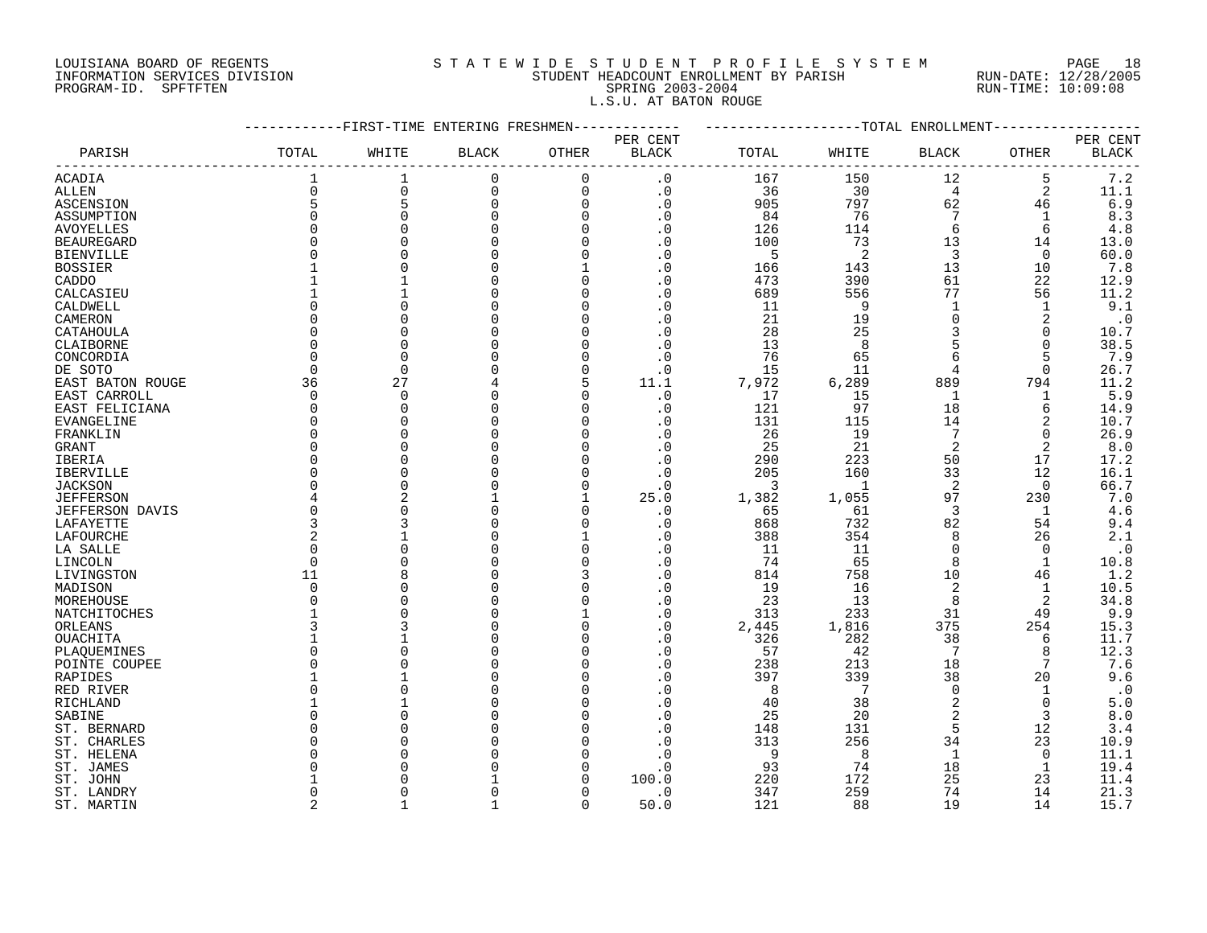# LOUISIANA BOARD OF REGENTS S T A T E W I D E S T U D E N T P R O F I L E S Y S T E M PAGE 18 INFORMATION SERVICES DIVISION STUDENT HEADCOUNT ENROLLMENT BY PARISH RUN-DATE: 12/28/2005 PROGRAM-ID. SPFTFTEN SPRING 2003-2004 RUN-TIME: 10:09:08 L.S.U. AT BATON ROUGE

|                        |                | -FIRST-TIME ENTERING FRESHMEN |              |             |                        |       |              | -TOTAL ENROLLMENT |              |              |
|------------------------|----------------|-------------------------------|--------------|-------------|------------------------|-------|--------------|-------------------|--------------|--------------|
|                        |                |                               |              |             | PER CENT               |       |              |                   |              | PER CENT     |
| PARISH                 | TOTAL          | WHITE                         | <b>BLACK</b> | OTHER       | <b>BLACK</b>           | TOTAL | WHITE        | BLACK             | OTHER        | <b>BLACK</b> |
| ACADIA                 |                | 1                             | $\mathbf 0$  | $\Omega$    | . 0                    | 167   | 150          | 12                | 5            | 7.2          |
| ALLEN                  | $\Omega$       | $\mathbf 0$                   | 0            | $\mathbf 0$ | $\cdot$ 0              | 36    | 30           | 4                 | 2            | 11.1         |
| ASCENSION              | 5              | 5                             | $\mathbf 0$  | $\mathbf 0$ | $\cdot$ 0              | 905   | 797          | 62                | 46           | $6.9$        |
| ASSUMPTION             | $\Omega$       | $\Omega$                      | $\Omega$     | $\Omega$    | $\cdot$ 0              | 84    | 76           | 7                 |              | 8.3          |
| <b>AVOYELLES</b>       | $\Omega$       |                               |              | $\Omega$    | . 0                    | 126   | 114          | 6                 | 6            | $4.8$        |
| <b>BEAUREGARD</b>      | $\Omega$       |                               |              | $\Omega$    | $\cdot$ 0              | 100   | 73           | 13                | 14           | 13.0         |
| <b>BIENVILLE</b>       | O              |                               |              | $\Omega$    | $\cdot$ 0              | 5     | 2            | 3                 | 0            | 60.0         |
| <b>BOSSIER</b>         |                |                               |              |             | . 0                    | 166   | 143          | 13                | 10           | 7.8          |
| CADDO                  |                |                               |              | $\Omega$    | $\cdot$ 0              | 473   | 390          | 61                | 22           | 12.9         |
| CALCASIEU              |                |                               |              | n           | $\boldsymbol{\cdot}$ 0 | 689   | 556          | 77                | 56           | 11.2         |
| CALDWELL               | U              |                               |              | n           | . 0                    | 11    | 9            | $\mathbf{1}$      | 1            | 9.1          |
| CAMERON                | O              |                               |              | n           | . 0                    | 21    | 19           | $\Omega$          | 2            | $\cdot$ 0    |
| CATAHOULA              | $\Omega$       |                               |              |             | . 0                    | 28    | 25           | 3                 | $\Omega$     | 10.7         |
| CLAIBORNE              | $\Omega$       | $\cap$                        |              |             | . 0                    | 13    | $\mathsf{R}$ | 5                 | 0            | 38.5         |
|                        | $\Omega$       | $\cap$                        |              | ∩           |                        |       | 65           | 6                 | 5            | 7.9          |
| CONCORDIA              |                |                               |              |             | . 0                    | 76    |              |                   |              |              |
| DE SOTO                | 0              | 0<br>27                       |              | $\Omega$    | $\cdot$ 0              | 15    | 11           | 4                 | 0            | 26.7         |
| EAST BATON ROUGE       | 36             |                               |              | 5           | 11.1                   | 7,972 | 6,289        | 889               | 794          | 11.2         |
| EAST CARROLL           | 0              | $\Omega$                      |              |             | $\cdot$ 0              | 17    | 15           | $\mathbf{1}$      | 1            | $5.9$        |
| EAST FELICIANA         | 0              | $\Omega$                      |              | n           | . 0                    | 121   | 97           | 18                | 6            | 14.9         |
| <b>EVANGELINE</b>      | $\Omega$       |                               |              | n           | . 0                    | 131   | 115          | 14                | 2            | 10.7         |
| FRANKLIN               | <sup>0</sup>   |                               |              | n           | $\cdot$ 0              | 26    | 19           | 7                 | $\Omega$     | 26.9         |
| GRANT                  | $\Omega$       |                               |              |             | . 0                    | 25    | 21           | 2                 | 2            | 8.0          |
| IBERIA                 | $\Omega$       |                               |              |             | $\cdot$ 0              | 290   | 223          | 50                | 17           | 17.2         |
| IBERVILLE              | <sup>0</sup>   |                               |              |             | . 0                    | 205   | 160          | 33                | 12           | 16.1         |
| <b>JACKSON</b>         | O              | $\cap$                        |              |             | $\cdot$ 0              | 3     | $\mathbf{1}$ | 2                 | $\Omega$     | 66.7         |
| <b>JEFFERSON</b>       | 4              |                               |              |             | 25.0                   | 1,382 | 1,055        | 97                | 230          | 7.0          |
| <b>JEFFERSON DAVIS</b> | 0              |                               |              |             | $\cdot$ 0              | 65    | 61           | 3                 | 1            | 4.6          |
| LAFAYETTE              | 3              |                               |              |             | . 0                    | 868   | 732          | 82                | 54           | 9.4          |
| LAFOURCHE              | 2              |                               |              |             | . 0                    | 388   | 354          | 8                 | 26           | 2.1          |
| LA SALLE               | $\Omega$       | $\cap$                        |              | $\Omega$    | $\cdot$ 0              | 11    | 11           | $\Omega$          | $\Omega$     | $\cdot$ 0    |
| LINCOLN                | $\Omega$       |                               |              | $\Omega$    | . 0                    | 74    | 65           | 8                 | $\mathbf{1}$ | 10.8         |
| LIVINGSTON             | 11             | β                             |              | 3           | . 0                    | 814   | 758          | 10                | 46           | 1.2          |
| MADISON                | 0              |                               |              |             | . 0                    | 19    | 16           | 2                 | 1            | 10.5         |
| MOREHOUSE              | O              |                               |              | $\Omega$    | . 0                    | 23    | 13           | 8                 | 2            | 34.8         |
| NATCHITOCHES           |                |                               |              |             | $\cdot$ 0              | 313   | 233          | 31                | 49           | 9.9          |
| ORLEANS                | 3              |                               |              | $\Omega$    | $\cdot$ 0              | 2,445 | 1,816        | 375               | 254          | 15.3         |
| OUACHITA               |                |                               |              | $\Omega$    | $\cdot$ 0              | 326   | 282          | 38                | 6            | 11.7         |
| PLAQUEMINES            | U              |                               |              | n           | . 0                    | 57    | 42           | 7                 | 8            | 12.3         |
| POINTE COUPEE          | U              |                               |              | n           | . 0                    | 238   | 213          | 18                | 7            | 7.6          |
| RAPIDES                |                |                               |              | n           | $\cdot$ 0              | 397   | 339          | 38                | 20           | 9.6          |
| RED RIVER              | $\Omega$       |                               |              |             | . 0                    | 8     | 7            | $\Omega$          | -1           | $\cdot$ 0    |
| RICHLAND               |                |                               |              |             | . 0                    | 40    | 38           | 2                 | 0            | $5.0$        |
| SABINE                 | U              |                               |              |             | $\cdot$ 0              | 25    | 20           | $\overline{2}$    | 3            | $8.0$        |
| ST. BERNARD            | O              |                               |              |             | $\cdot$ 0              | 148   | 131          | 5                 | 12           | 3.4          |
| ST. CHARLES            | O              |                               |              |             | . 0                    | 313   | 256          | 34                | 23           | 10.9         |
| ST. HELENA             | O              |                               |              |             | . 0                    | 9     | $\mathsf{R}$ | 1                 | $\Omega$     | 11.1         |
| ST. JAMES              | ∩              |                               |              |             | . 0                    | 93    | 74           | 18                | 1            | 19.4         |
| ST. JOHN               |                |                               |              |             | 100.0                  | 220   | 172          | 25                | 23           | 11.4         |
| ST. LANDRY             | <sup>0</sup>   |                               |              |             | $\cdot$ 0              | 347   | 259          | 74                | 14           | 21.3         |
| ST. MARTIN             | $\overline{a}$ |                               |              | $\cap$      | 50.0                   | 121   | 88           | 19                | 14           | 15.7         |
|                        |                |                               |              |             |                        |       |              |                   |              |              |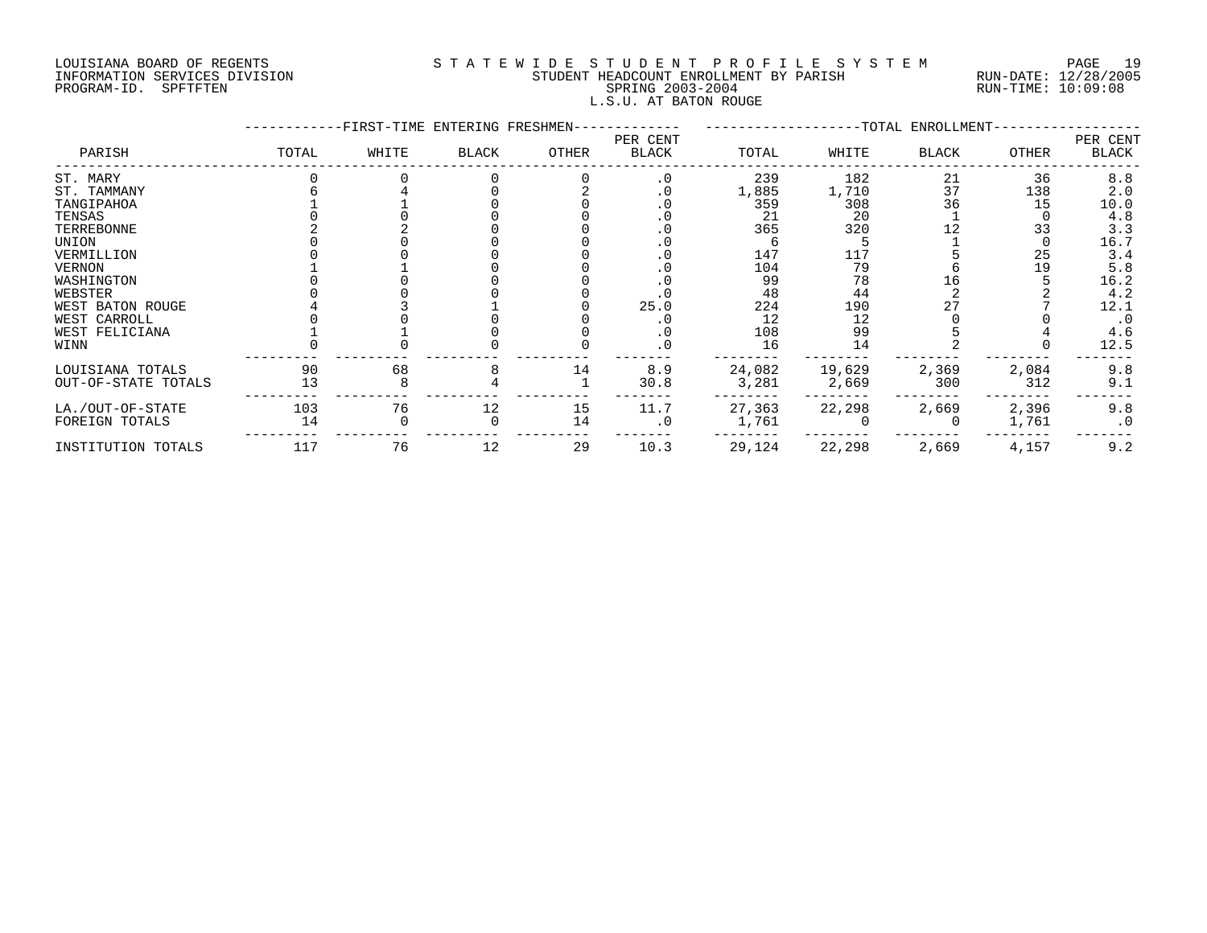# LOUISIANA BOARD OF REGENTS S T A T E W I D E S T U D E N T P R O F I L E S Y S T E M PAGE 19 INFORMATION SERVICES DIVISION STUDENT HEADCOUNT ENROLLMENT BY PARISH RUN-DATE: 12/28/2005 PROGRAM-ID. SPFTFTEN SPRING 2003-2004 RUN-TIME: 10:09:08 L.S.U. AT BATON ROUGE

|                     |       | -FIRST-TIME ENTERING FRESHMEN- |              |       |                   |        |        | -TOTAL ENROLLMENT- |              |                   |
|---------------------|-------|--------------------------------|--------------|-------|-------------------|--------|--------|--------------------|--------------|-------------------|
| PARISH              | TOTAL | WHITE                          | <b>BLACK</b> | OTHER | PER CENT<br>BLACK | TOTAL  | WHITE  | <b>BLACK</b>       | <b>OTHER</b> | PER CENT<br>BLACK |
| ST. MARY            |       |                                |              |       | $\cdot$ 0         | 239    | 182    | 21                 | 36           | 8.8               |
| ST. TAMMANY         |       |                                |              |       | . 0               | 1,885  | 1,710  | 37                 | 138          | 2.0               |
| TANGIPAHOA          |       |                                |              |       | . 0               | 359    | 308    | 36                 | 15           | 10.0              |
| TENSAS              |       |                                |              |       |                   | 21     | 20     |                    |              | 4.8               |
| TERREBONNE          |       |                                |              |       |                   | 365    | 320    |                    | 33           | 3.3               |
| UNION               |       |                                |              |       |                   |        |        |                    |              | 16.7              |
| VERMILLION          |       |                                |              |       |                   | 147    | 117    |                    | 25           | 3.4               |
| <b>VERNON</b>       |       |                                |              |       |                   | 104    | 79     |                    | 19           | 5.8               |
| WASHINGTON          |       |                                |              |       |                   | 99     | 78     | 16                 |              | 16.2              |
| WEBSTER             |       |                                |              |       |                   | 48     | 44     |                    |              | 4.2               |
| WEST BATON ROUGE    |       |                                |              |       | 25.0              | 224    | 190    |                    |              | 12.1              |
| WEST CARROLL        |       |                                |              |       |                   | 12     | 12     |                    |              |                   |
| WEST FELICIANA      |       |                                |              |       | . 0               | 108    | 99     |                    |              | 4.6               |
| WINN                |       |                                |              |       | . 0               | 16     | 14     |                    |              | 12.5              |
| LOUISIANA TOTALS    | 90    | 68                             |              | 14    | 8.9               | 24,082 | 19,629 | 2,369              | 2,084        | 9.8               |
| OUT-OF-STATE TOTALS | 13    |                                |              |       | 30.8              | 3,281  | 2,669  | 300                | 312          | 9.1               |
| LA./OUT-OF-STATE    | 103   | 76                             | 12           | 15    | 11.7              | 27,363 | 22,298 | 2,669              | 2,396        | 9.8               |
| FOREIGN TOTALS      | 14    |                                |              | 14    | $\cdot$ 0         | 1,761  |        |                    | 1,761        | $\cdot$ 0         |
| INSTITUTION TOTALS  | 117   | 76                             | 12           | 29    | 10.3              | 29,124 | 22,298 | 2,669              | 4,157        | 9.2               |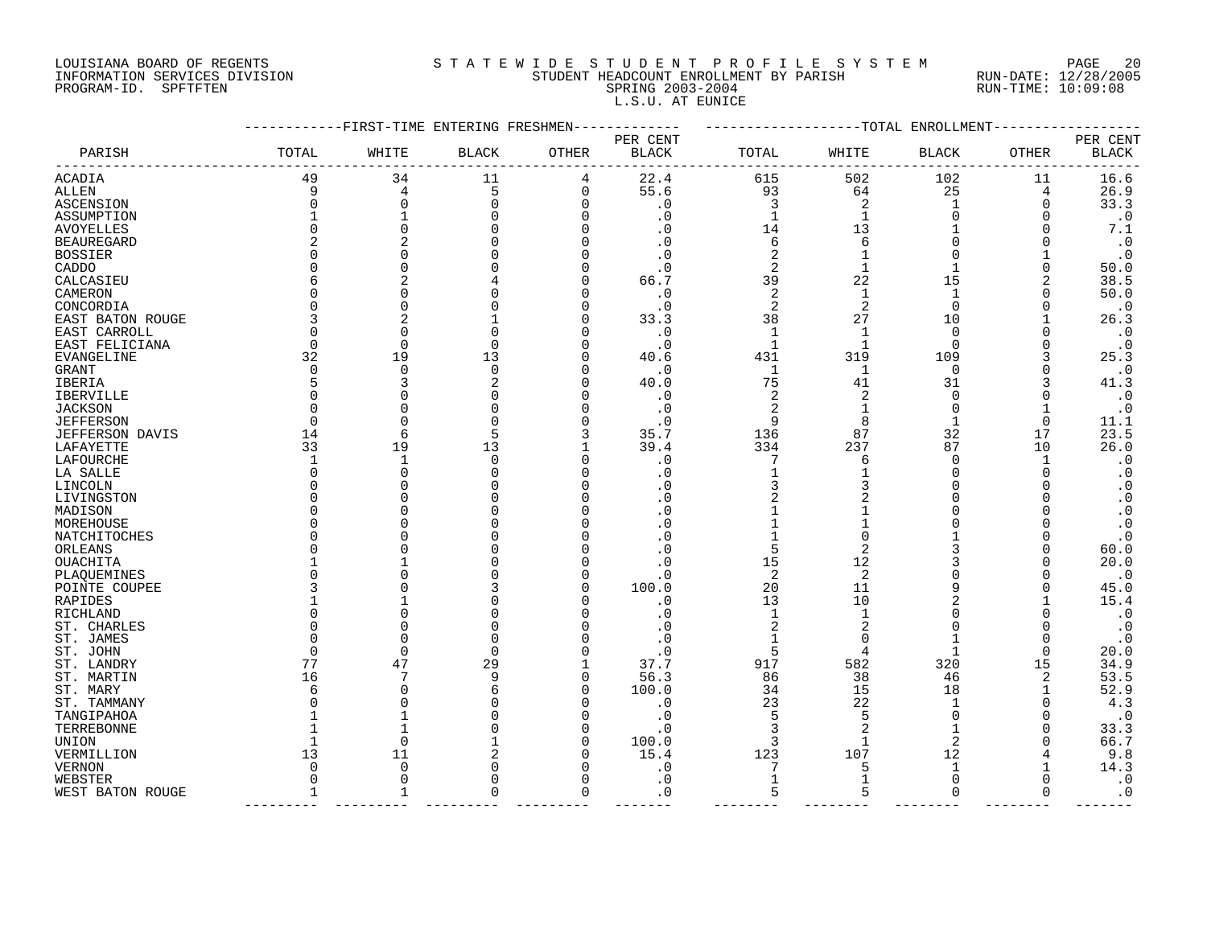# LOUISIANA BOARD OF REGENTS S T A T E W I D E S T U D E N T P R O F I L E S Y S T E M PAGE 20 INFORMATION SERVICES DIVISION STUDENT HEADCOUNT ENROLLMENT BY PARISH RUN-DATE: 12/28/2005 PROGRAM-ID. SPFTFTEN SPRING 2003-2004 RUN-TIME: 10:09:08 L.S.U. AT EUNICE

| PER CENT<br>PER CENT<br>TOTAL<br>TOTAL<br>OTHER<br>PARISH<br>WHITE<br><b>BLACK</b><br>OTHER<br>WHITE<br><b>BLACK</b><br>BLACK<br>BLACK<br>502<br>49<br>34<br>11<br>22.4<br>615<br>102<br>11<br>16.6<br>4<br>9<br>5<br>0<br>55.6<br>93<br>64<br>25<br>26.9<br>4<br>4<br>0<br>. 0<br>3<br>2<br>33.3<br><b>ASCENSION</b><br>$\Omega$<br>$\Omega$<br>0<br>1<br>$\Omega$<br>. 0<br>$\mathbf{1}$<br>$\cdot$ 0<br>0<br>1<br>$\Omega$<br>14<br>13<br>7.1<br>AVOYELLES<br>O<br>2<br>$\cdot$ 0<br>6<br>6<br>$\Omega$<br>. 0<br>2<br>$\cdot$ 0<br>O<br><sup>n</sup><br>. 0<br>2<br>1<br>CADDO<br>$\Omega$<br>. 0<br>$\Omega$<br>50.0<br>39<br>2<br>66.7<br>22<br>15<br>38.5<br>CALCASIEU<br>N<br>$\Omega$<br>$\cdot$ 0<br>2<br>$\mathbf{1}$<br>1<br>50.0<br>CAMERON<br>2<br>2<br>$\Omega$<br>$\cdot$ 0<br>0<br>$\cdot$ 0<br>CONCORDIA<br>33.3<br>38<br>27<br>10<br>26.3<br>EAST BATON ROUGE<br>0<br>$\mathbf{1}$<br>$\mathbf 1$<br>$\Omega$<br>$\cdot$ 0<br>EAST CARROLL<br>$\Omega$<br>. 0<br>0<br>$\cdot$ 0<br>$\mathbf{1}$<br>$\Omega$<br>$\cdot$ 0<br>$\Omega$<br>$\Omega$<br>$\mathbf{1}$<br>EAST FELICIANA<br>19<br>32<br>13<br>431<br>319<br>109<br>25.3<br>40.6<br>EVANGELINE<br>$\mathbf 0$<br>$\cdot$ 0<br>$\Omega$<br>0<br>$\Omega$<br>. 0<br>$\mathbf 1$<br>1<br>41.3<br>40.0<br>75<br>31<br>3<br>41<br>$\cdot$ 0<br>2<br>$\overline{c}$<br>$\mathbf 0$<br>$\cdot$ 0<br>0<br>$\cdot$ 0<br>$\Omega$<br>$\cdot$ 0<br>2<br>$\Omega$<br>$\Omega$<br>9<br>8<br>$\Omega$<br>$\cdot$ 0<br>1<br>11.1<br>35.7<br>87<br>32<br>17<br>23.5<br>14<br>6<br>5<br>136<br>26.0<br>33<br>19<br>13<br>39.4<br>334<br>237<br>87<br>10<br>$\mathbf{1}$<br>$\Omega$<br>. 0<br>7<br>$\Omega$<br>$\cdot$ 0<br>1<br>O<br>6<br>$\mathbf{1}$<br>0<br>$\cdot$ 0<br>U<br>. 0<br><sup>n</sup><br>O<br>$\cdot$ 0<br>3<br><sup>n</sup><br>$\cdot$ 0<br>O<br><sup>n</sup><br>. 0<br>$\cdot$ 0<br>U<br>. 0<br>U<br>$\cdot$ 0<br>O<br>. 0<br><sup>n</sup><br>$\cdot$ 0<br>U<br>5<br>. 0<br>60.0<br>U<br>15<br>20.0<br>12<br>. 0<br>$\overline{2}$<br>2<br>$\cdot$ 0<br>U<br>. 0<br>100.0<br>20<br>11<br>9<br>45.0<br>O<br>10<br>15.4<br>13<br>. 0<br>. 0<br>$\mathbf{1}$<br>$\cdot$ 0<br>RICHLAND<br>U<br><sup>n</sup><br>2<br>$\overline{c}$<br>$\cdot$ 0<br>ST. CHARLES<br>O<br>U<br>. 0<br>$\Omega$<br>$\cdot$ 0<br>ST. JAMES<br>. 0<br>$\Omega$<br>$\Omega$<br>5<br>$\mathbf 1$<br>20.0<br>ST. JOHN<br>$\Omega$<br>U<br>$\cdot$ 0<br>4<br>$\Omega$<br>77<br>47<br>917<br>582<br>320<br>34.9<br>29<br>37.7<br>15<br>ST. LANDRY<br>7<br>38<br>53.5<br>16<br>q<br>O<br>56.3<br>86<br>46<br>2<br>ST. MARTIN<br>52.9<br>O<br>100.0<br>15<br>18<br>ST. MARY<br>34<br>Б<br>23<br>22<br>4.3<br>$\Omega$<br>. 0<br>ST. TAMMANY<br>5<br>$\cdot$ 0<br>$\cdot$ 0<br>5<br>$\Omega$<br>TANGIPAHOA<br>1<br>33.3<br>. 0<br>TERREBONNE<br>1<br>3<br>66.7<br>$\Omega$<br>O<br>100.0<br>3<br>$\mathfrak{D}$<br>UNION<br>9.8<br>13<br>11<br>15.4<br>123<br>107<br>12<br>VERMILLION<br>U<br>14.3<br>. 0<br>7<br>1<br>VERNON<br>$\Omega$<br>5<br>$\mathbf{1}$<br>$\boldsymbol{\cdot}$ 0<br>$\Omega$<br>$\cdot$ 0<br>$\Omega$<br>WEBSTER<br>$\Omega$<br>U<br>∩<br>5<br>$\cdot$ 0<br>$\mathbf{1}$<br>$\Omega$<br>. 0<br>$\Omega$<br>WEST BATON ROUGE<br>1<br>U<br>5<br>$\Omega$ |                   | -FIRST-TIME ENTERING FRESHMEN |  |  | ------------TOTAL ENROLLMENT |  |
|---------------------------------------------------------------------------------------------------------------------------------------------------------------------------------------------------------------------------------------------------------------------------------------------------------------------------------------------------------------------------------------------------------------------------------------------------------------------------------------------------------------------------------------------------------------------------------------------------------------------------------------------------------------------------------------------------------------------------------------------------------------------------------------------------------------------------------------------------------------------------------------------------------------------------------------------------------------------------------------------------------------------------------------------------------------------------------------------------------------------------------------------------------------------------------------------------------------------------------------------------------------------------------------------------------------------------------------------------------------------------------------------------------------------------------------------------------------------------------------------------------------------------------------------------------------------------------------------------------------------------------------------------------------------------------------------------------------------------------------------------------------------------------------------------------------------------------------------------------------------------------------------------------------------------------------------------------------------------------------------------------------------------------------------------------------------------------------------------------------------------------------------------------------------------------------------------------------------------------------------------------------------------------------------------------------------------------------------------------------------------------------------------------------------------------------------------------------------------------------------------------------------------------------------------------------------------------------------------------------------------------------------------------------------------------------------------------------------------------------------------------------------------------------------------------------------------------------------------------------------------------------------------------------------------------------------------------------------------------------------------------------------------------------------------------------------------------------------------------------------------------------------------------------------------------------------------------------------------|-------------------|-------------------------------|--|--|------------------------------|--|
|                                                                                                                                                                                                                                                                                                                                                                                                                                                                                                                                                                                                                                                                                                                                                                                                                                                                                                                                                                                                                                                                                                                                                                                                                                                                                                                                                                                                                                                                                                                                                                                                                                                                                                                                                                                                                                                                                                                                                                                                                                                                                                                                                                                                                                                                                                                                                                                                                                                                                                                                                                                                                                                                                                                                                                                                                                                                                                                                                                                                                                                                                                                                                                                                                           |                   |                               |  |  |                              |  |
|                                                                                                                                                                                                                                                                                                                                                                                                                                                                                                                                                                                                                                                                                                                                                                                                                                                                                                                                                                                                                                                                                                                                                                                                                                                                                                                                                                                                                                                                                                                                                                                                                                                                                                                                                                                                                                                                                                                                                                                                                                                                                                                                                                                                                                                                                                                                                                                                                                                                                                                                                                                                                                                                                                                                                                                                                                                                                                                                                                                                                                                                                                                                                                                                                           |                   |                               |  |  |                              |  |
|                                                                                                                                                                                                                                                                                                                                                                                                                                                                                                                                                                                                                                                                                                                                                                                                                                                                                                                                                                                                                                                                                                                                                                                                                                                                                                                                                                                                                                                                                                                                                                                                                                                                                                                                                                                                                                                                                                                                                                                                                                                                                                                                                                                                                                                                                                                                                                                                                                                                                                                                                                                                                                                                                                                                                                                                                                                                                                                                                                                                                                                                                                                                                                                                                           | ACADIA            |                               |  |  |                              |  |
|                                                                                                                                                                                                                                                                                                                                                                                                                                                                                                                                                                                                                                                                                                                                                                                                                                                                                                                                                                                                                                                                                                                                                                                                                                                                                                                                                                                                                                                                                                                                                                                                                                                                                                                                                                                                                                                                                                                                                                                                                                                                                                                                                                                                                                                                                                                                                                                                                                                                                                                                                                                                                                                                                                                                                                                                                                                                                                                                                                                                                                                                                                                                                                                                                           | ALLEN             |                               |  |  |                              |  |
|                                                                                                                                                                                                                                                                                                                                                                                                                                                                                                                                                                                                                                                                                                                                                                                                                                                                                                                                                                                                                                                                                                                                                                                                                                                                                                                                                                                                                                                                                                                                                                                                                                                                                                                                                                                                                                                                                                                                                                                                                                                                                                                                                                                                                                                                                                                                                                                                                                                                                                                                                                                                                                                                                                                                                                                                                                                                                                                                                                                                                                                                                                                                                                                                                           |                   |                               |  |  |                              |  |
|                                                                                                                                                                                                                                                                                                                                                                                                                                                                                                                                                                                                                                                                                                                                                                                                                                                                                                                                                                                                                                                                                                                                                                                                                                                                                                                                                                                                                                                                                                                                                                                                                                                                                                                                                                                                                                                                                                                                                                                                                                                                                                                                                                                                                                                                                                                                                                                                                                                                                                                                                                                                                                                                                                                                                                                                                                                                                                                                                                                                                                                                                                                                                                                                                           | ASSUMPTION        |                               |  |  |                              |  |
|                                                                                                                                                                                                                                                                                                                                                                                                                                                                                                                                                                                                                                                                                                                                                                                                                                                                                                                                                                                                                                                                                                                                                                                                                                                                                                                                                                                                                                                                                                                                                                                                                                                                                                                                                                                                                                                                                                                                                                                                                                                                                                                                                                                                                                                                                                                                                                                                                                                                                                                                                                                                                                                                                                                                                                                                                                                                                                                                                                                                                                                                                                                                                                                                                           |                   |                               |  |  |                              |  |
|                                                                                                                                                                                                                                                                                                                                                                                                                                                                                                                                                                                                                                                                                                                                                                                                                                                                                                                                                                                                                                                                                                                                                                                                                                                                                                                                                                                                                                                                                                                                                                                                                                                                                                                                                                                                                                                                                                                                                                                                                                                                                                                                                                                                                                                                                                                                                                                                                                                                                                                                                                                                                                                                                                                                                                                                                                                                                                                                                                                                                                                                                                                                                                                                                           | <b>BEAUREGARD</b> |                               |  |  |                              |  |
|                                                                                                                                                                                                                                                                                                                                                                                                                                                                                                                                                                                                                                                                                                                                                                                                                                                                                                                                                                                                                                                                                                                                                                                                                                                                                                                                                                                                                                                                                                                                                                                                                                                                                                                                                                                                                                                                                                                                                                                                                                                                                                                                                                                                                                                                                                                                                                                                                                                                                                                                                                                                                                                                                                                                                                                                                                                                                                                                                                                                                                                                                                                                                                                                                           | <b>BOSSIER</b>    |                               |  |  |                              |  |
|                                                                                                                                                                                                                                                                                                                                                                                                                                                                                                                                                                                                                                                                                                                                                                                                                                                                                                                                                                                                                                                                                                                                                                                                                                                                                                                                                                                                                                                                                                                                                                                                                                                                                                                                                                                                                                                                                                                                                                                                                                                                                                                                                                                                                                                                                                                                                                                                                                                                                                                                                                                                                                                                                                                                                                                                                                                                                                                                                                                                                                                                                                                                                                                                                           |                   |                               |  |  |                              |  |
|                                                                                                                                                                                                                                                                                                                                                                                                                                                                                                                                                                                                                                                                                                                                                                                                                                                                                                                                                                                                                                                                                                                                                                                                                                                                                                                                                                                                                                                                                                                                                                                                                                                                                                                                                                                                                                                                                                                                                                                                                                                                                                                                                                                                                                                                                                                                                                                                                                                                                                                                                                                                                                                                                                                                                                                                                                                                                                                                                                                                                                                                                                                                                                                                                           |                   |                               |  |  |                              |  |
|                                                                                                                                                                                                                                                                                                                                                                                                                                                                                                                                                                                                                                                                                                                                                                                                                                                                                                                                                                                                                                                                                                                                                                                                                                                                                                                                                                                                                                                                                                                                                                                                                                                                                                                                                                                                                                                                                                                                                                                                                                                                                                                                                                                                                                                                                                                                                                                                                                                                                                                                                                                                                                                                                                                                                                                                                                                                                                                                                                                                                                                                                                                                                                                                                           |                   |                               |  |  |                              |  |
|                                                                                                                                                                                                                                                                                                                                                                                                                                                                                                                                                                                                                                                                                                                                                                                                                                                                                                                                                                                                                                                                                                                                                                                                                                                                                                                                                                                                                                                                                                                                                                                                                                                                                                                                                                                                                                                                                                                                                                                                                                                                                                                                                                                                                                                                                                                                                                                                                                                                                                                                                                                                                                                                                                                                                                                                                                                                                                                                                                                                                                                                                                                                                                                                                           |                   |                               |  |  |                              |  |
|                                                                                                                                                                                                                                                                                                                                                                                                                                                                                                                                                                                                                                                                                                                                                                                                                                                                                                                                                                                                                                                                                                                                                                                                                                                                                                                                                                                                                                                                                                                                                                                                                                                                                                                                                                                                                                                                                                                                                                                                                                                                                                                                                                                                                                                                                                                                                                                                                                                                                                                                                                                                                                                                                                                                                                                                                                                                                                                                                                                                                                                                                                                                                                                                                           |                   |                               |  |  |                              |  |
|                                                                                                                                                                                                                                                                                                                                                                                                                                                                                                                                                                                                                                                                                                                                                                                                                                                                                                                                                                                                                                                                                                                                                                                                                                                                                                                                                                                                                                                                                                                                                                                                                                                                                                                                                                                                                                                                                                                                                                                                                                                                                                                                                                                                                                                                                                                                                                                                                                                                                                                                                                                                                                                                                                                                                                                                                                                                                                                                                                                                                                                                                                                                                                                                                           |                   |                               |  |  |                              |  |
|                                                                                                                                                                                                                                                                                                                                                                                                                                                                                                                                                                                                                                                                                                                                                                                                                                                                                                                                                                                                                                                                                                                                                                                                                                                                                                                                                                                                                                                                                                                                                                                                                                                                                                                                                                                                                                                                                                                                                                                                                                                                                                                                                                                                                                                                                                                                                                                                                                                                                                                                                                                                                                                                                                                                                                                                                                                                                                                                                                                                                                                                                                                                                                                                                           |                   |                               |  |  |                              |  |
|                                                                                                                                                                                                                                                                                                                                                                                                                                                                                                                                                                                                                                                                                                                                                                                                                                                                                                                                                                                                                                                                                                                                                                                                                                                                                                                                                                                                                                                                                                                                                                                                                                                                                                                                                                                                                                                                                                                                                                                                                                                                                                                                                                                                                                                                                                                                                                                                                                                                                                                                                                                                                                                                                                                                                                                                                                                                                                                                                                                                                                                                                                                                                                                                                           |                   |                               |  |  |                              |  |
|                                                                                                                                                                                                                                                                                                                                                                                                                                                                                                                                                                                                                                                                                                                                                                                                                                                                                                                                                                                                                                                                                                                                                                                                                                                                                                                                                                                                                                                                                                                                                                                                                                                                                                                                                                                                                                                                                                                                                                                                                                                                                                                                                                                                                                                                                                                                                                                                                                                                                                                                                                                                                                                                                                                                                                                                                                                                                                                                                                                                                                                                                                                                                                                                                           | GRANT             |                               |  |  |                              |  |
|                                                                                                                                                                                                                                                                                                                                                                                                                                                                                                                                                                                                                                                                                                                                                                                                                                                                                                                                                                                                                                                                                                                                                                                                                                                                                                                                                                                                                                                                                                                                                                                                                                                                                                                                                                                                                                                                                                                                                                                                                                                                                                                                                                                                                                                                                                                                                                                                                                                                                                                                                                                                                                                                                                                                                                                                                                                                                                                                                                                                                                                                                                                                                                                                                           | IBERIA            |                               |  |  |                              |  |
|                                                                                                                                                                                                                                                                                                                                                                                                                                                                                                                                                                                                                                                                                                                                                                                                                                                                                                                                                                                                                                                                                                                                                                                                                                                                                                                                                                                                                                                                                                                                                                                                                                                                                                                                                                                                                                                                                                                                                                                                                                                                                                                                                                                                                                                                                                                                                                                                                                                                                                                                                                                                                                                                                                                                                                                                                                                                                                                                                                                                                                                                                                                                                                                                                           | IBERVILLE         |                               |  |  |                              |  |
|                                                                                                                                                                                                                                                                                                                                                                                                                                                                                                                                                                                                                                                                                                                                                                                                                                                                                                                                                                                                                                                                                                                                                                                                                                                                                                                                                                                                                                                                                                                                                                                                                                                                                                                                                                                                                                                                                                                                                                                                                                                                                                                                                                                                                                                                                                                                                                                                                                                                                                                                                                                                                                                                                                                                                                                                                                                                                                                                                                                                                                                                                                                                                                                                                           | JACKSON           |                               |  |  |                              |  |
|                                                                                                                                                                                                                                                                                                                                                                                                                                                                                                                                                                                                                                                                                                                                                                                                                                                                                                                                                                                                                                                                                                                                                                                                                                                                                                                                                                                                                                                                                                                                                                                                                                                                                                                                                                                                                                                                                                                                                                                                                                                                                                                                                                                                                                                                                                                                                                                                                                                                                                                                                                                                                                                                                                                                                                                                                                                                                                                                                                                                                                                                                                                                                                                                                           | <b>JEFFERSON</b>  |                               |  |  |                              |  |
|                                                                                                                                                                                                                                                                                                                                                                                                                                                                                                                                                                                                                                                                                                                                                                                                                                                                                                                                                                                                                                                                                                                                                                                                                                                                                                                                                                                                                                                                                                                                                                                                                                                                                                                                                                                                                                                                                                                                                                                                                                                                                                                                                                                                                                                                                                                                                                                                                                                                                                                                                                                                                                                                                                                                                                                                                                                                                                                                                                                                                                                                                                                                                                                                                           | JEFFERSON DAVIS   |                               |  |  |                              |  |
|                                                                                                                                                                                                                                                                                                                                                                                                                                                                                                                                                                                                                                                                                                                                                                                                                                                                                                                                                                                                                                                                                                                                                                                                                                                                                                                                                                                                                                                                                                                                                                                                                                                                                                                                                                                                                                                                                                                                                                                                                                                                                                                                                                                                                                                                                                                                                                                                                                                                                                                                                                                                                                                                                                                                                                                                                                                                                                                                                                                                                                                                                                                                                                                                                           | LAFAYETTE         |                               |  |  |                              |  |
|                                                                                                                                                                                                                                                                                                                                                                                                                                                                                                                                                                                                                                                                                                                                                                                                                                                                                                                                                                                                                                                                                                                                                                                                                                                                                                                                                                                                                                                                                                                                                                                                                                                                                                                                                                                                                                                                                                                                                                                                                                                                                                                                                                                                                                                                                                                                                                                                                                                                                                                                                                                                                                                                                                                                                                                                                                                                                                                                                                                                                                                                                                                                                                                                                           | LAFOURCHE         |                               |  |  |                              |  |
|                                                                                                                                                                                                                                                                                                                                                                                                                                                                                                                                                                                                                                                                                                                                                                                                                                                                                                                                                                                                                                                                                                                                                                                                                                                                                                                                                                                                                                                                                                                                                                                                                                                                                                                                                                                                                                                                                                                                                                                                                                                                                                                                                                                                                                                                                                                                                                                                                                                                                                                                                                                                                                                                                                                                                                                                                                                                                                                                                                                                                                                                                                                                                                                                                           | LA SALLE          |                               |  |  |                              |  |
|                                                                                                                                                                                                                                                                                                                                                                                                                                                                                                                                                                                                                                                                                                                                                                                                                                                                                                                                                                                                                                                                                                                                                                                                                                                                                                                                                                                                                                                                                                                                                                                                                                                                                                                                                                                                                                                                                                                                                                                                                                                                                                                                                                                                                                                                                                                                                                                                                                                                                                                                                                                                                                                                                                                                                                                                                                                                                                                                                                                                                                                                                                                                                                                                                           | LINCOLN           |                               |  |  |                              |  |
|                                                                                                                                                                                                                                                                                                                                                                                                                                                                                                                                                                                                                                                                                                                                                                                                                                                                                                                                                                                                                                                                                                                                                                                                                                                                                                                                                                                                                                                                                                                                                                                                                                                                                                                                                                                                                                                                                                                                                                                                                                                                                                                                                                                                                                                                                                                                                                                                                                                                                                                                                                                                                                                                                                                                                                                                                                                                                                                                                                                                                                                                                                                                                                                                                           | LIVINGSTON        |                               |  |  |                              |  |
|                                                                                                                                                                                                                                                                                                                                                                                                                                                                                                                                                                                                                                                                                                                                                                                                                                                                                                                                                                                                                                                                                                                                                                                                                                                                                                                                                                                                                                                                                                                                                                                                                                                                                                                                                                                                                                                                                                                                                                                                                                                                                                                                                                                                                                                                                                                                                                                                                                                                                                                                                                                                                                                                                                                                                                                                                                                                                                                                                                                                                                                                                                                                                                                                                           | MADISON           |                               |  |  |                              |  |
|                                                                                                                                                                                                                                                                                                                                                                                                                                                                                                                                                                                                                                                                                                                                                                                                                                                                                                                                                                                                                                                                                                                                                                                                                                                                                                                                                                                                                                                                                                                                                                                                                                                                                                                                                                                                                                                                                                                                                                                                                                                                                                                                                                                                                                                                                                                                                                                                                                                                                                                                                                                                                                                                                                                                                                                                                                                                                                                                                                                                                                                                                                                                                                                                                           | MOREHOUSE         |                               |  |  |                              |  |
|                                                                                                                                                                                                                                                                                                                                                                                                                                                                                                                                                                                                                                                                                                                                                                                                                                                                                                                                                                                                                                                                                                                                                                                                                                                                                                                                                                                                                                                                                                                                                                                                                                                                                                                                                                                                                                                                                                                                                                                                                                                                                                                                                                                                                                                                                                                                                                                                                                                                                                                                                                                                                                                                                                                                                                                                                                                                                                                                                                                                                                                                                                                                                                                                                           | NATCHITOCHES      |                               |  |  |                              |  |
|                                                                                                                                                                                                                                                                                                                                                                                                                                                                                                                                                                                                                                                                                                                                                                                                                                                                                                                                                                                                                                                                                                                                                                                                                                                                                                                                                                                                                                                                                                                                                                                                                                                                                                                                                                                                                                                                                                                                                                                                                                                                                                                                                                                                                                                                                                                                                                                                                                                                                                                                                                                                                                                                                                                                                                                                                                                                                                                                                                                                                                                                                                                                                                                                                           | ORLEANS           |                               |  |  |                              |  |
|                                                                                                                                                                                                                                                                                                                                                                                                                                                                                                                                                                                                                                                                                                                                                                                                                                                                                                                                                                                                                                                                                                                                                                                                                                                                                                                                                                                                                                                                                                                                                                                                                                                                                                                                                                                                                                                                                                                                                                                                                                                                                                                                                                                                                                                                                                                                                                                                                                                                                                                                                                                                                                                                                                                                                                                                                                                                                                                                                                                                                                                                                                                                                                                                                           | OUACHITA          |                               |  |  |                              |  |
|                                                                                                                                                                                                                                                                                                                                                                                                                                                                                                                                                                                                                                                                                                                                                                                                                                                                                                                                                                                                                                                                                                                                                                                                                                                                                                                                                                                                                                                                                                                                                                                                                                                                                                                                                                                                                                                                                                                                                                                                                                                                                                                                                                                                                                                                                                                                                                                                                                                                                                                                                                                                                                                                                                                                                                                                                                                                                                                                                                                                                                                                                                                                                                                                                           | PLAQUEMINES       |                               |  |  |                              |  |
|                                                                                                                                                                                                                                                                                                                                                                                                                                                                                                                                                                                                                                                                                                                                                                                                                                                                                                                                                                                                                                                                                                                                                                                                                                                                                                                                                                                                                                                                                                                                                                                                                                                                                                                                                                                                                                                                                                                                                                                                                                                                                                                                                                                                                                                                                                                                                                                                                                                                                                                                                                                                                                                                                                                                                                                                                                                                                                                                                                                                                                                                                                                                                                                                                           | POINTE COUPEE     |                               |  |  |                              |  |
|                                                                                                                                                                                                                                                                                                                                                                                                                                                                                                                                                                                                                                                                                                                                                                                                                                                                                                                                                                                                                                                                                                                                                                                                                                                                                                                                                                                                                                                                                                                                                                                                                                                                                                                                                                                                                                                                                                                                                                                                                                                                                                                                                                                                                                                                                                                                                                                                                                                                                                                                                                                                                                                                                                                                                                                                                                                                                                                                                                                                                                                                                                                                                                                                                           | RAPIDES           |                               |  |  |                              |  |
|                                                                                                                                                                                                                                                                                                                                                                                                                                                                                                                                                                                                                                                                                                                                                                                                                                                                                                                                                                                                                                                                                                                                                                                                                                                                                                                                                                                                                                                                                                                                                                                                                                                                                                                                                                                                                                                                                                                                                                                                                                                                                                                                                                                                                                                                                                                                                                                                                                                                                                                                                                                                                                                                                                                                                                                                                                                                                                                                                                                                                                                                                                                                                                                                                           |                   |                               |  |  |                              |  |
|                                                                                                                                                                                                                                                                                                                                                                                                                                                                                                                                                                                                                                                                                                                                                                                                                                                                                                                                                                                                                                                                                                                                                                                                                                                                                                                                                                                                                                                                                                                                                                                                                                                                                                                                                                                                                                                                                                                                                                                                                                                                                                                                                                                                                                                                                                                                                                                                                                                                                                                                                                                                                                                                                                                                                                                                                                                                                                                                                                                                                                                                                                                                                                                                                           |                   |                               |  |  |                              |  |
|                                                                                                                                                                                                                                                                                                                                                                                                                                                                                                                                                                                                                                                                                                                                                                                                                                                                                                                                                                                                                                                                                                                                                                                                                                                                                                                                                                                                                                                                                                                                                                                                                                                                                                                                                                                                                                                                                                                                                                                                                                                                                                                                                                                                                                                                                                                                                                                                                                                                                                                                                                                                                                                                                                                                                                                                                                                                                                                                                                                                                                                                                                                                                                                                                           |                   |                               |  |  |                              |  |
|                                                                                                                                                                                                                                                                                                                                                                                                                                                                                                                                                                                                                                                                                                                                                                                                                                                                                                                                                                                                                                                                                                                                                                                                                                                                                                                                                                                                                                                                                                                                                                                                                                                                                                                                                                                                                                                                                                                                                                                                                                                                                                                                                                                                                                                                                                                                                                                                                                                                                                                                                                                                                                                                                                                                                                                                                                                                                                                                                                                                                                                                                                                                                                                                                           |                   |                               |  |  |                              |  |
|                                                                                                                                                                                                                                                                                                                                                                                                                                                                                                                                                                                                                                                                                                                                                                                                                                                                                                                                                                                                                                                                                                                                                                                                                                                                                                                                                                                                                                                                                                                                                                                                                                                                                                                                                                                                                                                                                                                                                                                                                                                                                                                                                                                                                                                                                                                                                                                                                                                                                                                                                                                                                                                                                                                                                                                                                                                                                                                                                                                                                                                                                                                                                                                                                           |                   |                               |  |  |                              |  |
|                                                                                                                                                                                                                                                                                                                                                                                                                                                                                                                                                                                                                                                                                                                                                                                                                                                                                                                                                                                                                                                                                                                                                                                                                                                                                                                                                                                                                                                                                                                                                                                                                                                                                                                                                                                                                                                                                                                                                                                                                                                                                                                                                                                                                                                                                                                                                                                                                                                                                                                                                                                                                                                                                                                                                                                                                                                                                                                                                                                                                                                                                                                                                                                                                           |                   |                               |  |  |                              |  |
|                                                                                                                                                                                                                                                                                                                                                                                                                                                                                                                                                                                                                                                                                                                                                                                                                                                                                                                                                                                                                                                                                                                                                                                                                                                                                                                                                                                                                                                                                                                                                                                                                                                                                                                                                                                                                                                                                                                                                                                                                                                                                                                                                                                                                                                                                                                                                                                                                                                                                                                                                                                                                                                                                                                                                                                                                                                                                                                                                                                                                                                                                                                                                                                                                           |                   |                               |  |  |                              |  |
|                                                                                                                                                                                                                                                                                                                                                                                                                                                                                                                                                                                                                                                                                                                                                                                                                                                                                                                                                                                                                                                                                                                                                                                                                                                                                                                                                                                                                                                                                                                                                                                                                                                                                                                                                                                                                                                                                                                                                                                                                                                                                                                                                                                                                                                                                                                                                                                                                                                                                                                                                                                                                                                                                                                                                                                                                                                                                                                                                                                                                                                                                                                                                                                                                           |                   |                               |  |  |                              |  |
|                                                                                                                                                                                                                                                                                                                                                                                                                                                                                                                                                                                                                                                                                                                                                                                                                                                                                                                                                                                                                                                                                                                                                                                                                                                                                                                                                                                                                                                                                                                                                                                                                                                                                                                                                                                                                                                                                                                                                                                                                                                                                                                                                                                                                                                                                                                                                                                                                                                                                                                                                                                                                                                                                                                                                                                                                                                                                                                                                                                                                                                                                                                                                                                                                           |                   |                               |  |  |                              |  |
|                                                                                                                                                                                                                                                                                                                                                                                                                                                                                                                                                                                                                                                                                                                                                                                                                                                                                                                                                                                                                                                                                                                                                                                                                                                                                                                                                                                                                                                                                                                                                                                                                                                                                                                                                                                                                                                                                                                                                                                                                                                                                                                                                                                                                                                                                                                                                                                                                                                                                                                                                                                                                                                                                                                                                                                                                                                                                                                                                                                                                                                                                                                                                                                                                           |                   |                               |  |  |                              |  |
|                                                                                                                                                                                                                                                                                                                                                                                                                                                                                                                                                                                                                                                                                                                                                                                                                                                                                                                                                                                                                                                                                                                                                                                                                                                                                                                                                                                                                                                                                                                                                                                                                                                                                                                                                                                                                                                                                                                                                                                                                                                                                                                                                                                                                                                                                                                                                                                                                                                                                                                                                                                                                                                                                                                                                                                                                                                                                                                                                                                                                                                                                                                                                                                                                           |                   |                               |  |  |                              |  |
|                                                                                                                                                                                                                                                                                                                                                                                                                                                                                                                                                                                                                                                                                                                                                                                                                                                                                                                                                                                                                                                                                                                                                                                                                                                                                                                                                                                                                                                                                                                                                                                                                                                                                                                                                                                                                                                                                                                                                                                                                                                                                                                                                                                                                                                                                                                                                                                                                                                                                                                                                                                                                                                                                                                                                                                                                                                                                                                                                                                                                                                                                                                                                                                                                           |                   |                               |  |  |                              |  |
|                                                                                                                                                                                                                                                                                                                                                                                                                                                                                                                                                                                                                                                                                                                                                                                                                                                                                                                                                                                                                                                                                                                                                                                                                                                                                                                                                                                                                                                                                                                                                                                                                                                                                                                                                                                                                                                                                                                                                                                                                                                                                                                                                                                                                                                                                                                                                                                                                                                                                                                                                                                                                                                                                                                                                                                                                                                                                                                                                                                                                                                                                                                                                                                                                           |                   |                               |  |  |                              |  |
|                                                                                                                                                                                                                                                                                                                                                                                                                                                                                                                                                                                                                                                                                                                                                                                                                                                                                                                                                                                                                                                                                                                                                                                                                                                                                                                                                                                                                                                                                                                                                                                                                                                                                                                                                                                                                                                                                                                                                                                                                                                                                                                                                                                                                                                                                                                                                                                                                                                                                                                                                                                                                                                                                                                                                                                                                                                                                                                                                                                                                                                                                                                                                                                                                           |                   |                               |  |  |                              |  |
|                                                                                                                                                                                                                                                                                                                                                                                                                                                                                                                                                                                                                                                                                                                                                                                                                                                                                                                                                                                                                                                                                                                                                                                                                                                                                                                                                                                                                                                                                                                                                                                                                                                                                                                                                                                                                                                                                                                                                                                                                                                                                                                                                                                                                                                                                                                                                                                                                                                                                                                                                                                                                                                                                                                                                                                                                                                                                                                                                                                                                                                                                                                                                                                                                           |                   |                               |  |  |                              |  |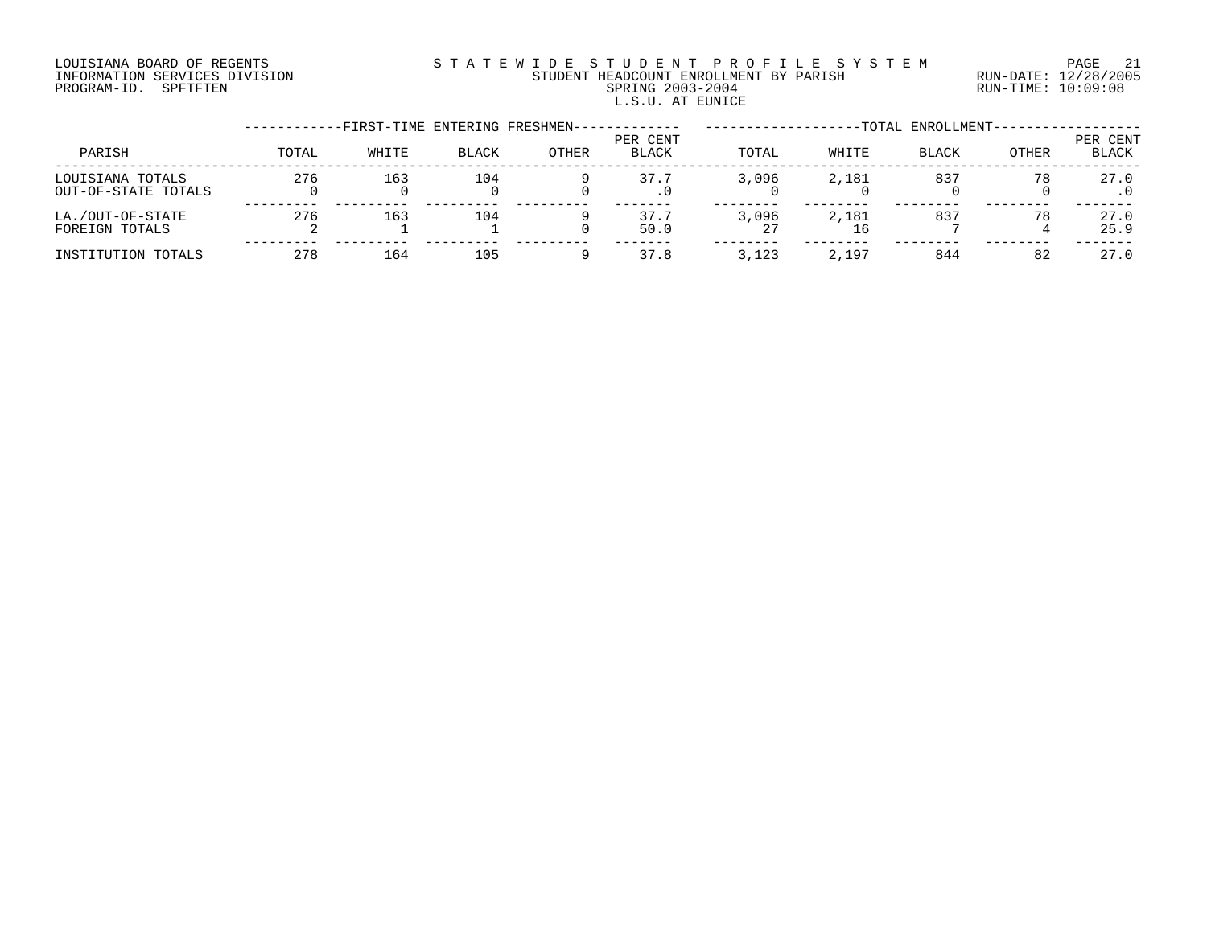# LOUISIANA BOARD OF REGENTS S T A T E W I D E S T U D E N T P R O F I L E S Y S T E M PAGE 21 INFORMATION SERVICES DIVISION STUDENT HEADCOUNT ENROLLMENT BY PARISH RUN-DATE: 12/28/2005 PROGRAM-ID. SPFTFTEN SPRING 2003-2004 RUN-TIME: 10:09:08 L.S.U. AT EUNICE

|                                         |       | -FIRST-TIME ENTERING FRESHMEN- |              |              |                   |       |       | -TOTAL ENROLLMENT- |              |                          |
|-----------------------------------------|-------|--------------------------------|--------------|--------------|-------------------|-------|-------|--------------------|--------------|--------------------------|
| PARISH                                  | TOTAL | WHITE                          | <b>BLACK</b> | <b>OTHER</b> | PER CENT<br>BLACK | TOTAL | WHITE | BLACK              | <b>OTHER</b> | PER CENT<br><b>BLACK</b> |
| LOUISIANA TOTALS<br>OUT-OF-STATE TOTALS | 276   | 163                            | 104          |              | 37.7              | 3,096 | 2,181 | 837                | 78           | 27.0                     |
| LA./OUT-OF-STATE<br>FOREIGN TOTALS      | 276   | 163                            | 104          |              | 37.7<br>50.0      | 3,096 | 2,181 | 837                | 78           | 27.0<br>25.9             |
| INSTITUTION TOTALS                      | 278   | 164                            | 105          |              | 37.8              | 3,123 | 2,197 | 844                | 82           | 27.0                     |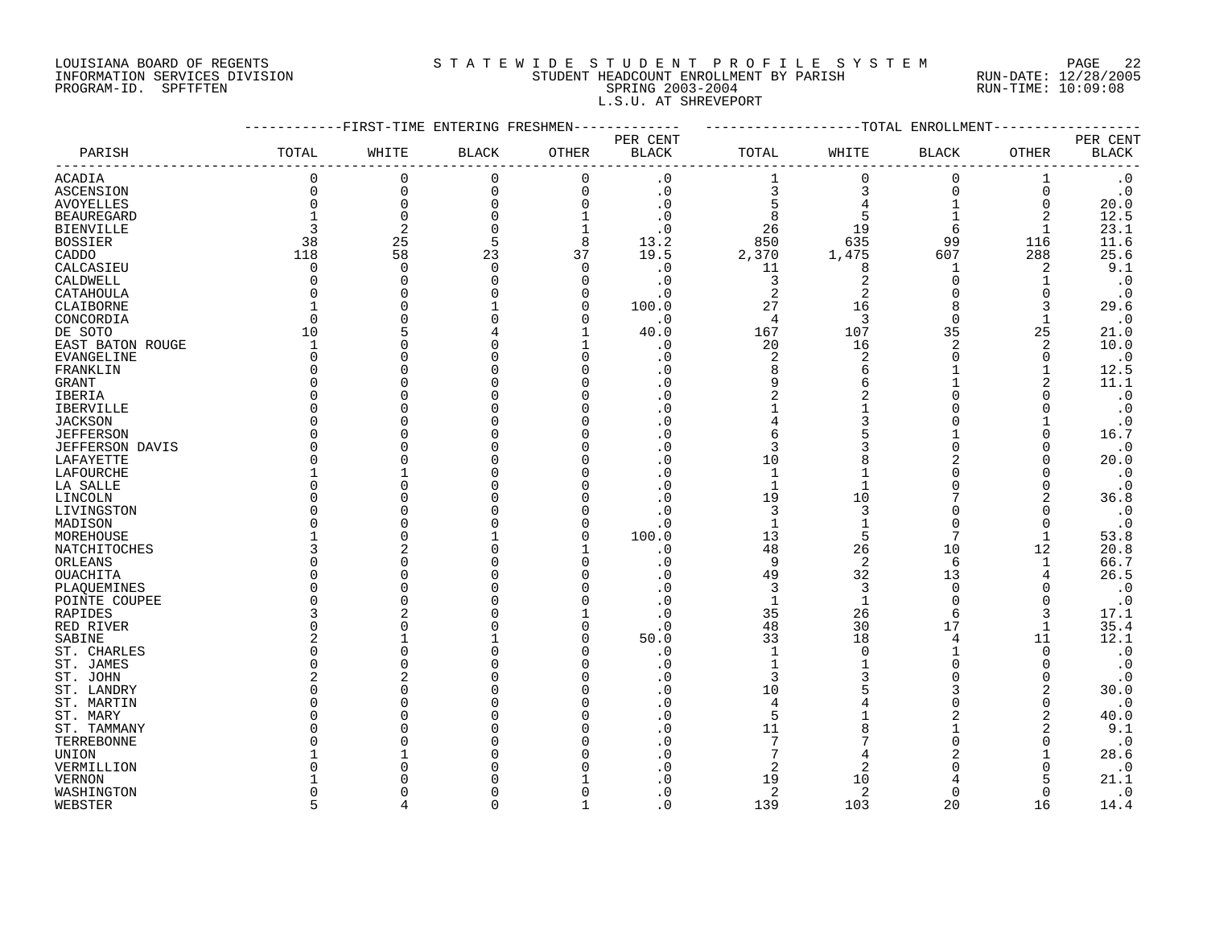# LOUISIANA BOARD OF REGENTS S T A T E W I D E S T U D E N T P R O F I L E S Y S T E M PAGE 22 INFORMATION SERVICES DIVISION STUDENT HEADCOUNT ENROLLMENT BY PARISH RUN-DATE: 12/28/2005 PROGRAM-ID. SPFTFTEN SPRING 2003-2004 RUN-TIME: 10:09:08 L.S.U. AT SHREVEPORT

|                        |                | -FIRST-TIME ENTERING FRESHMEN |              |             |                          |                |                | -TOTAL ENROLLMENT |              |                          |
|------------------------|----------------|-------------------------------|--------------|-------------|--------------------------|----------------|----------------|-------------------|--------------|--------------------------|
| PARISH                 | TOTAL          | WHITE                         | <b>BLACK</b> | OTHER       | PER CENT<br><b>BLACK</b> | TOTAL          | WHITE          | <b>BLACK</b>      | OTHER        | PER CENT<br><b>BLACK</b> |
| <b>ACADIA</b>          | 0              | 0                             | $\mathbf 0$  | $\Omega$    | . 0                      |                | $\Omega$       | $\Omega$          | 1            | $\cdot$ 0                |
| ASCENSION              | $\Omega$       | $\Omega$                      | $\mathbf 0$  | $\mathbf 0$ | $\cdot$ 0                | 3              | 3              | $\Omega$          | $\mathbf 0$  | $\cdot$ 0                |
| <b>AVOYELLES</b>       | $\Omega$       | $\Omega$                      | $\Omega$     | $\Omega$    | $\cdot$ 0                |                |                |                   | $\mathbf 0$  | 20.0                     |
| <b>BEAUREGARD</b>      |                | $\Omega$                      | O            | 1           | . 0                      | 8              | 5              |                   | 2            | 12.5                     |
| <b>BIENVILLE</b>       | 3              | $\overline{c}$                | $\Omega$     | $\mathbf 1$ | $\cdot$ 0                | 26             | 19             | 6                 |              | 23.1                     |
| <b>BOSSIER</b>         | 38             | 25                            | 5            | 8           | 13.2                     | 850            | 635            | 99                | 116          | 11.6                     |
| CADDO                  | 118            | 58                            | 23           | 37          | 19.5                     | 2,370          | 1,475          | 607               | 288          | 25.6                     |
| CALCASIEU              | 0              | $\Omega$                      | $\mathbf 0$  | $\Omega$    | $\cdot$ 0                | 11             | 8              | -1                | 2            | 9.1                      |
| CALDWELL               | 0              | C                             | O            | $\Omega$    | . 0                      | 3              | 2              | $\Omega$          |              | $\cdot$ 0                |
| CATAHOULA              | O              |                               |              | n           | . 0                      | $\overline{2}$ | $\overline{2}$ |                   | <sup>0</sup> | $\cdot$ 0                |
| CLAIBORNE              |                |                               |              | n           | 100.0                    | 27             | 16             | $\mathsf{R}$      | 3            | 29.6                     |
| CONCORDIA              | $\Omega$       |                               |              | ∩           | $\cdot$ 0                | $\overline{4}$ | 3              | $\Omega$          | 1            | $\cdot$ 0                |
|                        | 10             |                               |              |             | 40.0                     | 167            | 107            | 35                | 25           |                          |
| DE SOTO                | $\mathbf{1}$   |                               |              |             |                          | 20             | 16             | $\overline{2}$    | 2            | 21.0                     |
| EAST BATON ROUGE       |                |                               |              |             | . 0                      |                |                | $\Omega$          |              | 10.0                     |
| EVANGELINE             | O              |                               |              |             | . 0                      | $\overline{c}$ | $\overline{2}$ |                   | 0            | $\cdot$ 0                |
| FRANKLIN               | 0              |                               |              |             | . 0                      | 8              | 6              |                   |              | 12.5                     |
| GRANT                  | <sup>0</sup>   |                               |              |             | . 0                      | 9              | 6              |                   | 2            | 11.1                     |
| IBERIA                 | O              |                               |              |             | . 0                      | $\overline{2}$ |                |                   |              | $\boldsymbol{\cdot}$ 0   |
| IBERVILLE              | <sup>0</sup>   |                               |              |             | . 0                      |                |                |                   | ∩            | $\cdot$ 0                |
| <b>JACKSON</b>         | $\Omega$       |                               |              |             | $\Omega$                 |                | 3              |                   |              | $\cdot$ 0                |
| <b>JEFFERSON</b>       | O              |                               |              |             | $\cdot$ 0                | 6              |                |                   | $\Omega$     | 16.7                     |
| <b>JEFFERSON DAVIS</b> | $\Omega$       |                               |              |             | $\Omega$                 | 3              | 3              | $\Omega$          | $\Omega$     | $\cdot$ 0                |
| LAFAYETTE              | $\Omega$       |                               |              |             |                          | 10             |                | 2                 | $\Omega$     | 20.0                     |
| LAFOURCHE              | 1              |                               |              |             | . 0                      | $\mathbf 1$    |                |                   | $\Omega$     | $\boldsymbol{\cdot}$ 0   |
| LA SALLE               | O              |                               |              |             | $\Omega$                 | $\mathbf{1}$   |                |                   | <sup>0</sup> | $\boldsymbol{\cdot}$ 0   |
| LINCOLN                | O              |                               |              |             | . 0                      | 19             | 10             | 7                 | 2            | 36.8                     |
| LIVINGSTON             | O              |                               |              |             | . 0                      | 3              | 3              |                   | $\Omega$     | $\cdot$ 0                |
| MADISON                | O              |                               |              |             | . 0                      | $\mathbf{1}$   |                | $\Omega$          | $\Omega$     | $\cdot$ 0                |
| MOREHOUSE              |                |                               |              | n           | 100.0                    | 13             | 5              | $\overline{7}$    | 1            | 53.8                     |
| NATCHITOCHES           | ζ              |                               |              |             | $\cdot$ 0                | 48             | 26             | 10                | 12           | 20.8                     |
| ORLEANS                | $\Omega$       |                               |              | n           | . 0                      | 9              | $\overline{2}$ | 6                 | $\mathbf 1$  | 66.7                     |
| OUACHITA               | $\Omega$       |                               |              |             | . 0                      | 49             | 32             | 13                | 4            | 26.5                     |
| PLAQUEMINES            | O              |                               |              |             | . 0                      | 3              | 3              | $\Omega$          | <sup>0</sup> | $\boldsymbol{\cdot}$ 0   |
| POINTE COUPEE          | O              |                               |              |             | . 0                      | $\mathbf{1}$   | $\mathbf 1$    | $\Omega$          | <sup>0</sup> | $\boldsymbol{\cdot}$ 0   |
| RAPIDES                | 3              |                               |              |             | . 0                      | 35             | 26             | 6                 | 3            | 17.1                     |
| RED RIVER              | 0              |                               |              |             | . 0                      | 48             | 30             | 17                | 1            | 35.4                     |
| SABINE                 | 2              |                               |              |             | 50.0                     | 33             | 18             | 4                 | 11           | 12.1                     |
| ST. CHARLES            | <sup>0</sup>   |                               |              |             | . 0                      | $\mathbf{1}$   | $\cap$         |                   | $\Omega$     | $\boldsymbol{\cdot}$ 0   |
| ST. JAMES              | $\Omega$       |                               |              |             | . 0                      | $\mathbf{1}$   |                | $\Omega$          |              | $\cdot$ 0                |
| ST. JOHN               | $\overline{2}$ |                               |              |             | $\cdot$ 0                | 3              | 3              | $\Omega$          | <sup>0</sup> | $\cdot$ 0                |
| ST. LANDRY             | $\Omega$       |                               |              |             | . 0                      | 10             |                | 3                 | 2            | 30.0                     |
| ST. MARTIN             | <sup>0</sup>   |                               |              |             | . 0                      | 4              |                | <sup>0</sup>      | 0            | $\cdot$ 0                |
| ST. MARY               | U              |                               |              |             | . 0                      | 5              |                | 2                 | 2            | 40.0                     |
| ST. TAMMANY            | O              |                               |              |             | . 0                      | 11             |                |                   | 2            | 9.1                      |
| TERREBONNE             | C              |                               |              |             | . 0                      | 7              |                | U                 | O            | $\cdot$ 0                |
| UNION                  |                |                               |              |             | . 0                      | 7              |                |                   |              | 28.6                     |
| VERMILLION             |                |                               |              |             | . 0                      | $\overline{2}$ | $\overline{2}$ |                   | O            | $\cdot$ 0                |
| <b>VERNON</b>          |                |                               |              |             | $\Omega$                 | 19             | 10             |                   | 5            | 21.1                     |
| WASHINGTON             | <sup>0</sup>   |                               |              |             | $\cdot$ 0                | 2              | 2              | $\Omega$          | $\Omega$     | $\cdot$ 0                |
| WEBSTER                | 5              |                               | U            |             | $\Omega$                 | 139            | 103            | 20                | 16           | 14.4                     |
|                        |                |                               |              |             |                          |                |                |                   |              |                          |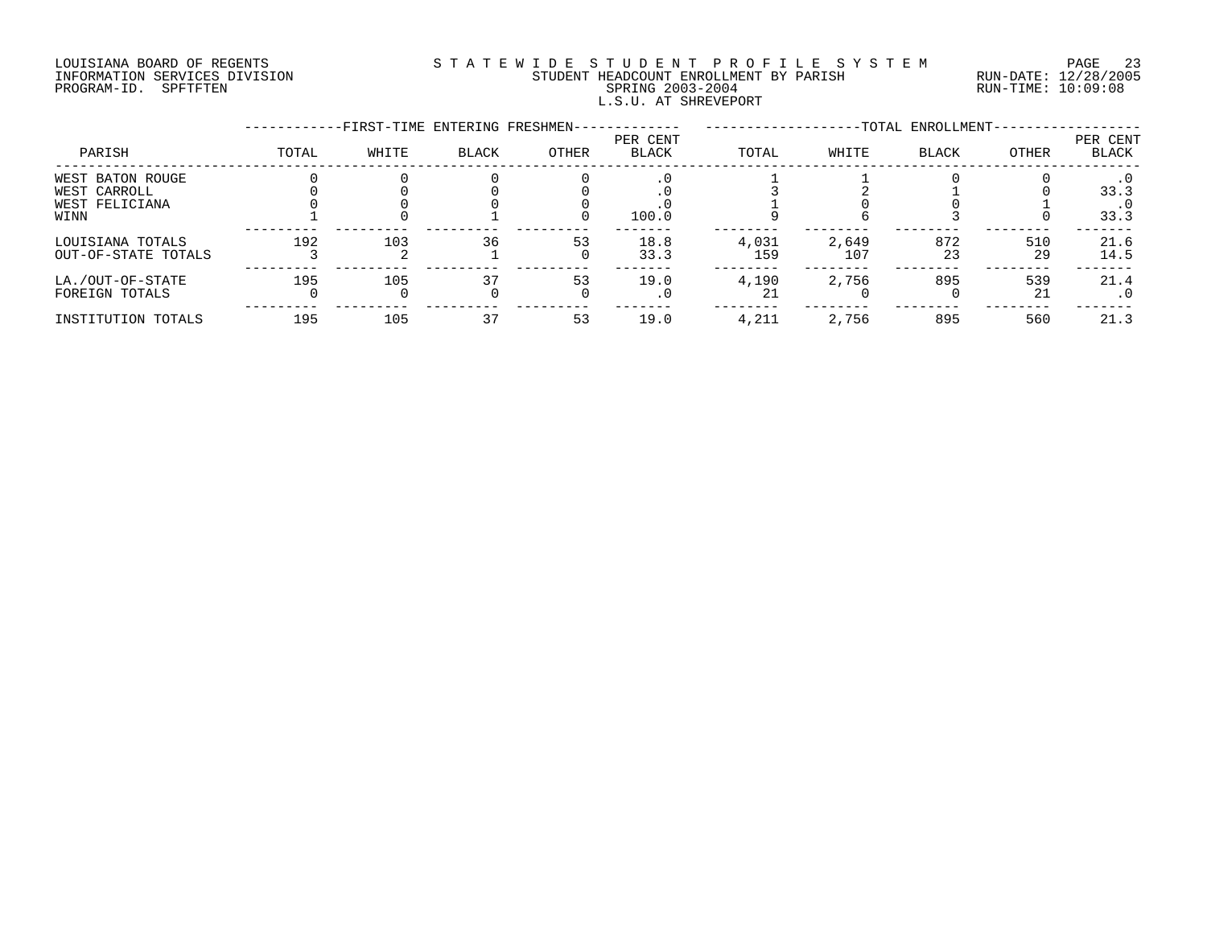# LOUISIANA BOARD OF REGENTS S T A T E W I D E S T U D E N T P R O F I L E S Y S T E M PAGE 23 INFORMATION SERVICES DIVISION STUDENT HEADCOUNT ENROLLMENT BY PARISH RUN-DATE: 12/28/2005 PROGRAM-ID. SPFTFTEN SPRING 2003-2004 RUN-TIME: 10:09:08 L.S.U. AT SHREVEPORT

|                     |       | -FIRST-TIME ENTERING FRESHMEN- |              |       |                          |       |       | -TOTAL ENROLLMENT- |       |                   |
|---------------------|-------|--------------------------------|--------------|-------|--------------------------|-------|-------|--------------------|-------|-------------------|
| PARISH              | TOTAL | WHITE                          | <b>BLACK</b> | OTHER | PER CENT<br><b>BLACK</b> | TOTAL | WHITE | <b>BLACK</b>       | OTHER | PER CENT<br>BLACK |
| WEST BATON ROUGE    |       |                                |              |       |                          |       |       |                    |       |                   |
| WEST CARROLL        |       |                                |              |       |                          |       |       |                    |       | 33.3              |
| WEST FELICIANA      |       |                                |              |       |                          |       |       |                    |       |                   |
| WINN                |       |                                |              |       | 100.0                    |       |       |                    |       | 33.3              |
| LOUISIANA TOTALS    | 192   | 103                            | 36           | 53    | 18.8                     | 4,031 | 2,649 | 872                | 510   | 21.6              |
| OUT-OF-STATE TOTALS |       |                                |              |       | 33.3                     | 159   | 107   | 23                 | 29    | 14.5              |
| LA./OUT-OF-STATE    | 195   | 105                            | 37           | 53    | 19.0                     | 4,190 | 2,756 | 895                | 539   | 21.4              |
| FOREIGN TOTALS      |       |                                |              |       | . 0                      | 21    |       |                    | 21    | $\cdot$ 0         |
| INSTITUTION TOTALS  | 195   | 105                            | 37           | 53    | 19.0                     | 4,211 | 2,756 | 895                | 560   | 21.3              |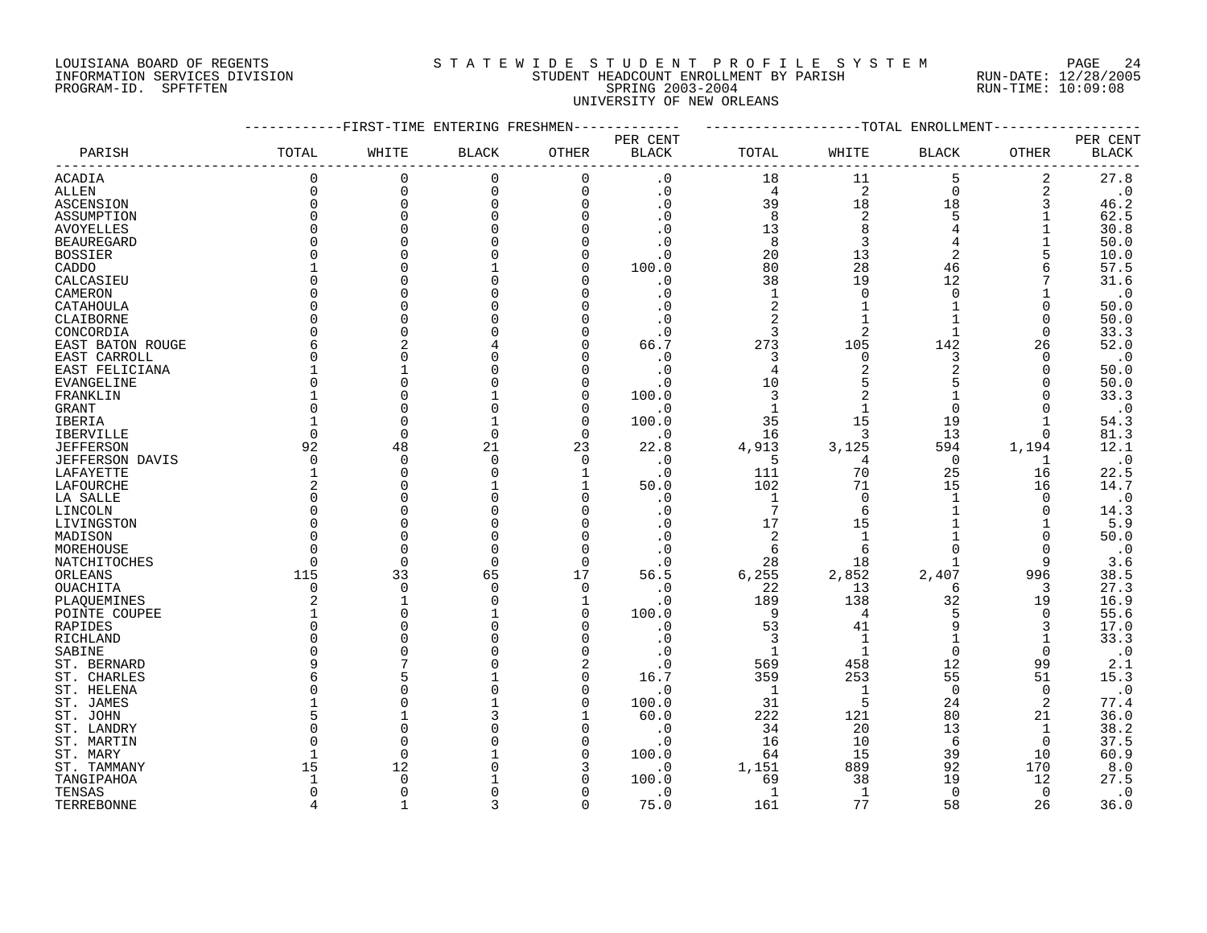# LOUISIANA BOARD OF REGENTS S T A T E W I D E S T U D E N T P R O F I L E S Y S T E M PAGE 24 INFORMATION SERVICES DIVISION STUDENT HEADCOUNT ENROLLMENT BY PARISH RUN-DATE: 12/28/2005 PROGRAM-ID. SPFTFTEN SPRING 2003-2004 RUN-TIME: 10:09:08 UNIVERSITY OF NEW ORLEANS

|                        |          | -FIRST-TIME ENTERING FRESHMEN |              |          |              |                |                | -----------TOTAL ENROLLMENT |              |              |
|------------------------|----------|-------------------------------|--------------|----------|--------------|----------------|----------------|-----------------------------|--------------|--------------|
|                        |          |                               |              |          | PER CENT     |                |                |                             |              | PER CENT     |
| PARISH                 | TOTAL    | WHITE                         | <b>BLACK</b> | OTHER    | <b>BLACK</b> | $\tt TOTAL$    | WHITE          | <b>BLACK</b>                | OTHER        | <b>BLACK</b> |
| <b>ACADIA</b>          | $\Omega$ | 0                             | 0            | 0        | $\cdot$ 0    | 18             | 11             | 5                           | 2            | 27.8         |
| <b>ALLEN</b>           | $\Omega$ | 0                             | $\mathbf 0$  | 0        | $\cdot$ 0    | $\overline{4}$ | 2              | $\mathbf 0$                 | 2            | $\cdot$ 0    |
| ASCENSION              | $\Omega$ | 0                             | $\mathbf 0$  | 0        | $\cdot$ 0    | 39             | 18             | 18                          | 3            | 46.2         |
| ASSUMPTION             |          | $\Omega$                      | U            | $\Omega$ | $\cdot$ 0    | 8              | 2              | 5                           |              | 62.5         |
| <b>AVOYELLES</b>       |          | 0                             |              | O        | $\cdot$ 0    | 13             | 8              | 4                           |              | 30.8         |
| <b>BEAUREGARD</b>      |          | $\Omega$                      |              |          | . 0          | 8              | 3              | 4                           |              | 50.0         |
| BOSSIER                |          | $\Omega$                      |              | 0        | $\cdot$ 0    | 20             | 13             | 2                           | 5            | 10.0         |
| CADDO                  |          | $\Omega$                      |              | U        | 100.0        | 80             | 28             | 46                          | 6            | 57.5         |
| CALCASIEU              |          | 0                             |              |          | $\cdot$ 0    | 38             | 19             | 12                          |              | 31.6         |
| CAMERON                |          | $\Omega$                      |              | U        | $\cdot$ 0    | 1              | $\Omega$       | 0                           |              | $\cdot$ 0    |
| CATAHOULA              |          | $\Omega$                      |              | U        | $\cdot$ 0    | 2              | 1              | $\mathbf{1}$                | 0            | 50.0         |
| CLAIBORNE              |          | $\Omega$                      |              | U        | $\cdot$ 0    | 2              | $\mathbf{1}$   | $\mathbf{1}$                | 0            | 50.0         |
| CONCORDIA              |          | 0                             |              |          | $\cdot$ 0    | 3              | $\overline{2}$ | $\mathbf{1}$                | $\mathbf 0$  | 33.3         |
| EAST BATON ROUGE       |          | 2                             |              | U        | 66.7         | 273            | 105            | 142                         | 26           | 52.0         |
| EAST CARROLL           |          | $\Omega$                      |              |          | $\cdot$ 0    | 3              | $\Omega$       | 3                           | <sup>0</sup> | $\cdot$ 0    |
| EAST FELICIANA         |          | $\mathbf{1}$                  |              | U        | $\cdot$ 0    | 4              |                | 2                           | $\Omega$     | 50.0         |
| EVANGELINE             |          | $\Omega$                      |              | O        | $\cdot$ 0    | 10             | 5              | 5                           | $\Omega$     | 50.0         |
| FRANKLIN               |          | 0                             |              | O        | 100.0        | 3              |                |                             | $\Omega$     | 33.3         |
| GRANT                  |          | $\Omega$                      |              | U        | $\cdot$ 0    | $\mathbf{1}$   | $\mathbf{1}$   | $\mathbf 0$                 | $\Omega$     | $\cdot$ 0    |
| IBERIA                 |          | $\Omega$                      |              | $\Omega$ | 100.0        | 35             | 15             | 19                          | 1            | 54.3         |
| <b>IBERVILLE</b>       | $\Omega$ | $\Omega$                      | $\Omega$     | $\Omega$ | $\cdot$ 0    | 16             | 3              | 13                          | $\Omega$     | 81.3         |
| <b>JEFFERSON</b>       | 92       | 48                            | 21           | 23       | 22.8         | 4,913          | 3,125          | 594                         | 1,194        | 12.1         |
| <b>JEFFERSON DAVIS</b> | $\Omega$ | $\Omega$                      | $\Omega$     | 0        | . 0          | -5             | 4              | $\overline{0}$              | 1            | $\cdot$ 0    |
| LAFAYETTE              |          | 0                             | U            | 1        | $\cdot$ 0    | 111            | 70             | 25                          | 16           | 22.5         |
| LAFOURCHE              |          | 0                             |              | 1        | 50.0         | 102            | 71             | 15                          | 16           | 14.7         |
| LA SALLE               |          | 0                             |              | $\Omega$ | $\cdot$ 0    | $\mathbf{1}$   | $\mathbf 0$    | 1                           | $\mathbf 0$  | $\cdot$ 0    |
| LINCOLN                |          | $\Omega$                      |              | $\Omega$ | $\cdot$ 0    | $\overline{7}$ | 6              | 1                           | 0            | 14.3         |
| LIVINGSTON             |          | $\Omega$                      |              | U        | $\cdot$ 0    | 17             | 15             |                             |              | 5.9          |
| MADISON                |          | 0                             |              | $\Omega$ | $\cdot$ 0    | 2              | $\mathbf{1}$   |                             | $\Omega$     | 50.0         |
| MOREHOUSE              |          | $\Omega$                      |              | $\Omega$ | $\cdot$ 0    | 6              | 6              | $\Omega$                    | $\Omega$     | $\cdot$ 0    |
| NATCHITOCHES           | $\Omega$ | 0                             | $\Omega$     | $\Omega$ | . 0          | 28             | 18             |                             | 9            | 3.6          |
| ORLEANS                | 115      | 33                            | 65           | 17       | 56.5         | 6,255          | 2,852          | 2,407                       | 996          | 38.5         |
| OUACHITA               | $\Omega$ | $\Omega$                      | $\Omega$     | $\Omega$ | $\cdot$ 0    | 22             | 13             | 6                           | 3            | 27.3         |
| PLAQUEMINES            |          | $\mathbf{1}$                  |              | 1        | $\cdot$ 0    | 189            | 138            | 32                          | 19           | 16.9         |
| POINTE COUPEE          |          | 0                             |              | 0        | 100.0        | 9              | 4              | 5                           | 0            | 55.6         |
| RAPIDES                |          | $\Omega$                      |              | U        | $\cdot$ 0    | 53             | 41             | 9                           | 3            | 17.0         |
| RICHLAND               |          | $\Omega$                      |              | U        | $\cdot$ 0    | 3              | $\mathbf{1}$   | $\mathbf{1}$                | $\mathbf{1}$ | 33.3         |
| SABINE                 |          | $\Omega$                      |              | 0        | $\cdot$ 0    | $\mathbf{1}$   | 1              | $\mathbf 0$                 | $\Omega$     | $\cdot$ 0    |
| ST. BERNARD            |          | 7                             |              | 2        | . 0          | 569            | 458            | 12                          | 99           | 2.1          |
| ST. CHARLES            |          | 5                             |              | 0        | 16.7         | 359            | 253            | 55                          | 51           | 15.3         |
| ST. HELENA             |          | $\Omega$                      |              | $\Omega$ | . 0          | 1              | $\mathbf{1}$   | $\Omega$                    | $\Omega$     | $\cdot$ 0    |
| ST. JAMES              |          | 0                             |              | 0        | 100.0        | 31             | 5              | 24                          | 2            | 77.4         |
| ST. JOHN               |          | 1                             |              |          | 60.0         | 222            | 121            | 80                          | 21           | 36.0         |
| ST. LANDRY             |          | $\Omega$                      |              | 0        | . 0          | 34             | 20             | 13                          | 1            | 38.2         |
| ST. MARTIN             |          | $\Omega$                      |              | 0        | $\cdot$ 0    | 16             | 10             | 6                           | $\mathbf 0$  | 37.5         |
| ST. MARY               |          | $\Omega$                      |              | $\Omega$ | 100.0        | 64             | 15             | 39                          | 10           | 60.9         |
| ST. TAMMANY            | 15       | 12                            |              | 3        | $\cdot$ 0    | 1,151          | 889            | 92                          | 170          | 8.0          |
| TANGIPAHOA             |          | 0                             |              | U        | 100.0        | 69             | 38             | 19                          | 12           | 27.5         |
| TENSAS                 |          | $\Omega$                      |              | U        | $\cdot$ 0    | $\mathbf{1}$   | 1              | $\Omega$                    | $\Omega$     | $\cdot$ 0    |
| TERREBONNE             | 4        | $\mathbf{1}$                  | 3            | $\Omega$ | 75.0         | 161            | 77             | 58                          | 26           | 36.0         |
|                        |          |                               |              |          |              |                |                |                             |              |              |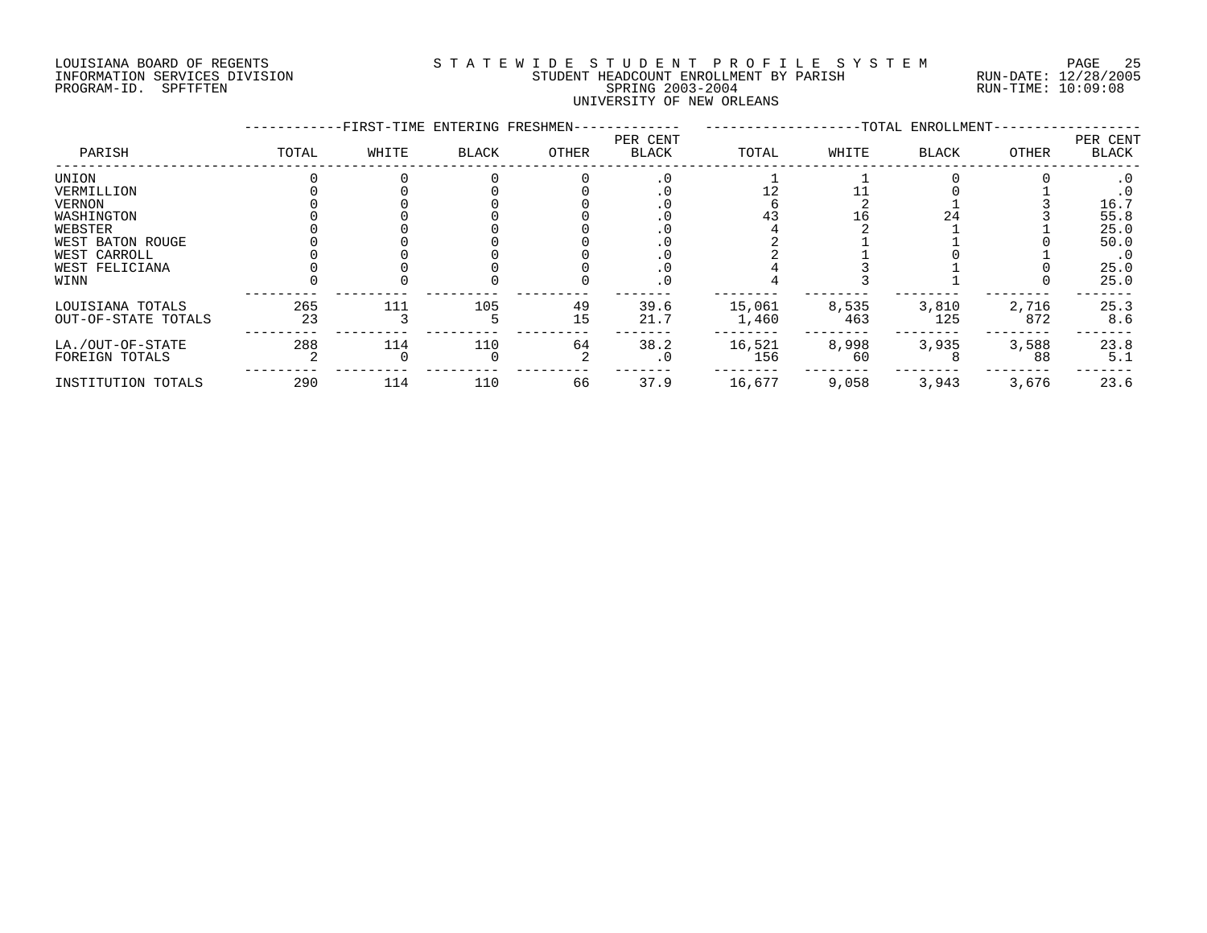# LOUISIANA BOARD OF REGENTS S T A T E W I D E S T U D E N T P R O F I L E S Y S T E M PAGE 25 INFORMATION SERVICES DIVISION STUDENT HEADCOUNT ENROLLMENT BY PARISH RUN-DATE: 12/28/2005 PROGRAM-ID. SPFTFTEN SPRING 2003-2004 RUN-TIME: 10:09:08 UNIVERSITY OF NEW ORLEANS

|                                                                                                                             |           | -FIRST-TIME ENTERING FRESHMEN- |              |          |                          |                 |              | -TOTAL ENROLLMENT- |              |                                                                                     |
|-----------------------------------------------------------------------------------------------------------------------------|-----------|--------------------------------|--------------|----------|--------------------------|-----------------|--------------|--------------------|--------------|-------------------------------------------------------------------------------------|
| PARISH                                                                                                                      | TOTAL     | WHITE                          | <b>BLACK</b> | OTHER    | PER CENT<br><b>BLACK</b> | TOTAL           | WHITE        | <b>BLACK</b>       | OTHER        | PER CENT<br>BLACK                                                                   |
| UNION<br>VERMILLION<br><b>VERNON</b><br>WASHINGTON<br>WEBSTER<br>WEST BATON ROUGE<br>WEST CARROLL<br>WEST FELICIANA<br>WINN |           |                                |              |          | . 0                      |                 | 16           | 24                 |              | $\cdot$ 0<br>$\cdot$ 0<br>16.7<br>55.8<br>25.0<br>50.0<br>$\cdot$ 0<br>25.0<br>25.0 |
| LOUISIANA TOTALS<br>OUT-OF-STATE TOTALS                                                                                     | 265<br>23 | 111                            | 105          | 49<br>15 | 39.6<br>21.7             | 15,061<br>1,460 | 8,535<br>463 | 3,810<br>125       | 2,716<br>872 | 25.3<br>8.6                                                                         |
| LA./OUT-OF-STATE<br>FOREIGN TOTALS                                                                                          | 288       | 114                            | 110          | 64       | 38.2<br>. 0              | 16,521<br>156   | 8,998<br>60  | 3,935              | 3,588<br>88  | 23.8<br>5.1                                                                         |
| INSTITUTION TOTALS                                                                                                          | 290       | 114                            | 110          | 66       | 37.9                     | 16,677          | 9,058        | 3,943              | 3,676        | 23.6                                                                                |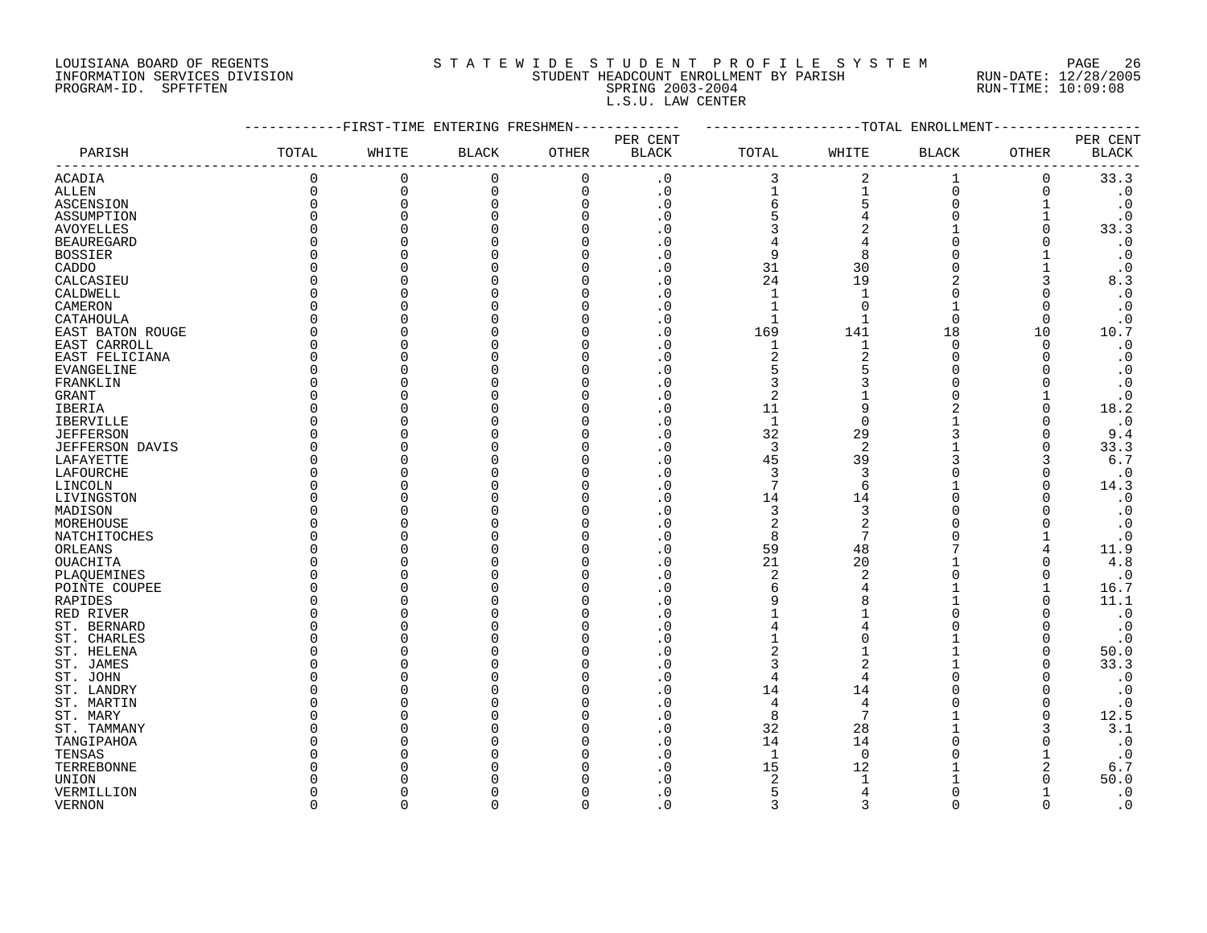# LOUISIANA BOARD OF REGENTS S T A T E W I D E S T U D E N T P R O F I L E S Y S T E M PAGE 26 INFORMATION SERVICES DIVISION STUDENT HEADCOUNT ENROLLMENT BY PARISH RUN-DATE: 12/28/2005 PROGRAM-ID. SPFTFTEN SPRING 2003-2004 RUN-TIME: 10:09:08 L.S.U. LAW CENTER

|                        |              |          | -FIRST-TIME ENTERING FRESHMEN- |              |              |                         |                | --TOTAL ENROLLMENT |              |                        |
|------------------------|--------------|----------|--------------------------------|--------------|--------------|-------------------------|----------------|--------------------|--------------|------------------------|
|                        |              |          |                                |              | PER CENT     |                         |                |                    |              | PER CENT               |
| PARISH                 | TOTAL        | WHITE    | <b>BLACK</b>                   | <b>OTHER</b> | <b>BLACK</b> | TOTAL                   | WHITE          | <b>BLACK</b>       | OTHER        | <b>BLACK</b>           |
| <b>ACADIA</b>          | 0            | 0        | $\mathbf 0$                    | $\mathbf 0$  | $\cdot$ 0    | 3                       | $\overline{2}$ | 1                  | 0            | 33.3                   |
| ALLEN                  | 0            | $\Omega$ | 0                              | $\mathbf 0$  | $\cdot$ 0    | $\mathbf{1}$            | 1              | $\overline{0}$     | 0            | $\cdot$ 0              |
| ASCENSION              | $\Omega$     | $\Omega$ | $\Omega$                       | $\Omega$     | $\cdot$ 0    | 6                       | 5              | $\Omega$           |              | $\cdot$ 0              |
| ASSUMPTION             | $\Omega$     | C        |                                | n            | . 0          | 5                       |                | $\Omega$           |              | $\cdot$ 0              |
| <b>AVOYELLES</b>       | $\Omega$     |          |                                |              | $\cdot$ 0    | 3                       | $\overline{2}$ |                    | U            | 33.3                   |
| <b>BEAUREGARD</b>      | $\Omega$     |          |                                |              | $\cdot$ 0    | 4                       | 4              | $\Omega$           |              | $\boldsymbol{\cdot}$ 0 |
| <b>BOSSIER</b>         | O            |          |                                | O            | . 0          | 9                       | 8              | $\Omega$           |              | $\cdot$ 0              |
| CADDO                  | O            |          |                                |              | . 0          | 31                      | 30             | $\Omega$           |              | $\cdot$ 0              |
| CALCASIEU              | <sup>0</sup> |          |                                |              | . 0          | 24                      | 19             | 2                  | 3            | 8.3                    |
| CALDWELL               | U            |          |                                |              | $\cdot$ 0    | $\mathbf{1}$            |                |                    |              | $\cdot$ 0              |
| CAMERON                | O            |          |                                |              | . 0          | $\mathbf{1}$            | $\Omega$       | $\mathbf{1}$       |              | $\boldsymbol{\cdot}$ 0 |
| CATAHOULA              | O            |          |                                |              | . 0          | $\mathbf{1}$            |                | $\Omega$           | $\Omega$     | $\cdot$ 0              |
| EAST BATON ROUGE       | $\Omega$     |          |                                |              | $\cdot$ 0    | 169                     | 141            | 18                 | 10           | 10.7                   |
| EAST CARROLL           | $\Omega$     |          |                                |              | . 0          | $\mathbf{1}$            | $\mathbf{1}$   | $\Omega$           | $\Omega$     | $\cdot$ 0              |
| EAST FELICIANA         | <sup>0</sup> |          |                                |              | $\cdot$ 0    | $\overline{2}$          | $\overline{2}$ | $\Omega$           | ∩            | $\boldsymbol{\cdot}$ 0 |
| EVANGELINE             | 0            |          |                                |              | $\cdot$ 0    | 5                       | 5              | $\Omega$           |              | $\cdot$ 0              |
| FRANKLIN               | <sup>0</sup> |          |                                |              | . 0          | 3                       |                | $\Omega$           |              | $\cdot$ 0              |
| GRANT                  | O            |          |                                |              | . 0          | $\overline{2}$          |                | $\Omega$           |              | $\cdot$ 0              |
| <b>IBERIA</b>          | <sup>0</sup> |          |                                |              | . 0          | 11                      | 9              | 2                  | O            | 18.2                   |
| <b>IBERVILLE</b>       | $\Omega$     |          |                                |              | $\Omega$     | $\mathbf{1}$            | $\Omega$       |                    |              | $\cdot$ 0              |
| <b>JEFFERSON</b>       | <sup>0</sup> |          |                                |              | . 0          | 32                      | 29             | 3                  | <sup>0</sup> | 9.4                    |
| <b>JEFFERSON DAVIS</b> | $\Omega$     |          |                                |              | $\Omega$     | 3                       | $\overline{2}$ |                    | $\Omega$     | 33.3                   |
| LAFAYETTE              | $\Omega$     |          |                                |              | $\Omega$     | 45                      | 39             |                    | 3            | $6.7$                  |
| LAFOURCHE              | <sup>0</sup> |          |                                |              | $\cdot$ 0    | 3                       | 3              |                    | $\Omega$     | $\cdot$ 0              |
| LINCOLN                | O            |          |                                |              | $\Omega$     | 7                       | 6              |                    |              | 14.3                   |
| LIVINGSTON             | 0            |          |                                |              | . 0          | 14                      | 14             | $\Omega$           | n            | $\cdot$ 0              |
| MADISON                | O            |          |                                |              | $\Omega$     | 3                       | 3              |                    |              | $\boldsymbol{\cdot}$ 0 |
| MOREHOUSE              | <sup>0</sup> |          |                                |              | . 0          | $\overline{\mathbf{c}}$ | $\overline{2}$ |                    |              | $\cdot$ 0              |
| NATCHITOCHES           | $\Omega$     |          |                                |              | $\cdot$ 0    | 8                       | 7              |                    |              | $\boldsymbol{\cdot}$ 0 |
| ORLEANS                | U            |          |                                |              | $\Omega$     | 59                      | 48             |                    | 4            | 11.9                   |
| OUACHITA               | O            |          |                                |              | $\cdot$ 0    | 21                      | 20             |                    | $\Omega$     | 4.8                    |
| PLAQUEMINES            | $\Omega$     |          |                                |              | . 0          | $\overline{2}$          | $\overline{2}$ | $\Omega$           | 0            | $\cdot$ 0              |
| POINTE COUPEE          | <sup>0</sup> |          |                                |              | . 0          | 6                       |                |                    |              | 16.7                   |
| RAPIDES                | O            |          |                                |              | . 0          | 9                       |                | 1                  |              | 11.1                   |
| RED RIVER              | O            |          |                                |              | $\cdot$ 0    |                         |                | $\Omega$           |              | $\cdot$ 0              |
| ST. BERNARD            | <sup>0</sup> |          |                                |              | . 0          | 4                       |                | $\Omega$           |              | $\cdot$ 0              |
| ST. CHARLES            | O            |          |                                |              | . 0          |                         |                |                    | O            | $\cdot$ 0              |
| ST. HELENA             | U            |          |                                |              | . 0          | $\overline{c}$          |                |                    | O            | 50.0                   |
| ST. JAMES              | O            |          |                                |              | $\cdot$ 0    | 3                       | $\overline{a}$ |                    | ∩            | 33.3                   |
| ST. JOHN               | O            |          |                                |              | $\cdot$ 0    | 4                       | $\overline{4}$ | U                  | ∩            | $\cdot$ 0              |
| ST. LANDRY             | $\Omega$     |          |                                |              | . 0          | 14                      | 14             |                    |              | $\cdot$ 0              |
| ST. MARTIN             | <sup>0</sup> |          |                                |              | . 0          | 4                       | 4              |                    | 0            | $\cdot$ 0              |
| ST. MARY               | U            |          |                                |              | . 0          | 8                       | 7              |                    | $\Omega$     | 12.5                   |
| ST. TAMMANY            | O            |          |                                |              | $\cdot$ 0    | 32                      | 28             |                    | 3            | 3.1                    |
| TANGIPAHOA             | O            |          |                                |              | . 0          | 14                      | 14             |                    | O            | $\cdot$ 0              |
| TENSAS                 | U            |          |                                |              | . 0          | $\mathbf{1}$            | $\Omega$       |                    |              | $\cdot$ 0              |
| TERREBONNE             | ∩            |          |                                |              | . 0          | 15                      | 12             |                    | 2            | 6.7                    |
| UNION                  |              |          |                                |              | $\Omega$     | $\overline{2}$          |                |                    |              | 50.0                   |
| VERMILLION             | O            |          |                                |              | $\cdot$ 0    | 5                       | 4              | $\Omega$           |              | $\cdot$ 0              |
| <b>VERNON</b>          | $\cap$       | $\cap$   | $\Omega$                       | $\Omega$     | $\Omega$     | $\mathbf{z}$            | $\mathbf{z}$   | $\Omega$           | $\Omega$     | $\cdot$ 0              |
|                        |              |          |                                |              |              |                         |                |                    |              |                        |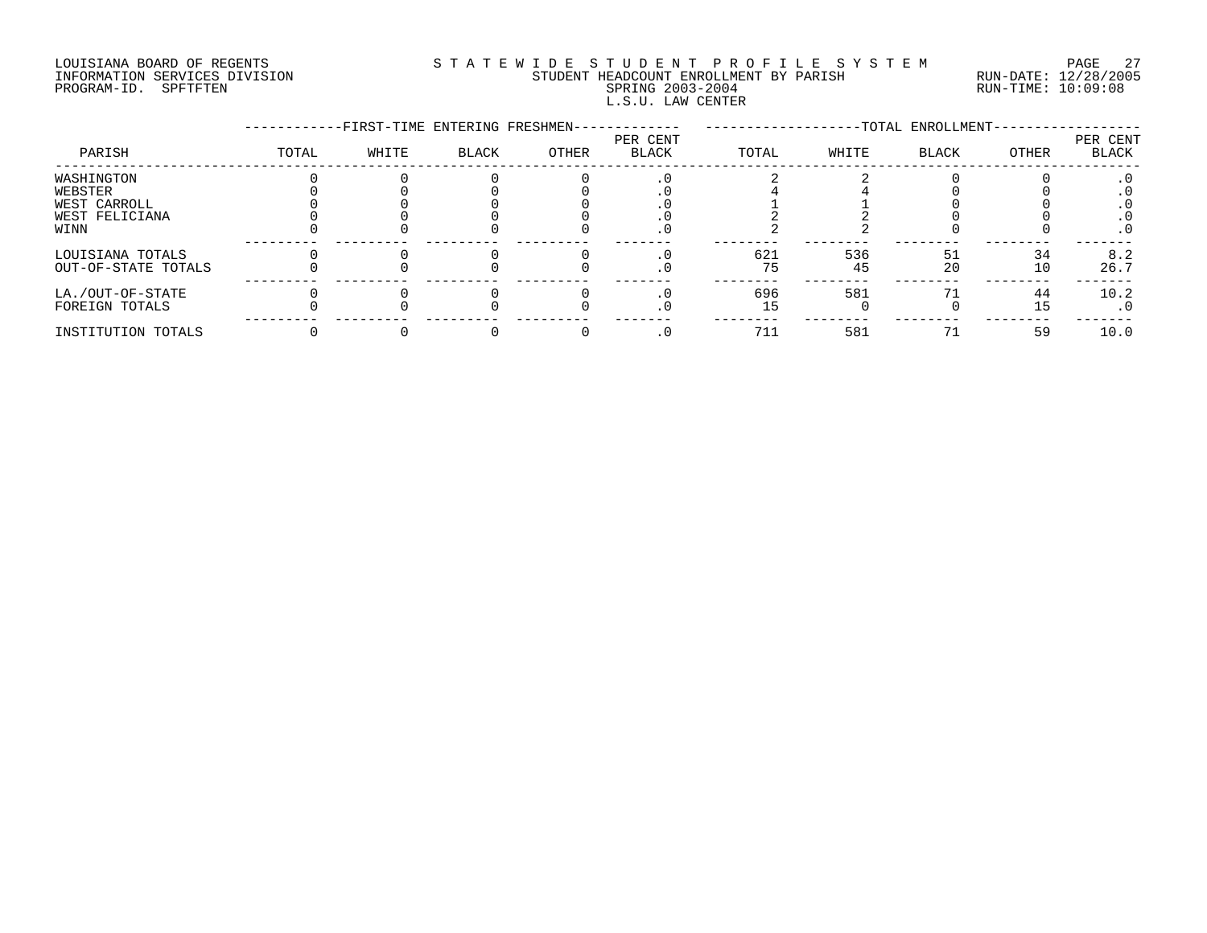# LOUISIANA BOARD OF REGENTS S T A T E W I D E S T U D E N T P R O F I L E S Y S T E M PAGE 27 INFORMATION SERVICES DIVISION STUDENT HEADCOUNT ENROLLMENT BY PARISH RUN-DATE: 12/28/2005 PROGRAM-ID. SPFTFTEN SPRING 2003-2004 RUN-TIME: 10:09:08 L.S.U. LAW CENTER

|                     |       | -FIRST-TIME ENTERING FRESHMEN- |       |       |                   |       |       | -TOTAL ENROLLMENT- |       |                   |
|---------------------|-------|--------------------------------|-------|-------|-------------------|-------|-------|--------------------|-------|-------------------|
| PARISH              | TOTAL | WHITE                          | BLACK | OTHER | PER CENT<br>BLACK | TOTAL | WHITE | BLACK              | OTHER | PER CENT<br>BLACK |
| WASHINGTON          |       |                                |       |       |                   |       |       |                    |       |                   |
| WEBSTER             |       |                                |       |       |                   |       |       |                    |       |                   |
| WEST CARROLL        |       |                                |       |       |                   |       |       |                    |       |                   |
| WEST FELICIANA      |       |                                |       |       |                   |       |       |                    |       |                   |
| WINN                |       |                                |       |       |                   |       |       |                    |       | $\cdot$ 0         |
| LOUISIANA TOTALS    |       |                                |       |       |                   | 621   | 536   | 51                 | 34    | 8.2               |
| OUT-OF-STATE TOTALS |       |                                |       |       | . U               | 75    | 45    | 20                 | 10    | 26.7              |
| LA./OUT-OF-STATE    |       |                                |       |       |                   | 696   | 581   |                    | 44    | 10.2              |
| FOREIGN TOTALS      |       |                                |       |       |                   |       |       |                    | 15    | $\cdot$ 0         |
| INSTITUTION TOTALS  |       |                                |       |       |                   | 711   | 581   |                    | 59    | 10.0              |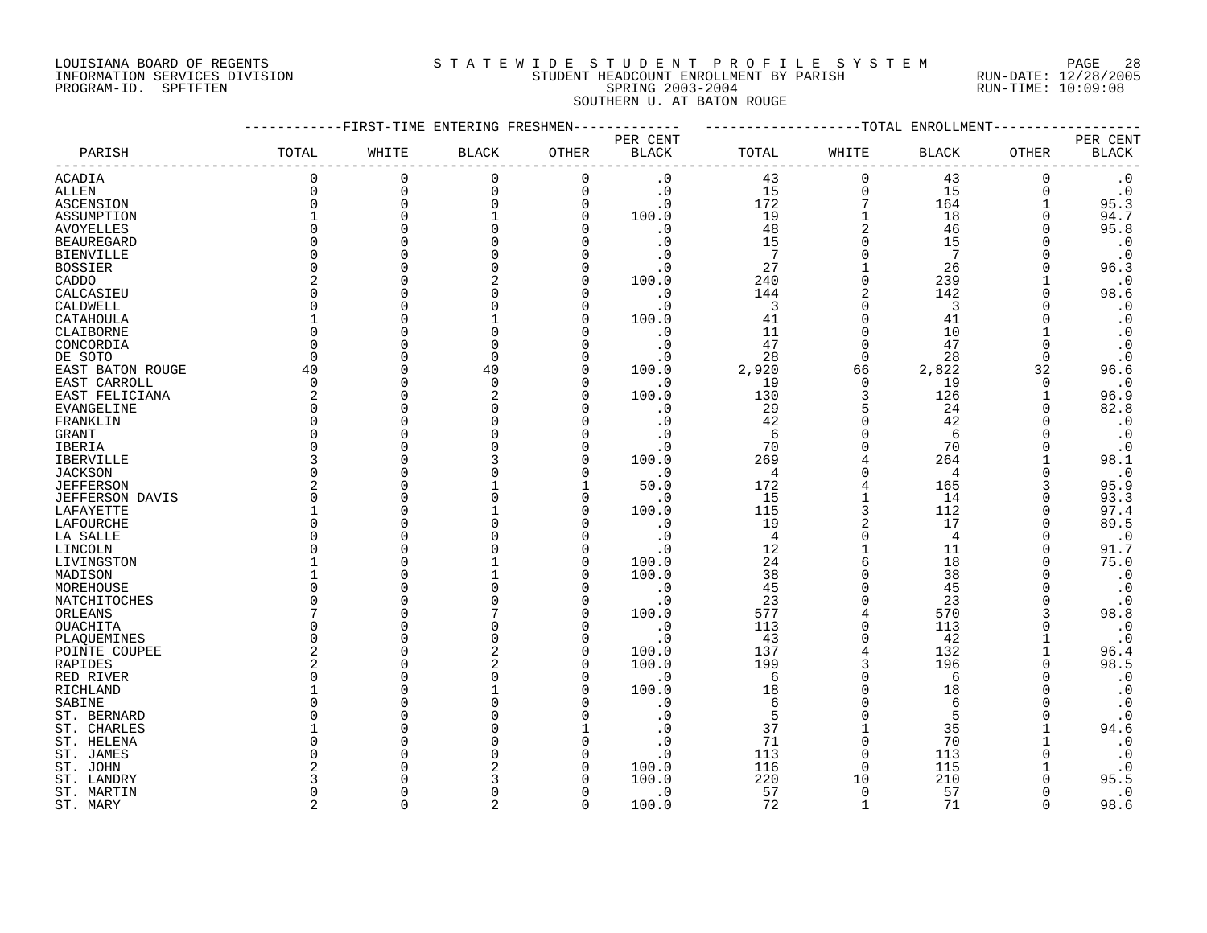# LOUISIANA BOARD OF REGENTS S T A T E W I D E S T U D E N T P R O F I L E S Y S T E M PAGE 28 INFORMATION SERVICES DIVISION STUDENT HEADCOUNT ENROLLMENT BY PARISH RUN-DATE: 12/28/2005 PROGRAM-ID. SPFTFTEN SPRING 2003-2004 RUN-TIME: 10:09:08 SOUTHERN U. AT BATON ROUGE

|                   |                |           | -FIRST-TIME ENTERING FRESHMEN |                |                        |                |                | --TOTAL ENROLLMENT |              |              |
|-------------------|----------------|-----------|-------------------------------|----------------|------------------------|----------------|----------------|--------------------|--------------|--------------|
|                   |                |           |                               |                | PER CENT               |                |                |                    |              | PER CENT     |
| PARISH            | TOTAL          | WHITE     | <b>BLACK</b>                  | OTHER          | $\operatorname{BLACK}$ | TOTAL          | WHITE          | <b>BLACK</b>       | OTHER        | <b>BLACK</b> |
| <b>ACADIA</b>     | 0              | 0         | $\mathbf 0$                   | $\Omega$       | $\cdot$ 0              | 43             | $\Omega$       | 43                 | 0            | $\cdot$ 0    |
| ALLEN             | $\Omega$       | $\Omega$  | 0                             | $\mathbf 0$    | $\cdot$ 0              | 15             | $\Omega$       | 15                 | $\Omega$     | $\cdot$ 0    |
| ASCENSION         | 0              | $\Omega$  | $\mathbf 0$                   | $\overline{0}$ | $\cdot$ 0              | 172            | 7              | 164                |              | 95.3         |
| ASSUMPTION        |                | $\Omega$  |                               | $\Omega$       | 100.0                  | 19             |                | 18                 | $\Omega$     | 94.7         |
| <b>AVOYELLES</b>  | $\Omega$       | $\cap$    | $\Omega$                      |                | $\cdot$ 0              | 48             | $\overline{2}$ | 46                 | $\Omega$     | 95.8         |
| <b>BEAUREGARD</b> | $\Omega$       |           |                               |                | $\cdot$ 0              | 15             |                | 15                 |              | $\cdot$ 0    |
| <b>BIENVILLE</b>  | O              |           |                               |                | . 0                    | 7              | $\Omega$       | 7                  |              | $\cdot$ 0    |
| <b>BOSSIER</b>    | $\Omega$       |           |                               |                | $\cdot$ 0              | 27             |                | 26                 |              | 96.3         |
| CADDO             | 2              |           | 2                             | $\Omega$       | 100.0                  | 240            | $\Omega$       | 239                |              | $\cdot$ 0    |
| CALCASIEU         | U              |           |                               |                | $\cdot$ 0              | 144            |                | 142                |              | 98.6         |
| CALDWELL          | U              |           |                               |                | $\cdot$ 0              | 3              | ∩              | 3                  |              | $\cdot$ 0    |
| CATAHOULA         |                |           |                               | n              | 100.0                  | 41             | $\Omega$       | 41                 |              | $\cdot$ 0    |
| CLAIBORNE         | $\Omega$       |           |                               |                | $\cdot$ 0              | 11             |                | 10                 |              | $\cdot$ 0    |
| CONCORDIA         | $\Omega$       |           | $\Omega$                      |                | $\cdot$ 0              | 47             | $\Omega$       | 47                 | $\Omega$     | $\cdot$ 0    |
| DE SOTO           | $\Omega$       |           | $\Omega$                      |                | . 0                    | 28             | $\Omega$       | 28                 | $\Omega$     | $\cdot$ 0    |
| EAST BATON ROUGE  | 40             | $\bigcap$ | 40                            | $\Omega$       | 100.0                  | 2,920          | 66             | 2,822              | 32           | 96.6         |
| EAST CARROLL      | $\mathbf 0$    |           | $\mathbf 0$                   | ∩              | . 0                    | 19             | $\Omega$       | 19                 | 0            | $\cdot$ 0    |
| EAST FELICIANA    | 2              |           |                               |                | 100.0                  | 130            | 3              | 126                |              | 96.9         |
| EVANGELINE        | $\Omega$       |           |                               |                | $\cdot$ 0              | 29             | 5              | 24                 | $\Omega$     | 82.8         |
| FRANKLIN          | $\Omega$       |           |                               |                | $\cdot$ 0              | 42             | $\cap$         | 42                 |              | $\cdot$ 0    |
| GRANT             | $\Omega$       |           |                               |                | $\cdot$ 0              | 6              | $\Omega$       | 6                  | ∩            | $\cdot$ 0    |
| IBERIA            | $\Omega$       |           |                               |                | $\cdot$ 0              | 70             |                | 70                 |              | $\cdot$ 0    |
| IBERVILLE         | ζ              |           |                               | ∩              | 100.0                  | 269            |                | 264                |              | 98.1         |
|                   | <sup>0</sup>   |           |                               | ∩              | $\cdot$ 0              | $\overline{4}$ | ∩              | 4                  | <sup>0</sup> | $\cdot$ 0    |
| <b>JACKSON</b>    | 2              |           |                               |                |                        |                |                | 165                | 3            |              |
| <b>JEFFERSON</b>  | 0              | C         |                               | n              | 50.0                   | 172            |                |                    |              | 95.9         |
| JEFFERSON DAVIS   |                |           |                               | n              | $\cdot$ 0              | 15             | 3              | 14                 | $\Omega$     | 93.3         |
| LAFAYETTE         | $\Omega$       |           |                               |                | 100.0                  | 115            |                | 112                | $\Omega$     | 97.4         |
| LAFOURCHE         | $\Omega$       |           |                               |                | $\cdot$ 0              | 19             | 2<br>$\Omega$  | 17                 | $\Omega$     | 89.5         |
| LA SALLE          |                |           |                               |                | $\cdot$ 0              | $\overline{4}$ |                | 4                  | ∩            | $\cdot$ 0    |
| LINCOLN           | U              |           |                               |                | $\cdot$ 0              | 12             | 1<br>6         | 11                 | $\Omega$     | 91.7         |
| LIVINGSTON        |                |           |                               | n              | 100.0                  | 24             | $\Omega$       | 18                 | $\Omega$     | 75.0         |
| MADISON           |                |           |                               | n              | 100.0                  | 38             |                | 38                 |              | $\cdot$ 0    |
| MOREHOUSE         | U              |           |                               |                | $\cdot$ 0              | 45             | $\Omega$       | 45                 |              | $\cdot$ 0    |
| NATCHITOCHES      | O              |           |                               | $\Omega$       | $\cdot$ 0              | 23             | $\Omega$       | 23                 |              | $\cdot$ 0    |
| ORLEANS           |                |           |                               | $\Omega$       | 100.0                  | 577            | 4              | 570                | 3            | 98.8         |
| OUACHITA          | $\Omega$       |           |                               | n              | $\cdot$ 0              | 113            | $\Omega$       | 113                |              | $\cdot$ 0    |
| PLAQUEMINES       | $\Omega$       |           |                               | n              | $\cdot$ 0              | 43             |                | 42                 |              | $\cdot$ 0    |
| POINTE COUPEE     | 2              |           |                               | n              | 100.0                  | 137            |                | 132                |              | 96.4         |
| RAPIDES           | $\overline{2}$ |           | 2                             | ∩              | 100.0                  | 199            | 3              | 196                |              | 98.5         |
| RED RIVER         | $\Omega$       |           |                               | n              | $\cdot$ 0              | 6              | $\Omega$       | 6                  |              | $\cdot$ 0    |
| RICHLAND          |                |           |                               |                | 100.0                  | 18             |                | 18                 |              | $\cdot$ 0    |
| SABINE            | <sup>0</sup>   |           |                               |                | . 0                    | 6              |                | 6                  |              | $\cdot$ 0    |
| ST. BERNARD       | U              |           |                               |                | . 0                    | 5              |                | 5                  |              | $\cdot$ 0    |
| ST. CHARLES       |                |           |                               |                | . 0                    | 37             |                | 35                 |              | 94.6         |
| ST. HELENA        | O              |           |                               |                | $\cdot$ 0              | 71             | $\Omega$       | 70                 |              | $\cdot$ 0    |
| ST. JAMES         | U              |           |                               |                | $\cdot$ 0              | 113            |                | 113                |              | $\cdot$ 0    |
| ST. JOHN          | 2              |           |                               |                | 100.0                  | 116            | $\Omega$       | 115                |              | $\cdot$ 0    |
| ST. LANDRY        | 3              |           |                               |                | 100.0                  | 220            | 10             | 210                |              | 95.5         |
| ST. MARTIN        | <sup>0</sup>   |           |                               | n              | $\cdot$ 0              | 57             | $\Omega$       | 57                 |              | $\cdot$ 0    |
| ST. MARY          | $\overline{a}$ | $\cap$    | $\overline{a}$                | $\Omega$       | 100.0                  | 72             | -1             | 71                 | $\cap$       | 98.6         |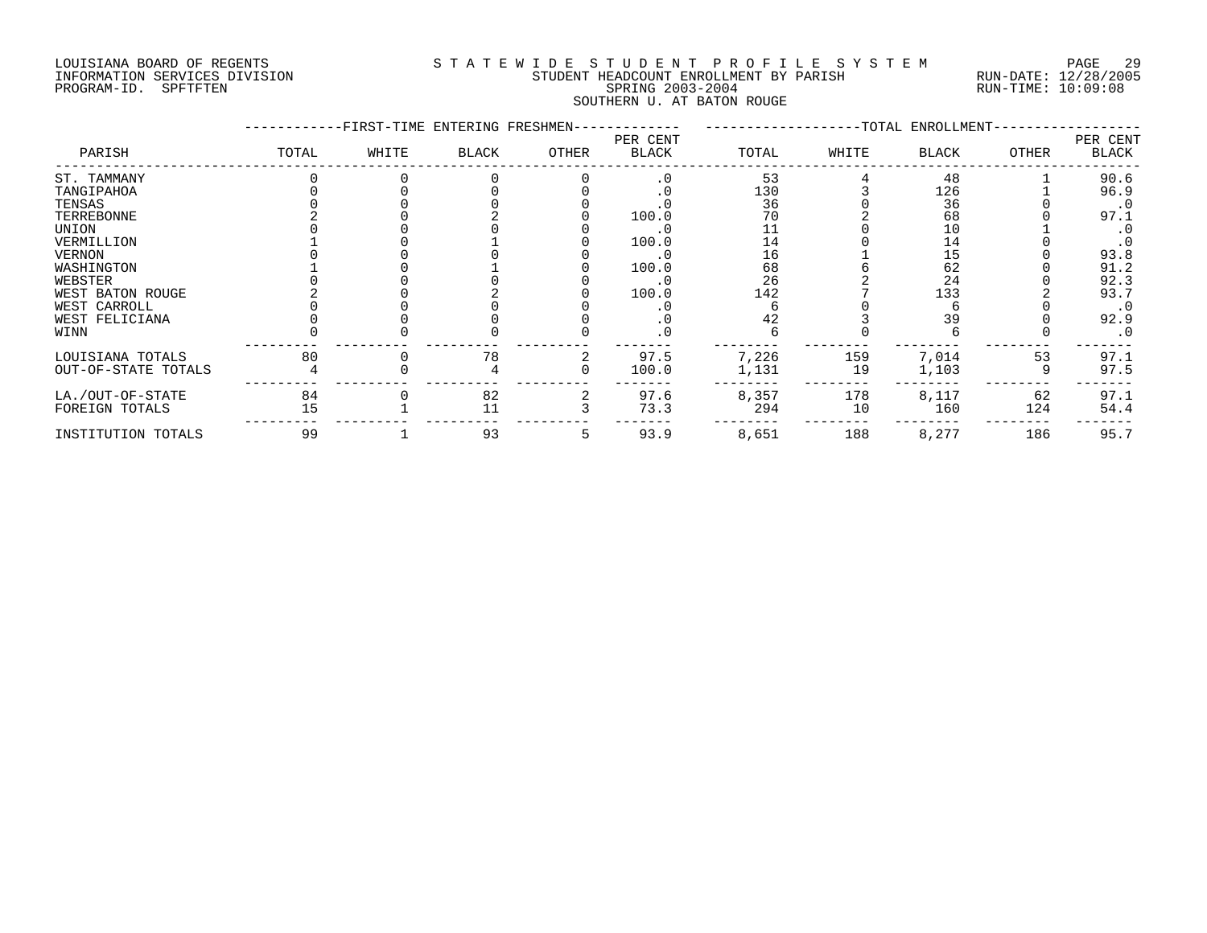#### LOUISIANA BOARD OF REGENTS S T A T E W I D E S T U D E N T P R O F I L E S Y S T E M PAGE 29 INFORMATION SERVICES DIVISION STUDENT HEADCOUNT ENROLLMENT BY PARISH RUN-DATE: 12/28/2005 PROGRAM-ID. SPFTFTEN SALL SOLUTION SPRING 2003-2004 RUN-TIME: 10:09:08 SOUTHERN U. AT BATON ROUGE

|                     |       | -FIRST-TIME ENTERING FRESHMEN- |              |       |                          |       |       | -TOTAL ENROLLMENT- |              |                   |
|---------------------|-------|--------------------------------|--------------|-------|--------------------------|-------|-------|--------------------|--------------|-------------------|
| PARISH              | TOTAL | WHITE                          | <b>BLACK</b> | OTHER | PER CENT<br><b>BLACK</b> | TOTAL | WHITE | <b>BLACK</b>       | <b>OTHER</b> | PER CENT<br>BLACK |
| ST. TAMMANY         |       |                                |              |       | . 0                      | 53    |       | 48                 |              | 90.6              |
| TANGIPAHOA          |       |                                |              |       |                          | 130   |       | 126                |              | 96.9              |
| TENSAS              |       |                                |              |       |                          | 36    |       | 36                 |              | $\cdot$ 0         |
| TERREBONNE          |       |                                |              |       | 100.0                    | 70    |       | 68                 |              | 97.1              |
| UNION               |       |                                |              |       | . 0                      |       |       | 10                 |              | $\cdot$ 0         |
| VERMILLION          |       |                                |              |       | 100.0                    | 14    |       | 14                 |              | $\cdot$ 0         |
| <b>VERNON</b>       |       |                                |              |       | $\cdot$ 0                | 16    |       | 15                 |              | 93.8              |
| WASHINGTON          |       |                                |              |       | 100.0                    | 68    |       | 62                 |              | 91.2              |
| WEBSTER             |       |                                |              |       |                          | 26    |       | 24                 |              | 92.3              |
| WEST BATON ROUGE    |       |                                |              |       | 100.0                    | 142   |       | 133                |              | 93.7              |
| WEST CARROLL        |       |                                |              |       |                          |       |       |                    |              | $\cdot$ 0         |
| WEST FELICIANA      |       |                                |              |       |                          | 42    |       | 39                 |              | 92.9              |
| WINN                |       |                                |              |       |                          |       |       |                    |              | $\cdot$ 0         |
| LOUISIANA TOTALS    | 80    |                                | 78           |       | 97.5                     | 7,226 | 159   | 7,014              | 53           | 97.1              |
| OUT-OF-STATE TOTALS |       |                                |              |       | 100.0                    | 1,131 | 19    | 1,103              |              | 97.5              |
| LA./OUT-OF-STATE    | 84    |                                | 82           |       | 97.6                     | 8,357 | 178   | 8,117              | 62           | 97.1              |
| FOREIGN TOTALS      | 15    |                                | 11           |       | 73.3                     | 294   | 10    | 160                | 124          | 54.4              |
| INSTITUTION TOTALS  | 99    |                                | 93           | 5     | 93.9                     | 8,651 | 188   | 8,277              | 186          | 95.7              |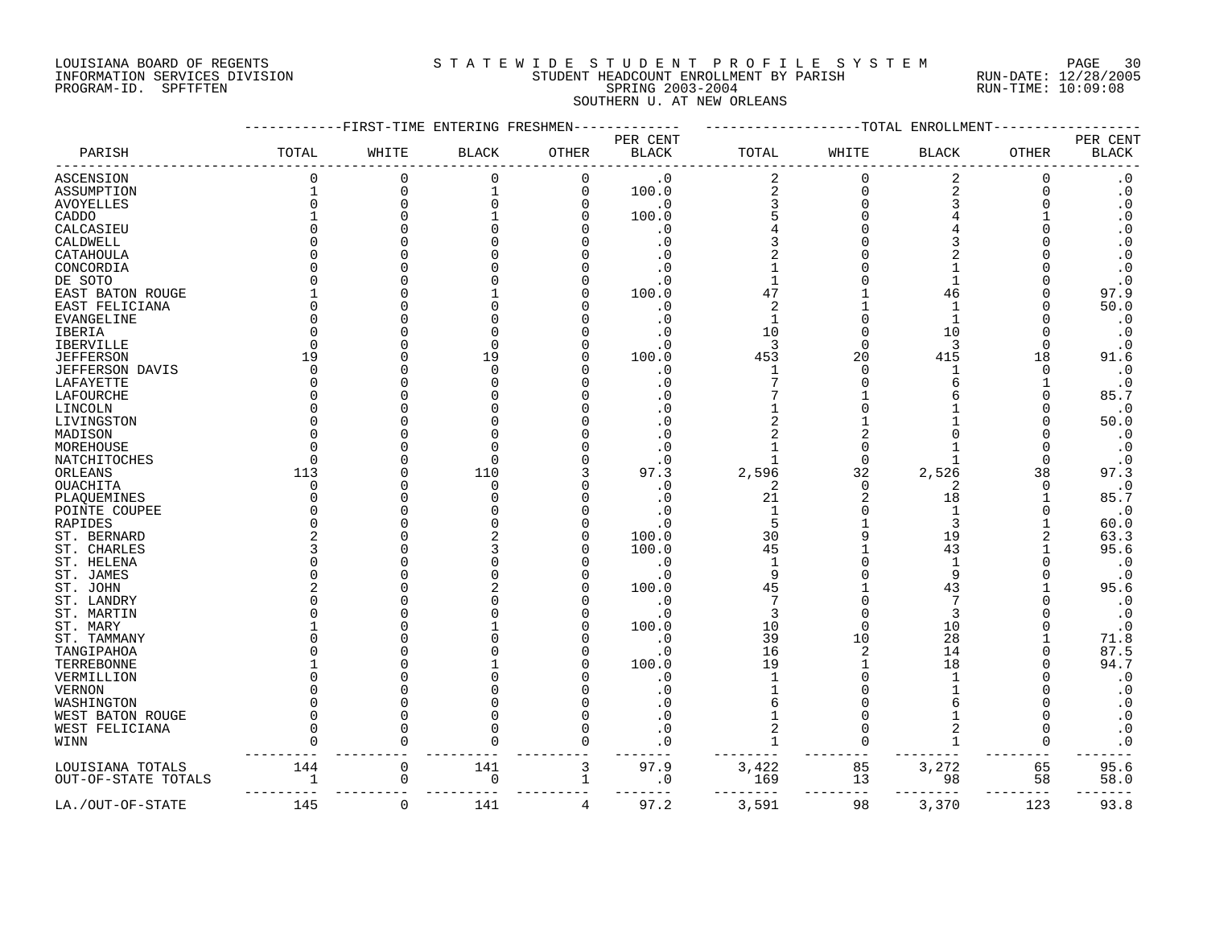# LOUISIANA BOARD OF REGENTS S T A T E W I D E S T U D E N T P R O F I L E S Y S T E M PAGE 30 INFORMATION SERVICES DIVISION STUDENT HEADCOUNT ENROLLMENT BY PARISH RUN-DATE: 12/28/2005 PROGRAM-ID. SPFTFTEN SPRING 2003-2004 RUN-TIME: 10:09:08 SOUTHERN U. AT NEW ORLEANS

|                     |       | ----FIRST-TIME ENTERING FRESHMEN- |              |              |                          |                         |                | --TOTAL ENROLLMENT |              |                          |
|---------------------|-------|-----------------------------------|--------------|--------------|--------------------------|-------------------------|----------------|--------------------|--------------|--------------------------|
| PARISH              | TOTAL | WHITE                             | <b>BLACK</b> | <b>OTHER</b> | PER CENT<br><b>BLACK</b> | TOTAL                   | WHITE          | <b>BLACK</b>       | <b>OTHER</b> | PER CENT<br><b>BLACK</b> |
| <b>ASCENSION</b>    |       | $\Omega$                          | $\Omega$     | 0            | $\cdot$ 0                | $\overline{c}$          | $\Omega$       | 2                  | $\Omega$     | $\cdot$ 0                |
| ASSUMPTION          |       | $\Omega$                          |              | $\mathbf 0$  | 100.0                    | $\overline{\mathbf{c}}$ | $\Omega$       | $\overline{a}$     |              | $\boldsymbol{\cdot}$ 0   |
| <b>AVOYELLES</b>    |       | ∩                                 |              | O            | . 0                      | 3                       |                | 3                  |              | $\boldsymbol{\cdot}$ 0   |
| CADDO               |       | $\Omega$                          |              | U            | 100.0                    |                         |                |                    |              | $\overline{0}$           |
| CALCASIEU           |       |                                   |              |              | . 0                      |                         |                |                    |              | $\cdot$ 0                |
| CALDWELL            |       |                                   |              |              | . 0                      |                         |                |                    |              | $\boldsymbol{\cdot}$ 0   |
| CATAHOULA           |       |                                   |              |              | . 0                      |                         |                |                    |              | $\cdot$ 0                |
| CONCORDIA           |       |                                   |              |              |                          |                         |                |                    |              | $\cdot$ 0                |
| DE SOTO             |       |                                   |              |              | . 0                      |                         |                |                    |              | $\cdot$ 0                |
| EAST BATON ROUGE    |       |                                   |              |              | 100.0                    | 47                      |                | 46                 |              | 97.9                     |
| EAST FELICIANA      |       |                                   |              |              | . 0                      | 2                       |                |                    |              | 50.0                     |
| EVANGELINE          |       |                                   |              |              | . 0                      | 1                       |                |                    |              | $\cdot$ 0                |
| IBERIA              |       |                                   |              |              | . 0                      | 10                      |                | 10                 |              | $\boldsymbol{\cdot}$ 0   |
| IBERVILLE           |       |                                   |              |              | . 0                      | 3                       |                | 3                  | ∩            | $\cdot$ 0                |
| <b>JEFFERSON</b>    | 19    |                                   | 19           |              | 100.0                    | 453                     | 20             | 415                | 18           | 91.6                     |
| JEFFERSON DAVIS     |       |                                   |              |              | . 0                      | 1                       |                |                    | ∩            | $\cdot$ 0                |
| LAFAYETTE           |       |                                   |              |              | . 0                      |                         |                |                    |              | $\cdot$ 0                |
| LAFOURCHE           |       |                                   |              |              |                          |                         |                |                    |              | 85.7                     |
| LINCOLN             |       |                                   |              |              |                          |                         |                |                    |              | $\cdot$ 0                |
| LIVINGSTON          |       |                                   |              |              | . 0                      |                         |                |                    |              | 50.0                     |
| MADISON             |       |                                   |              |              |                          |                         |                |                    |              | $\cdot$ 0                |
| MOREHOUSE           |       |                                   |              |              |                          |                         |                |                    |              | $\cdot$ 0                |
| NATCHITOCHES        |       |                                   |              |              | $\cdot$ 0                |                         |                | 1                  |              | $\cdot$ 0                |
| ORLEANS             | 113   |                                   | 110          |              | 97.3                     | 2,596                   | 32             | 2,526              | 38           | 97.3                     |
| <b>OUACHITA</b>     |       |                                   |              |              |                          | 2                       | $\Omega$       | 2                  |              | $\cdot$ 0                |
|                     |       |                                   |              |              | $\boldsymbol{\cdot}$ 0   | 21                      | 2              | 18                 |              | 85.7                     |
| PLAQUEMINES         |       |                                   |              |              | . 0                      |                         |                |                    |              | $\cdot$ 0                |
| POINTE COUPEE       |       |                                   |              |              |                          |                         |                |                    |              |                          |
| RAPIDES             |       |                                   |              |              | . 0                      | 5                       |                | 3<br>19            |              | 60.0                     |
| ST. BERNARD         |       |                                   |              |              | 100.0                    | 30                      |                |                    |              | 63.3                     |
| ST. CHARLES         |       |                                   |              |              | 100.0                    | 45                      |                | 43                 |              | 95.6                     |
| ST. HELENA          |       | ∩                                 |              |              | . 0                      | -1                      |                | 1<br>9             |              | $\cdot$ 0                |
| ST. JAMES           |       |                                   |              |              | $\cdot$ 0                | 9                       |                |                    |              | $\cdot$ 0                |
| ST. JOHN            |       |                                   |              |              | 100.0                    | 45                      |                | 43                 |              | 95.6                     |
| ST. LANDRY          |       |                                   |              |              | . 0                      | 7                       |                |                    |              | $\cdot$ 0                |
| ST. MARTIN          |       |                                   |              |              | $\cdot$ 0                | 3                       |                | 3                  |              | $\cdot$ 0                |
| ST. MARY            |       |                                   |              |              | 100.0                    | 10                      |                | 10                 |              | $\cdot$ 0                |
| ST. TAMMANY         |       |                                   |              |              | $\cdot$ 0                | 39                      | 10             | 28                 |              | 71.8                     |
| TANGIPAHOA          |       |                                   |              |              | . 0                      | 16                      | $\overline{2}$ | 14                 |              | 87.5                     |
| TERREBONNE          |       |                                   |              |              | 100.0                    | 19                      |                | 18                 |              | 94.7                     |
| VERMILLION          |       |                                   |              |              | . 0                      |                         |                |                    |              | $\cdot$ 0                |
| <b>VERNON</b>       |       |                                   |              |              |                          |                         |                |                    |              | $\boldsymbol{\cdot}$ 0   |
| WASHINGTON          |       |                                   |              |              |                          |                         |                |                    |              | $\boldsymbol{\cdot}$ 0   |
| WEST BATON ROUGE    |       | ∩                                 |              |              |                          |                         |                |                    |              | $\boldsymbol{\cdot}$ 0   |
| WEST FELICIANA      |       |                                   |              |              |                          |                         |                |                    |              | $\cdot$ 0                |
| WINN                |       |                                   |              | O            | . 0                      | 1                       |                |                    | 0            | $\cdot$ 0                |
| LOUISIANA TOTALS    | 144   | $\Omega$                          | 141          | 3            | 97.9                     | 3,422                   | 85             | 3,272              | 65           | 95.6                     |
| OUT-OF-STATE TOTALS |       | 0                                 | 0            | 1            | $\cdot$ 0                | 169                     | 13             | 98                 | 58           | 58.0                     |
| LA./OUT-OF-STATE    | 145   | $\mathbf 0$                       | 141          | 4            | 97.2                     | 3,591                   | 98             | 3,370              | 123          | 93.8                     |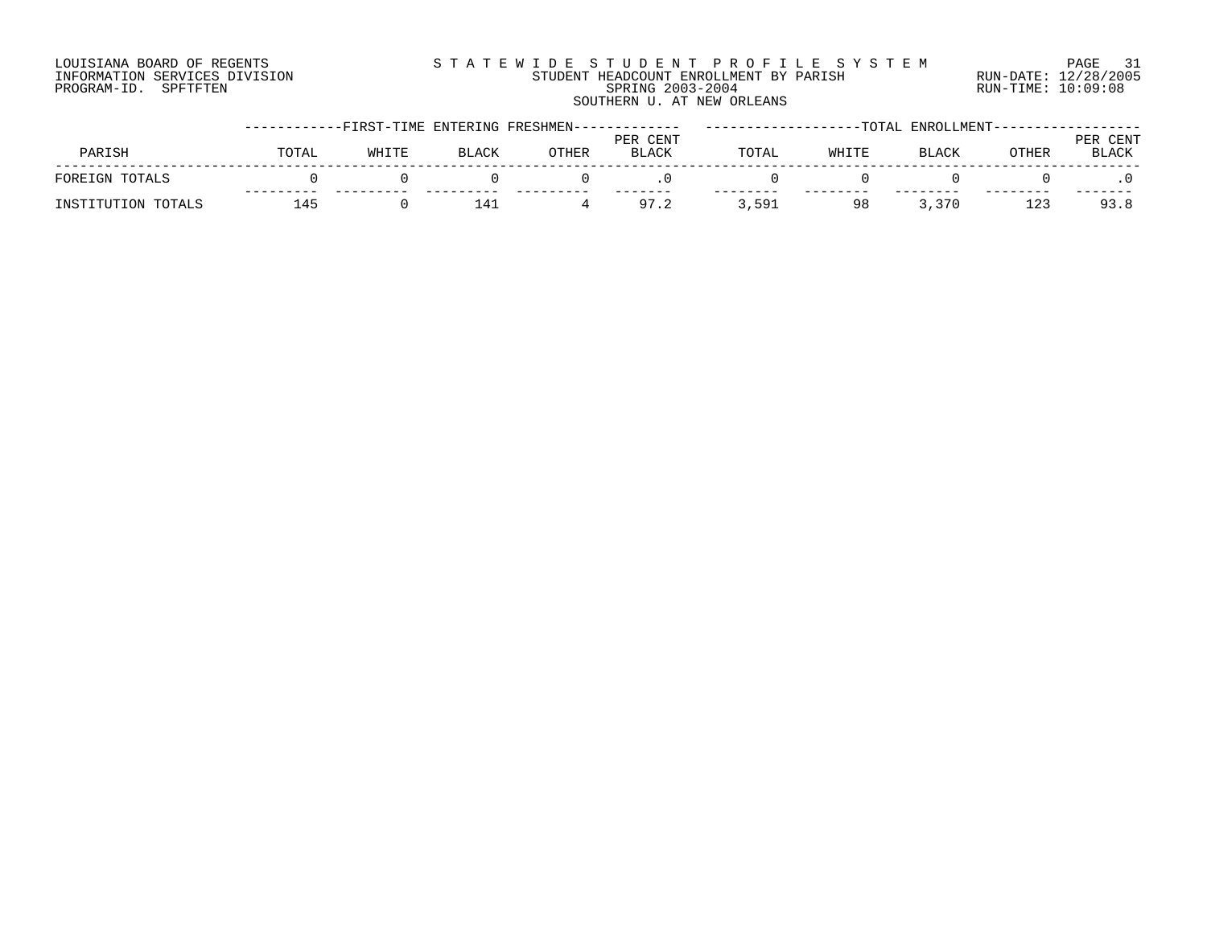# LOUISIANA BOARD OF REGENTS SOURCLEARIE S T A T E W I D E S T U D E N T P R O F I L E S Y S T E M PAGE 31 INFORMATION SERVICES DIVISION STUDENT HEADCOUNT ENROLLMENT BY PARISH RUN-DATE: 12/28/2005 PROGRAM-ID. SPFTFTEN SPRING 2003-2004 RUN-TIME: 10:09:08

#### SOUTHERN U. AT NEW ORLEANS ------------FIRST-TIME ENTERING FRESHMEN------------- -------------------TOTAL ENROLLMENT------------------ PER CENT PARISH TOTAL WHITE BLACK OTHER BLACK TOTAL WHITE BLACK OTHER BLACK

| 교어교 |           |  |           |         |                     |       |                              |          |            |
|-----|-----------|--|-----------|---------|---------------------|-------|------------------------------|----------|------------|
|     | $- - - -$ |  | $- - - -$ | ------- | ---------<br>$\sim$ | ----- | -----<br>__<br>$\neg$ $\neg$ | -------- | ------     |
|     |           |  |           |         | ---                 | QΩ    |                              | ᆂᅀ       | <u>ດ :</u> |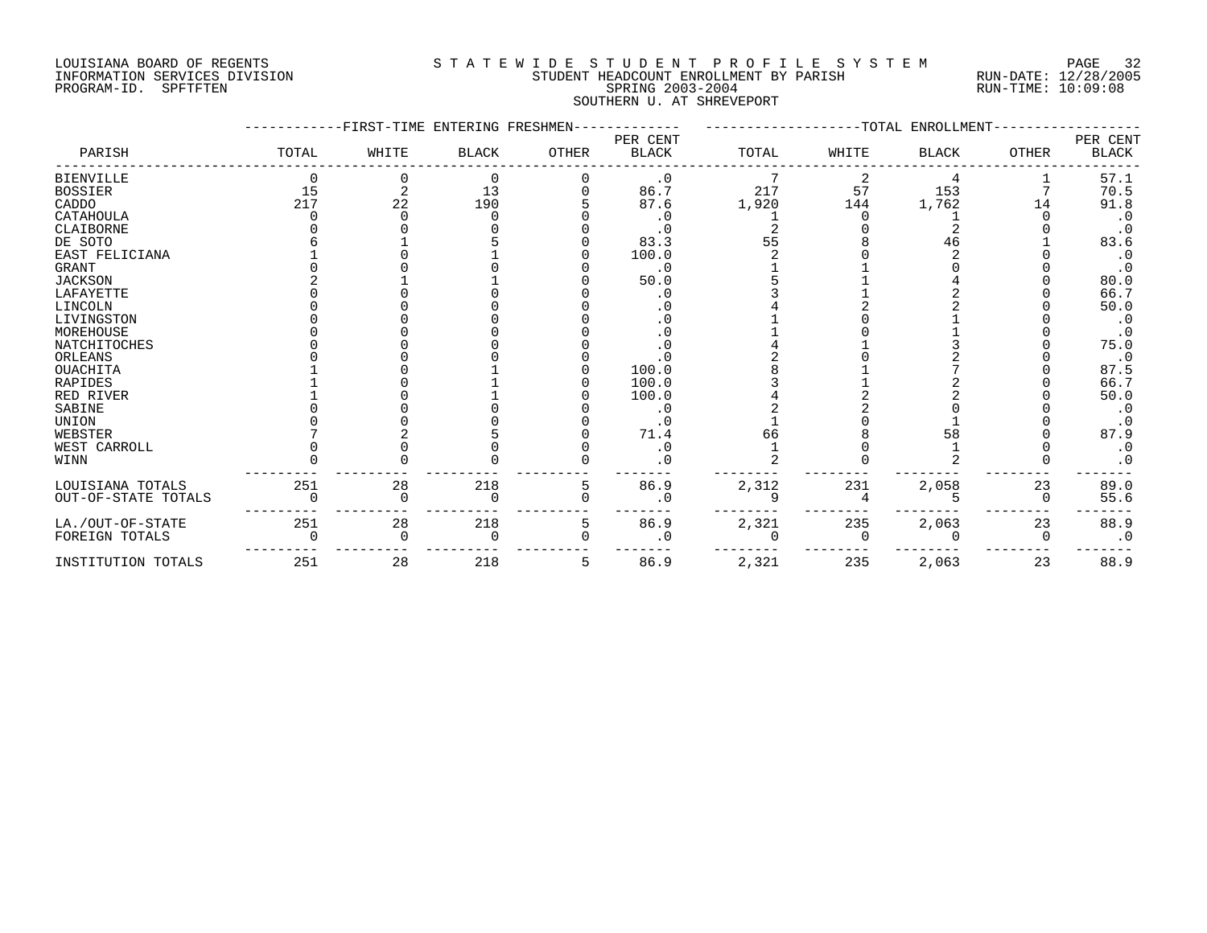# LOUISIANA BOARD OF REGENTS S T A T E W I D E S T U D E N T P R O F I L E S Y S T E M PAGE 32 INFORMATION SERVICES DIVISION STUDENT HEADCOUNT ENROLLMENT BY PARISH RUN-DATE: 12/28/2005 PROGRAM-ID. SPFTFTEN SPRING 2003-2004 RUN-TIME: 10:09:08 SOUTHERN U. AT SHREVEPORT

|                     |       | -FIRST-TIME ENTERING FRESHMEN- |              |              |                          |       |       | -TOTAL ENROLLMENT |              |                          |
|---------------------|-------|--------------------------------|--------------|--------------|--------------------------|-------|-------|-------------------|--------------|--------------------------|
| PARISH              | TOTAL | WHITE                          | <b>BLACK</b> | <b>OTHER</b> | PER CENT<br><b>BLACK</b> | TOTAL | WHITE | <b>BLACK</b>      | <b>OTHER</b> | PER CENT<br><b>BLACK</b> |
| <b>BIENVILLE</b>    |       |                                | 0            |              | $\cdot$ 0                |       |       |                   |              | 57.1                     |
| <b>BOSSIER</b>      | 15    |                                | 13           |              | 86.7                     | 217   | 57    | 153               |              | 70.5                     |
| CADDO               | 217   | 22                             | 190          |              | 87.6                     | 1,920 | 144   | 1,762             | 14           | 91.8                     |
| CATAHOULA           |       |                                |              |              | . 0                      |       |       |                   |              | $\cdot$ 0                |
| CLAIBORNE           |       |                                |              |              | . 0                      |       |       |                   |              | $\cdot$ 0                |
| DE SOTO             |       |                                |              |              | 83.3                     | 55    |       | 46                |              | 83.6                     |
| EAST FELICIANA      |       |                                |              |              | 100.0                    |       |       |                   |              | $\cdot$ 0                |
| <b>GRANT</b>        |       |                                |              |              | . 0                      |       |       |                   |              | $\cdot$ 0                |
| <b>JACKSON</b>      |       |                                |              |              | 50.0                     |       |       |                   |              | 80.0                     |
| LAFAYETTE           |       |                                |              |              | . 0                      |       |       |                   |              | 66.7                     |
| LINCOLN             |       |                                |              |              |                          |       |       |                   |              | 50.0                     |
| LIVINGSTON          |       |                                |              |              |                          |       |       |                   |              | $\cdot$ 0                |
| MOREHOUSE           |       |                                |              |              | . 0                      |       |       |                   |              | $\cdot$ 0                |
| <b>NATCHITOCHES</b> |       |                                |              |              | $\cdot$ 0                |       |       |                   |              | 75.0                     |
| ORLEANS             |       |                                |              |              |                          |       |       |                   |              | $\cdot$ 0                |
| <b>OUACHITA</b>     |       |                                |              |              | 100.0                    |       |       |                   |              | 87.5                     |
| RAPIDES             |       |                                |              |              | 100.0                    |       |       |                   |              | 66.7                     |
| RED RIVER           |       |                                |              |              | 100.0                    |       |       |                   |              | 50.0                     |
| SABINE              |       |                                |              |              | . 0                      |       |       |                   |              | $\cdot$ 0                |
| <b>UNION</b>        |       |                                |              |              | . 0                      |       |       |                   |              | . 0                      |
| WEBSTER             |       |                                |              |              | 71.4                     | 66    |       | 58                |              | 87.9                     |
| WEST CARROLL        |       |                                |              |              | . 0                      |       |       |                   |              | $\cdot$ 0                |
| WINN                |       |                                |              |              | . 0                      |       |       |                   |              | $\cdot$ 0                |
| LOUISIANA TOTALS    | 251   | 28                             | 218          | 5            | 86.9                     | 2,312 | 231   | 2,058             | 23           | 89.0                     |
| OUT-OF-STATE TOTALS |       | O                              | $\Omega$     | O            | . 0                      |       |       |                   | 0            | 55.6                     |
| LA./OUT-OF-STATE    | 251   | 28                             | 218          | 5            | 86.9                     | 2,321 | 235   | 2,063             | 23           | 88.9                     |
| FOREIGN TOTALS      |       | U                              | $\Omega$     |              | . 0                      |       |       |                   | $\Omega$     | $\cdot$ 0                |
| INSTITUTION TOTALS  | 251   | 28                             | 218          | 5            | 86.9                     | 2,321 | 235   | 2,063             | 23           | 88.9                     |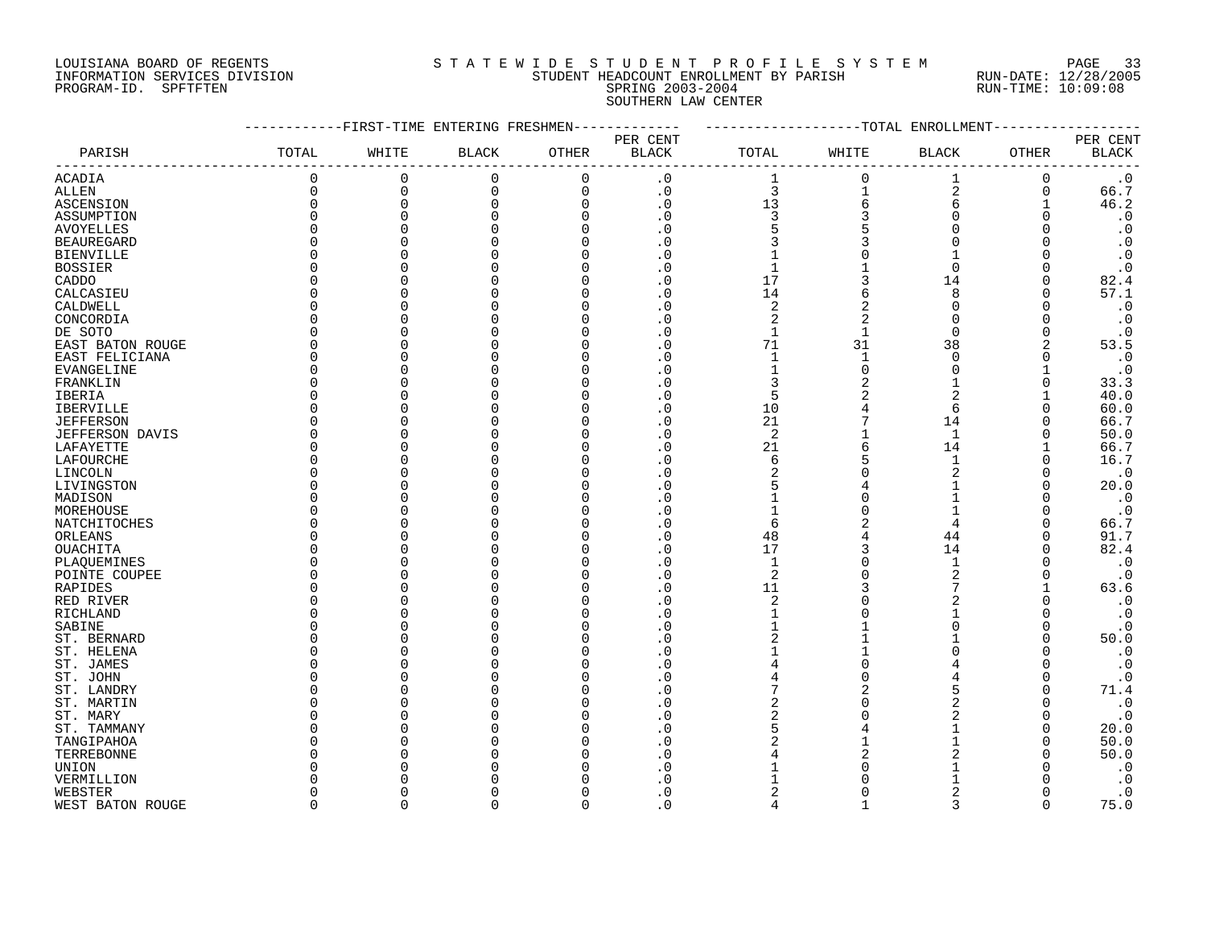#### LOUISIANA BOARD OF REGENTS S T A T E W I D E S T U D E N T P R O F I L E S Y S T E M PAGE 33 INFORMATION SERVICES DIVISION STUDENT HEADCOUNT ENROLLMENT BY PARISH RUN-DATE: 12/28/2005 PROGRAM-ID. SPFTFTEN SPRING 2003-2004 RUN-TIME: 10:09:08 SOUTHERN LAW CENTER

|                        |                   | -FIRST-TIME ENTERING FRESHMEN |              |              |                        |                |                | --TOTAL ENROLLMENT |              |                        |
|------------------------|-------------------|-------------------------------|--------------|--------------|------------------------|----------------|----------------|--------------------|--------------|------------------------|
|                        |                   |                               |              |              | PER CENT               |                |                |                    |              | PER CENT               |
| PARISH                 | TOTAL             | WHITE                         | <b>BLACK</b> | <b>OTHER</b> | <b>BLACK</b>           | TOTAL          | WHITE          | <b>BLACK</b>       | OTHER        | <b>BLACK</b>           |
| <b>ACADIA</b>          | 0                 | 0                             | $\mathbf 0$  | $\mathbf 0$  | $\cdot$ 0              | 1              | $\Omega$       | 1                  | 0            | $\cdot$ 0              |
| ALLEN                  | 0                 | $\Omega$                      | 0            | $\mathbf 0$  | $\cdot$ 0              | 3              | 1              | $\overline{2}$     | 0            | 66.7                   |
| ASCENSION              | $\Omega$          | $\Omega$                      | $\Omega$     | $\Omega$     | $\cdot$ 0              | 13             | 6              | 6                  |              | 46.2                   |
| ASSUMPTION             | $\Omega$          |                               |              | n            | . 0                    | 3              | 3              | $\Omega$           |              | $\boldsymbol{\cdot}$ 0 |
| <b>AVOYELLES</b>       | $\Omega$          |                               |              |              | . 0                    | 5              |                | $\Omega$           |              | $\boldsymbol{\cdot}$ 0 |
| <b>BEAUREGARD</b>      | $\Omega$          |                               |              |              | . 0                    | 3              | 3              |                    |              | $\boldsymbol{\cdot}$ 0 |
| <b>BIENVILLE</b>       | 0                 |                               |              | O            | . 0                    |                |                |                    |              | $\cdot$ 0              |
| <b>BOSSIER</b>         | O                 |                               |              |              | $\boldsymbol{\cdot}$ 0 | $\mathbf{1}$   |                | $\Omega$           |              | $\cdot$ 0              |
| CADDO                  | O                 |                               |              |              | . 0                    | 17             | 3              | 14                 | O            | 82.4                   |
| CALCASIEU              | U                 |                               |              |              | $\overline{0}$         | 14             | 6              | 8                  | <sup>0</sup> | 57.1                   |
| CALDWELL               | O                 |                               |              |              | $\Omega$               | $\overline{2}$ | 2              | $\Omega$           |              | $\cdot$ 0              |
| CONCORDIA              | O                 |                               |              |              | . 0                    | $\overline{2}$ | $\overline{2}$ | $\Omega$           |              | $\cdot$ 0              |
| DE SOTO                | $\Omega$          |                               |              |              | . 0                    | $\mathbf{1}$   |                | $\Omega$           | $\Omega$     | $\cdot$ 0              |
| EAST BATON ROUGE       | $\Omega$          |                               |              |              | $\cdot$ 0              | 71             | 31             | 38                 | 2            | 53.5                   |
|                        | <sup>0</sup>      |                               |              |              |                        | $\mathbf{1}$   | $\mathbf{1}$   | $\Omega$           | O            | $\cdot$ 0              |
| EAST FELICIANA         |                   |                               |              |              | 0                      |                | $\Omega$       | $\Omega$           |              |                        |
| EVANGELINE             | 0<br><sup>0</sup> |                               |              |              | . 0                    | $\mathbf{1}$   |                |                    |              | $\cdot$ 0              |
| FRANKLIN               |                   |                               |              |              | . 0                    | 3              | 2              |                    | $\Omega$     | 33.3                   |
| IBERIA                 | O                 |                               |              |              | . 0                    | 5              | 2              | 2                  |              | 40.0                   |
| IBERVILLE              | <sup>0</sup>      |                               |              |              | . 0                    | 10             | 4              | 6                  |              | 60.0                   |
| <b>JEFFERSON</b>       | $\Omega$          |                               |              |              | $\Omega$               | 21             |                | 14                 |              | 66.7                   |
| <b>JEFFERSON DAVIS</b> | <sup>0</sup>      |                               |              |              | . 0                    | $\overline{2}$ |                | $\mathbf{1}$       | O            | 50.0                   |
| LAFAYETTE              | $\Omega$          |                               |              |              | $\Omega$               | 21             | 6              | 14                 |              | 66.7                   |
| LAFOURCHE              | $\Omega$          |                               |              |              |                        | 6              |                | $\mathbf{1}$       | $\Omega$     | 16.7                   |
| LINCOLN                | <sup>0</sup>      |                               |              |              | . 0                    | $\overline{2}$ |                | $\overline{2}$     | $\Omega$     | $\cdot$ 0              |
| LIVINGSTON             | O                 |                               |              |              | $\Omega$               | 5              |                |                    |              | 20.0                   |
| MADISON                | 0                 |                               |              |              | . 0                    |                | O              |                    | O            | $\cdot$ 0              |
| MOREHOUSE              | O                 |                               |              |              | $\Omega$               | 1              |                |                    |              | $\cdot$ 0              |
| NATCHITOCHES           | <sup>0</sup>      |                               |              |              |                        | 6              | 2              |                    | $\Omega$     | 66.7                   |
| ORLEANS                | $\Omega$          |                               |              |              | $\mathbf 0$            | 48             |                | 44                 | ∩            | 91.7                   |
| OUACHITA               | $\Omega$          |                               |              |              |                        | 17             | 3              | 14                 |              | 82.4                   |
| PLAQUEMINES            | $\Omega$          |                               |              |              | . 0                    | $\mathbf{1}$   | $\Omega$       | $\mathbf{1}$       |              | $\cdot$ 0              |
| POINTE COUPEE          | $\Omega$          |                               |              |              | $\Omega$               | $\overline{2}$ | $\Omega$       | $\overline{a}$     |              | $\cdot$ 0              |
| RAPIDES                | O                 |                               |              |              | . 0                    | 11             | 3              |                    |              | 63.6                   |
| RED RIVER              | O                 |                               |              |              | $\overline{0}$         | $\overline{2}$ |                | 2                  |              | $\cdot$ 0              |
| RICHLAND               | O                 |                               |              |              | $\Omega$               | $\mathbf{1}$   |                |                    |              | $\cdot$ 0              |
| SABINE                 | <sup>0</sup>      |                               |              |              | . 0                    |                |                | $\Omega$           | $\Omega$     | $\cdot$ 0              |
| ST. BERNARD            | O                 |                               |              |              | . 0                    | 2              |                |                    | $\Omega$     | 50.0                   |
| ST. HELENA             | U                 |                               |              |              | . 0                    |                |                |                    |              | $\cdot$ 0              |
| ST. JAMES              | O                 |                               |              |              | $\Omega$               | 4              |                |                    |              | $\boldsymbol{\cdot}$ 0 |
| ST. JOHN               | O                 |                               |              |              |                        | 4              |                |                    | ∩            | $\cdot$ 0              |
| ST. LANDRY             | $\Omega$          |                               |              |              | . 0                    | 7              |                | 5                  |              | 71.4                   |
| ST. MARTIN             | <sup>0</sup>      |                               |              |              | . 0                    | 2              |                |                    | $\Omega$     | $\boldsymbol{\cdot}$ 0 |
| ST. MARY               | O                 |                               |              |              | 0                      | $\overline{2}$ |                |                    |              | $\cdot$ 0              |
| ST. TAMMANY            | O                 |                               |              |              | . 0                    | 5              |                |                    |              | 20.0                   |
| TANGIPAHOA             | O                 |                               |              |              | . 0                    | 2              |                |                    | $\Omega$     | 50.0                   |
| TERREBONNE             | O                 |                               |              |              | . 0                    |                |                |                    |              | 50.0                   |
| UNION                  | $\Omega$          |                               |              |              | . 0                    |                |                |                    |              | $\cdot$ 0              |
| VERMILLION             |                   |                               |              |              | $\cap$                 |                |                |                    |              | $\cdot$ 0              |
| WEBSTER                | O                 |                               |              |              | $\cdot$ 0              | $\overline{c}$ |                | 2                  |              | $\cdot$ 0              |
| WEST BATON ROUGE       | $\cap$            | $\cap$                        | $\Omega$     | $\Omega$     | $\Omega$               | $\Delta$       |                | $\mathbf{3}$       | $\Omega$     | 75.0                   |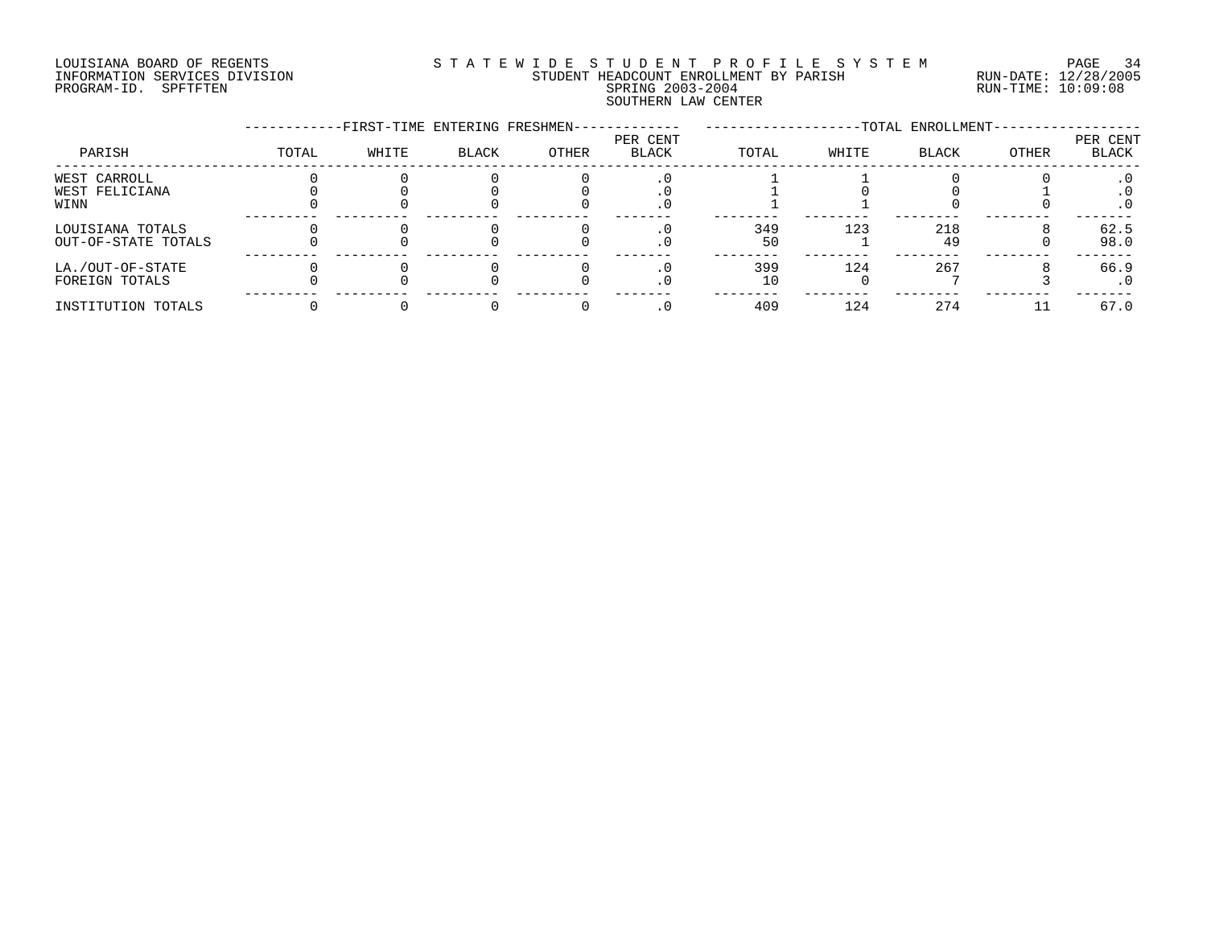# LOUISIANA BOARD OF REGENTS S T A T E W I D E S T U D E N T P R O F I L E S Y S T E M PAGE 34 INFORMATION SERVICES DIVISION STUDENT HEADCOUNT ENROLLMENT BY PARISH RUN-DATE: 12/28/2005 PROGRAM-ID. SPFTFTEN SPRING 2003-2004 RUN-TIME: 10:09:08 SOUTHERN LAW CENTER

|                                         |       | -FIRST-TIME ENTERING FRESHMEN- |              |       |                          |           |       | -TOTAL ENROLLMENT- |       |                   |
|-----------------------------------------|-------|--------------------------------|--------------|-------|--------------------------|-----------|-------|--------------------|-------|-------------------|
| PARISH                                  | TOTAL | WHITE                          | <b>BLACK</b> | OTHER | PER CENT<br><b>BLACK</b> | TOTAL     | WHITE | <b>BLACK</b>       | OTHER | PER CENT<br>BLACK |
| WEST CARROLL<br>WEST FELICIANA          |       |                                |              |       |                          |           |       |                    |       |                   |
| WINN                                    |       |                                |              |       | . 0                      |           |       |                    |       |                   |
| LOUISIANA TOTALS<br>OUT-OF-STATE TOTALS |       |                                |              |       |                          | 349<br>50 | 123   | 218<br>49          |       | 62.5<br>98.0      |
| LA./OUT-OF-STATE<br>FOREIGN TOTALS      |       |                                |              |       |                          | 399       | 124   | 267                |       | 66.9              |
| INSTITUTION TOTALS                      |       |                                |              |       |                          | 409       | 124   | 274                |       | 67.0              |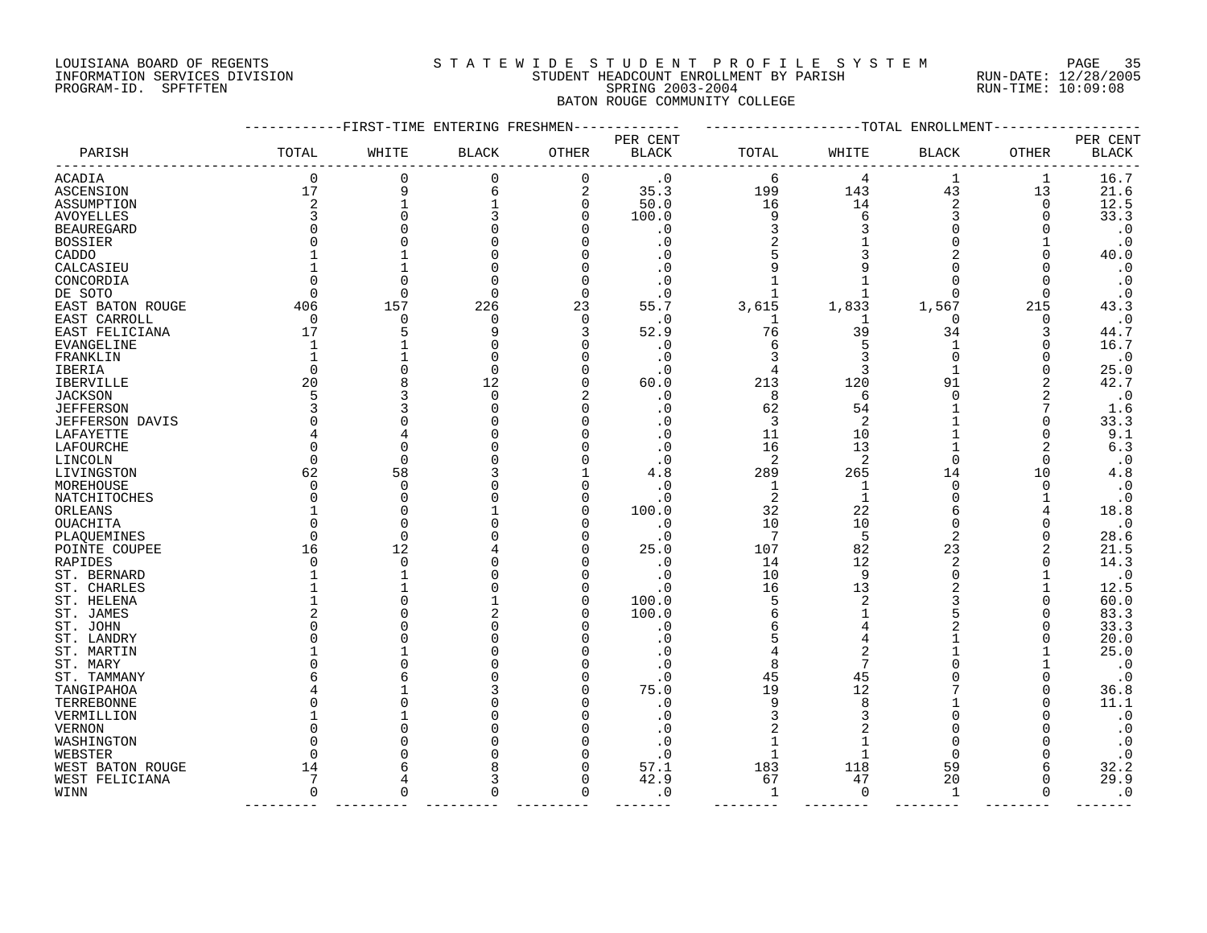### LOUISIANA BOARD OF REGENTS S T A T E W I D E S T U D E N T P R O F I L E S Y S T E M PAGE 35 INFORMATION SERVICES DIVISION STUDENT HEADCOUNT ENROLLMENT BY PARISH RUN-DATE: 12/28/2005 PROGRAM-ID. SPFTFTEN SPRING 2003-2004 RUN-TIME: 10:09:08 BATON ROUGE COMMUNITY COLLEGE

|                        |             | ------FIRST-TIME ENTERING FRESHMEN- |              |                |              |                |             | ------------TOTAL ENROLLMENT |          |                  |
|------------------------|-------------|-------------------------------------|--------------|----------------|--------------|----------------|-------------|------------------------------|----------|------------------|
|                        |             |                                     |              |                | PER CENT     |                |             |                              |          | PER CENT         |
| PARISH                 | TOTAL       | WHITE                               | <b>BLACK</b> | OTHER          | <b>BLACK</b> | TOTAL          | WHITE       | <b>BLACK</b>                 | OTHER    | <b>BLACK</b>     |
| ACADIA                 | $\mathbf 0$ | 0                                   | 0            | 0              | $\cdot$ 0    | 6              | 4           | 1                            | 1        | 16.7             |
| ASCENSION              | 17          | 9                                   | 6            | $\overline{2}$ | 35.3         | 199            | 143         | 43                           | 13       | 21.6             |
| ASSUMPTION             | 2           | $\mathbf{1}$                        |              | $\mathbf 0$    | 50.0         | 16             | 14          | 2                            | 0        | 12.5             |
| AVOYELLES              | 3           | $\Omega$                            |              | 0              | 100.0        | 9              | 6           | 3                            | O        | 33.3             |
| <b>BEAUREGARD</b>      |             |                                     |              | U              | . 0          | 3              |             | ∩                            |          | $\cdot$ 0        |
| BOSSIER                |             |                                     |              |                | . 0          | 2              |             | ∩                            |          | $\cdot$ 0        |
| CADDO                  |             |                                     |              |                | . 0          |                |             |                              |          | 40.0             |
| CALCASIEU              |             |                                     |              |                | . 0          |                |             |                              |          | $\cdot$ 0        |
| CONCORDIA              |             | ∩                                   |              | 0              | . 0          |                |             |                              | O        | $\cdot$ 0        |
| DE SOTO                |             | ∩                                   |              | $\Omega$       | . 0          |                |             | ∩                            | ∩        | $\cdot$ 0        |
| EAST BATON ROUGE       | 406         | 157                                 | 226          | 23             | 55.7         | 3,615          | 1,833       | 1,567                        | 215      | 43.3             |
| EAST CARROLL           | $\Omega$    | ∩                                   | ∩            | $\Omega$       | . 0          | 1              | -1          | $\Omega$                     | O        | $\cdot$ 0        |
| EAST FELICIANA         | 17          | 5                                   |              | 3              | 52.9         | 76             | 39          | 34                           | 3        | 44.7             |
| EVANGELINE             |             |                                     |              | O              | . 0          | 6              |             | 1                            | O        | 16.7             |
| FRANKLIN               |             |                                     |              | U              | . 0          | 3              |             | $\Omega$                     |          | $\cdot$ 0        |
| IBERIA                 |             |                                     | $\Omega$     | U              | . 0          | $\overline{4}$ | 3           | 1                            | O        | 25.0             |
| <b>IBERVILLE</b>       | 20          |                                     | 12           | U              | 60.0         | 213            | 120         | 91                           | 2        | 42.7             |
|                        | 5           |                                     | $\Omega$     |                | . 0          | 8              | 6           | $\Omega$                     | 2        |                  |
| <b>JACKSON</b>         |             |                                     |              | O              |              |                | 54          |                              |          | $\cdot$ 0<br>1.6 |
| <b>JEFFERSON</b>       |             |                                     |              | U              | . 0          | 62             |             |                              | ∩        |                  |
| <b>JEFFERSON DAVIS</b> |             |                                     |              |                | . 0          | 3              | 2           |                              |          | 33.3             |
| LAFAYETTE              |             | ∩                                   |              |                | . 0          | 11             | 10          |                              | $\Omega$ | 9.1              |
| LAFOURCHE              |             |                                     |              |                | . 0          | 16             | 13          |                              |          | 6.3              |
| LINCOLN                | ∩           | $\Omega$                            |              |                | . 0          | 2              | 2           | $\Omega$                     | $\Omega$ | $\cdot$ 0        |
| LIVINGSTON             | 62          | 58                                  |              |                | 4.8          | 289            | 265         | 14                           | 10       | 4.8              |
| MOREHOUSE              |             | $\Omega$                            |              | U              | . 0          | 1              | -1          | $\Omega$                     | O        | $\cdot$ 0        |
| NATCHITOCHES           |             | $\Omega$                            |              | O              | . 0          | 2              | $\mathbf 1$ | $\Omega$                     |          | $\cdot$ 0        |
| ORLEANS                |             | O                                   |              | O              | 100.0        | 32             | 22          |                              |          | 18.8             |
| OUACHITA               |             | $\Omega$                            |              | O              | . 0          | 10             | 10          | $\Omega$                     | O        | $\cdot$ 0        |
| PLAQUEMINES            |             | $\Omega$                            |              | O              | $\cdot$ 0    | -7             | 5           | 2                            | O        | 28.6             |
| POINTE COUPEE          | 16          | 12                                  |              | U              | 25.0         | 107            | 82          | 23                           |          | 21.5             |
| RAPIDES                |             | $\Omega$                            |              |                | . 0          | 14             | 12          | 2                            |          | 14.3             |
| ST. BERNARD            |             |                                     |              | U              | . 0          | 10             | 9           | ∩                            |          | $\cdot$ 0        |
| ST. CHARLES            |             | 1                                   |              | O              | $\cdot$ 0    | 16             | 13          |                              |          | 12.5             |
| ST. HELENA             |             | ∩                                   |              | O              | 100.0        | 5              | 2           |                              | ∩        | 60.0             |
| ST. JAMES              |             |                                     |              | U              | 100.0        | 6              |             |                              |          | 83.3             |
| ST. JOHN               |             |                                     |              |                | . 0          | 6              |             |                              |          | 33.3             |
| ST. LANDRY             |             |                                     |              |                | . 0          | 5              |             |                              |          | 20.0             |
| ST. MARTIN             |             |                                     |              | U              | . 0          |                | 2           |                              |          | 25.0             |
| ST. MARY               |             |                                     |              |                | . 0          | 8              |             |                              |          | $\cdot$ 0        |
| ST. TAMMANY            |             |                                     |              |                | . 0          | 45             | 45          |                              |          | $\cdot$ 0        |
| TANGIPAHOA             |             |                                     |              |                | 75.0         | 19             | 12          |                              | ∩        | 36.8             |
| TERREBONNE             |             |                                     |              |                | . 0          | 9              | 8           |                              |          | 11.1             |
| VERMILLION             |             |                                     |              |                | . 0          | 3              |             | ∩                            |          | $\cdot$ 0        |
| <b>VERNON</b>          |             |                                     |              | U              | . 0          | 2              |             |                              |          | $\cdot$ 0        |
| WASHINGTON             |             |                                     |              |                | . 0          |                |             |                              |          | $\cdot$ 0        |
| WEBSTER                |             |                                     |              | U              | . 0          |                |             | ∩                            |          | $\cdot$ 0        |
| WEST BATON ROUGE       | 14          |                                     |              | U              | 57.1         | 183            | 118         | 59                           |          | 32.2             |
| WEST FELICIANA         | 7           |                                     |              | $\Omega$       | 42.9         | 67             | 47          | 20                           | ∩        | 29.9             |
| WINN                   | $\Omega$    | $\Omega$                            |              | $\Omega$       | . 0          | $\mathbf{1}$   | $\Omega$    | $\mathbf 1$                  | $\Omega$ | $\cdot$ 0        |
|                        |             |                                     |              |                |              |                |             |                              |          |                  |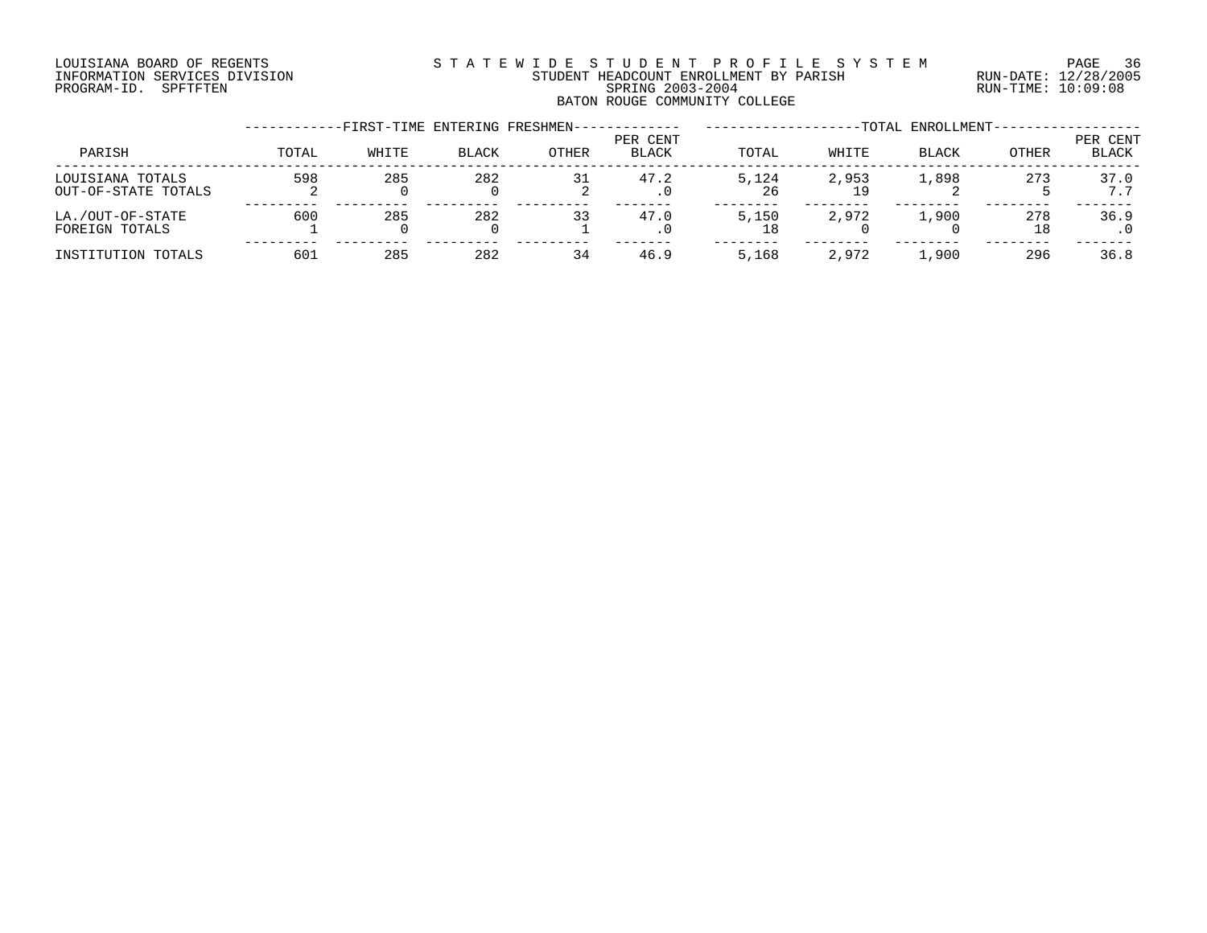# LOUISIANA BOARD OF REGENTS S T A T E W I D E S T U D E N T P R O F I L E S Y S T E M PAGE 36 INFORMATION SERVICES DIVISION STUDENT HEADCOUNT ENROLLMENT BY PARISH RUN-DATE: 12/28/2005 PROGRAM-ID. SPFTFTEN SPRING 2003-2004 RUN-TIME: 10:09:08 BATON ROUGE COMMUNITY COLLEGE

|                                         |       | -FIRST-TIME ENTERING FRESHMEN- |              |       |                          |             |       | -TOTAL ENROLLMENT- |              |                   |
|-----------------------------------------|-------|--------------------------------|--------------|-------|--------------------------|-------------|-------|--------------------|--------------|-------------------|
| PARISH                                  | TOTAL | WHITE                          | <b>BLACK</b> | OTHER | PER CENT<br><b>BLACK</b> | TOTAL       | WHITE | BLACK              | <b>OTHER</b> | PER CENT<br>BLACK |
| LOUISIANA TOTALS<br>OUT-OF-STATE TOTALS | 598   | 285                            | 282          | 31    | 47.2<br>. 0              | 5.124<br>26 | 2,953 | 1,898              | 273          | 37.0<br>7.7       |
| LA./OUT-OF-STATE<br>FOREIGN TOTALS      | 600   | 285                            | 282          | 33    | 47.0<br>. 0              | 5,150       | 2,972 | 1,900              | 278<br>18    | 36.9              |
| INSTITUTION TOTALS                      | 601   | 285                            | 282          | 34    | 46.9                     | 5,168       | 2,972 | 1,900              | 296          | 36.8              |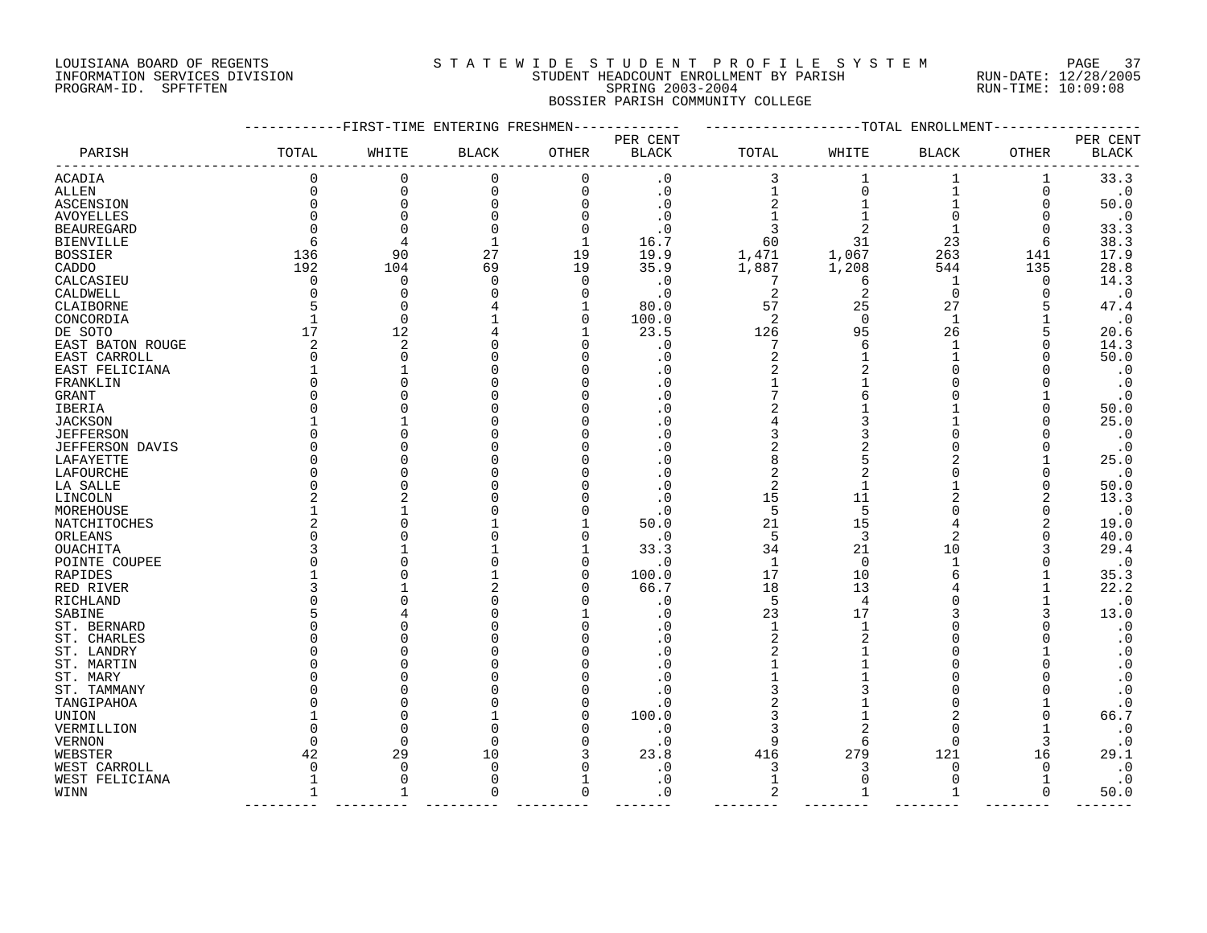## LOUISIANA BOARD OF REGENTS S T A T E W I D E S T U D E N T P R O F I L E S Y S T E M PAGE 37 INFORMATION SERVICES DIVISION STUDENT HEADCOUNT ENROLLMENT BY PARISH RUN-DATE: 12/28/2005 PROGRAM-ID. SPFTFTEN SPRING 2003-2004 RUN-TIME: 10:09:08 BOSSIER PARISH COMMUNITY COLLEGE

|                        |              | -FIRST-TIME ENTERING FRESHMEN |              |       |              |              |          | -TOTAL ENROLLMENT |              |                        |
|------------------------|--------------|-------------------------------|--------------|-------|--------------|--------------|----------|-------------------|--------------|------------------------|
|                        |              |                               |              |       | PER CENT     |              |          |                   |              | PER CENT               |
| PARISH                 | TOTAL        | WHITE                         | <b>BLACK</b> | OTHER | <b>BLACK</b> | TOTAL        | WHITE    | <b>BLACK</b>      | <b>OTHER</b> | <b>BLACK</b>           |
| ACADIA                 | $\Omega$     | 0                             | 0            | 0     | $\cdot$ 0    | 3            |          | 1                 | 1            | 33.3                   |
| ALLEN                  | $\Omega$     | $\mathbf 0$                   | 0            | 0     | $\cdot$ 0    | $\mathbf{1}$ | $\Omega$ | $\mathbf{1}$      | 0            | $\cdot$ 0              |
| ASCENSION              | <sup>0</sup> | $\mathbf 0$                   | 0            | 0     | $\cdot$ 0    | 2            |          | 1                 | 0            | 50.0                   |
| AVOYELLES              |              | $\Omega$                      |              | 0     | . 0          |              |          | $\Omega$          | O            | $\cdot$ 0              |
| <b>BEAUREGARD</b>      |              | $\Omega$                      |              | 0     | . 0          | 3            |          |                   | O            | 33.3                   |
| <b>BIENVILLE</b>       | h            | 4                             | -1           | 1     | 16.7         | 60           | 31       | 23                | 6            | 38.3                   |
| <b>BOSSIER</b>         | 136          | 90                            | 27           | 19    | 19.9         | 1,471        | 1,067    | 263               | 141          | 17.9                   |
| CADDO                  | 192          | 104                           | 69           | 19    | 35.9         | 1,887        | 1,208    | 544               | 135          | 28.8                   |
| CALCASIEU              | $\Omega$     | 0                             | $\Omega$     | 0     | . 0          | 7            | 6        | 1                 | O            | 14.3                   |
| CALDWELL               |              | 0                             |              | 0     | $\cdot$ 0    | 2            | 2        | $\mathbf 0$       | O            | $\cdot$ 0              |
| CLAIBORNE              |              | $\Omega$                      |              | 1     | 80.0         | 57           | 25       | 27                |              | 47.4                   |
| CONCORDIA              |              | $\mathbf 0$                   |              | 0     | 100.0        | 2            | $\Omega$ | $\mathbf{1}$      |              | $\cdot$ 0              |
| DE SOTO                | 17           | 12                            |              | 1     | 23.5         | 126          | 95       | 26                |              | 20.6                   |
| EAST BATON ROUGE       |              | 2                             |              | O     | . 0          | 7            |          | 1                 |              | 14.3                   |
| EAST CARROLL           |              | 0                             |              | O     | . 0          | 2            |          |                   |              | 50.0                   |
| EAST FELICIANA         |              | $\mathbf{1}$                  |              | 0     | . 0          | 2            |          | ∩                 |              | $\cdot$ 0              |
| FRANKLIN               |              | $\Omega$                      |              | O     | . 0          |              |          | ∩                 |              | $\cdot$ 0              |
| GRANT                  |              | $\Omega$                      |              | O     | . 0          |              |          | O                 |              | $\cdot$ 0              |
| IBERIA                 |              | U                             |              | O     | 0            | 2            |          |                   |              | 50.0                   |
| <b>JACKSON</b>         |              |                               |              |       | . 0          |              |          |                   |              | 25.0                   |
| <b>JEFFERSON</b>       |              | U                             |              | ∩     | 0            | 3            |          |                   |              | $\cdot$ 0              |
| <b>JEFFERSON DAVIS</b> |              | $\Omega$                      |              |       | . 0          | 2            |          |                   |              | $\cdot$ 0              |
| LAFAYETTE              |              | 0                             |              | O     | . 0          | 8            |          |                   |              | 25.0                   |
| LAFOURCHE              |              | $\Omega$                      |              | O     | . 0          | 2            |          | ∩                 |              | $\cdot$ 0              |
| LA SALLE               |              | $\Omega$                      |              |       | . 0          | 2            |          |                   |              | 50.0                   |
| LINCOLN                |              | 2                             |              | O     | . 0          | 15           | 11       |                   | 2            | 13.3                   |
| MOREHOUSE              |              |                               |              | O     | . 0          | 5            | 5        | ∩                 | O            | $\cdot$ 0              |
| NATCHITOCHES           |              | 0                             |              |       | 50.0         | 21           | 15       | 4                 |              | 19.0                   |
| ORLEANS                |              | O                             |              | 0     | . 0          | 5            | 3        | 2                 |              | 40.0                   |
| OUACHITA               |              |                               |              |       | 33.3         | 34           | 21       | 10                |              | 29.4                   |
| POINTE COUPEE          |              | $\Omega$                      |              | 0     | . 0          | 1            | 0        | 1                 |              | $\cdot$ 0              |
| RAPIDES                |              | $\Omega$                      |              | 0     | 100.0        | 17           | 10       |                   |              | 35.3                   |
| RED RIVER              |              |                               |              | 0     | 66.7         | 18           | 13       |                   |              | 22.2                   |
| RICHLAND               |              | O                             |              | O     | . 0          | 5            | 4        |                   |              | $\cdot$ 0              |
| SABINE                 |              |                               |              |       | . 0          | 23           | 17       |                   |              | 13.0                   |
| ST. BERNARD            |              | ∩                             |              | O     | . 0          | 1            | 1        |                   |              | $\cdot$ 0              |
| ST. CHARLES            |              | $\Omega$                      |              | O     | . 0          | 2            |          | O                 |              | $\boldsymbol{\cdot}$ 0 |
| ST. LANDRY             |              | 0<br>$\Omega$                 |              | O     | . 0          | 2            |          | 0<br>∩            |              | $\cdot$ 0              |
| ST. MARTIN             |              |                               |              | O     | . 0          |              |          | ∩                 |              | $\boldsymbol{\cdot}$ 0 |
| ST. MARY               |              | $\Omega$<br>$\Omega$          |              | O     | . 0          |              |          | ∩                 |              | $\cdot$ 0              |
| ST. TAMMANY            |              | $\Omega$                      |              | O     | . 0<br>. 0   | 3<br>2       |          | $\Omega$          |              | $\cdot$ 0<br>$\cdot$ 0 |
| TANGIPAHOA             |              | 0                             |              | 0     |              | 3            |          |                   |              | 66.7                   |
| UNION                  |              | $\Omega$                      | ∩            | O     | 100.0        | 3            |          | $\Omega$          |              |                        |
| VERMILLION             | ∩            | $\Omega$                      | $\Omega$     | 0     | . 0<br>. 0   | 9            |          | ∩                 | 3            | $\cdot$ 0<br>$\cdot$ 0 |
| VERNON<br>WEBSTER      | 42           | 29                            | 10           | 3     | 23.8         | 416          | 279      | 121               | 16           | 29.1                   |
| WEST CARROLL           | $\Omega$     | 0                             | <sup>0</sup> | 0     | . 0          | 3            |          | O                 | O            | $\cdot$ 0              |
| WEST FELICIANA         |              | $\mathbf 0$                   | O            | 1     | . 0          | $\mathbf{1}$ | $\Omega$ | $\Omega$          |              | $\cdot$ 0              |
| WINN                   | 1            | 1                             | O            | 0     | . 0          | 2            |          | 1                 | 0            | 50.0                   |
|                        |              |                               |              |       |              |              |          |                   |              |                        |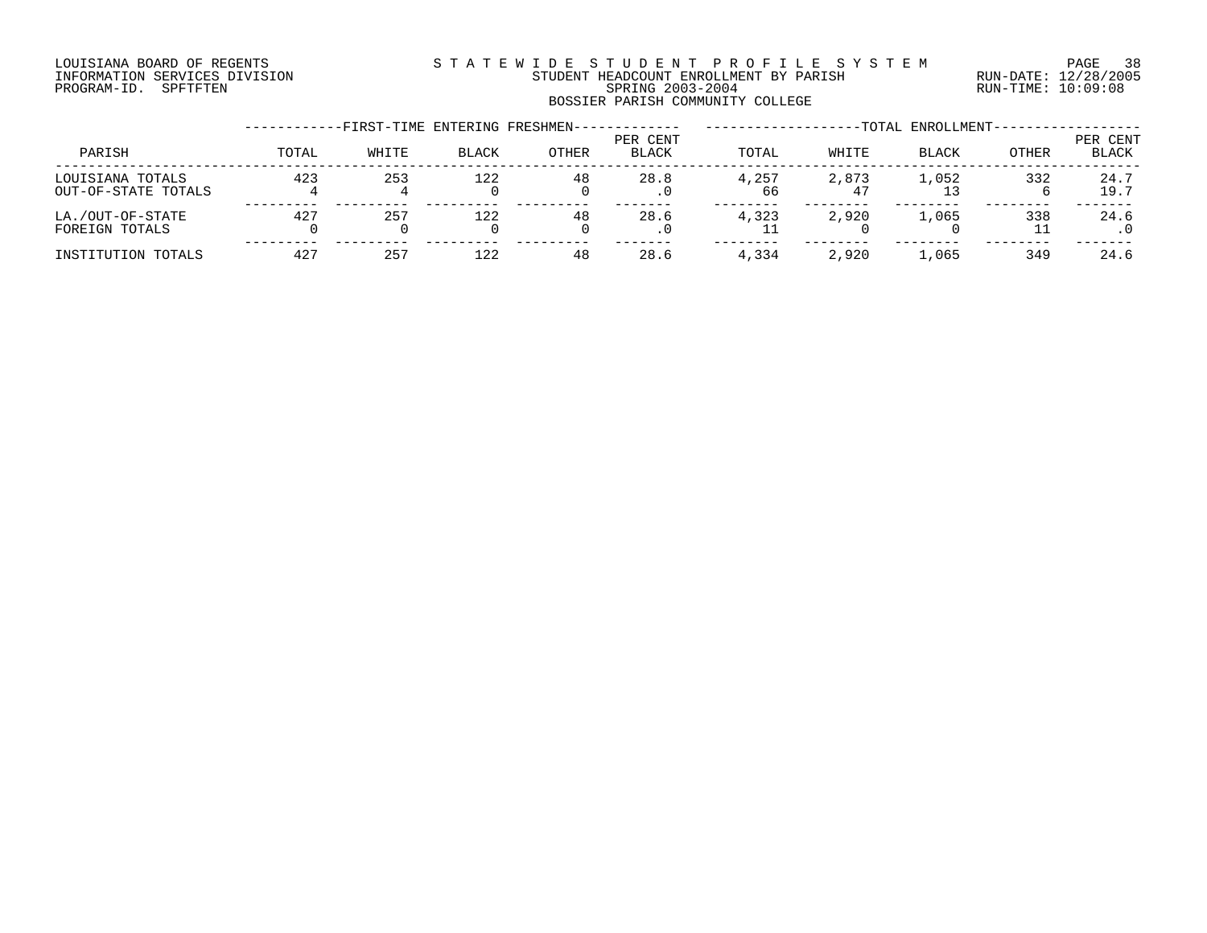# LOUISIANA BOARD OF REGENTS S T A T E W I D E S T U D E N T P R O F I L E S Y S T E M PAGE 38 INFORMATION SERVICES DIVISION STUDENT HEADCOUNT ENROLLMENT BY PARISH RUN-DATE: 12/28/2005 PROGRAM-ID. SPFTFTEN SPRING 2003-2004 RUN-TIME: 10:09:08 BOSSIER PARISH COMMUNITY COLLEGE

|                                         |       | -FIRST-TIME ENTERING FRESHMEN- |              |              |                          |             |             | -TOTAL ENROLLMENT- |              |                   |
|-----------------------------------------|-------|--------------------------------|--------------|--------------|--------------------------|-------------|-------------|--------------------|--------------|-------------------|
| PARISH                                  | TOTAL | WHITE                          | <b>BLACK</b> | <b>OTHER</b> | PER CENT<br><b>BLACK</b> | TOTAL       | WHITE       | <b>BLACK</b>       | <b>OTHER</b> | PER CENT<br>BLACK |
| LOUISIANA TOTALS<br>OUT-OF-STATE TOTALS | 423   | 253                            | 122          | 48           | 28.8                     | 4,257<br>66 | 2,873<br>41 | 1,052              | 332          | 24.7<br>19.7      |
| LA./OUT-OF-STATE<br>FOREIGN TOTALS      | 427   | 257                            | 122          | 48           | 28.6<br>. 0              | 4,323       | 2,920       | 1,065              | 338          | 24.6              |
| INSTITUTION TOTALS                      | 427   | 257                            | 122          | 48           | 28.6                     | 4,334       | 2,920       | 1,065              | 349          | 24.6              |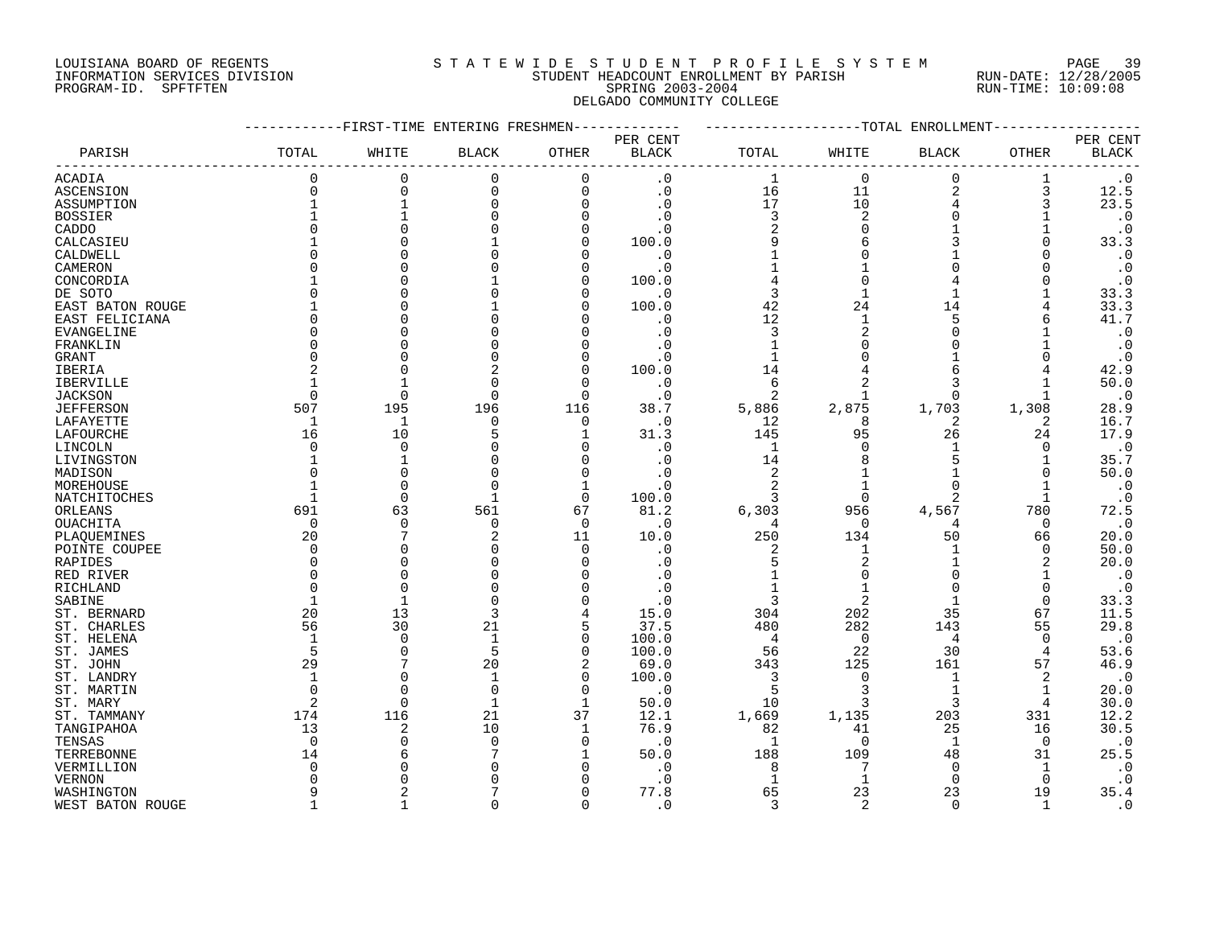#### LOUISIANA BOARD OF REGENTS S T A T E W I D E S T U D E N T P R O F I L E S Y S T E M PAGE 39 INFORMATION SERVICES DIVISION STUDENT HEADCOUNT ENROLLMENT BY PARISH RUN-DATE: 12/28/2005 PROGRAM-ID. SPFTFTEN SPRING 2003-2004 RUN-TIME: 10:09:08 DELGADO COMMUNITY COLLEGE

|                   |              |             | -FIRST-TIME ENTERING FRESHMEN |              |                        |                | -TOTAL         | ENROLLMENT     |              |                        |
|-------------------|--------------|-------------|-------------------------------|--------------|------------------------|----------------|----------------|----------------|--------------|------------------------|
|                   |              |             |                               |              | PER CENT               |                |                |                |              | PER CENT               |
| PARISH            | TOTAL        | WHITE       | <b>BLACK</b>                  | OTHER        | $\operatorname{BLACK}$ | $\tt TOTAL$    | WHITE          | <b>BLACK</b>   | OTHER        | <b>BLACK</b>           |
| <b>ACADIA</b>     | $\Omega$     | 0           | 0                             | $\Omega$     | $\cdot$ 0              | $\mathbf 1$    | $\Omega$       | $\Omega$       |              | $\cdot$ 0              |
| ASCENSION         | 0            | 0           | 0                             | $\Omega$     | $\cdot$ 0              | 16             | 11             | $\overline{2}$ | 3            | 12.5                   |
| ASSUMPTION        |              |             | $\Omega$                      | $\Omega$     | $\cdot$ 0              | 17             | 10             |                | 3            | 23.5                   |
| <b>BOSSIER</b>    |              |             |                               |              | . 0                    | 3              | $\overline{c}$ |                |              | $\boldsymbol{\cdot}$ 0 |
| CADDO             | ∩            |             |                               |              | . 0                    | $\overline{2}$ |                |                |              | $\cdot$ 0              |
| CALCASIEU         |              |             |                               |              | 100.0                  | 9              |                |                |              | 33.3                   |
| CALDWELL          | $\Omega$     |             |                               | $\cap$       | $\cdot$ 0              |                |                |                |              | $\cdot$ 0              |
|                   | O            |             |                               |              |                        |                |                |                |              |                        |
| CAMERON           |              |             |                               |              | $\cdot$ 0              |                |                |                |              | $\cdot$ 0<br>$\cdot$ 0 |
| CONCORDIA         | $\Omega$     |             |                               |              | 100.0                  | 3              |                |                |              |                        |
| DE SOTO           |              |             |                               | ∩            | $\cdot$ 0              |                |                |                |              | 33.3                   |
| EAST BATON ROUGE  |              |             |                               |              | 100.0                  | 42             | 24             | 14             |              | 33.3                   |
| EAST FELICIANA    | $\Omega$     |             |                               |              | . 0                    | 12             |                | 5              | h            | 41.7                   |
| <b>EVANGELINE</b> | $\Omega$     |             |                               |              | $\cdot$ 0              | 3              |                |                |              | $\boldsymbol{\cdot}$ 0 |
| FRANKLIN          | O            |             |                               |              | . 0                    |                |                |                |              | $\cdot$ 0              |
| <b>GRANT</b>      | O            |             |                               |              | . 0                    |                |                |                |              | $\cdot$ 0              |
| IBERIA            | 2            |             | 2                             | $\cap$       | 100.0                  | 14             |                |                |              | 42.9                   |
| <b>IBERVILLE</b>  |              |             |                               | $\cap$       | $\cdot$ 0              | 6              |                | 3              |              | 50.0                   |
| <b>JACKSON</b>    | $\Omega$     | $\Omega$    | $\Omega$                      | $\cap$       | $\cdot$ 0              | 2              |                |                |              | $\cdot$ 0              |
| <b>JEFFERSON</b>  | 507          | 195         | 196                           | 116          | 38.7                   | 5,886          | 2,875          | 1,703          | 1,308        | 28.9                   |
| LAFAYETTE         | 1            | 1           | $\Omega$                      | 0            | $\cdot$ 0              | 12             | 8              | 2              | 2            | 16.7                   |
| LAFOURCHE         | 16           | 10          |                               | -1           | 31.3                   | 145            | 95             | 26             | 24           | 17.9                   |
| LINCOLN           | $\Omega$     | $\Omega$    |                               |              | . 0                    | $\mathbf{1}$   |                |                | O            | $\boldsymbol{\cdot}$ 0 |
| LIVINGSTON        |              |             |                               |              | . 0                    | 14             |                |                |              | 35.7                   |
| MADISON           | $\Omega$     |             |                               | $\Omega$     | . 0                    | $\overline{2}$ |                |                |              | 50.0                   |
| MOREHOUSE         |              | C           |                               |              | . 0                    |                |                | ∩              |              | $\cdot$ 0              |
| NATCHITOCHES      |              | $\Omega$    |                               | $\Omega$     | 100.0                  | 3              |                |                |              | $\cdot$ 0              |
| ORLEANS           | 691          | 63          | 561                           | 67           | 81.2                   | 6,303          | 956            | 4,567          | 780          | 72.5                   |
| OUACHITA          | $\Omega$     | $\Omega$    | $\Omega$                      | $\Omega$     | $\cdot$ 0              | 4              | $\Omega$       | 4              | $\Omega$     | $\cdot$ 0              |
| PLAQUEMINES       | 20           |             | 2                             | 11           | 10.0                   | 250            | 134            | 50             | 66           | 20.0                   |
| POINTE COUPEE     | $\Omega$     |             |                               | $\cap$       | . 0                    | 2              |                |                | 0            | 50.0                   |
| RAPIDES           | 0            |             |                               |              | . 0                    | 5              | 2              |                | 2            | 20.0                   |
| RED RIVER         | $\Omega$     |             |                               |              | . 0                    |                |                |                | 1            | $\cdot$ 0              |
| <b>RICHLAND</b>   | $\Omega$     | $\cap$      |                               |              |                        |                |                |                | $\Omega$     | $\cdot$ 0              |
| SABINE            |              |             |                               |              | $\cdot$ 0              | 3              | $\overline{2}$ |                | $\Omega$     | 33.3                   |
| ST. BERNARD       | 20           | 13          | 3                             |              | 15.0                   | 304            | 202            | 35             | 67           | 11.5                   |
| ST. CHARLES       | 56           | 30          | 21                            | 5            | 37.5                   | 480            | 282            | 143            | 55           | 29.8                   |
| ST. HELENA        | 1            | $\Omega$    | $\mathbf 1$                   | $\Omega$     | 100.0                  | 4              | $\Omega$       | $\overline{4}$ | O            | $\boldsymbol{\cdot}$ 0 |
| ST. JAMES         | 5            | $\bigcap$   | 5                             | $\Omega$     | 100.0                  | 56             | 22             | 30             | 4            | 53.6                   |
| ST. JOHN          | 29           |             | 20                            | 2            | 69.0                   | 343            | 125            | 161            | 57           | 46.9                   |
| ST. LANDRY        | $\mathbf{1}$ |             | $\mathbf{1}$                  | $\mathbf 0$  | 100.0                  | 3              | $\Omega$       |                | 2            | $\cdot$ 0              |
|                   | $\Omega$     | $\cap$      | $\Omega$                      | $\Omega$     |                        | 5              | 3              |                | 1            | 20.0                   |
| ST. MARTIN        | 2            | $\Omega$    | 1                             | $\mathbf{1}$ | $\cdot$ 0<br>50.0      | 10             | 3              | 3              | 4            | 30.0                   |
| ST. MARY          | 174          |             |                               |              |                        |                |                |                |              |                        |
| ST. TAMMANY       |              | 116         | 21                            | 37           | 12.1                   | 1,669          | 1,135          | 203            | 331          | 12.2                   |
| TANGIPAHOA        | 13           | 2           | 10                            |              | 76.9                   | 82             | 41             | 25             | 16           | 30.5                   |
| TENSAS            | $\mathbf 0$  | C           | $\mathbf 0$                   | n            | . 0                    | $\mathbf{1}$   | $\Omega$       | $\mathbf 1$    | $\mathbf 0$  | $\boldsymbol{\cdot}$ 0 |
| TERREBONNE        | 14           |             |                               |              | 50.0                   | 188            | 109            | 48             | 31           | 25.5                   |
| VERMILLION        | 0            |             |                               |              | $\cdot$ 0              | 8              | 7              | 0              | 1            | $\cdot$ 0              |
| <b>VERNON</b>     | U            |             |                               |              | $\cdot$ 0              | $\mathbf{1}$   |                | $\Omega$       | $\Omega$     | $\cdot$ 0              |
| WASHINGTON        | 9            |             |                               |              | 77.8                   | 65             | 23             | 23             | 19           | 35.4                   |
| WEST BATON ROUGE  | $\mathbf{1}$ | $\mathbf 1$ | U                             | $\cap$       | $\cdot$ 0              | 3              | $\overline{2}$ | $\Omega$       | $\mathbf{1}$ | $\cdot$ 0              |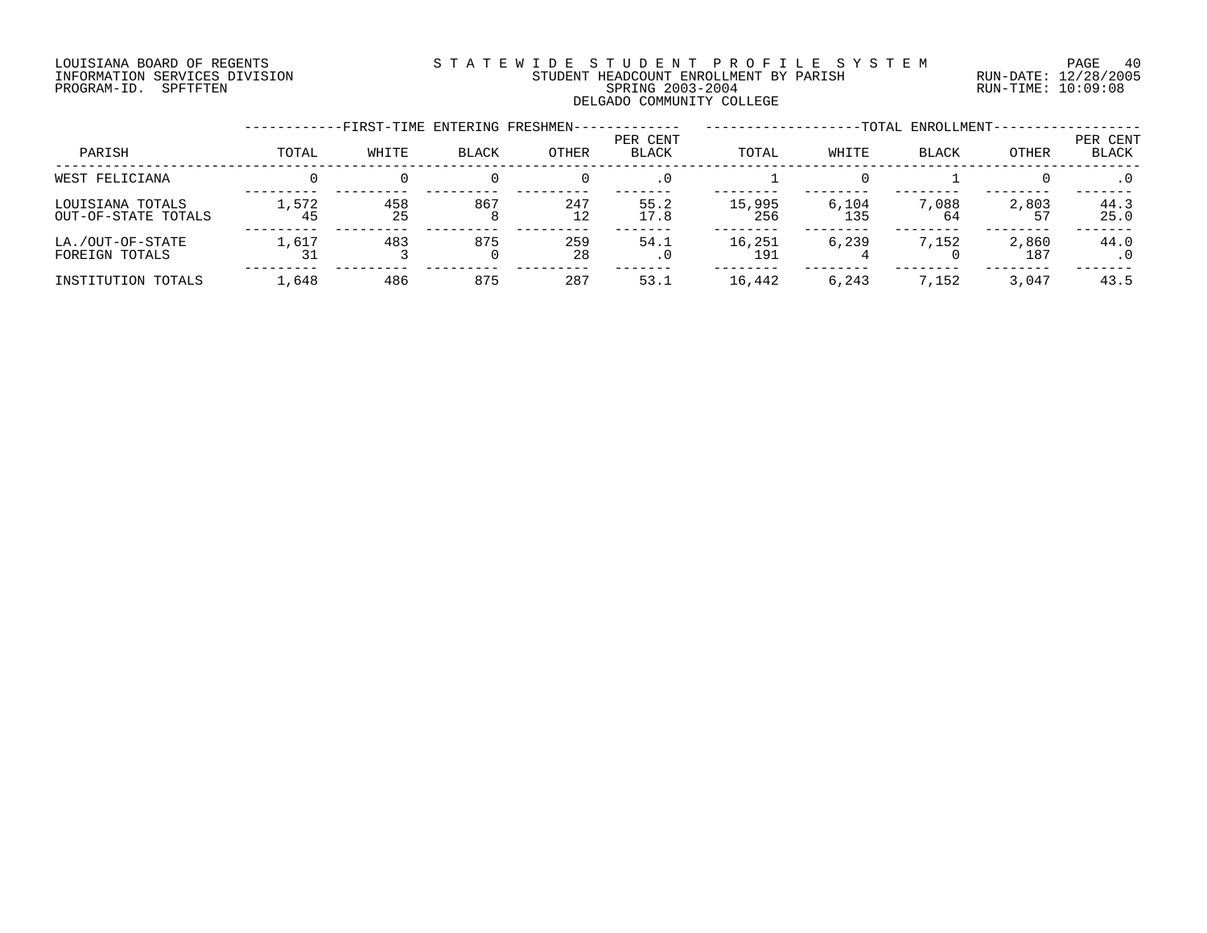#### LOUISIANA BOARD OF REGENTS S T A T E W I D E S T U D E N T P R O F I L E S Y S T E M PAGE 40 INFORMATION SERVICES DIVISION STUDENT HEADCOUNT ENROLLMENT BY PARISH RUN-DATE: 12/28/2005 PROGRAM-ID. SPFTFTEN SPRING 2003-2004 RUN-TIME: 10:09:08 DELGADO COMMUNITY COLLEGE

|                                         |             | -FIRST-TIME ENTERING FRESHMEN- |          |           |                   |               |              | -TOTAL ENROLLMENT- |              |                   |
|-----------------------------------------|-------------|--------------------------------|----------|-----------|-------------------|---------------|--------------|--------------------|--------------|-------------------|
| PARISH                                  | TOTAL       | WHITE                          | BLACK    | OTHER     | PER CENT<br>BLACK | TOTAL         | WHITE        | <b>BLACK</b>       | OTHER        | PER CENT<br>BLACK |
| WEST FELICIANA                          |             |                                |          |           | $.0 \cdot$        |               |              |                    |              | $\cdot$ 0         |
| LOUISIANA TOTALS<br>OUT-OF-STATE TOTALS | 1,572<br>45 | 458<br>25                      | 867<br>8 | 247<br>12 | 55.2<br>17.8      | 15,995<br>256 | 6,104<br>135 | 7,088<br>64        | 2,803<br>57  | 44.3<br>25.0      |
| LA./OUT-OF-STATE<br>FOREIGN TOTALS      | 1,617       | 483                            | 875      | 259<br>28 | 54.1<br>. 0       | 16,251<br>191 | 6,239        | 7,152              | 2,860<br>187 | 44.0              |
| INSTITUTION TOTALS                      | 1,648       | 486                            | 875      | 287       | 53.1              | 16,442        | 6,243        | 7,152              | 3,047        | 43.5              |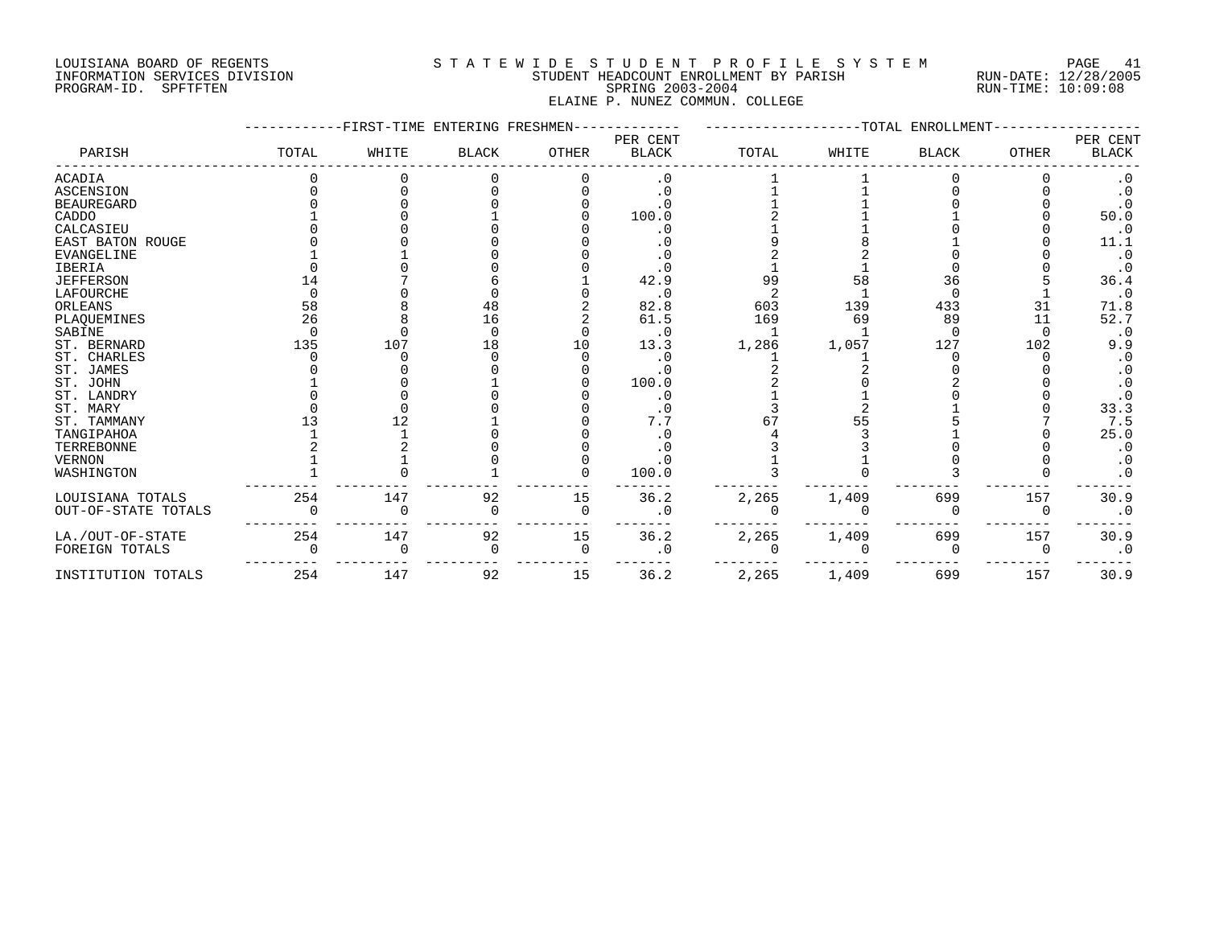# LOUISIANA BOARD OF REGENTS S T A T E W I D E S T U D E N T P R O F I L E S Y S T E M PAGE 41 INFORMATION SERVICES DIVISION STUDENT HEADCOUNT ENROLLMENT BY PARISH RUN-DATE: 12/28/2005 PROGRAM-ID. SPFTFTEN SPRING 2003-2004 RUN-TIME: 10:09:08 ELAINE P. NUNEZ COMMUN. COLLEGE

|                     |       | -FIRST-TIME ENTERING FRESHMEN- |              |              |                          |       |       | -TOTAL ENROLLMENT |              |                          |
|---------------------|-------|--------------------------------|--------------|--------------|--------------------------|-------|-------|-------------------|--------------|--------------------------|
| PARISH              | TOTAL | WHITE                          | <b>BLACK</b> | <b>OTHER</b> | PER CENT<br><b>BLACK</b> | TOTAL | WHITE | <b>BLACK</b>      | <b>OTHER</b> | PER CENT<br><b>BLACK</b> |
| <b>ACADIA</b>       |       |                                |              |              | $\cdot$ 0                |       |       |                   |              | $\cdot$ 0                |
| <b>ASCENSION</b>    |       |                                |              |              | $\cdot$ 0                |       |       |                   |              | .0                       |
| <b>BEAUREGARD</b>   |       |                                |              |              |                          |       |       |                   |              |                          |
| CADDO               |       |                                |              |              | 100.0                    |       |       |                   |              | 50.0                     |
| CALCASIEU           |       |                                |              |              | $\cdot$ 0                |       |       |                   |              | $\cdot$ 0                |
| EAST BATON ROUGE    |       |                                |              |              | $\cdot$ 0                |       |       |                   |              | 11.1                     |
| <b>EVANGELINE</b>   |       |                                |              |              |                          |       |       |                   |              | $\cdot$ 0                |
| <b>IBERIA</b>       |       |                                |              |              |                          |       |       |                   |              | $\cdot$ 0                |
| <b>JEFFERSON</b>    | 14    |                                |              |              | 42.9                     | 99    | 58    | 36                |              | 36.4                     |
| LAFOURCHE           |       |                                |              |              | . 0                      |       |       | $\Omega$          |              | $\cdot$ 0                |
| ORLEANS             | 58    |                                | 48           |              | 82.8                     | 603   | 139   | 433               | 31           | 71.8                     |
| PLAQUEMINES         | 26    |                                | 16           |              | 61.5                     | 169   | 69    | 89                | 11           | 52.7                     |
| SABINE              |       |                                |              |              | $\cdot$ 0                |       |       | ∩                 | $\Omega$     | $\cdot$ 0                |
| ST. BERNARD         | 135   | 107                            | 18           | 10           | 13.3                     | 1,286 | 1,057 | 127               | 102          | 9.9                      |
| ST. CHARLES         |       |                                |              |              |                          |       |       |                   |              | $\cdot$ 0                |
| ST. JAMES           |       |                                |              |              |                          |       |       |                   |              | . 0                      |
| ST. JOHN            |       |                                |              |              | 100.0                    |       |       |                   |              | $\cdot$ 0                |
| ST. LANDRY          |       |                                |              |              | $\cdot$ 0                |       |       |                   |              | . 0                      |
| ST. MARY            |       |                                |              |              |                          |       |       |                   |              | 33.3                     |
| ST. TAMMANY         |       | 12                             |              |              | 7.7                      |       |       |                   |              | 7.5                      |
| TANGIPAHOA          |       |                                |              |              |                          |       |       |                   |              | 25.0                     |
| TERREBONNE          |       |                                |              |              |                          |       |       |                   |              | $\cdot$ 0                |
| <b>VERNON</b>       |       |                                |              |              | . 0                      |       |       |                   |              | . 0                      |
| WASHINGTON          |       |                                |              |              | 100.0                    |       |       |                   |              | . 0                      |
| LOUISIANA TOTALS    | 254   | 147                            | 92           | 15           | 36.2                     | 2,265 | 1,409 | 699               | 157          | 30.9                     |
| OUT-OF-STATE TOTALS |       |                                |              | $\Omega$     | $\cdot$ 0                |       |       |                   | $\Omega$     | $\cdot$ 0                |
| LA./OUT-OF-STATE    | 254   | 147                            | 92           | 15           | 36.2                     | 2,265 | 1,409 | 699               | 157          | 30.9                     |
| FOREIGN TOTALS      |       | $\Omega$                       | $\Omega$     | 0            | $\cdot$ 0                |       |       | O                 | $\Omega$     | $\cdot$ 0                |
| INSTITUTION TOTALS  | 254   | 147                            | 92           | 15           | 36.2                     | 2,265 | 1,409 | 699               | 157          | 30.9                     |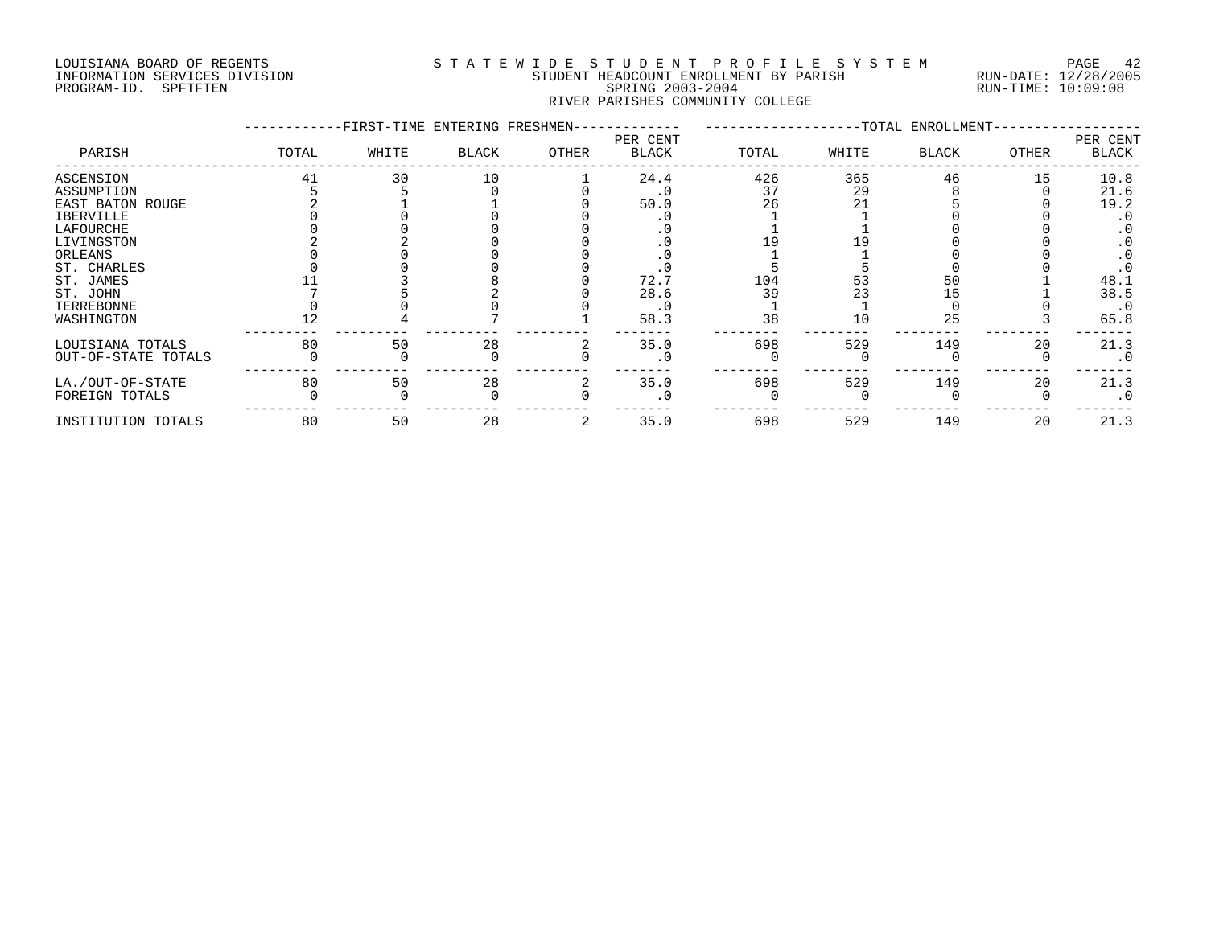#### LOUISIANA BOARD OF REGENTS S T A T E W I D E S T U D E N T P R O F I L E S Y S T E M PAGE 42 INFORMATION SERVICES DIVISION STUDENT HEADCOUNT ENROLLMENT BY PARISH RUN-DATE: 12/28/2005 PAGE 4: المستحسن المستحسن المستحسن المستحسن المستحسن المستحسن المستحسن المستحسن المستحسن المستحسن المستحسن الم<br>PROGRAM-ID. SPFTFTEN SPETTEN SPETER SPRING 2003-2004 STUDENT READCOUNT ENROLLMENT BY PARISH RUN-TIME: 10:09:08 RIVER PARISHES COMMUNITY COLLEGE

|                     |       | -FIRST-TIME ENTERING FRESHMEN- |              |       |                          |       |       | -TOTAL ENROLLMENT- |       |                   |
|---------------------|-------|--------------------------------|--------------|-------|--------------------------|-------|-------|--------------------|-------|-------------------|
| PARISH              | TOTAL | WHITE                          | <b>BLACK</b> | OTHER | PER CENT<br><b>BLACK</b> | TOTAL | WHITE | <b>BLACK</b>       | OTHER | PER CENT<br>BLACK |
| ASCENSION           | 41    | 30                             | 10           |       | 24.4                     | 426   | 365   | 46                 | 15    | 10.8              |
| ASSUMPTION          |       |                                |              |       |                          | 37    | 29    |                    |       | 21.6              |
| EAST BATON ROUGE    |       |                                |              |       | 50.0                     | 26    |       |                    |       | 19.2              |
| IBERVILLE           |       |                                |              |       |                          |       |       |                    |       |                   |
| LAFOURCHE           |       |                                |              |       |                          |       |       |                    |       |                   |
| LIVINGSTON          |       |                                |              |       |                          |       |       |                    |       |                   |
| ORLEANS             |       |                                |              |       |                          |       |       |                    |       |                   |
| ST. CHARLES         |       |                                |              |       |                          |       |       |                    |       |                   |
| ST. JAMES           |       |                                |              |       | 72.7                     | 104   | 53    | 50                 |       | 48.1              |
| ST. JOHN            |       |                                |              |       | 28.6                     | 39    | 23    | 5ء                 |       | 38.5              |
| TERREBONNE          |       |                                |              |       |                          |       |       |                    |       | $\cdot$ 0         |
| WASHINGTON          |       |                                |              |       | 58.3                     | 38    | 10    | 25                 |       | 65.8              |
| LOUISIANA TOTALS    | 80    | 50                             | 28           |       | 35.0                     | 698   | 529   | 149                | 20    | 21.3              |
| OUT-OF-STATE TOTALS |       |                                |              |       | $\cdot$ 0                |       |       |                    |       | $\cdot$ 0         |
| LA./OUT-OF-STATE    | 80    | 50                             | 28           |       | 35.0                     | 698   | 529   | 149                | 20    | 21.3              |
| FOREIGN TOTALS      |       |                                |              |       |                          |       |       |                    |       | $\cdot$ 0         |
| INSTITUTION TOTALS  | 80    | 50                             | 28           |       | 35.0                     | 698   | 529   | 149                | 20    | 21.3              |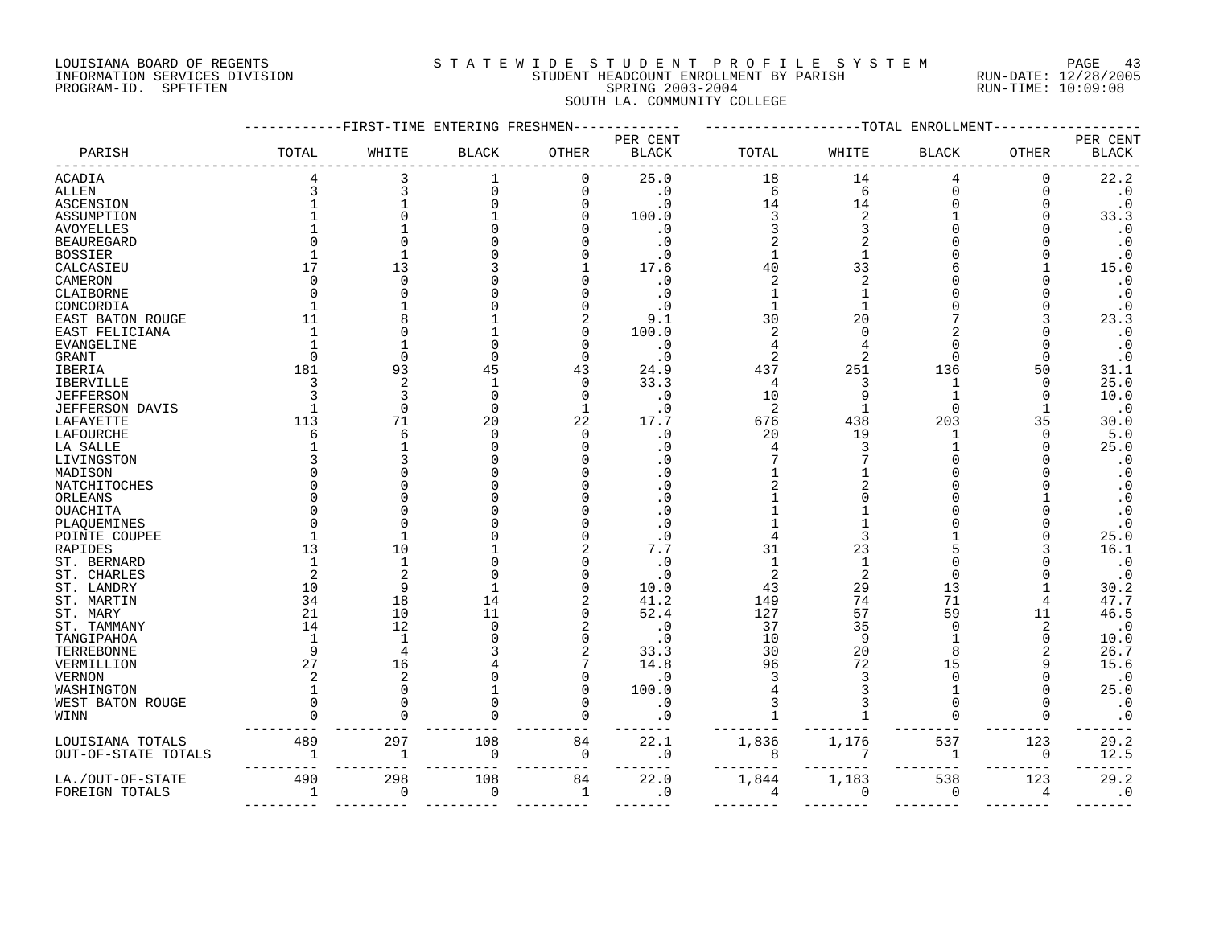#### LOUISIANA BOARD OF REGENTS S T A T E W I D E S T U D E N T P R O F I L E S Y S T E M PAGE 43 INFORMATION SERVICES DIVISION STUDENT HEADCOUNT ENROLLMENT BY PARISH RUN-DATE: 12/28/2005 PROGRAM-ID. SPFTFTEN SPRING 2003-2004 RUN-TIME: 10:09:08 SOUTH LA. COMMUNITY COLLEGE

|                     |             | -FIRST-TIME ENTERING FRESHMEN |                |                      |                          |                |                | -TOTAL ENROLLMENT |                |                          |
|---------------------|-------------|-------------------------------|----------------|----------------------|--------------------------|----------------|----------------|-------------------|----------------|--------------------------|
| PARISH              | TOTAL       | WHITE                         | <b>BLACK</b>   | <b>OTHER</b>         | PER CENT<br><b>BLACK</b> | TOTAL          | WHITE          | <b>BLACK</b>      | <b>OTHER</b>   | PER CENT<br><b>BLACK</b> |
| ACADIA              |             | 3                             | $\mathbf{1}$   | 0                    | 25.0                     | 18             | 14             |                   | 0              | 22.2                     |
| ALLEN               |             | 3                             | $\Omega$       | 0                    | $\cdot$ 0                | 6              | 6              | $\Omega$          | $\Omega$       | $\boldsymbol{\cdot}$ 0   |
| <b>ASCENSION</b>    |             |                               |                | 0                    | . 0                      | 14             | 14             | $\Omega$          |                | $\boldsymbol{\cdot}$ 0   |
| ASSUMPTION          |             | $\Omega$                      |                | $\Omega$             | 100.0                    | 3              | 2              |                   |                | 33.3                     |
| <b>AVOYELLES</b>    |             |                               |                |                      | . 0                      | 3              |                |                   |                | $\boldsymbol{\cdot}$ 0   |
| <b>BEAUREGARD</b>   |             | $\Omega$                      |                |                      | . 0                      | $\overline{2}$ |                |                   |                | $\cdot$ 0                |
| <b>BOSSIER</b>      |             | $\mathbf{1}$                  |                |                      | . 0                      | $\mathbf{1}$   |                |                   |                | $\cdot$ 0                |
| CALCASIEU           | 17          | 13                            |                |                      | 17.6                     | 40             | 33             |                   |                | 15.0                     |
| CAMERON             |             | $\Omega$                      |                |                      | . 0                      | $\overline{c}$ |                |                   |                | $\cdot$ 0                |
| CLAIBORNE           |             | O                             |                |                      | . 0                      |                |                |                   |                | $\cdot$ 0                |
| CONCORDIA           |             |                               |                |                      |                          |                |                |                   |                | $\cdot$ 0                |
| EAST BATON ROUGE    | 11          |                               |                | 2                    | 9.1                      | 30             | 20             |                   |                | 23.3                     |
| EAST FELICIANA      |             |                               |                | $\Omega$             | 100.0                    | $\overline{c}$ |                |                   |                | $\boldsymbol{\cdot}$ 0   |
| <b>EVANGELINE</b>   |             |                               |                | 0                    | . 0                      | 4              |                | $\Omega$          |                | $\ddot{\theta}$          |
| GRANT               |             | $\Omega$                      |                | 0                    | . 0                      | 2              |                | $\cap$            |                | $\cdot$ 0                |
| IBERIA              | 181         | 93                            | 45             | 43                   | 24.9                     | 437            | 251            | 136               | 50             | 31.1                     |
| IBERVILLE           | 3           | $\overline{2}$                | $\mathbf{1}$   | $\Omega$             | 33.3                     | 4              | 3              | 1                 | ∩              | 25.0                     |
| <b>JEFFERSON</b>    |             | 3                             | $\Omega$       | $\Omega$             | $\cdot$ 0                | 10             |                |                   | ∩              | 10.0                     |
|                     |             | $\mathbf 0$                   | $\Omega$       | 1                    | $\cdot$ 0                | 2              |                | $\Omega$          |                | $\cdot$ 0                |
| JEFFERSON DAVIS     | 113         | 71                            |                |                      |                          |                |                |                   |                |                          |
| LAFAYETTE           |             |                               | 20<br>$\Omega$ | 22                   | 17.7                     | 676            | 438            | 203               | 35             | 30.0                     |
| LAFOURCHE           |             | 6<br>$\mathbf{1}$             |                | $\Omega$<br>$\Omega$ | . 0                      | 20             | 19             |                   |                | $5.0$                    |
| LA SALLE            |             |                               |                |                      | . 0                      | $\overline{4}$ |                |                   |                | 25.0                     |
| LIVINGSTON          |             |                               |                |                      |                          |                |                |                   |                | $\boldsymbol{\cdot}$ 0   |
| MADISON             |             |                               |                |                      |                          |                |                |                   |                | $\cdot$ 0                |
| NATCHITOCHES        |             |                               |                |                      |                          |                |                |                   |                | $\boldsymbol{\cdot}$ 0   |
| ORLEANS             |             |                               |                |                      |                          |                |                |                   |                | $\boldsymbol{\cdot}$ 0   |
| OUACHITA            |             | $\Omega$                      |                |                      | . ດ                      |                |                |                   |                | $\boldsymbol{\cdot}$ 0   |
| PLAQUEMINES         |             | $\Omega$                      |                |                      |                          |                |                |                   |                | $\cdot$ 0                |
| POINTE COUPEE       |             |                               |                |                      | . 0                      |                |                |                   |                | 25.0                     |
| RAPIDES             | 13          | 10                            |                |                      | 7.7                      | 31             | 23             |                   |                | 16.1                     |
| ST. BERNARD         |             | $\mathbf{1}$                  |                |                      | . 0                      | $\mathbf{1}$   |                |                   |                | $\boldsymbol{\cdot}$ 0   |
| ST. CHARLES         |             | $\overline{2}$                |                | 0                    | $\cdot$ 0                | $\overline{2}$ | $\overline{2}$ |                   |                | $\cdot$ 0                |
| ST. LANDRY          | 10          | 9                             |                |                      | 10.0                     | 43             | 29             | 13                |                | 30.2                     |
| ST. MARTIN          | 34          | 18                            | 14             |                      | 41.2                     | 149            | 74             | 71                |                | 47.7                     |
| ST. MARY            | 21          | 10                            | 11             | $\Omega$             | 52.4                     | 127            | 57             | 59                | 11             | 46.5                     |
| ST. TAMMANY         | 14          | 12                            | $\Omega$       | 2                    | . 0                      | 37             | 35             | $\Omega$          | $\overline{c}$ | $\cdot$ 0                |
| TANGIPAHOA          |             | $\mathbf{1}$                  |                | $\overline{0}$       | . 0                      | 10             | 9              |                   | $\Omega$       | 10.0                     |
| TERREBONNE          |             | 4                             |                | 2                    | 33.3                     | 30             | 20             |                   | 2              | 26.7                     |
| VERMILLION          | 27          | 16                            |                |                      | 14.8                     | 96             | 72             | 15                |                | 15.6                     |
| <b>VERNON</b>       |             | $\overline{c}$                |                | O                    | . 0                      | 3              | 3              | $\Omega$          |                | $\cdot$ 0                |
| WASHINGTON          |             | $\Omega$                      |                | 0                    | 100.0                    |                |                |                   |                | 25.0                     |
| WEST BATON ROUGE    |             | $\Omega$                      |                | O                    | . 0                      | 3              |                |                   |                | $\cdot$ 0                |
| WINN                |             |                               |                | O                    | . 0                      |                |                |                   |                | $\cdot$ 0                |
|                     |             |                               |                |                      |                          |                |                |                   |                |                          |
| LOUISIANA TOTALS    | 489         | 297                           | 108            | 84                   | 22.1                     | 1,836          | 1,176          | 537               | 123            | 29.2                     |
| OUT-OF-STATE TOTALS |             | 1                             | 0              | $\mathbf 0$          | $\cdot$ 0                | 8              |                | 1                 | 0              | 12.5                     |
|                     |             |                               |                |                      |                          |                |                |                   |                |                          |
| LA./OUT-OF-STATE    | 490         | 298                           | 108            | 84                   | 22.0                     | 1,844          | 1,183          | 538               | 123            | 29.2                     |
| FOREIGN TOTALS      | $\mathbf 1$ | $\mathbf 0$                   | $\mathbf 0$    | 1                    | . 0                      | 4              | $\Omega$       | $\mathbf 0$       | 4              | $\cdot$ 0                |
|                     |             |                               |                |                      |                          |                |                |                   |                |                          |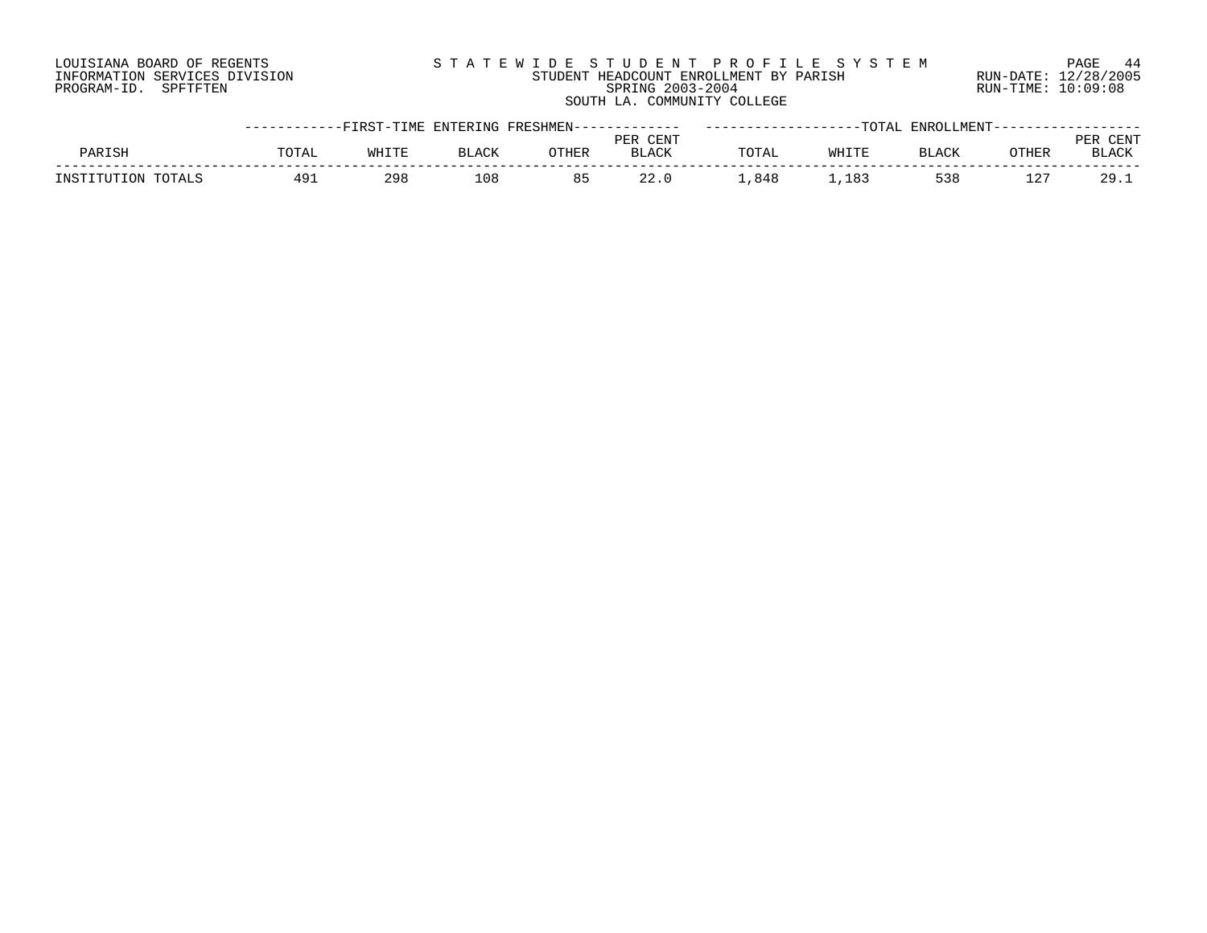# LOUISIANA BOARD OF REGENTS S T A T E W I D E S T U D E N T P R O F I L E S Y S T E M PAGE 44 INFORMATION SERVICES DIVISION STUDENT HEADCOUNT ENROLLMENT BY PARISH RUN-DATE: 12/28/2005 PROGRAM-ID. SPFTFTEN SPRING 2003-2004 RUN-TIME: 10:09:08 SOUTH LA. COMMUNITY COLLEGE

|               |              |       |              | ----------FIRST-TIME ENTERING FRESHMEN------------ |              |     | -TOTAL |        |       |        |
|---------------|--------------|-------|--------------|----------------------------------------------------|--------------|-----|--------|--------|-------|--------|
|               |              |       |              |                                                    | PER CENT     |     |        |        |       |        |
| <b>DARTSH</b> | <b>POTAL</b> | WHITE | <b>RTACK</b> | OTHER                                              | <b>BLACK</b> |     | WHITE  | RT.ACK | OTHER | RT.ACK |
| ד אדפידי      | 497          | 298   | L 0 8        | 85                                                 |              | 848 | 183    | 538    | 127   | 29.1   |
|               |              |       |              |                                                    |              |     |        |        |       |        |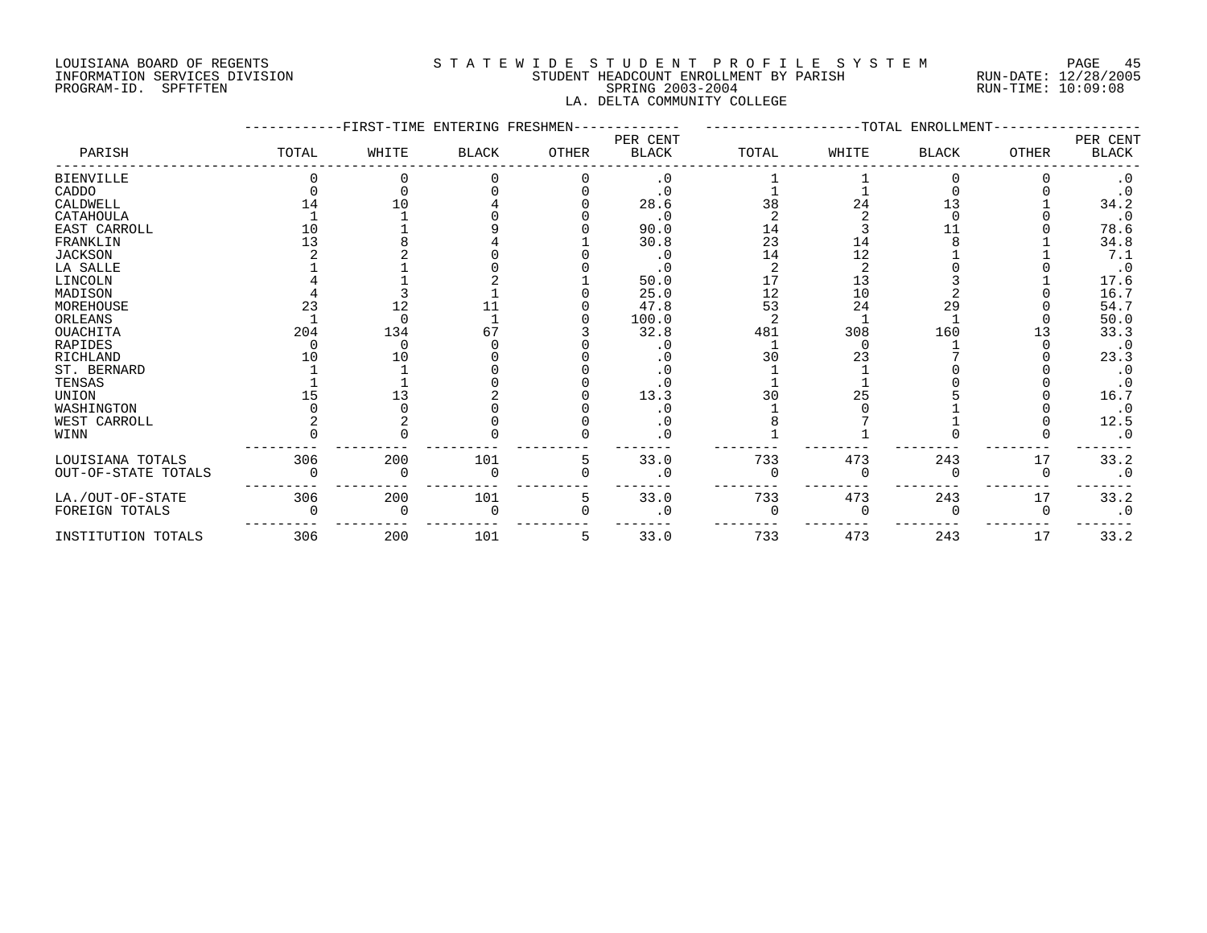# LOUISIANA BOARD OF REGENTS S T A T E W I D E S T U D E N T P R O F I L E S Y S T E M PAGE 45 INFORMATION SERVICES DIVISION STUDENT HEADCOUNT ENROLLMENT BY PARISH RUN-DATE: 12/28/2005 PROGRAM-ID. SPFTFTEN SPRING 2003-2004 RUN-TIME: 10:09:08 LA. DELTA COMMUNITY COLLEGE

|                     |       | FIRST-TIME ENTERING FRESHMEN- |              |       |                          |       |       | -TOTAL ENROLLMENT |       |                          |
|---------------------|-------|-------------------------------|--------------|-------|--------------------------|-------|-------|-------------------|-------|--------------------------|
| PARISH              | TOTAL | WHITE                         | <b>BLACK</b> | OTHER | PER CENT<br><b>BLACK</b> | TOTAL | WHITE | <b>BLACK</b>      | OTHER | PER CENT<br><b>BLACK</b> |
| <b>BIENVILLE</b>    |       |                               |              |       | $\cdot$ 0                |       |       |                   |       | $\cdot$ 0                |
| CADDO               |       |                               |              |       |                          |       |       |                   |       | $\cdot$ 0                |
| CALDWELL            |       | 10                            |              |       | 28.6                     | 38    | 24    |                   |       | 34.2                     |
| CATAHOULA           |       |                               |              |       | $\cdot$ 0                |       |       |                   |       | $\cdot$ 0                |
| EAST CARROLL        | 10    |                               |              |       | 90.0                     | 14    |       |                   |       | 78.6                     |
| FRANKLIN            |       |                               |              |       | 30.8                     | 23    | 14    |                   |       | 34.8                     |
| <b>JACKSON</b>      |       |                               |              |       |                          | 14    | 12    |                   |       | 7.1                      |
| LA SALLE            |       |                               |              |       |                          |       |       |                   |       | $\cdot$ 0                |
| LINCOLN             |       |                               |              |       | 50.0                     |       | 13    |                   |       | 17.6                     |
| MADISON             |       |                               |              |       | 25.0                     | 12    | 10    |                   |       | 16.7                     |
| MOREHOUSE           | 23    | 12                            |              |       | 47.8                     | 53    | 24    | 29                |       | 54.7                     |
| ORLEANS             |       | ∩                             |              |       | 100.0                    |       |       |                   |       | 50.0                     |
| OUACHITA            | 204   | 134                           |              |       | 32.8                     | 481   | 308   | 160               |       | 33.3                     |
| RAPIDES             |       |                               |              |       |                          |       |       |                   |       | $\cdot$ 0                |
| <b>RICHLAND</b>     |       | 10                            |              |       |                          | 30    | 23    |                   |       | 23.3                     |
| ST. BERNARD         |       |                               |              |       |                          |       |       |                   |       | $\cdot$ 0                |
| TENSAS              |       |                               |              |       |                          |       |       |                   |       | $\cdot$ 0                |
| UNION               |       | 13                            |              |       | 13.3                     | 30    | 25    |                   |       | 16.7                     |
| WASHINGTON          |       |                               |              |       |                          |       |       |                   |       | $\cdot$ 0                |
| WEST CARROLL        |       |                               |              |       | . 0                      |       |       |                   |       | 12.5                     |
| WINN                |       |                               |              |       | $\cdot$ 0                |       |       |                   |       | $\cdot$ 0                |
| LOUISIANA TOTALS    | 306   | 200                           | 101          | 5     | 33.0                     | 733   | 473   | 243               | 17    | 33.2                     |
| OUT-OF-STATE TOTALS |       |                               |              |       | . 0                      |       |       |                   |       | $\cdot$ 0                |
| LA./OUT-OF-STATE    | 306   | 200                           | 101          | 5     | 33.0                     | 733   | 473   | 243               | 17    | 33.2                     |
| FOREIGN TOTALS      |       |                               |              |       | . 0                      |       |       |                   |       | $\cdot$ 0                |
| INSTITUTION TOTALS  | 306   | 200                           | 101          | 5     | 33.0                     | 733   | 473   | 243               | 17    | 33.2                     |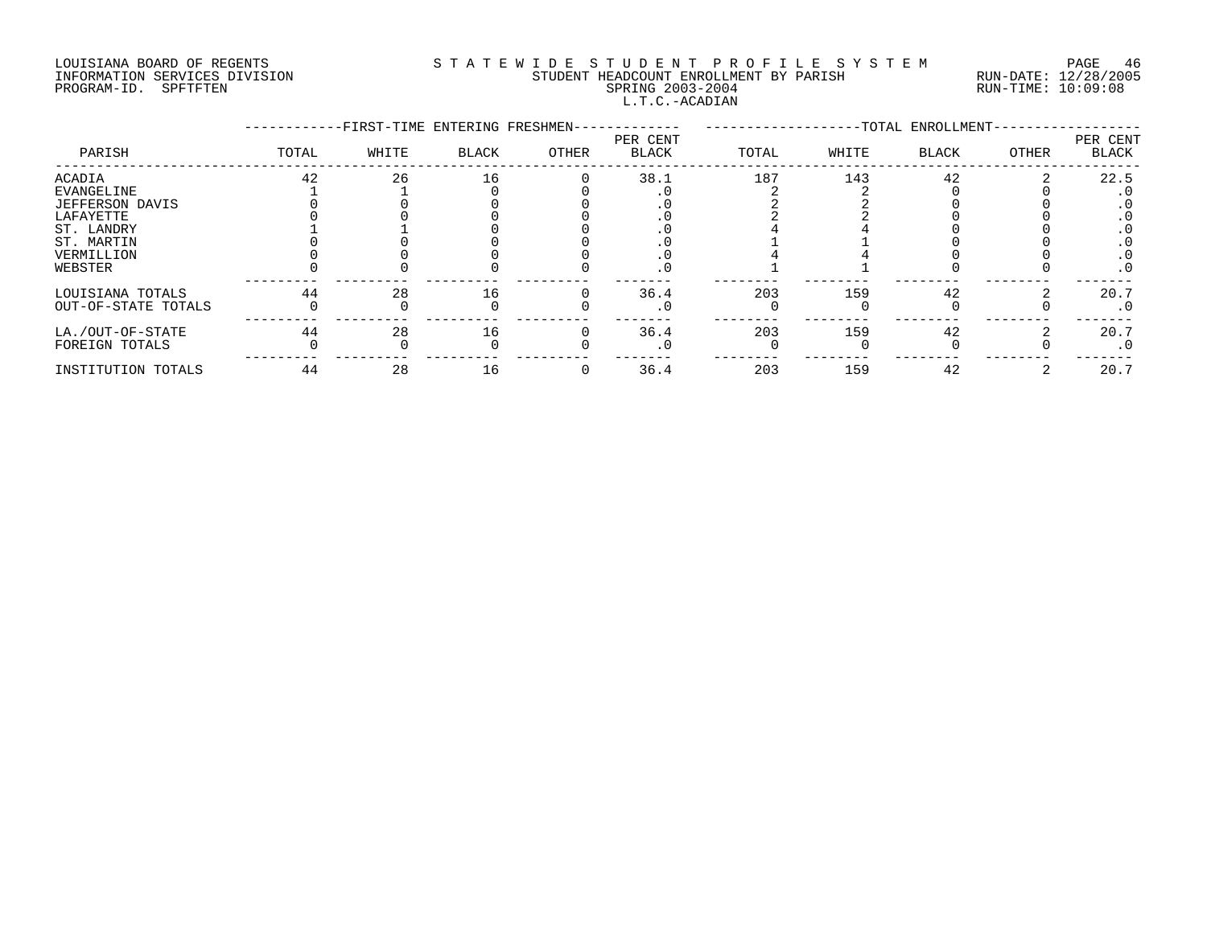# LOUISIANA BOARD OF REGENTS S T A T E W I D E S T U D E N T P R O F I L E S Y S T E M PAGE 46 INFORMATION SERVICES DIVISION STUDENT HEADCOUNT ENROLLMENT BY PARISH RUN-DATE: 12/28/2005 PROGRAM-ID. SPFTFTEN SPRING 2003-2004 RUN-TIME: 10:09:08 L.T.C.-ACADIAN

|                        |       | -FIRST-TIME ENTERING FRESHMEN- |       |       |                          |       |       | -TOTAL ENROLLMENT- |       |                   |
|------------------------|-------|--------------------------------|-------|-------|--------------------------|-------|-------|--------------------|-------|-------------------|
| PARISH                 | TOTAL | WHITE                          | BLACK | OTHER | PER CENT<br><b>BLACK</b> | TOTAL | WHITE | BLACK              | OTHER | PER CENT<br>BLACK |
| <b>ACADIA</b>          | 42    | 26                             | 16    |       | 38.1                     | 187   | 143   | 42                 |       | 22.5              |
| EVANGELINE             |       |                                |       |       |                          |       |       |                    |       |                   |
| <b>JEFFERSON DAVIS</b> |       |                                |       |       |                          |       |       |                    |       |                   |
| LAFAYETTE              |       |                                |       |       |                          |       |       |                    |       |                   |
| ST. LANDRY             |       |                                |       |       |                          |       |       |                    |       |                   |
| ST. MARTIN             |       |                                |       |       |                          |       |       |                    |       |                   |
| VERMILLION             |       |                                |       |       |                          |       |       |                    |       | . 0               |
| WEBSTER                |       |                                |       |       | . U                      |       |       |                    |       | $\cdot$ 0         |
| LOUISIANA TOTALS       | 44    | 28                             | 16    |       | 36.4                     | 203   | 159   | 42                 |       | 20.7              |
| OUT-OF-STATE TOTALS    |       |                                |       |       |                          |       |       |                    |       | . 0               |
| LA./OUT-OF-STATE       | 44    | 28                             | 16    |       | 36.4                     | 203   | 159   | 42                 |       | 20.7              |
| FOREIGN TOTALS         |       |                                |       |       | $\cdot$ 0                |       |       |                    |       | $\cdot$ 0         |
| INSTITUTION TOTALS     | 44    | 28                             | 16    |       | 36.4                     | 203   | 159   | 42                 |       | 20.7              |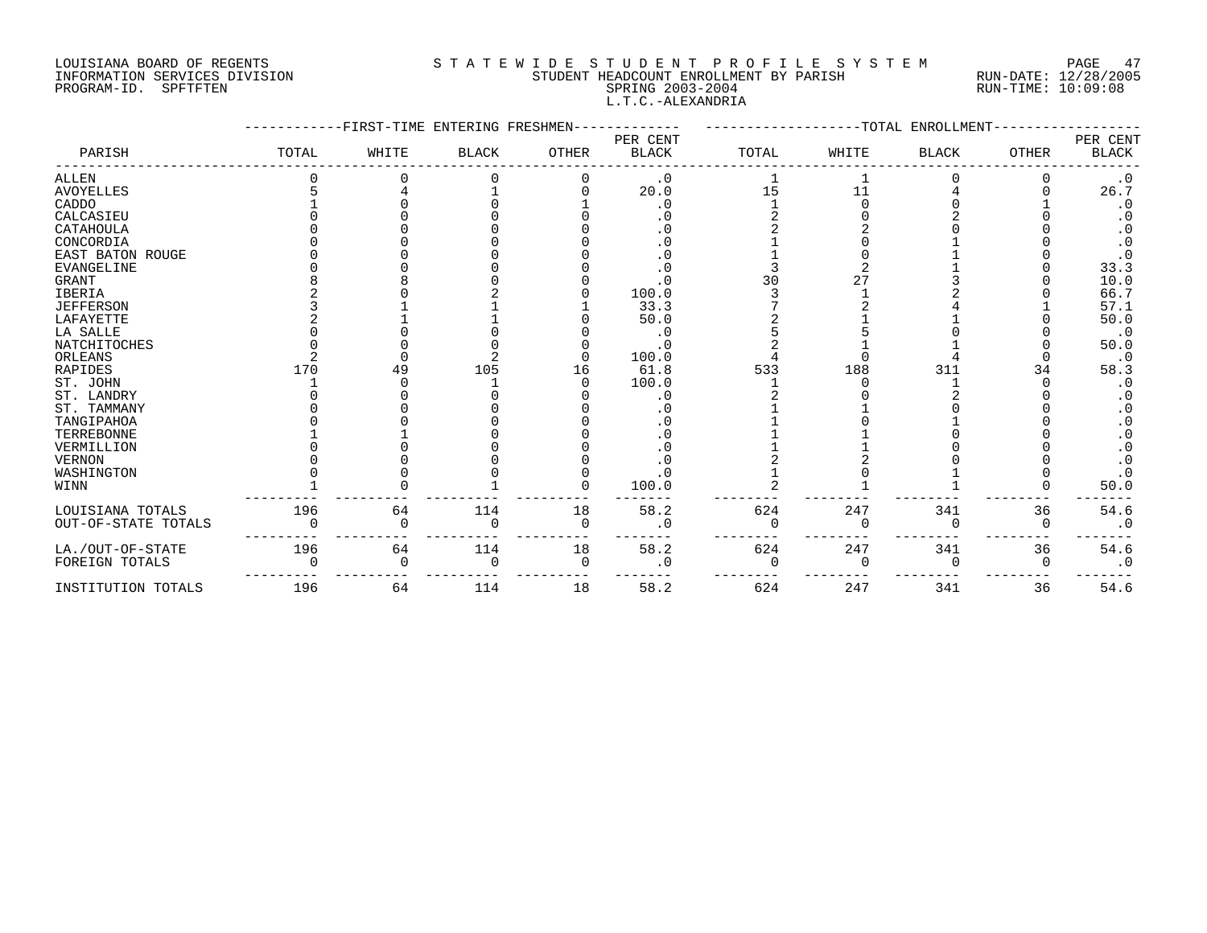#### LOUISIANA BOARD OF REGENTS S T A T E W I D E S T U D E N T P R O F I L E S Y S T E M PAGE 47 INFORMATION SERVICES DIVISION STUDENT HEADCOUNT ENROLLMENT BY PARISH RUN-DATE: 12/28/2005 PAGE 4 Exercise Computers of Algebra 10 SIAIE WIDE STUDE STUDE NT PROFILE SYSTEM PAGE 4 (2003-2004)<br>INFORMATION SERVICES DIVISION STUDENT HEADCOUNT ENROLLMENT BY PARISH RUN-DATE: 12/28/200<br>PROGRAM-ID. SPFTFTEN SPRING 2003-L.T.C.-ALEXANDRIA

|                     |       | FIRST-TIME ENTERING FRESHMEN |              |              |                          |          |          | TOTAL ENROLLMENT |              |                          |
|---------------------|-------|------------------------------|--------------|--------------|--------------------------|----------|----------|------------------|--------------|--------------------------|
| PARISH              | TOTAL | WHITE                        | <b>BLACK</b> | <b>OTHER</b> | PER CENT<br><b>BLACK</b> | TOTAL    | WHITE    | <b>BLACK</b>     | <b>OTHER</b> | PER CENT<br><b>BLACK</b> |
| <b>ALLEN</b>        |       |                              |              |              | $\cdot$ 0                |          |          |                  |              | $\cdot$ 0                |
| <b>AVOYELLES</b>    |       |                              |              |              | 20.0                     | 15       | 11       |                  |              | 26.7                     |
| CADDO               |       |                              |              |              | $\cdot$ 0                |          |          |                  |              | $\cdot$ 0                |
| CALCASIEU           |       |                              |              |              |                          |          |          |                  |              |                          |
| CATAHOULA           |       |                              |              |              |                          |          |          |                  |              | . 0                      |
| CONCORDIA           |       |                              |              |              | . 0                      |          |          |                  |              | $\cdot$ 0                |
| EAST BATON ROUGE    |       |                              |              |              | . 0                      |          |          |                  |              | $\cdot$ 0                |
| <b>EVANGELINE</b>   |       |                              |              |              | . 0                      |          |          |                  |              | 33.3                     |
| <b>GRANT</b>        |       |                              |              |              | . 0                      | 30       |          |                  |              | 10.0                     |
| <b>IBERIA</b>       |       |                              |              |              | 100.0                    |          |          |                  |              | 66.7                     |
| <b>JEFFERSON</b>    |       |                              |              |              | 33.3                     |          |          |                  |              | 57.1                     |
| LAFAYETTE           |       |                              |              |              | 50.0                     |          |          |                  |              | 50.0                     |
| LA SALLE            |       |                              |              |              | . 0                      |          |          |                  |              | $\cdot$ 0                |
| <b>NATCHITOCHES</b> |       |                              |              |              | . 0                      |          |          |                  |              | 50.0                     |
| ORLEANS             |       |                              |              |              | 100.0                    |          |          |                  |              | $\cdot$ 0                |
| <b>RAPIDES</b>      | 170   | 49                           | 105          | 16           | 61.8                     | 533      | 188      | 311              |              | 58.3                     |
| ST. JOHN            |       |                              |              |              | 100.0                    |          |          |                  |              | $\cdot$ 0                |
| ST. LANDRY          |       |                              |              |              | . 0                      |          |          |                  |              | . 0                      |
| ST. TAMMANY         |       |                              |              |              | $\cdot$ 0                |          |          |                  |              | . 0                      |
| TANGIPAHOA          |       |                              |              |              |                          |          |          |                  |              | . 0                      |
| TERREBONNE          |       |                              |              |              |                          |          |          |                  |              | $\cdot$ 0                |
| VERMILLION          |       |                              |              |              |                          |          |          |                  |              | $\cdot$ 0                |
| <b>VERNON</b>       |       |                              |              |              |                          |          |          |                  |              |                          |
| WASHINGTON          |       |                              |              |              | . 0                      |          |          |                  |              | $\cdot$ 0                |
| WINN                |       |                              |              |              | 100.0                    |          |          |                  |              | 50.0                     |
| LOUISIANA TOTALS    | 196   | 64                           | 114          | 18           | 58.2                     | 624      | 247      | 341              | 36           | 54.6                     |
| OUT-OF-STATE TOTALS |       | $\Omega$                     | $\mathbf 0$  | $\mathbf 0$  | $\cdot$ 0                |          | $\Omega$ | $\Omega$         | 0            | $\cdot$ 0                |
| LA./OUT-OF-STATE    | 196   | 64                           | 114          | 18           | 58.2                     | 624      | 247      | 341              | 36           | 54.6                     |
| FOREIGN TOTALS      |       | $\Omega$                     | $\mathbf 0$  | $\mathbf 0$  | $\cdot$ 0                | $\Omega$ | $\Omega$ | $\Omega$         | $\Omega$     | $\cdot$ 0                |
| INSTITUTION TOTALS  | 196   | 64                           | 114          | 18           | 58.2                     | 624      | 247      | 341              | 36           | 54.6                     |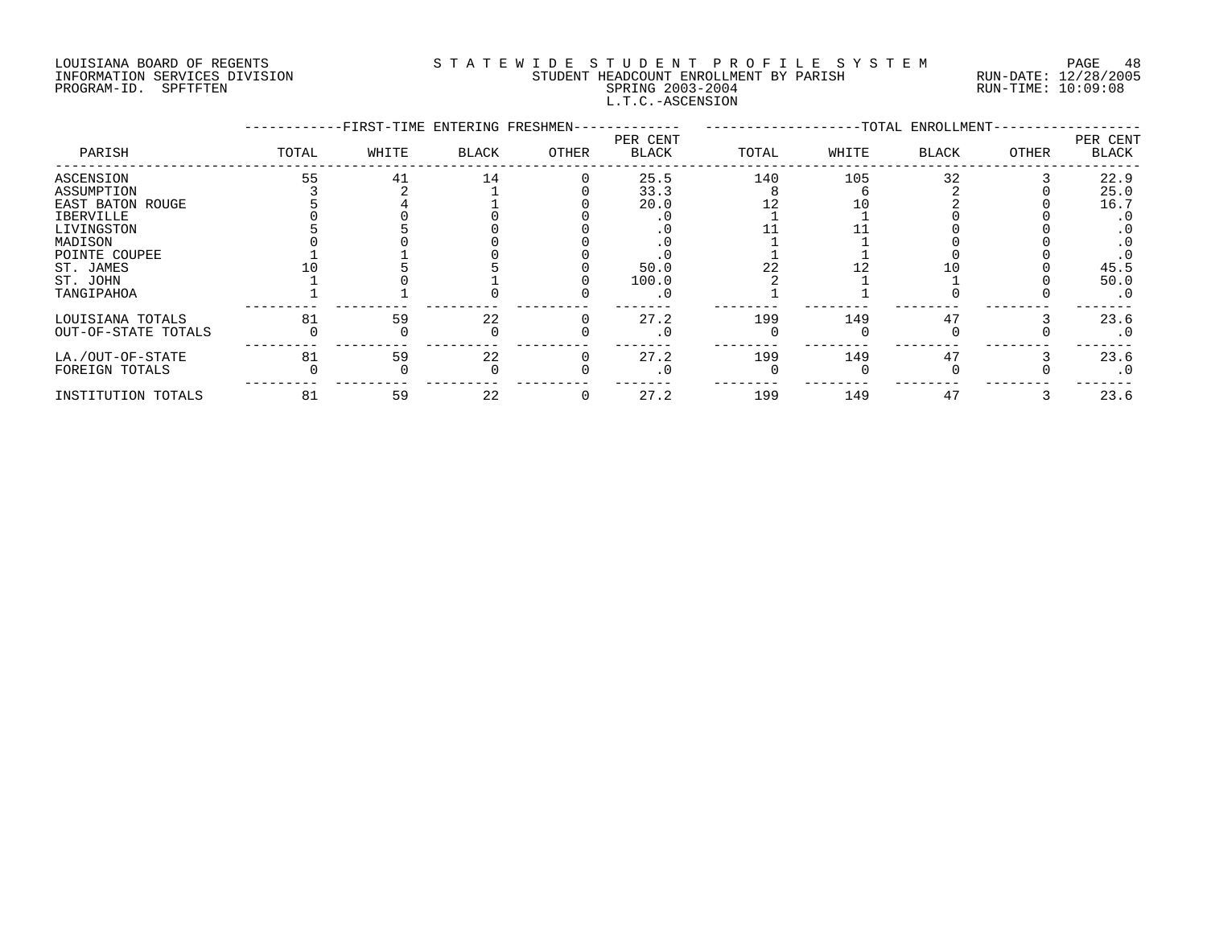### LOUISIANA BOARD OF REGENTS S T A T E W I D E S T U D E N T P R O F I L E S Y S T E M PAGE 48 INFORMATION SERVICES DIVISION STUDENT HEADCOUNT ENROLLMENT BY PARISH RUN-DATE: 12/28/2005 PROGRAM-ID. SPFTFTEN SPRING 2003-2004 RUN-TIME: 10:09:08 L.T.C.-ASCENSION

|                     |       | -FIRST-TIME ENTERING FRESHMEN- |       |       |                          |       |       | -TOTAL ENROLLMENT- |       |                          |
|---------------------|-------|--------------------------------|-------|-------|--------------------------|-------|-------|--------------------|-------|--------------------------|
| PARISH              | TOTAL | WHITE                          | BLACK | OTHER | PER CENT<br><b>BLACK</b> | TOTAL | WHITE | <b>BLACK</b>       | OTHER | PER CENT<br><b>BLACK</b> |
| ASCENSION           | 55    | 41                             | 14    |       | 25.5                     | 140   | 105   | 32                 |       | 22.9                     |
| ASSUMPTION          |       |                                |       |       | 33.3                     |       |       |                    |       | 25.0                     |
| EAST BATON ROUGE    |       |                                |       |       | 20.0                     |       |       |                    |       | 16.7                     |
| IBERVILLE           |       |                                |       |       |                          |       |       |                    |       | $\cdot$ 0                |
| LIVINGSTON          |       |                                |       |       |                          |       |       |                    |       |                          |
| MADISON             |       |                                |       |       |                          |       |       |                    |       |                          |
| POINTE COUPEE       |       |                                |       |       |                          |       |       |                    |       |                          |
| ST. JAMES           |       |                                |       |       | 50.0                     |       |       |                    |       | 45.5                     |
| ST. JOHN            |       |                                |       |       | 100.0                    |       |       |                    |       | 50.0                     |
| TANGIPAHOA          |       |                                |       |       |                          |       |       |                    |       | $\cdot$ 0                |
| LOUISIANA TOTALS    | 81    | 59                             | 22    |       | 27.2                     | 199   | 149   | 47                 |       | 23.6                     |
| OUT-OF-STATE TOTALS |       |                                |       |       |                          |       |       |                    |       | $\cdot$ 0                |
| LA./OUT-OF-STATE    | 81    | 59                             | 22    |       | 27.2                     | 199   | 149   | 47                 |       | 23.6                     |
| FOREIGN TOTALS      |       |                                |       |       |                          |       |       |                    |       | $\cdot$ 0                |
| INSTITUTION TOTALS  | 81    | 59                             | 22    |       | 27.2                     | 199   | 149   | 47                 |       | 23.6                     |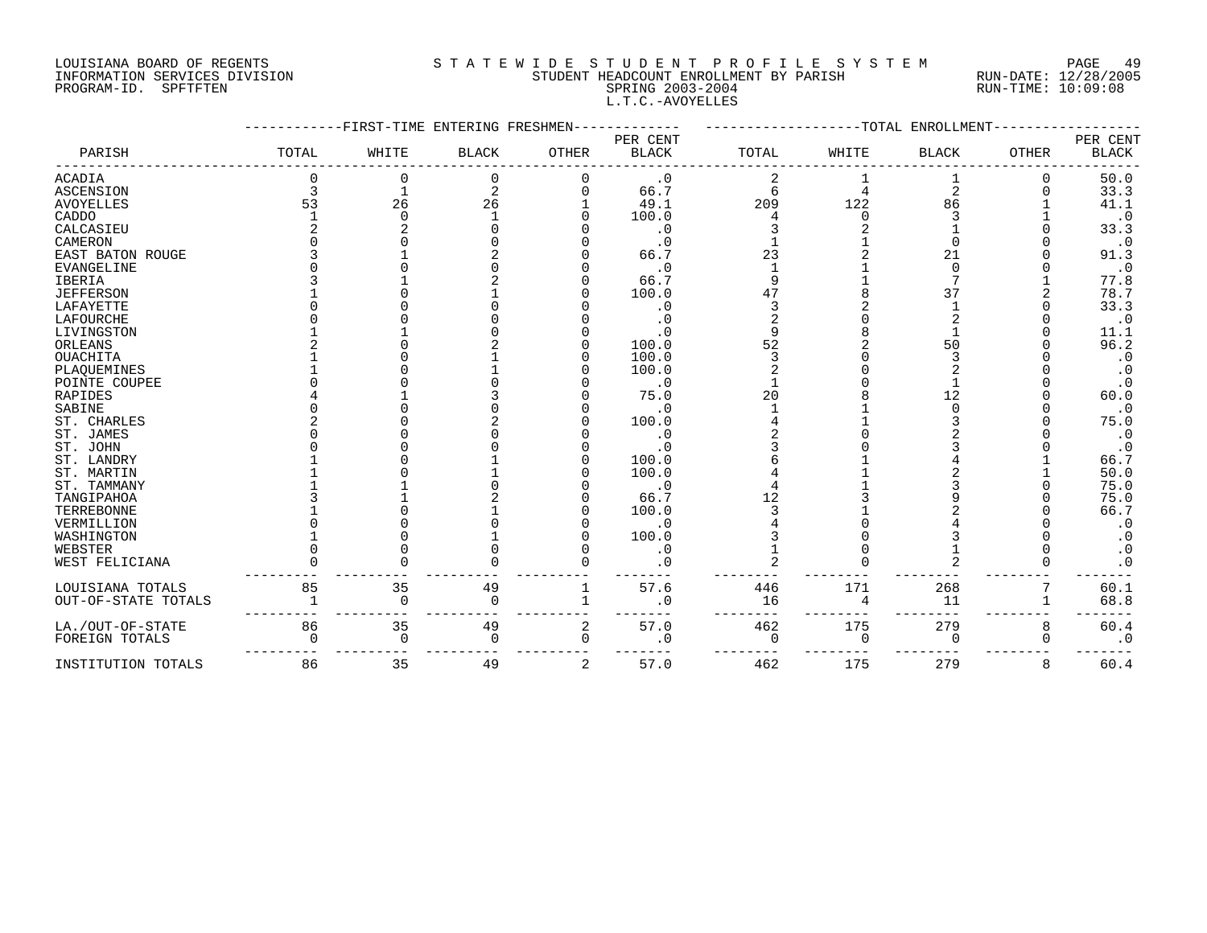#### LOUISIANA BOARD OF REGENTS S T A T E W I D E S T U D E N T P R O F I L E S Y S T E M PAGE 49 INFORMATION SERVICES DIVISION STUDENT HEADCOUNT ENROLLMENT BY PARISH RUN-DATE: 12/28/2005 PAGE 4 Expression Computer of Album District Computer Section of the ST OU ENT PROFILE SYSTEM PAGE 4 (2003-2004<br>INFORMATION SERVICES DIVISION SPRING 2003-2004 STUDENT HEADCOUNT ENROLLMENT BY PARISH RUN-DATE: 12/28/200<br>PROG L.T.C.-AVOYELLES

|                     |       | -FIRST-TIME ENTERING FRESHMEN- |              |                            |              |          |                 | ------TOTAL ENROLLMENT |               |                            |
|---------------------|-------|--------------------------------|--------------|----------------------------|--------------|----------|-----------------|------------------------|---------------|----------------------------|
|                     |       |                                |              |                            | PER CENT     |          |                 |                        |               | PER CENT                   |
| PARISH              | TOTAL | WHITE                          | <b>BLACK</b> | <b>OTHER</b>               | <b>BLACK</b> | TOTAL    | WHITE           | <b>BLACK</b>           | <b>OTHER</b>  | <b>BLACK</b>               |
| <b>ACADIA</b>       |       |                                |              | 0                          | $\cdot$ 0    |          |                 |                        | 0             | 50.0                       |
| ASCENSION           |       |                                | 2            |                            | 66.7         | 6        |                 | $\overline{2}$         |               | 33.3                       |
| <b>AVOYELLES</b>    | 53    | 26                             | 26           |                            | 49.1         | 209      | 122             | 86                     |               | 41.1                       |
| CADDO               |       | ∩                              |              |                            | 100.0        |          |                 |                        |               | $\cdot$ 0                  |
| CALCASIEU           |       |                                |              |                            | $\cdot$ 0    |          |                 |                        |               | 33.3                       |
| CAMERON             |       |                                |              |                            | . 0          |          |                 |                        |               | $\cdot$ 0                  |
| EAST BATON ROUGE    |       |                                |              |                            | 66.7         | 23       |                 | 21                     |               | 91.3                       |
| <b>EVANGELINE</b>   |       |                                |              |                            | $\cdot$ 0    |          |                 |                        |               | $\cdot$ 0                  |
| <b>IBERIA</b>       |       |                                |              |                            | 66.7         |          |                 |                        |               | 77.8                       |
| <b>JEFFERSON</b>    |       |                                |              |                            | 100.0        | 47       |                 | 37                     |               | 78.7                       |
| LAFAYETTE           |       |                                |              |                            | . 0          |          |                 |                        |               | 33.3                       |
| LAFOURCHE           |       |                                |              |                            | . 0          |          |                 |                        |               | $\cdot$ 0                  |
| LIVINGSTON          |       |                                |              |                            | . 0          |          |                 |                        |               | 11.1                       |
| ORLEANS             |       |                                |              |                            | 100.0        | 52       |                 | 50                     |               | 96.2                       |
| OUACHITA            |       |                                |              |                            | 100.0        |          |                 |                        |               | $\cdot$ 0                  |
| PLAQUEMINES         |       |                                |              |                            | 100.0        |          |                 |                        |               | $\cdot$ 0                  |
| POINTE COUPEE       |       |                                |              |                            | $\cdot$ 0    |          |                 |                        |               | $\cdot$ 0                  |
| RAPIDES             |       |                                |              |                            | 75.0         | 20       |                 | 12                     |               | 60.0                       |
| SABINE              |       |                                |              |                            | . 0          |          |                 |                        |               | $\cdot$ 0                  |
| ST. CHARLES         |       |                                |              |                            | 100.0        |          |                 |                        |               | 75.0                       |
| ST. JAMES           |       |                                |              |                            | $\cdot$ 0    |          |                 |                        |               | $\cdot$ 0                  |
| ST. JOHN            |       |                                |              |                            | . 0          |          |                 |                        |               | $\cdot$ 0                  |
| ST. LANDRY          |       |                                |              |                            | 100.0        |          |                 |                        |               | 66.7                       |
| ST. MARTIN          |       |                                |              |                            | 100.0        |          |                 |                        |               | 50.0                       |
| ST. TAMMANY         |       |                                |              |                            | $\cdot$ 0    |          |                 |                        |               | 75.0                       |
| TANGIPAHOA          |       |                                |              |                            | 66.7         | 12       |                 |                        |               | 75.0                       |
| TERREBONNE          |       |                                |              |                            | 100.0        |          |                 |                        |               | 66.7                       |
| VERMILLION          |       |                                |              |                            | $\cdot$ 0    |          |                 |                        |               | $\cdot$ 0                  |
| WASHINGTON          |       |                                |              |                            | 100.0        |          |                 |                        |               | $\cdot$ 0                  |
| WEBSTER             |       |                                |              |                            | . 0          |          |                 |                        |               | $\cdot$ 0                  |
| WEST FELICIANA      |       |                                |              |                            | . 0          |          |                 |                        |               | $\overline{\phantom{0}}$ . |
|                     |       |                                |              |                            |              |          |                 |                        |               |                            |
| LOUISIANA TOTALS    | 85    | 35                             | 49           |                            | 57.6         | 446      | 171             | 268                    |               | 60.1                       |
| OUT-OF-STATE TOTALS |       | $\Omega$                       | $\Omega$     |                            | . 0          | 16       | 4               | 11                     |               | 68.8                       |
|                     |       |                                |              |                            |              |          |                 |                        |               |                            |
| LA./OUT-OF-STATE    | 86    | 35<br>∩                        | 49<br>∩      | $\overline{2}$<br>$\Omega$ | 57.0         | 462<br>∩ | 175<br>$\Omega$ | 279<br>∩               | 8<br>$\Omega$ | 60.4                       |
| FOREIGN TOTALS      |       |                                |              |                            | . 0          |          |                 |                        |               | $\cdot$ 0                  |
| INSTITUTION TOTALS  | 86    | 35                             | 49           | 2                          | 57.0         | 462      | 175             | 279                    | 8             | 60.4                       |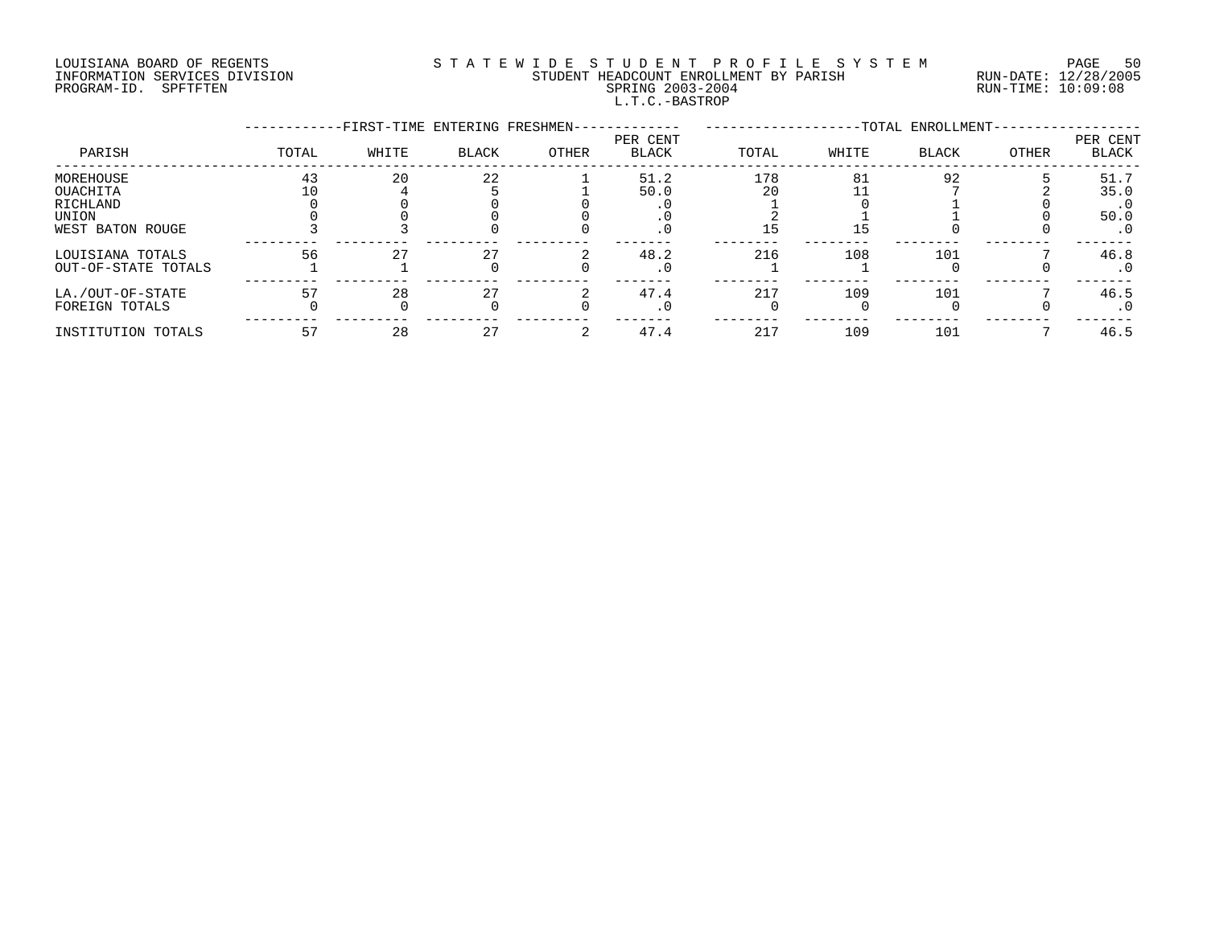# LOUISIANA BOARD OF REGENTS S T A T E W I D E S T U D E N T P R O F I L E S Y S T E M PAGE 50 INFORMATION SERVICES DIVISION STUDENT HEADCOUNT ENROLLMENT BY PARISH RUN-DATE: 12/28/2005 PROGRAM-ID. SPFTFTEN SPRING 2003-2004 RUN-TIME: 10:09:08 L.T.C.-BASTROP

|                     |       | -FIRST-TIME ENTERING FRESHMEN- |              |       |                          |       |       | -TOTAL ENROLLMENT- |       |                   |
|---------------------|-------|--------------------------------|--------------|-------|--------------------------|-------|-------|--------------------|-------|-------------------|
| PARISH              | TOTAL | WHITE                          | <b>BLACK</b> | OTHER | PER CENT<br><b>BLACK</b> | TOTAL | WHITE | BLACK              | OTHER | PER CENT<br>BLACK |
| MOREHOUSE           | 43    | 20                             | 22           |       | 51.2                     | 178   | 81    | 92                 |       | 51.7              |
| OUACHITA            |       |                                |              |       | 50.0                     | 20    |       |                    |       | 35.0              |
| RICHLAND            |       |                                |              |       |                          |       |       |                    |       | $\cdot$ 0         |
| UNION               |       |                                |              |       | . 0                      |       |       |                    |       | 50.0              |
| WEST BATON ROUGE    |       |                                |              |       | $\cdot$ 0                |       | 15    |                    |       | $\cdot$ 0         |
| LOUISIANA TOTALS    | 56    | 27                             |              |       | 48.2                     | 216   | 108   | 101                |       | 46.8              |
| OUT-OF-STATE TOTALS |       |                                |              |       | $\cdot$ 0                |       |       |                    |       | $\cdot$ 0         |
| LA./OUT-OF-STATE    | 57    | 28                             | 27           |       | 47.4                     | 217   | 109   | 101                |       | 46.5              |
| FOREIGN TOTALS      |       |                                |              |       | $\cdot$ 0                |       |       |                    |       | . 0               |
| INSTITUTION TOTALS  | 57    | 28                             |              |       | 47.4                     | 217   | 109   | 101                |       | 46.5              |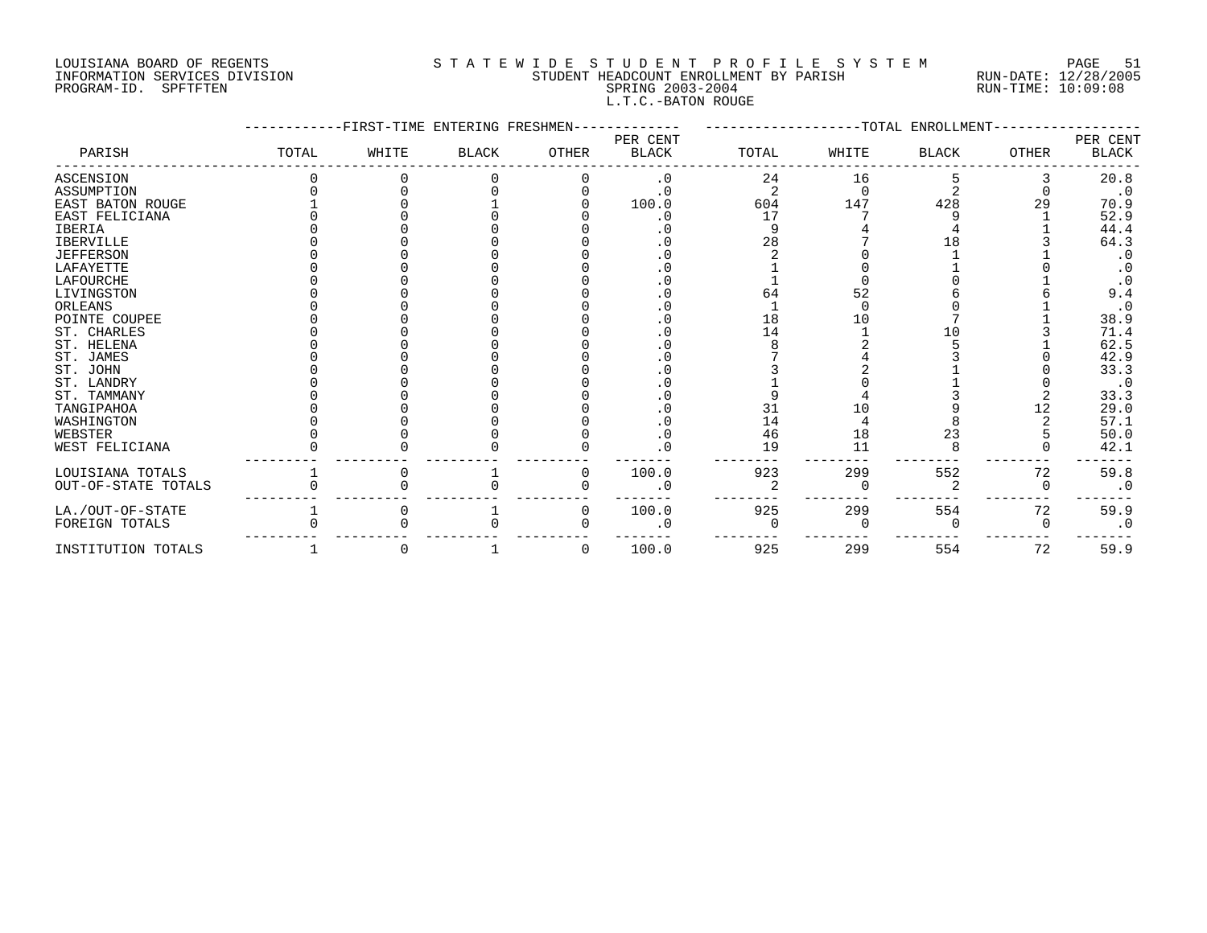## LOUISIANA BOARD OF REGENTS S T A T E W I D E S T U D E N T P R O F I L E S Y S T E M PAGE 51 INFORMATION SERVICES DIVISION STUDENT HEADCOUNT ENROLLMENT BY PARISH RUN-DATE: 12/28/2005 PROGRAM-ID. SPFTFTEN SPRING 2003-2004 RUN-TIME: 10:09:08 L.T.C.-BATON ROUGE

|                         |       | FIRST-TIME ENTERING FRESHMEN- |              |       |                          |       |       | -TOTAL ENROLLMENT |              |                   |
|-------------------------|-------|-------------------------------|--------------|-------|--------------------------|-------|-------|-------------------|--------------|-------------------|
| PARISH                  | TOTAL | WHITE                         | <b>BLACK</b> | OTHER | PER CENT<br><b>BLACK</b> | TOTAL | WHITE | <b>BLACK</b>      | <b>OTHER</b> | PER CENT<br>BLACK |
| ASCENSION               |       |                               |              |       | $\cdot$ 0                | 24    | 16    |                   |              | 20.8              |
| ASSUMPTION              |       |                               |              |       | $\cdot$ 0                |       |       |                   |              | $\cdot$ 0         |
| <b>EAST BATON ROUGE</b> |       |                               |              |       | 100.0                    | 604   | 147   | 428               | 29           | 70.9              |
| EAST FELICIANA          |       |                               |              |       |                          | 17    |       |                   |              | 52.9              |
| IBERIA                  |       |                               |              |       |                          |       |       |                   |              | 44.4              |
| <b>IBERVILLE</b>        |       |                               |              |       |                          | 28    |       | 18                |              | 64.3              |
| <b>JEFFERSON</b>        |       |                               |              |       |                          |       |       |                   |              | $\cdot$ 0         |
| LAFAYETTE               |       |                               |              |       |                          |       |       |                   |              |                   |
| LAFOURCHE               |       |                               |              |       |                          |       |       |                   |              |                   |
| LIVINGSTON              |       |                               |              |       |                          | 64    | 52    |                   |              | 9.4               |
| ORLEANS                 |       |                               |              |       |                          |       |       |                   |              |                   |
| POINTE COUPEE           |       |                               |              |       |                          | 18    | 10    |                   |              | 38.9              |
| ST. CHARLES             |       |                               |              |       |                          | 14    |       |                   |              | 71.4              |
| ST. HELENA              |       |                               |              |       |                          |       |       |                   |              | 62.5              |
| ST. JAMES               |       |                               |              |       |                          |       |       |                   |              | 42.9              |
| ST. JOHN                |       |                               |              |       |                          |       |       |                   |              | 33.3              |
| ST. LANDRY              |       |                               |              |       |                          |       |       |                   |              | $\cdot$ 0         |
| ST. TAMMANY             |       |                               |              |       |                          |       |       |                   |              | 33.3              |
| TANGIPAHOA              |       |                               |              |       |                          | 31    | 10    |                   | 12           | 29.0              |
| WASHINGTON              |       |                               |              |       |                          | 14    |       |                   |              | 57.1              |
| WEBSTER                 |       |                               |              |       | $\cdot$ 0                | 46    | 18    | 23                |              | 50.0              |
| WEST FELICIANA          |       |                               |              |       | $\mathbf 0$              | 19    | 11    |                   |              | 42.1              |
| LOUISIANA TOTALS        |       |                               |              | 0     | 100.0                    | 923   | 299   | 552               | 72           | 59.8              |
| OUT-OF-STATE TOTALS     |       |                               |              |       |                          |       |       |                   | O            | $\cdot$ 0         |
| LA./OUT-OF-STATE        |       |                               |              | 0     | 100.0                    | 925   | 299   | 554               | 72           | 59.9              |
| FOREIGN TOTALS          |       |                               |              |       | . 0                      |       |       |                   |              | $\cdot$ 0         |
| INSTITUTION TOTALS      |       |                               |              | O     | 100.0                    | 925   | 299   | 554               | 72           | 59.9              |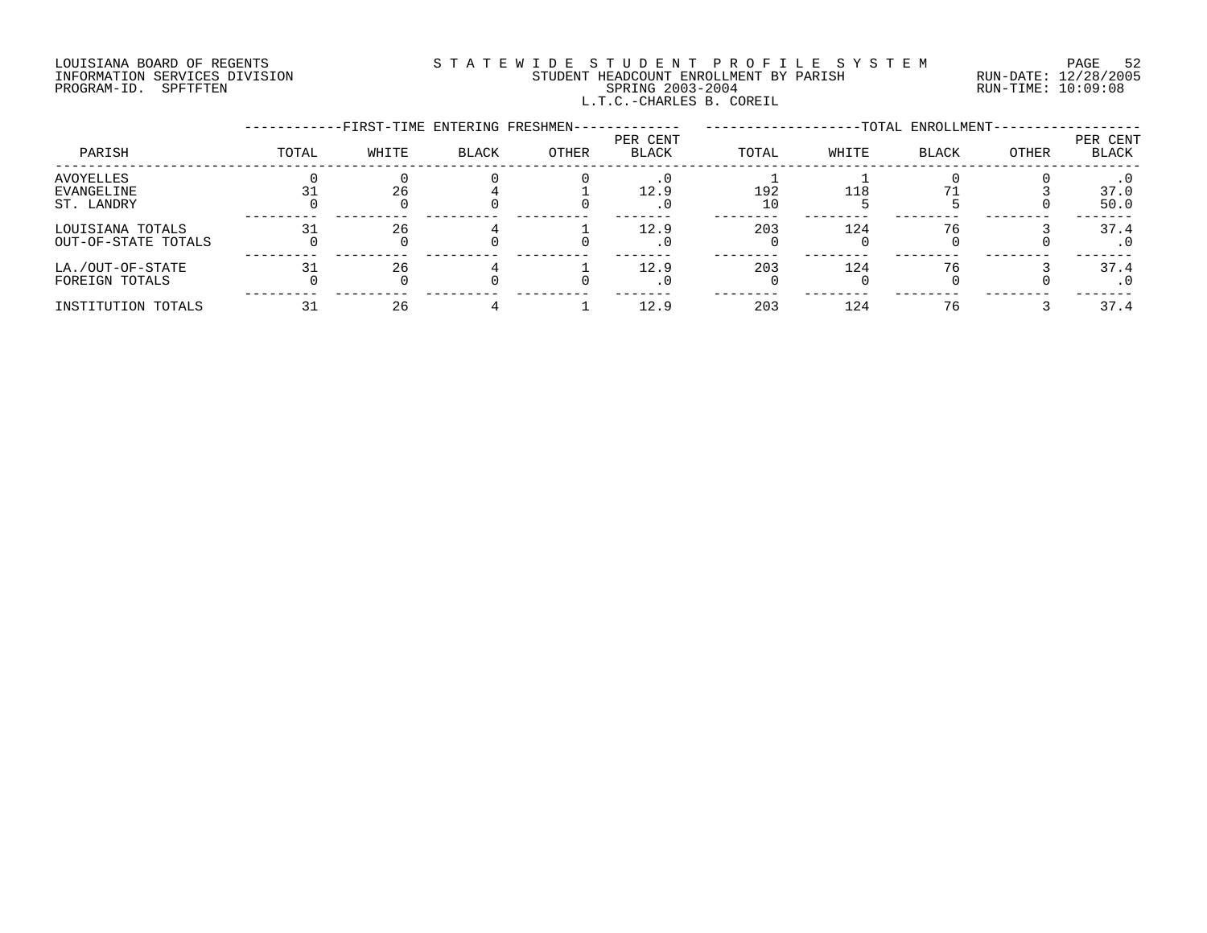# LOUISIANA BOARD OF REGENTS S T A T E W I D E S T U D E N T P R O F I L E S Y S T E M PAGE 52 INFORMATION SERVICES DIVISION STUDENT HEADCOUNT ENROLLMENT BY PARISH RUN-DATE: 12/28/2005 PROGRAM-ID. SPFTFTEN SPRING 2003-2004 RUN-TIME: 10:09:08 L.T.C.-CHARLES B. COREIL

|                                         |       | -FIRST-TIME ENTERING FRESHMEN- |              |       |                          |           |       | -TOTAL ENROLLMENT- |       |                          |
|-----------------------------------------|-------|--------------------------------|--------------|-------|--------------------------|-----------|-------|--------------------|-------|--------------------------|
| PARISH                                  | TOTAL | WHITE                          | <b>BLACK</b> | OTHER | PER CENT<br><b>BLACK</b> | TOTAL     | WHITE | <b>BLACK</b>       | OTHER | PER CENT<br><b>BLACK</b> |
| AVOYELLES<br>EVANGELINE<br>ST. LANDRY   |       | 26                             |              |       | 12.9<br>. 0              | 192<br>10 | 118   |                    |       | 37.0<br>50.0             |
| LOUISIANA TOTALS<br>OUT-OF-STATE TOTALS | 31    | 26                             |              |       | 12.9<br>. 0              | 203       | 124   | 76                 |       | 37.4<br>$\cdot$ 0        |
| LA./OUT-OF-STATE<br>FOREIGN TOTALS      | 31    | 26                             |              |       | 12.9                     | 203       | 124   | 76                 |       | 37.4<br>. 0              |
| INSTITUTION TOTALS                      |       | 26                             |              |       | 12.9                     | 203       | 124   | 76                 |       | 37.4                     |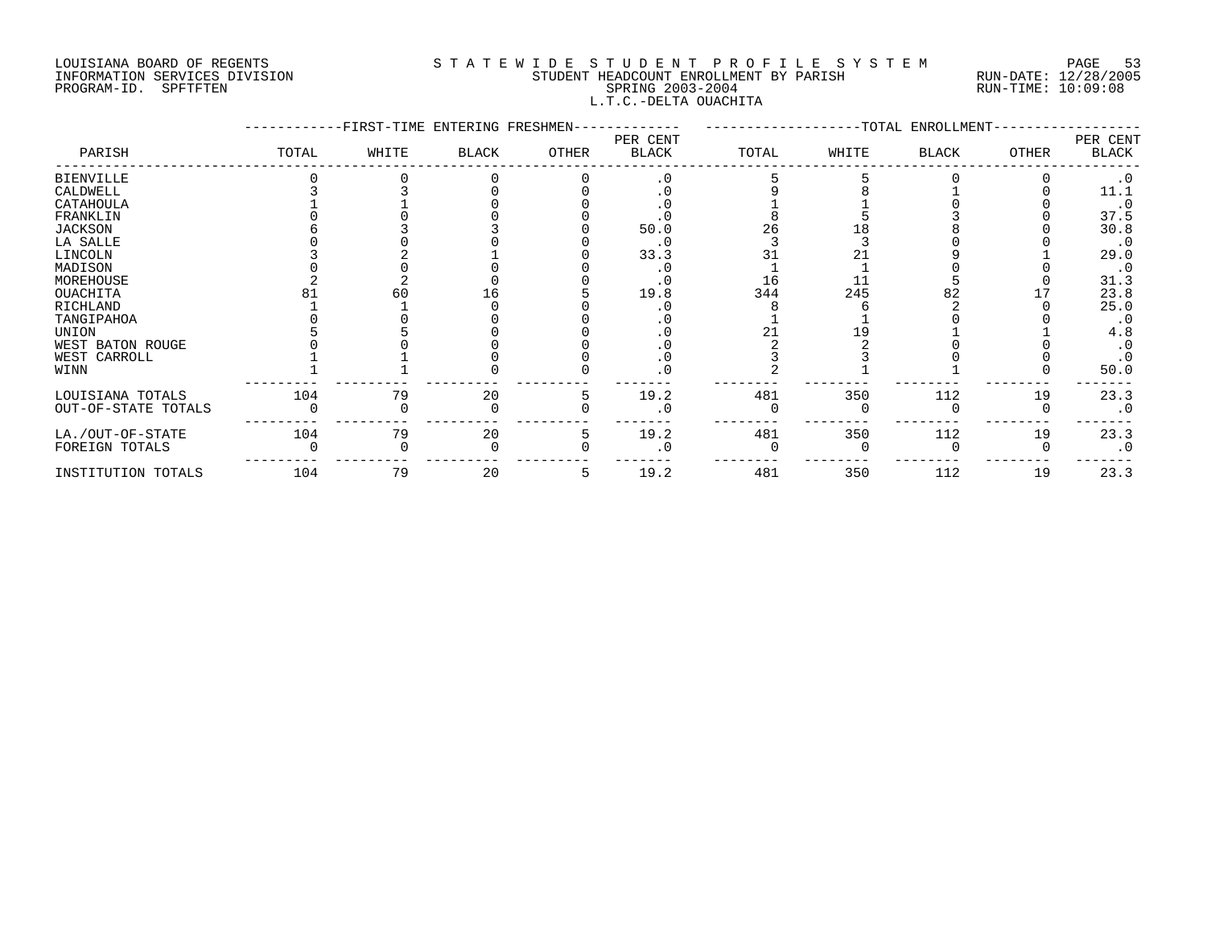## LOUISIANA BOARD OF REGENTS S T A T E W I D E S T U D E N T P R O F I L E S Y S T E M PAGE 53 INFORMATION SERVICES DIVISION STUDENT HEADCOUNT ENROLLMENT BY PARISH RUN-DATE: 12/28/2005 PROGRAM-ID. SPFTFTEN SPRING 2003-2004 RUN-TIME: 10:09:08 L.T.C.-DELTA OUACHITA

|                     |       | -FIRST-TIME ENTERING FRESHMEN- |              |       |                          |       |       | -TOTAL ENROLLMENT- |              |                   |
|---------------------|-------|--------------------------------|--------------|-------|--------------------------|-------|-------|--------------------|--------------|-------------------|
| PARISH              | TOTAL | WHITE                          | <b>BLACK</b> | OTHER | PER CENT<br><b>BLACK</b> | TOTAL | WHITE | <b>BLACK</b>       | <b>OTHER</b> | PER CENT<br>BLACK |
| <b>BIENVILLE</b>    |       |                                |              |       | $\cdot$ 0                |       |       |                    |              | $\cdot$ 0         |
| CALDWELL            |       |                                |              |       |                          |       |       |                    |              | 11.1              |
| CATAHOULA           |       |                                |              |       |                          |       |       |                    |              | $\cdot$ 0         |
| FRANKLIN            |       |                                |              |       |                          |       |       |                    |              | 37.5              |
| JACKSON             |       |                                |              |       | 50.0                     | 26    |       |                    |              | 30.8              |
| LA SALLE            |       |                                |              |       | . 0                      |       |       |                    |              | $\cdot$ 0         |
| LINCOLN             |       |                                |              |       | 33.3                     |       |       |                    |              | 29.0              |
| MADISON             |       |                                |              |       |                          |       |       |                    |              | $\cdot$ 0         |
| MOREHOUSE           |       |                                |              |       |                          | 16    |       |                    |              | 31.3              |
| OUACHITA            |       | 60                             |              |       | 19.8                     | 344   | 245   |                    |              | 23.8              |
| RICHLAND            |       |                                |              |       |                          |       |       |                    |              | 25.0              |
| TANGIPAHOA          |       |                                |              |       |                          |       |       |                    |              | $\cdot$ 0         |
| UNION               |       |                                |              |       |                          |       |       |                    |              | 4.8               |
| WEST BATON ROUGE    |       |                                |              |       |                          |       |       |                    |              |                   |
| WEST CARROLL        |       |                                |              |       | . 0                      |       |       |                    |              |                   |
| WINN                |       |                                |              |       | 0                        |       |       |                    |              | 50.0              |
| LOUISIANA TOTALS    | 104   | 79                             | 20           |       | 19.2                     | 481   | 350   | 112                | 19           | 23.3              |
| OUT-OF-STATE TOTALS |       |                                |              |       | . 0                      |       |       |                    |              | $\cdot$ 0         |
| LA./OUT-OF-STATE    | 104   | 79                             | 20           |       | 19.2                     | 481   | 350   | 112                | 19           | 23.3              |
| FOREIGN TOTALS      |       |                                |              |       | $\overline{0}$           |       |       |                    |              | $\cdot$ 0         |
| INSTITUTION TOTALS  | 104   | 79                             | 20           | 5     | 19.2                     | 481   | 350   | 112                | 19           | 23.3              |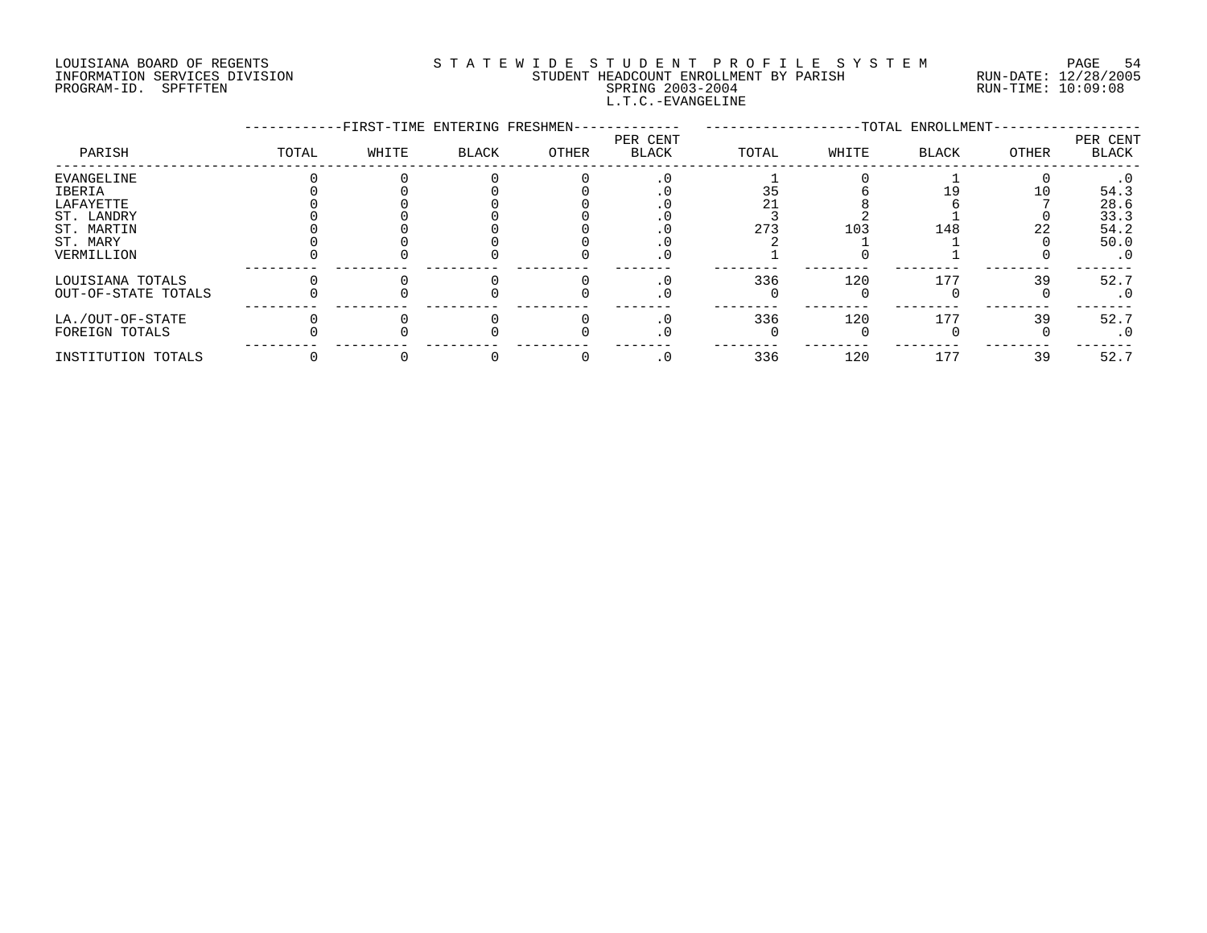# LOUISIANA BOARD OF REGENTS S T A T E W I D E S T U D E N T P R O F I L E S Y S T E M PAGE 54 INFORMATION SERVICES DIVISION STUDENT HEADCOUNT ENROLLMENT BY PARISH RUN-DATE: 12/28/2005 PROGRAM-ID. SPFTFTEN SPRING 2003-2004 RUN-TIME: 10:09:08 L.T.C.-EVANGELINE

|                     |       |       | -FIRST-TIME ENTERING FRESHMEN- |       |                          |       |       | -TOTAL ENROLLMENT- |       |                   |
|---------------------|-------|-------|--------------------------------|-------|--------------------------|-------|-------|--------------------|-------|-------------------|
| PARISH              | TOTAL | WHITE | <b>BLACK</b>                   | OTHER | PER CENT<br><b>BLACK</b> | TOTAL | WHITE | <b>BLACK</b>       | OTHER | PER CENT<br>BLACK |
| EVANGELINE          |       |       |                                |       |                          |       |       |                    |       | $\cdot$ 0         |
| IBERIA              |       |       |                                |       |                          | 35    |       |                    | 10    | 54.3              |
| LAFAYETTE           |       |       |                                |       |                          |       |       |                    |       | 28.6              |
| ST. LANDRY          |       |       |                                |       |                          |       |       |                    |       | 33.3              |
| ST. MARTIN          |       |       |                                |       |                          | 273   | 103   | 148                | 22    | 54.2              |
| ST. MARY            |       |       |                                |       |                          |       |       |                    |       | 50.0              |
| VERMILLION          |       |       |                                |       | . U                      |       |       |                    |       | $\cdot$ 0         |
| LOUISIANA TOTALS    |       |       |                                |       |                          | 336   | 120   | 177                | 39    | 52.7              |
| OUT-OF-STATE TOTALS |       |       |                                |       | . 0                      |       |       |                    |       | $\cdot$ 0         |
| LA./OUT-OF-STATE    |       |       |                                |       |                          | 336   | 120   | 177                | 39    | 52.7              |
| FOREIGN TOTALS      |       |       |                                |       |                          |       |       |                    |       | $\cdot$ 0         |
| INSTITUTION TOTALS  |       |       |                                |       | . 0                      | 336   | 120   | 177                | 39    | 52.7              |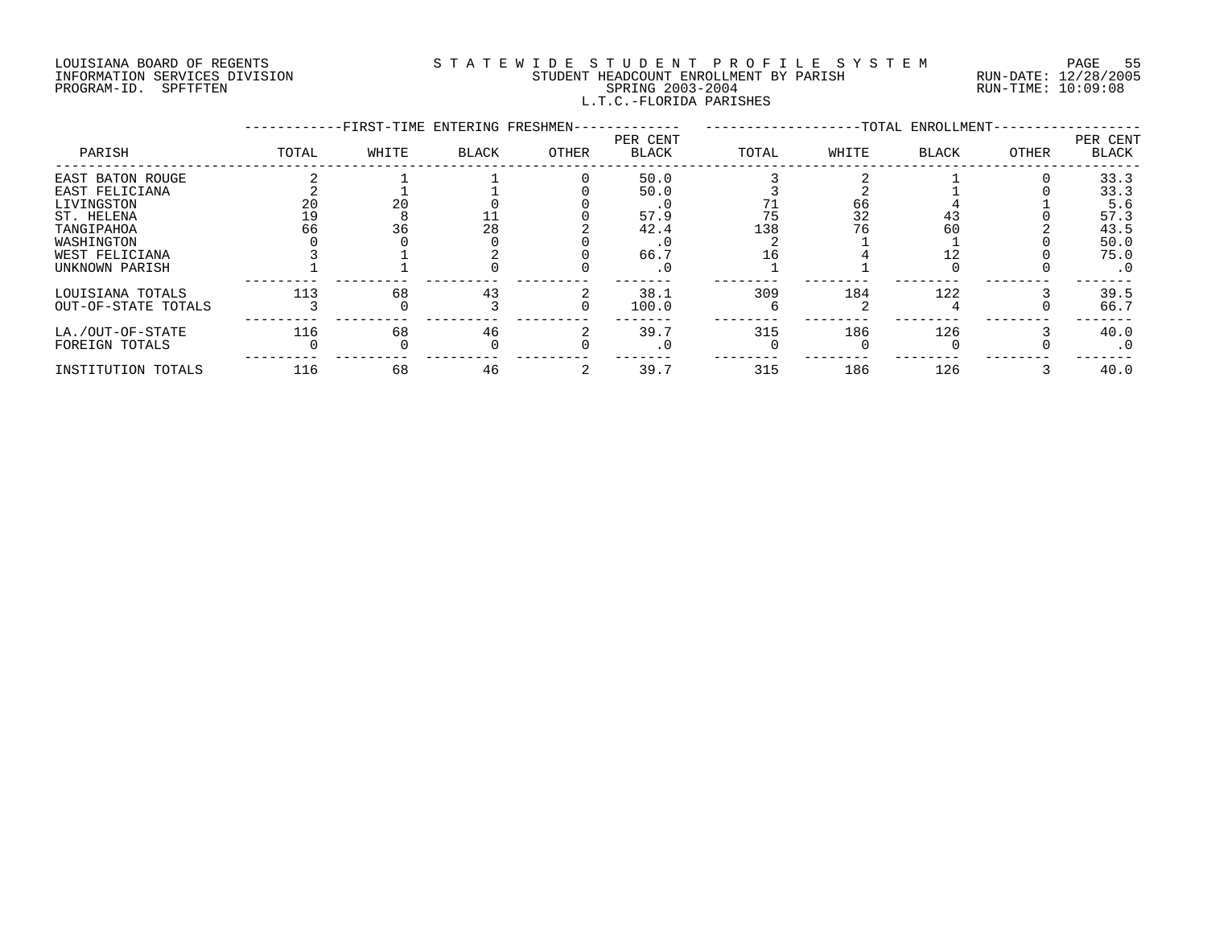## LOUISIANA BOARD OF REGENTS S T A T E W I D E S T U D E N T P R O F I L E S Y S T E M PAGE 55 INFORMATION SERVICES DIVISION STUDENT HEADCOUNT ENROLLMENT BY PARISH RUN-DATE: 12/28/2005 PROGRAM-ID. SPFTFTEN SPRING 2003-2004 RUN-TIME: 10:09:08 L.T.C.-FLORIDA PARISHES

|                     |       |       | -FIRST-TIME ENTERING FRESHMEN- |       |                          |       |       | -TOTAL ENROLLMENT- |       |                   |
|---------------------|-------|-------|--------------------------------|-------|--------------------------|-------|-------|--------------------|-------|-------------------|
| PARISH              | TOTAL | WHITE | BLACK                          | OTHER | PER CENT<br><b>BLACK</b> | TOTAL | WHITE | <b>BLACK</b>       | OTHER | PER CENT<br>BLACK |
| EAST BATON ROUGE    |       |       |                                |       | 50.0                     |       |       |                    |       | 33.3              |
| EAST FELICIANA      |       |       |                                |       | 50.0                     |       |       |                    |       | 33.3              |
| LIVINGSTON          |       | 20    |                                |       |                          |       | 66    |                    |       | 5.6               |
| ST. HELENA          |       |       |                                |       | 57.9                     | 75    | 32    | 43                 |       | 57.3              |
| TANGIPAHOA          | 66    | 36    | 28                             |       | 42.4                     | 138   |       | 60                 |       | 43.5              |
| WASHINGTON          |       |       |                                |       |                          |       |       |                    |       | 50.0              |
| WEST FELICIANA      |       |       |                                |       | 66.7                     |       |       |                    |       | 75.0              |
| UNKNOWN PARISH      |       |       |                                |       | $\cdot$ 0                |       |       |                    |       | $\cdot$ 0         |
| LOUISIANA TOTALS    | 113   | 68    | 43                             |       | 38.1                     | 309   | 184   | 122                |       | 39.5              |
| OUT-OF-STATE TOTALS |       |       |                                |       | 100.0                    |       |       |                    |       | 66.7              |
| LA./OUT-OF-STATE    | 116   | 68    | 46                             |       | 39.7                     | 315   | 186   | 126                |       | 40.0              |
| FOREIGN TOTALS      |       |       |                                |       | $\cdot$ 0                |       |       |                    |       | . 0               |
| INSTITUTION TOTALS  | 116   | 68    | 46                             |       | 39.7                     | 315   | 186   | 126                |       | 40.0              |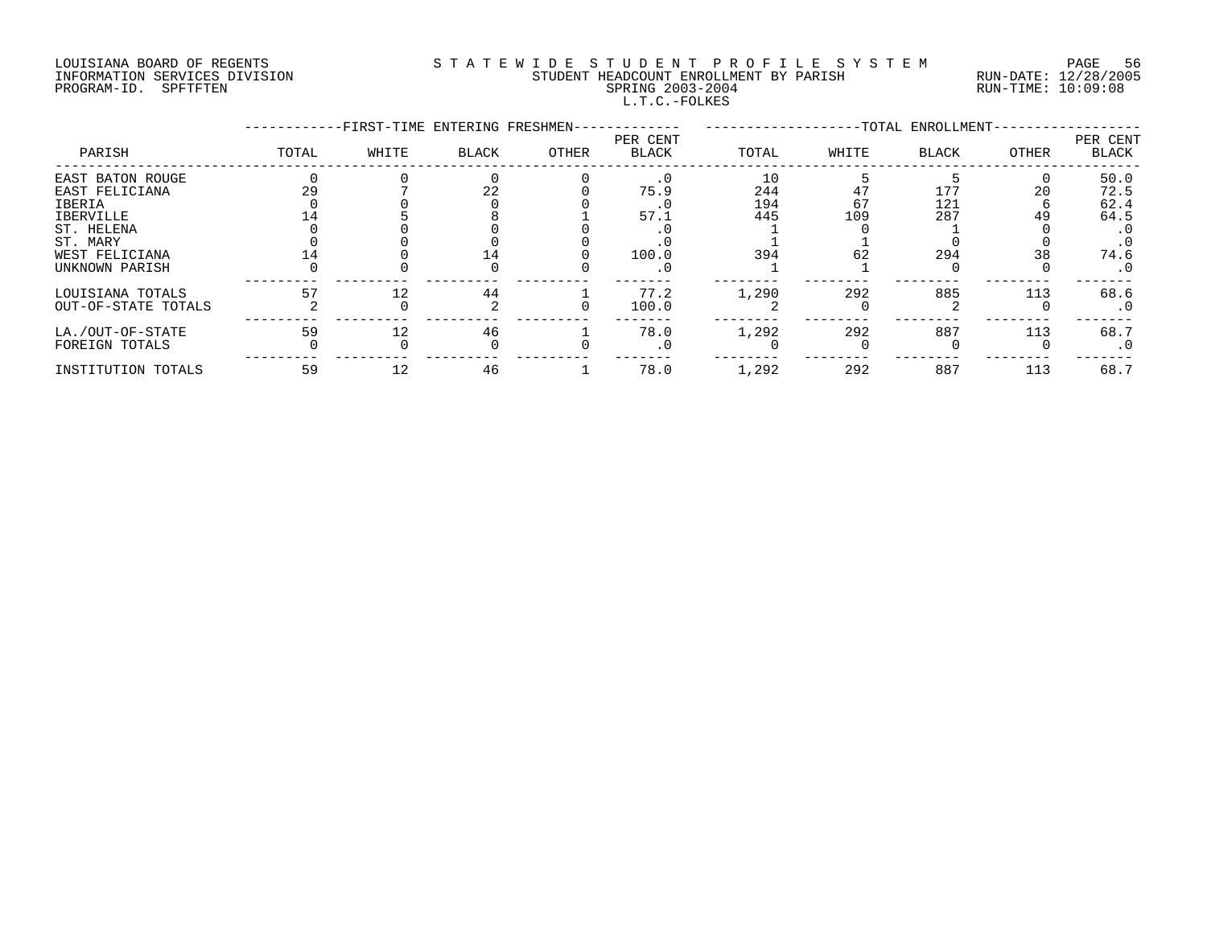# LOUISIANA BOARD OF REGENTS S T A T E W I D E S T U D E N T P R O F I L E S Y S T E M PAGE 56 INFORMATION SERVICES DIVISION STUDENT HEADCOUNT ENROLLMENT BY PARISH RUN-DATE: 12/28/2005 PROGRAM-ID. SPFTFTEN SPRING 2003-2004 RUN-TIME: 10:09:08 L.T.C.-FOLKES

|                     |       | -FIRST-TIME ENTERING FRESHMEN- |       |       |                          |       |       | -TOTAL ENROLLMENT- |       |                   |
|---------------------|-------|--------------------------------|-------|-------|--------------------------|-------|-------|--------------------|-------|-------------------|
| PARISH              | TOTAL | WHITE                          | BLACK | OTHER | PER CENT<br><b>BLACK</b> | TOTAL | WHITE | BLACK              | OTHER | PER CENT<br>BLACK |
| EAST BATON ROUGE    |       |                                |       |       |                          | 10    |       |                    |       | 50.0              |
| EAST FELICIANA      |       |                                | 22    |       | 75.9                     | 244   | 4.    | 177                | 20    | 72.5              |
| IBERIA              |       |                                |       |       |                          | 194   | 67    | 121                |       | 62.4              |
| IBERVILLE           |       |                                |       |       | 57.1                     | 445   | 109   | 287                | 49    | 64.5              |
| ST. HELENA          |       |                                |       |       |                          |       |       |                    |       |                   |
| ST. MARY            |       |                                |       |       |                          |       |       |                    |       | $\cdot$ 0         |
| WEST FELICIANA      |       |                                |       |       | 100.0                    | 394   | 62    | 294                | 38    | 74.6              |
| UNKNOWN PARISH      |       |                                |       |       | $\cdot$ 0                |       |       |                    |       | $\cdot$ 0         |
| LOUISIANA TOTALS    | 57    |                                | 44    |       | 77.2                     | 1,290 | 292   | 885                | 113   | 68.6              |
| OUT-OF-STATE TOTALS |       |                                |       |       | 100.0                    |       |       |                    |       |                   |
| LA./OUT-OF-STATE    | 59    |                                | 46    |       | 78.0                     | 1,292 | 292   | 887                | 113   | 68.7              |
| FOREIGN TOTALS      |       |                                |       |       | . 0                      |       |       |                    |       | . 0               |
| INSTITUTION TOTALS  | 59    |                                | 46    |       | 78.0                     | 1,292 | 292   | 887                | 113   | 68.7              |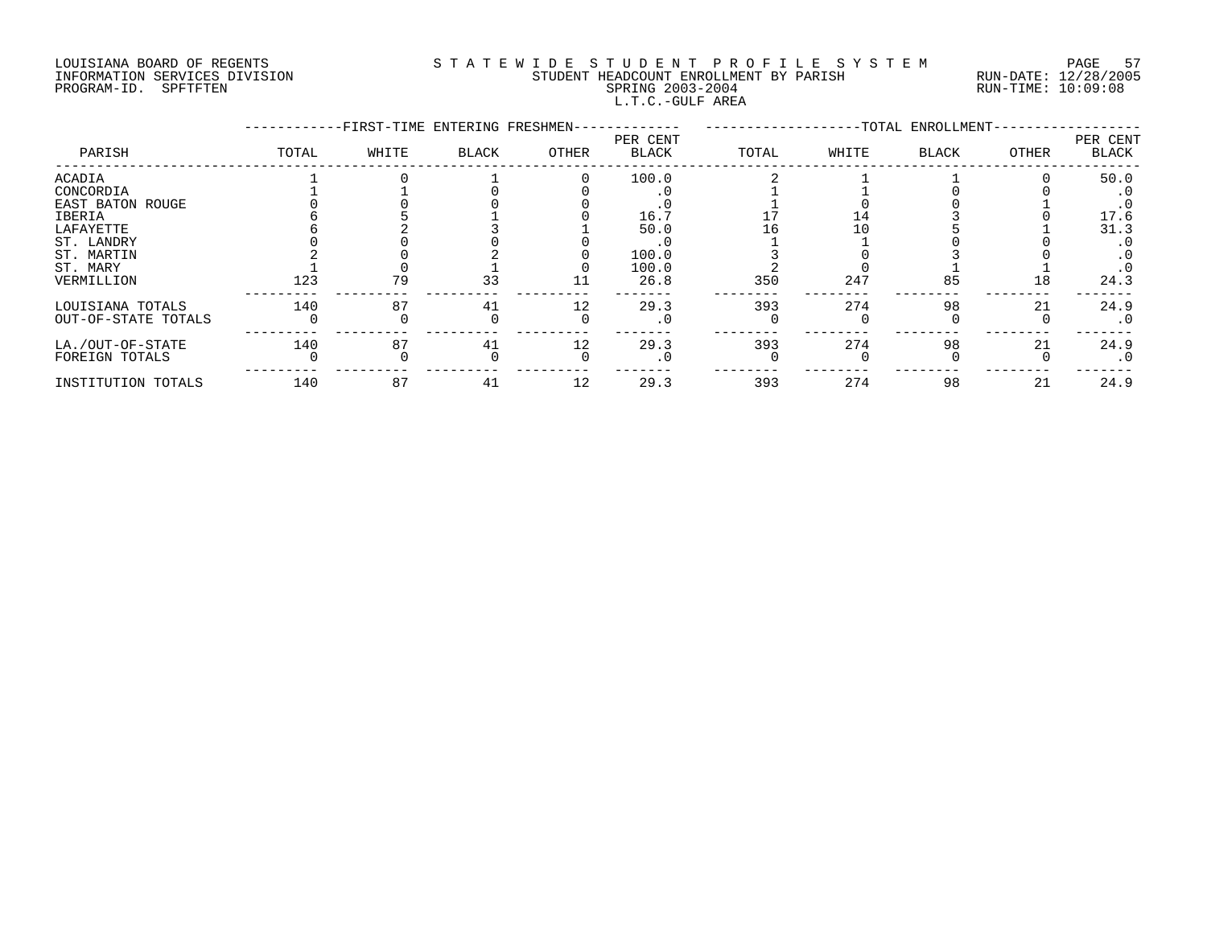# LOUISIANA BOARD OF REGENTS S T A T E W I D E S T U D E N T P R O F I L E S Y S T E M PAGE 57 INFORMATION SERVICES DIVISION STUDENT HEADCOUNT ENROLLMENT BY PARISH RUN-DATE: 12/28/2005 PROGRAM-ID. SPFTFTEN SPRING 2003-2004 RUN-TIME: 10:09:08 L.T.C.-GULF AREA

|                     |       | -FIRST-TIME ENTERING FRESHMEN- |       |       |                   |       |       | -TOTAL ENROLLMENT- |       |                          |
|---------------------|-------|--------------------------------|-------|-------|-------------------|-------|-------|--------------------|-------|--------------------------|
| PARISH              | TOTAL | WHITE                          | BLACK | OTHER | PER CENT<br>BLACK | TOTAL | WHITE | <b>BLACK</b>       | OTHER | PER CENT<br><b>BLACK</b> |
| ACADIA              |       |                                |       |       | 100.0             |       |       |                    |       | 50.0                     |
| CONCORDIA           |       |                                |       |       |                   |       |       |                    |       |                          |
| EAST BATON ROUGE    |       |                                |       |       |                   |       |       |                    |       | $\cdot$ 0                |
| IBERIA              |       |                                |       |       | 16.7              |       |       |                    |       | 17.6                     |
| LAFAYETTE           |       |                                |       |       | 50.0              | Lб    |       |                    |       | 31.3                     |
| ST. LANDRY          |       |                                |       |       |                   |       |       |                    |       |                          |
| ST. MARTIN          |       |                                |       |       | 100.0             |       |       |                    |       |                          |
| ST. MARY            |       |                                |       |       | 100.0             |       |       |                    |       | $\cdot$ 0                |
| VERMILLION          | 123   | 79                             | 33    |       | 26.8              | 350   | 247   | 85                 | 18    | 24.3                     |
| LOUISIANA TOTALS    | 140   | 87                             | 41    | 12    | 29.3              | 393   | 274   | 98                 | 21    | 24.9                     |
| OUT-OF-STATE TOTALS |       |                                |       |       | $\cdot$ 0         |       |       |                    |       | $\cdot$ 0                |
| LA./OUT-OF-STATE    | 140   | 87                             | 41    | 12    | 29.3              | 393   | 274   | 98                 | 21    | 24.9                     |
| FOREIGN TOTALS      |       |                                |       |       | $\cdot$ 0         |       |       |                    |       | $\cdot$ 0                |
| INSTITUTION TOTALS  | 140   | 87                             | 41    | 12    | 29.3              | 393   | 274   | 98                 | 21    | 24.9                     |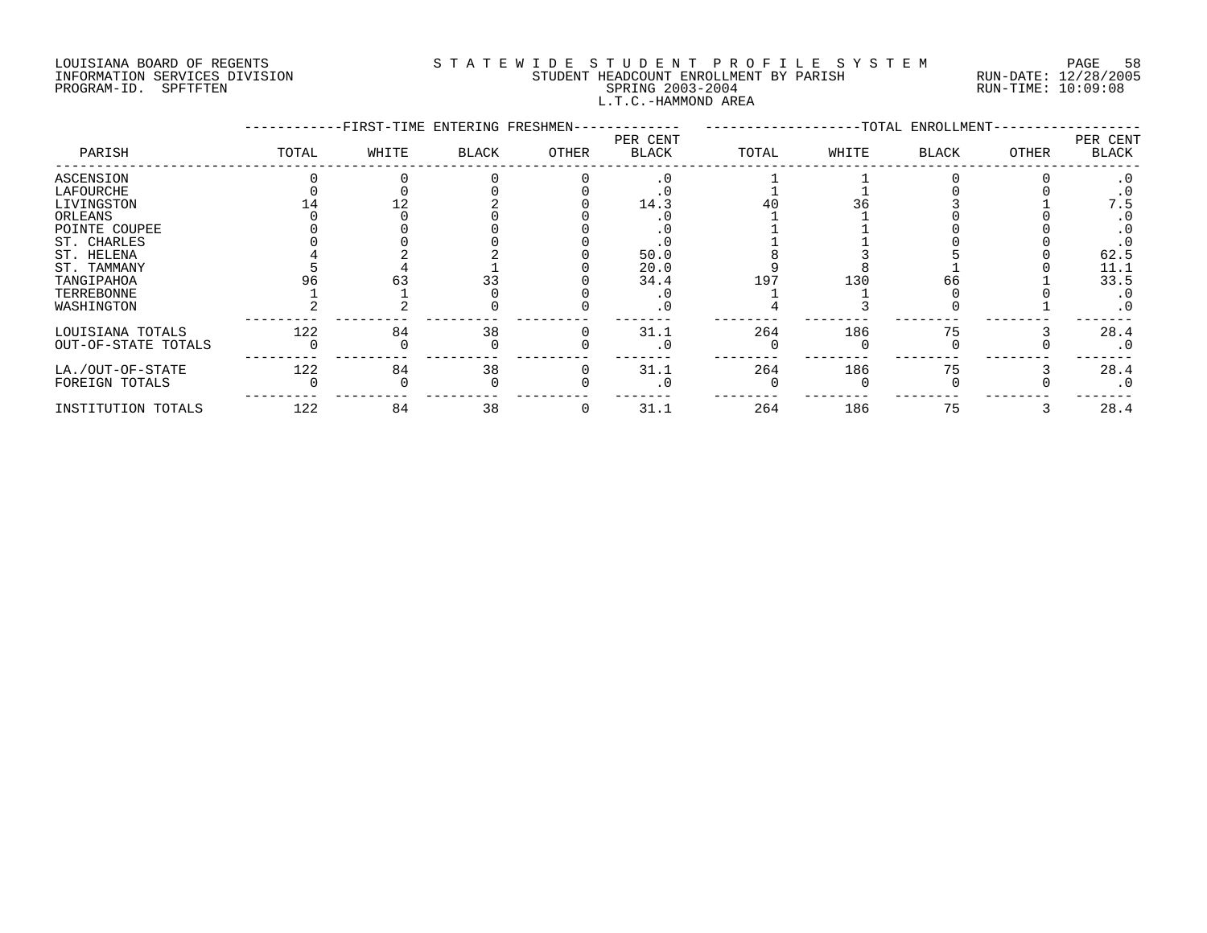# LOUISIANA BOARD OF REGENTS S T A T E W I D E S T U D E N T P R O F I L E S Y S T E M PAGE 58 INFORMATION SERVICES DIVISION STUDENT HEADCOUNT ENROLLMENT BY PARISH RUN-DATE: 12/28/2005 PROGRAM-ID. SPFTFTEN SPRING 2003-2004 RUN-TIME: 10:09:08 L.T.C.-HAMMOND AREA

|                     |       | -FIRST-TIME ENTERING FRESHMEN- |              |       |                   |       |       | -TOTAL ENROLLMENT- |       |                   |
|---------------------|-------|--------------------------------|--------------|-------|-------------------|-------|-------|--------------------|-------|-------------------|
| PARISH              | TOTAL | WHITE                          | <b>BLACK</b> | OTHER | PER CENT<br>BLACK | TOTAL | WHITE | <b>BLACK</b>       | OTHER | PER CENT<br>BLACK |
| ASCENSION           |       |                                |              |       |                   |       |       |                    |       |                   |
| LAFOURCHE           |       |                                |              |       |                   |       |       |                    |       |                   |
| LIVINGSTON          |       |                                |              |       | 14.3              |       |       |                    |       | 7.5               |
| ORLEANS             |       |                                |              |       |                   |       |       |                    |       |                   |
| POINTE COUPEE       |       |                                |              |       |                   |       |       |                    |       |                   |
| ST. CHARLES         |       |                                |              |       |                   |       |       |                    |       |                   |
| ST. HELENA          |       |                                |              |       | 50.0              |       |       |                    |       | 62.5              |
| ST. TAMMANY         |       |                                |              |       | 20.0              |       |       |                    |       | 11.1              |
| TANGIPAHOA          |       |                                |              |       | 34.4              | 197   | 130   | 66                 |       | 33.5              |
| TERREBONNE          |       |                                |              |       |                   |       |       |                    |       | $\cdot$ 0         |
| WASHINGTON          |       |                                |              |       | . 0               |       |       |                    |       | $\cdot$ 0         |
| LOUISIANA TOTALS    | 122   | 84                             | 38           |       | 31.1              | 264   | 186   |                    |       | 28.4              |
| OUT-OF-STATE TOTALS |       |                                |              |       |                   |       |       |                    |       | $\cdot$ 0         |
| LA./OUT-OF-STATE    | 122   | 84                             | 38           |       | 31.1              | 264   | 186   | 75                 |       | 28.4              |
| FOREIGN TOTALS      |       |                                |              |       |                   |       |       |                    |       | $\cdot$ 0         |
| INSTITUTION TOTALS  | 122   | 84                             | 38           |       | 31.1              | 264   | 186   | 75                 |       | 28.4              |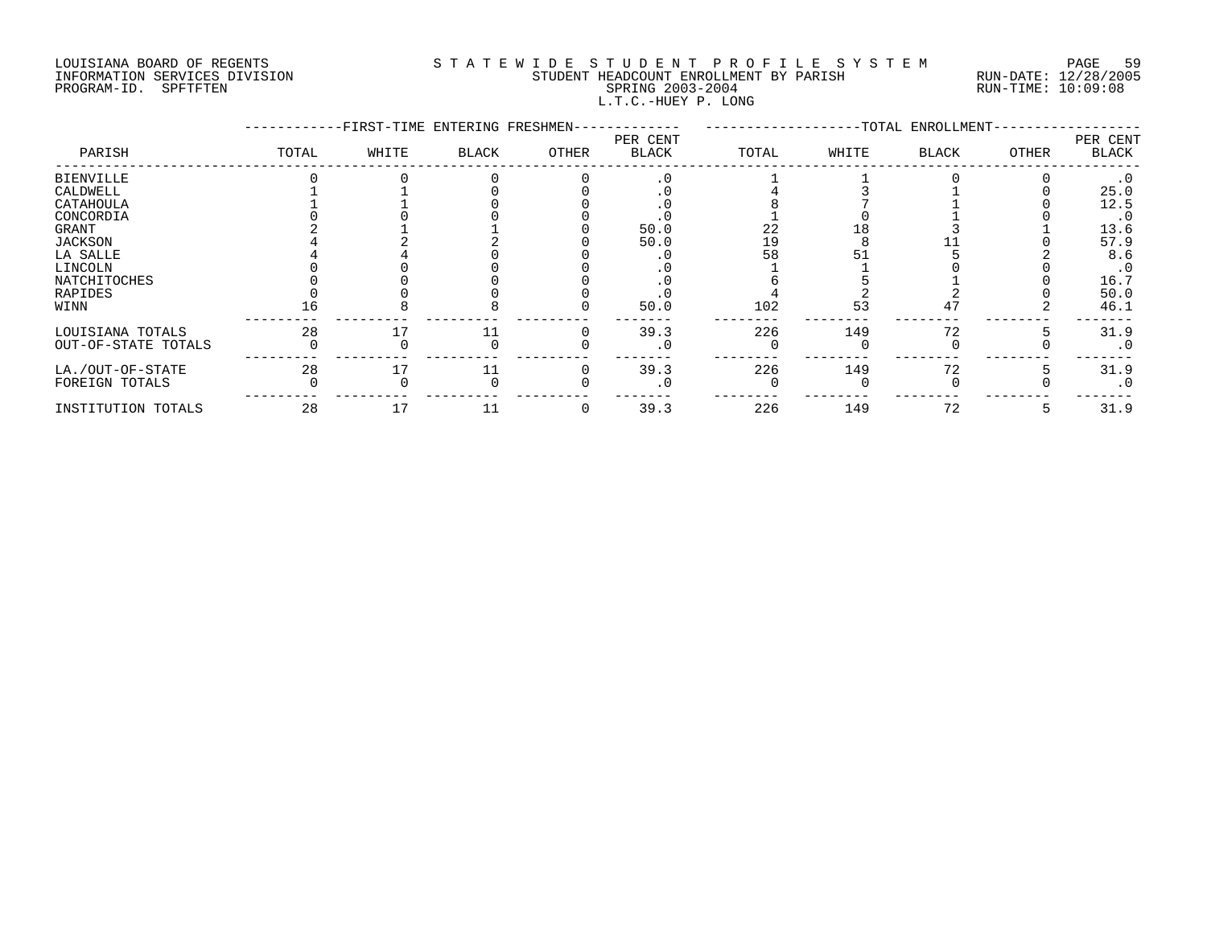# LOUISIANA BOARD OF REGENTS S T A T E W I D E S T U D E N T P R O F I L E S Y S T E M PAGE 59 INFORMATION SERVICES DIVISION STUDENT HEADCOUNT ENROLLMENT BY PARISH RUN-DATE: 12/28/2005 PROGRAM-ID. SPFTFTEN SPRING 2003-2004 RUN-TIME: 10:09:08 L.T.C.-HUEY P. LONG

|                     |       | -FIRST-TIME ENTERING FRESHMEN- |              |       |                          |       |       | -TOTAL ENROLLMENT- |       |                   |
|---------------------|-------|--------------------------------|--------------|-------|--------------------------|-------|-------|--------------------|-------|-------------------|
| PARISH              | TOTAL | WHITE                          | <b>BLACK</b> | OTHER | PER CENT<br><b>BLACK</b> | TOTAL | WHITE | <b>BLACK</b>       | OTHER | PER CENT<br>BLACK |
| <b>BIENVILLE</b>    |       |                                |              |       |                          |       |       |                    |       |                   |
| CALDWELL            |       |                                |              |       |                          |       |       |                    |       | 25.0              |
| CATAHOULA           |       |                                |              |       |                          |       |       |                    |       | 12.5              |
| CONCORDIA           |       |                                |              |       |                          |       |       |                    |       |                   |
| GRANT               |       |                                |              |       | 50.0                     | 22    |       |                    |       | 13.6              |
| JACKSON             |       |                                |              |       | 50.0                     | 19    |       |                    |       | 57.9              |
| LA SALLE            |       |                                |              |       |                          | 58    |       |                    |       | 8.6               |
| LINCOLN             |       |                                |              |       |                          |       |       |                    |       | $\cdot$ 0         |
| <b>NATCHITOCHES</b> |       |                                |              |       |                          |       |       |                    |       | 16.7              |
| RAPIDES             |       |                                |              |       |                          |       |       |                    |       | 50.0              |
| WINN                |       |                                |              |       | 50.0                     | 102   | 53    |                    |       | 46.1              |
| LOUISIANA TOTALS    | 28    |                                |              |       | 39.3                     | 226   | 149   | 72                 |       | 31.9              |
| OUT-OF-STATE TOTALS |       |                                |              |       |                          |       |       |                    |       | $\cdot$ 0         |
| LA./OUT-OF-STATE    | 28    |                                |              |       | 39.3                     | 226   | 149   | 72                 |       | 31.9              |
| FOREIGN TOTALS      |       |                                |              |       |                          |       |       |                    |       | $\cdot$ 0         |
| INSTITUTION TOTALS  | 28    |                                |              | 0     | 39.3                     | 226   | 149   | 72                 | כ     | 31.9              |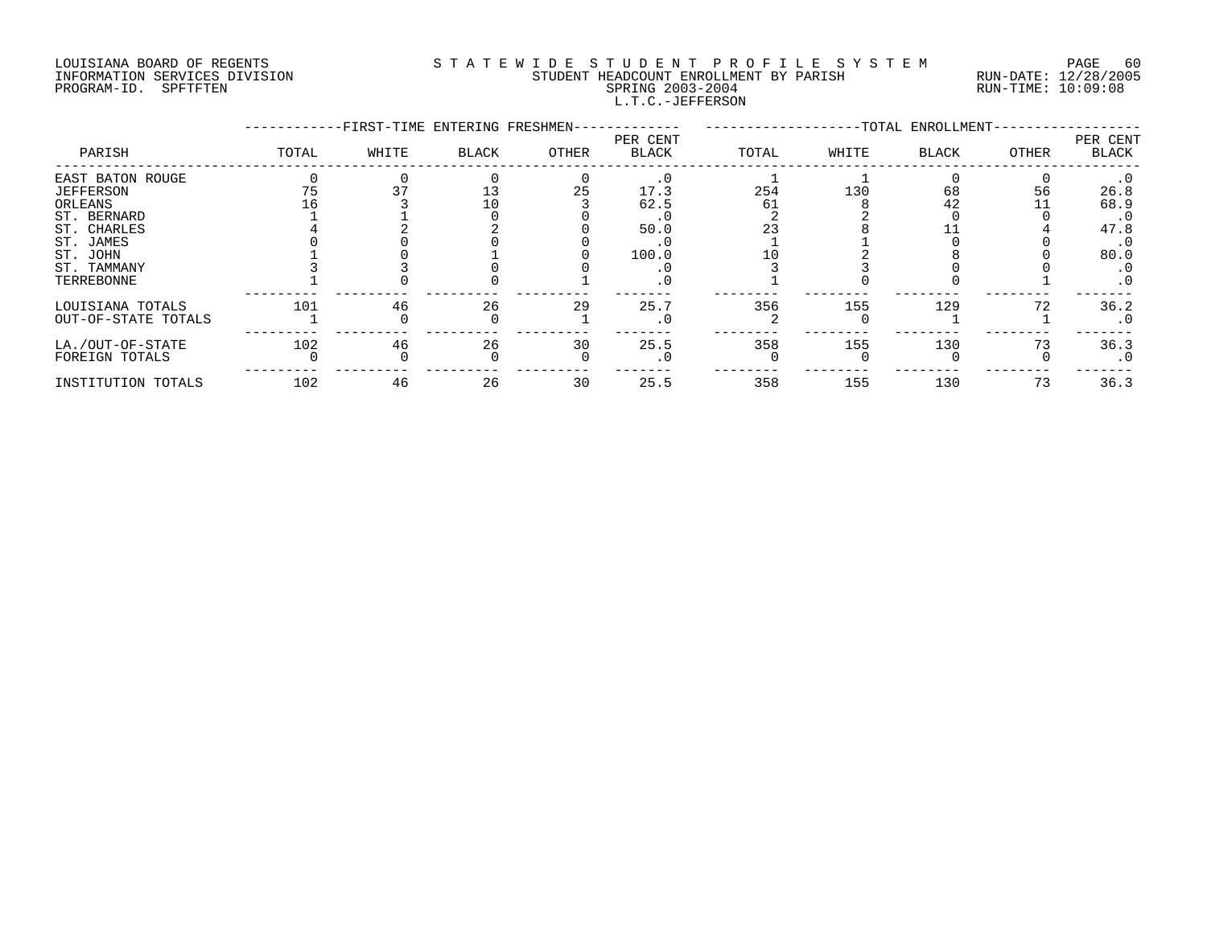# LOUISIANA BOARD OF REGENTS S T A T E W I D E S T U D E N T P R O F I L E S Y S T E M PAGE 60 INFORMATION SERVICES DIVISION STUDENT HEADCOUNT ENROLLMENT BY PARISH RUN-DATE: 12/28/2005 PROGRAM-ID. SPFTFTEN SPRING 2003-2004 RUN-TIME: 10:09:08 L.T.C.-JEFFERSON

|                     |       | -FIRST-TIME ENTERING FRESHMEN- |       |       |                   |       |       | -TOTAL ENROLLMENT- |       |                   |
|---------------------|-------|--------------------------------|-------|-------|-------------------|-------|-------|--------------------|-------|-------------------|
| PARISH              | TOTAL | WHITE                          | BLACK | OTHER | PER CENT<br>BLACK | TOTAL | WHITE | <b>BLACK</b>       | OTHER | PER CENT<br>BLACK |
| EAST BATON ROUGE    |       |                                |       |       |                   |       |       |                    |       | $\cdot$ 0         |
| <b>JEFFERSON</b>    |       |                                | 13    | 25    | 17.3              | 254   | 130   | 68                 | 56    | 26.8              |
| ORLEANS             |       |                                |       |       | 62.5              | 61    |       |                    |       | 68.9              |
| ST. BERNARD         |       |                                |       |       |                   |       |       |                    |       | $\cdot$ 0         |
| ST. CHARLES         |       |                                |       |       | 50.0              |       |       |                    |       | 47.8              |
| ST. JAMES           |       |                                |       |       |                   |       |       |                    |       |                   |
| ST. JOHN            |       |                                |       |       | 100.0             |       |       |                    |       | 80.0              |
| ST. TAMMANY         |       |                                |       |       |                   |       |       |                    |       | $\cdot$ 0         |
| TERREBONNE          |       |                                |       |       |                   |       |       |                    |       | $\cdot$ 0         |
| LOUISIANA TOTALS    | 101   | 46                             | 26    | 29    | 25.7              | 356   | 155   | 129                | 72    | 36.2              |
| OUT-OF-STATE TOTALS |       |                                |       |       |                   |       |       |                    |       | $\cdot$ 0         |
| LA./OUT-OF-STATE    | 102   | 46                             | 26    | 30    | 25.5              | 358   | 155   | 130                | 73    | 36.3              |
| FOREIGN TOTALS      |       |                                |       |       |                   |       |       |                    |       | $\cdot$ 0         |
| INSTITUTION TOTALS  | 102   | 46                             | 26    | 30    | 25.5              | 358   | 155   | 130                | 73    | 36.3              |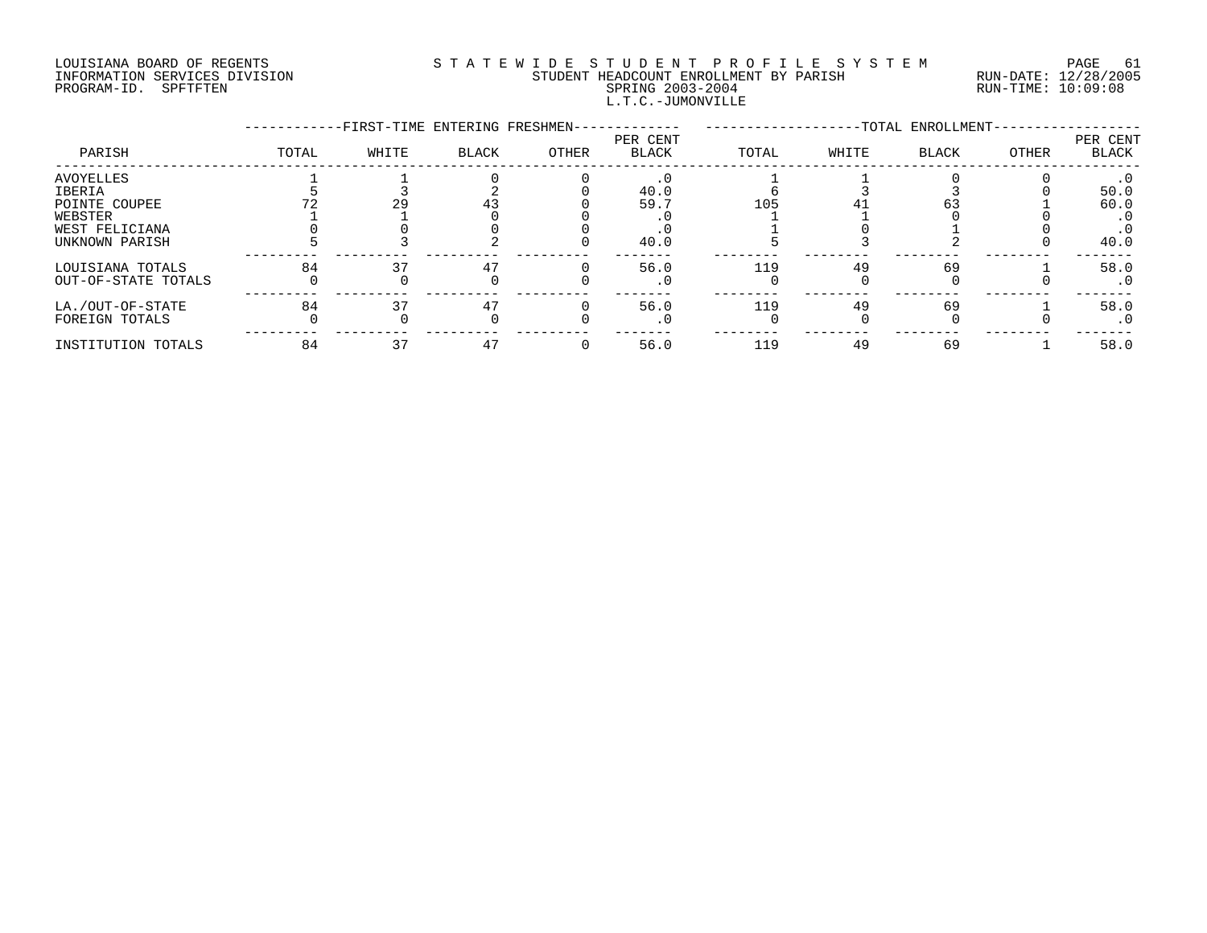#### LOUISIANA BOARD OF REGENTS SOURCLEARIE WIDE STUDENT PROFILE SYSTEM PAGE 61. INFORMATION SERVICES DIVISION STUDENT HEADCOUNT ENROLLMENT BY PARISH RUN-DATE: 12/28/2005 PROGRAM-ID. SPFTFTEN SPRING 2003-2004 RUN-TIME: 10:09:08 L.T.C.-JUMONVILLE

|                                                                                     |       | -FIRST-TIME ENTERING FRESHMEN- |       |       |                          |       |       | -TOTAL ENROLLMENT- |       |                                   |
|-------------------------------------------------------------------------------------|-------|--------------------------------|-------|-------|--------------------------|-------|-------|--------------------|-------|-----------------------------------|
| PARISH                                                                              | TOTAL | WHITE                          | BLACK | OTHER | PER CENT<br><b>BLACK</b> | TOTAL | WHITE | <b>BLACK</b>       | OTHER | PER CENT<br>BLACK                 |
| AVOYELLES<br>IBERIA<br>POINTE COUPEE<br>WEBSTER<br>WEST FELICIANA<br>UNKNOWN PARISH |       | 29                             |       |       | 40.0<br>59.7<br>40.0     | 105   |       |                    |       | 50.0<br>60.0<br>$\cdot$ 0<br>40.0 |
| LOUISIANA TOTALS<br>OUT-OF-STATE TOTALS                                             | 84    |                                |       |       | 56.0<br>. 0              | 119   | 49    | 69                 |       | 58.0<br>. 0                       |
| LA./OUT-OF-STATE<br>FOREIGN TOTALS                                                  | 84    |                                | 47    |       | 56.0<br>. 0              | 119   | 49    | 69                 |       | 58.0<br>$\cdot$ 0                 |
| INSTITUTION TOTALS                                                                  | 84    | 37                             | 47    |       | 56.0                     | 119   | 49    | 69                 |       | 58.0                              |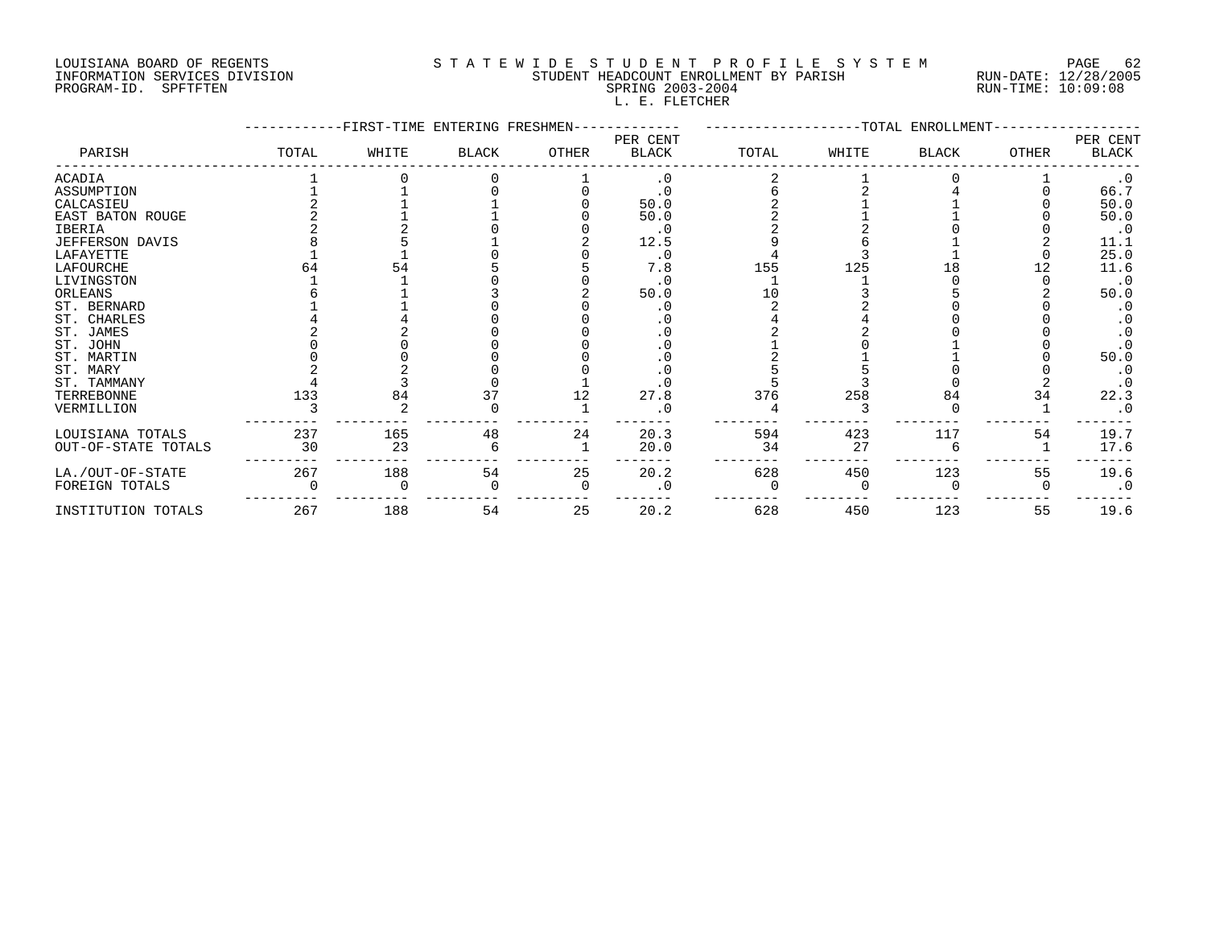# LOUISIANA BOARD OF REGENTS S T A T E W I D E S T U D E N T P R O F I L E S Y S T E M PAGE 62 INFORMATION SERVICES DIVISION STUDENT HEADCOUNT ENROLLMENT BY PARISH RUN-DATE: 12/28/2005 PROGRAM-ID. SPFTFTEN SPRING 2003-2004 RUN-TIME: 10:09:08 L. E. FLETCHER

|                        |       | -FIRST-TIME ENTERING FRESHMEN- |              |          |                          |       |       | -TOTAL ENROLLMENT |       |                          |
|------------------------|-------|--------------------------------|--------------|----------|--------------------------|-------|-------|-------------------|-------|--------------------------|
| PARISH                 | TOTAL | WHITE                          | <b>BLACK</b> | OTHER    | PER CENT<br><b>BLACK</b> | TOTAL | WHITE | BLACK             | OTHER | PER CENT<br><b>BLACK</b> |
| <b>ACADIA</b>          |       |                                |              |          | . 0                      |       |       |                   |       | $\cdot$ 0                |
| ASSUMPTION             |       |                                |              |          | $\cdot$ 0                |       |       |                   |       | 66.7                     |
| CALCASIEU              |       |                                |              |          | 50.0                     |       |       |                   |       | 50.0                     |
| EAST BATON ROUGE       |       |                                |              |          | 50.0                     |       |       |                   |       | 50.0                     |
| <b>IBERIA</b>          |       |                                |              |          | $\cdot$ 0                |       |       |                   |       | $\cdot$ 0                |
| <b>JEFFERSON DAVIS</b> |       |                                |              |          | 12.5                     |       |       |                   |       | 11.1                     |
| LAFAYETTE              |       |                                |              |          | . 0                      |       |       |                   |       | 25.0                     |
| LAFOURCHE              |       | 54                             |              |          | 7.8                      | 155   | 125   | 18                |       | 11.6                     |
| LIVINGSTON             |       |                                |              |          | . 0                      |       |       |                   |       | $\cdot$ 0                |
| ORLEANS                |       |                                |              |          | 50.0                     | 1 ∩   |       |                   |       | 50.0                     |
| ST. BERNARD            |       |                                |              |          |                          |       |       |                   |       |                          |
| ST. CHARLES            |       |                                |              |          |                          |       |       |                   |       |                          |
| ST. JAMES              |       |                                |              |          |                          |       |       |                   |       |                          |
| ST. JOHN               |       |                                |              |          |                          |       |       |                   |       |                          |
| ST. MARTIN             |       |                                |              |          |                          |       |       |                   |       | 50.0                     |
| ST. MARY               |       |                                |              |          |                          |       |       |                   |       |                          |
| ST. TAMMANY            |       |                                |              |          |                          |       |       |                   |       |                          |
| TERREBONNE             | 133   | 84                             | 37           | 12       | 27.8                     | 376   | 258   | 84                | 34    | 22.3                     |
| VERMILLION             |       |                                |              |          |                          |       |       |                   |       |                          |
| LOUISIANA TOTALS       | 237   | 165                            | 48           | 24       | 20.3                     | 594   | 423   | 117               | 54    | 19.7                     |
| OUT-OF-STATE TOTALS    | 30    | 23                             |              |          | 20.0                     | 34    | 27    |                   |       | 17.6                     |
| LA./OUT-OF-STATE       | 267   | 188                            | 54           | 25       | 20.2                     | 628   | 450   | 123               | 55    | 19.6                     |
| FOREIGN TOTALS         |       |                                |              | $\Omega$ | $\cdot$ 0                |       |       |                   |       | $\cdot$ 0                |
| INSTITUTION TOTALS     | 267   | 188                            | 54           | 25       | 20.2                     | 628   | 450   | 123               | 55    | 19.6                     |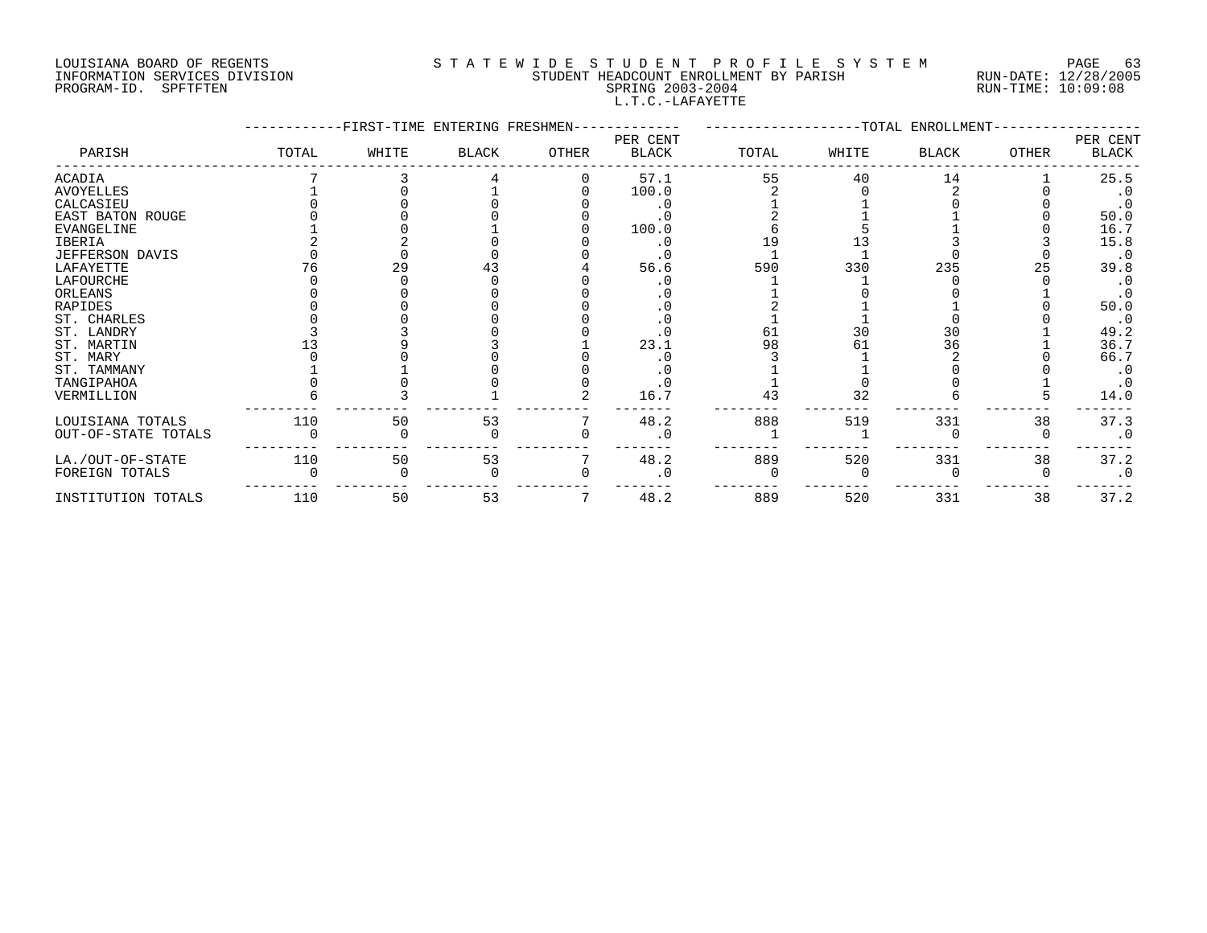# LOUISIANA BOARD OF REGENTS S T A T E W I D E S T U D E N T P R O F I L E S Y S T E M PAGE 63 INFORMATION SERVICES DIVISION STUDENT HEADCOUNT ENROLLMENT BY PARISH RUN-DATE: 12/28/2005 PROGRAM-ID. SPFTFTEN SPRING 2003-2004 RUN-TIME: 10:09:08 L.T.C.-LAFAYETTE

|                        |       | FIRST-TIME ENTERING FRESHMEN- |              |       |                          |       |       | -TOTAL ENROLLMENT- |              |                          |
|------------------------|-------|-------------------------------|--------------|-------|--------------------------|-------|-------|--------------------|--------------|--------------------------|
| PARISH                 | TOTAL | WHITE                         | <b>BLACK</b> | OTHER | PER CENT<br><b>BLACK</b> | TOTAL | WHITE | BLACK              | <b>OTHER</b> | PER CENT<br><b>BLACK</b> |
| ACADIA                 |       |                               |              |       | 57.1                     | 55    | 40    | 14                 |              | 25.5                     |
| <b>AVOYELLES</b>       |       |                               |              |       | 100.0                    |       |       |                    |              | $\cdot$ 0                |
| CALCASIEU              |       |                               |              |       |                          |       |       |                    |              | $\cdot$ 0                |
| EAST BATON ROUGE       |       |                               |              |       |                          |       |       |                    |              | 50.0                     |
| <b>EVANGELINE</b>      |       |                               |              |       | 100.0                    |       |       |                    |              | 16.7                     |
| IBERIA                 |       |                               |              |       |                          |       |       |                    |              | 15.8                     |
| <b>JEFFERSON DAVIS</b> |       |                               |              |       |                          |       |       |                    |              | $\cdot$ 0                |
| LAFAYETTE              |       | 29                            |              |       | 56.6                     | 590   | 330   | 235                | 25           | 39.8                     |
| LAFOURCHE              |       |                               |              |       |                          |       |       |                    |              | $\cdot$ 0                |
| ORLEANS                |       |                               |              |       |                          |       |       |                    |              |                          |
| RAPIDES                |       |                               |              |       |                          |       |       |                    |              | 50.0                     |
| ST. CHARLES            |       |                               |              |       |                          |       |       |                    |              | $\cdot$ 0                |
| ST. LANDRY             |       |                               |              |       |                          | 61    | 30    | 30                 |              | 49.2                     |
| ST. MARTIN             |       |                               |              |       | 23.1                     | 98    | 61    | 36                 |              | 36.7                     |
| ST. MARY               |       |                               |              |       |                          |       |       |                    |              | 66.7                     |
| ST. TAMMANY            |       |                               |              |       |                          |       |       |                    |              |                          |
| TANGIPAHOA             |       |                               |              |       |                          |       |       |                    |              | . 0                      |
| VERMILLION             |       |                               |              |       | 16.7                     | 43    | 32    |                    |              | 14.0                     |
| LOUISIANA TOTALS       | 110   | 50                            | 53           |       | 48.2                     | 888   | 519   | 331                | 38           | 37.3                     |
| OUT-OF-STATE TOTALS    |       |                               |              |       | $\cdot$ 0                |       |       |                    |              | $\cdot$ 0                |
| LA./OUT-OF-STATE       | 110   | 50                            | 53           |       | 48.2                     | 889   | 520   | 331                | 38           | 37.2                     |
| FOREIGN TOTALS         |       |                               |              |       |                          |       |       |                    |              | $\cdot$ 0                |
| INSTITUTION TOTALS     | 110   | 50                            | 53           |       | 48.2                     | 889   | 520   | 331                | 38           | 37.2                     |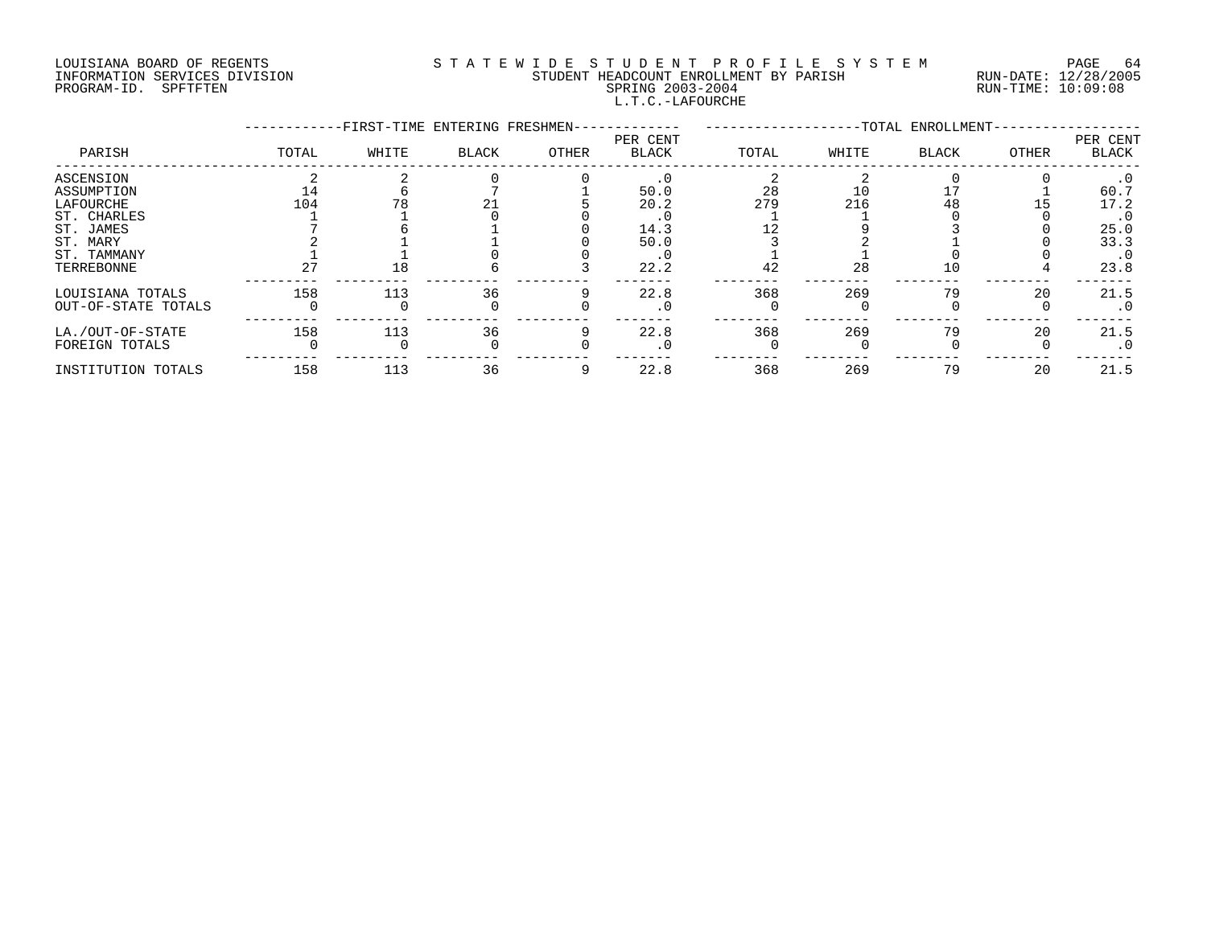# LOUISIANA BOARD OF REGENTS S T A T E W I D E S T U D E N T P R O F I L E S Y S T E M PAGE 64 INFORMATION SERVICES DIVISION STUDENT HEADCOUNT ENROLLMENT BY PARISH RUN-DATE: 12/28/2005 PROGRAM-ID. SPFTFTEN SPRING 2003-2004 RUN-TIME: 10:09:08 L.T.C.-LAFOURCHE

|                                                                                                           |           | -FIRST-TIME ENTERING FRESHMEN- |              |       |                                      |                 |                 | -TOTAL ENROLLMENT- |       |                                                                       |
|-----------------------------------------------------------------------------------------------------------|-----------|--------------------------------|--------------|-------|--------------------------------------|-----------------|-----------------|--------------------|-------|-----------------------------------------------------------------------|
| PARISH                                                                                                    | TOTAL     | WHITE                          | <b>BLACK</b> | OTHER | PER CENT<br><b>BLACK</b>             | TOTAL           | WHITE           | <b>BLACK</b>       | OTHER | PER CENT<br>BLACK                                                     |
| ASCENSION<br>ASSUMPTION<br>LAFOURCHE<br>ST. CHARLES<br>ST. JAMES<br>ST. MARY<br>ST. TAMMANY<br>TERREBONNE | 104<br>27 | 18                             |              |       | 50.0<br>20.2<br>14.3<br>50.0<br>22.2 | 28<br>279<br>42 | 10<br>216<br>28 | 48<br>10           |       | $\cdot$ 0<br>60.7<br>17.2<br>. 0<br>25.0<br>33.3<br>$\cdot$ 0<br>23.8 |
| LOUISIANA TOTALS<br>OUT-OF-STATE TOTALS                                                                   | 158       | 113                            | 36           |       | 22.8                                 | 368             | 269             | 79                 | 20    | 21.5<br>. 0                                                           |
| LA./OUT-OF-STATE<br>FOREIGN TOTALS                                                                        | 158       | 113                            | 36           |       | 22.8                                 | 368             | 269             | 79                 | 20    | 21.5<br>$\cdot$ 0                                                     |
| INSTITUTION TOTALS                                                                                        | 158       | 113                            | 36           |       | 22.8                                 | 368             | 269             | 79                 | 20    | 21.5                                                                  |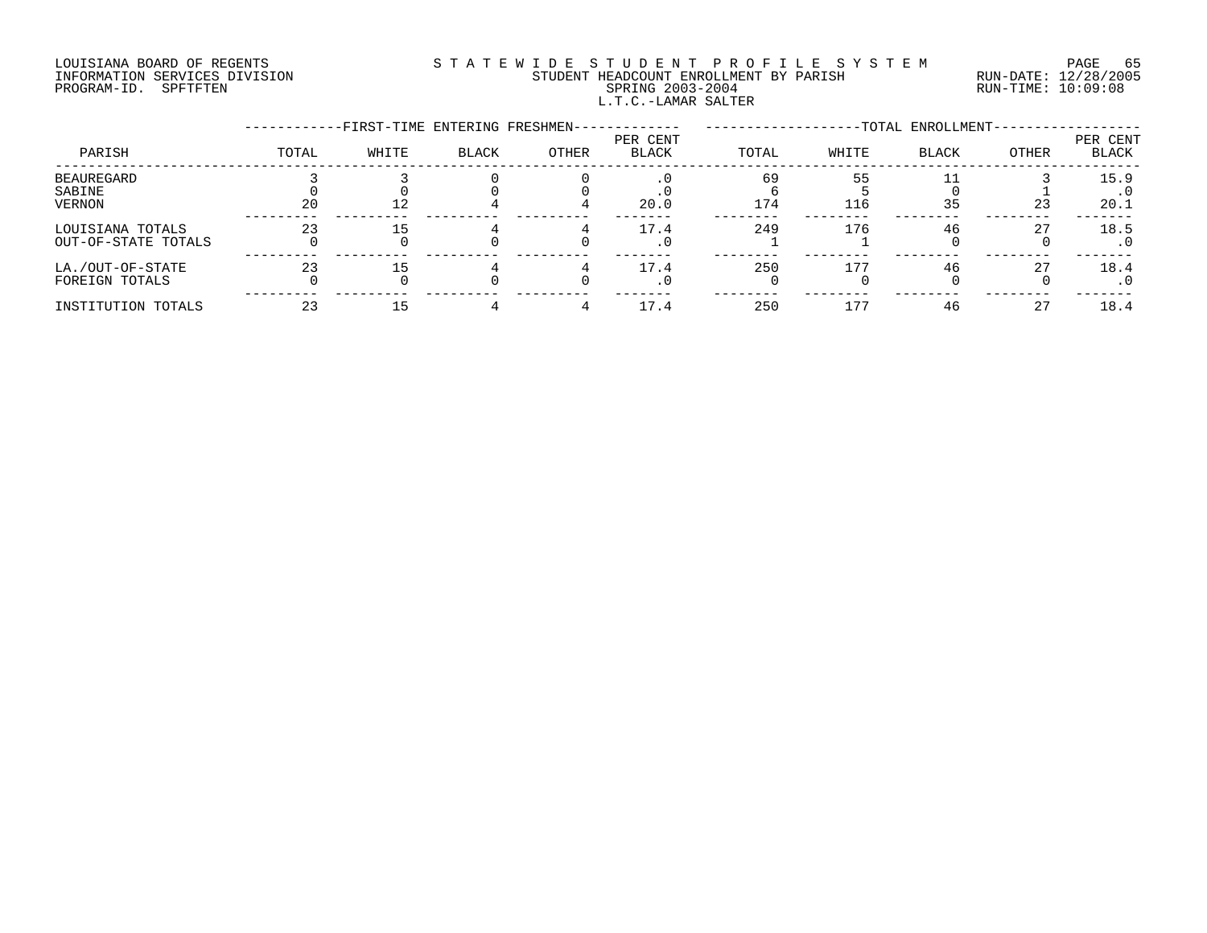# LOUISIANA BOARD OF REGENTS S T A T E W I D E S T U D E N T P R O F I L E S Y S T E M PAGE 65 INFORMATION SERVICES DIVISION STUDENT HEADCOUNT ENROLLMENT BY PARISH RUN-DATE: 12/28/2005 PROGRAM-ID. SPFTFTEN SPRING 2003-2004 RUN-TIME: 10:09:08 L.T.C.-LAMAR SALTER

|                                         |       | -FIRST-TIME ENTERING FRESHMEN- |              |       |                          |           |           | -TOTAL ENROLLMENT- |       |                          |
|-----------------------------------------|-------|--------------------------------|--------------|-------|--------------------------|-----------|-----------|--------------------|-------|--------------------------|
| PARISH                                  | TOTAL | WHITE                          | <b>BLACK</b> | OTHER | PER CENT<br><b>BLACK</b> | TOTAL     | WHITE     | <b>BLACK</b>       | OTHER | PER CENT<br><b>BLACK</b> |
| BEAUREGARD<br>SABINE<br>VERNON          | 20    | 12                             |              |       | $\cdot$ 0<br>20.0        | 69<br>174 | 55<br>116 | 35                 | 23    | 15.9<br>20.1             |
| LOUISIANA TOTALS<br>OUT-OF-STATE TOTALS | 23    | 15                             |              |       | 17.4<br>. 0              | 249       | 176       | 46                 | 27    | 18.5                     |
| LA./OUT-OF-STATE<br>FOREIGN TOTALS      | 23    | 15                             |              |       | 17.4<br>. 0              | 250       | 177       | 46                 | 27    | 18.4                     |
| INSTITUTION TOTALS                      | 23    |                                |              |       | 17.4                     | 250       | 177       | 46                 | 27    | 18.4                     |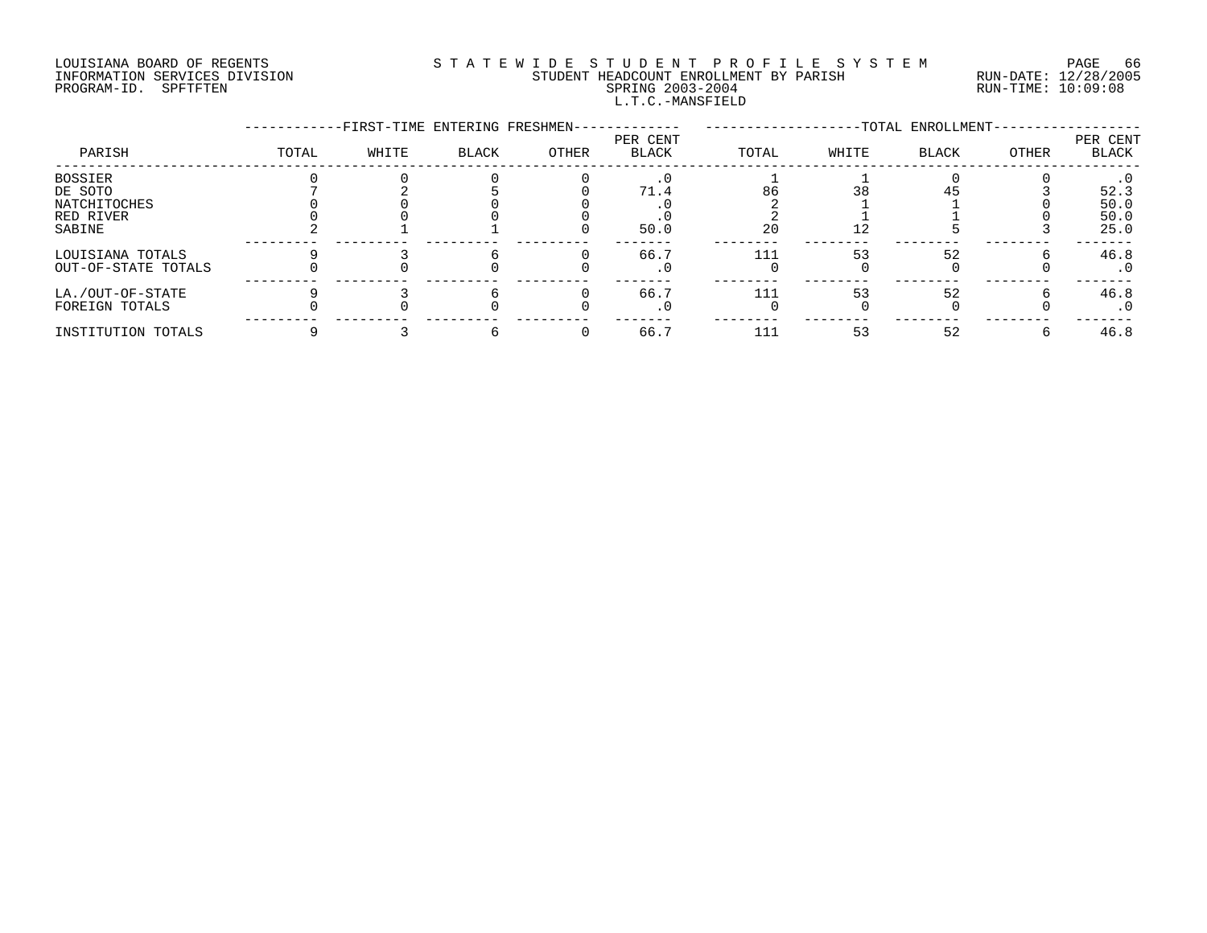# LOUISIANA BOARD OF REGENTS S T A T E W I D E S T U D E N T P R O F I L E S Y S T E M PAGE 66 INFORMATION SERVICES DIVISION STUDENT HEADCOUNT ENROLLMENT BY PARISH RUN-DATE: 12/28/2005 PROGRAM-ID. SPFTFTEN SPRING 2003-2004 RUN-TIME: 10:09:08 L.T.C.-MANSFIELD

|                     |       | -FIRST-TIME ENTERING FRESHMEN- |       |       |                          |       |       | -TOTAL ENROLLMENT- |       |                   |
|---------------------|-------|--------------------------------|-------|-------|--------------------------|-------|-------|--------------------|-------|-------------------|
| PARISH              | TOTAL | WHITE                          | BLACK | OTHER | PER CENT<br><b>BLACK</b> | TOTAL | WHITE | BLACK              | OTHER | PER CENT<br>BLACK |
| BOSSIER             |       |                                |       |       |                          |       |       |                    |       |                   |
| DE SOTO             |       |                                |       |       | 71.4                     | 86    | 38    |                    |       | 52.3              |
| NATCHITOCHES        |       |                                |       |       |                          |       |       |                    |       | 50.0              |
| RED RIVER           |       |                                |       |       |                          |       |       |                    |       | 50.0              |
| SABINE              |       |                                |       |       | 50.0                     | 20    | 12    |                    |       | 25.0              |
| LOUISIANA TOTALS    |       |                                |       |       | 66.7                     | 111   | 53    | 52                 |       | 46.8              |
| OUT-OF-STATE TOTALS |       |                                |       |       | $\cdot$ 0                |       |       |                    |       | $\cdot$ 0         |
| LA./OUT-OF-STATE    |       |                                |       |       | 66.7                     | 111   | 53    | 52                 |       | 46.8              |
| FOREIGN TOTALS      |       |                                |       |       | . 0                      |       |       |                    |       | . 0               |
| INSTITUTION TOTALS  |       |                                |       |       | 66.7                     | 111   | 53    | 52                 |       | 46.8              |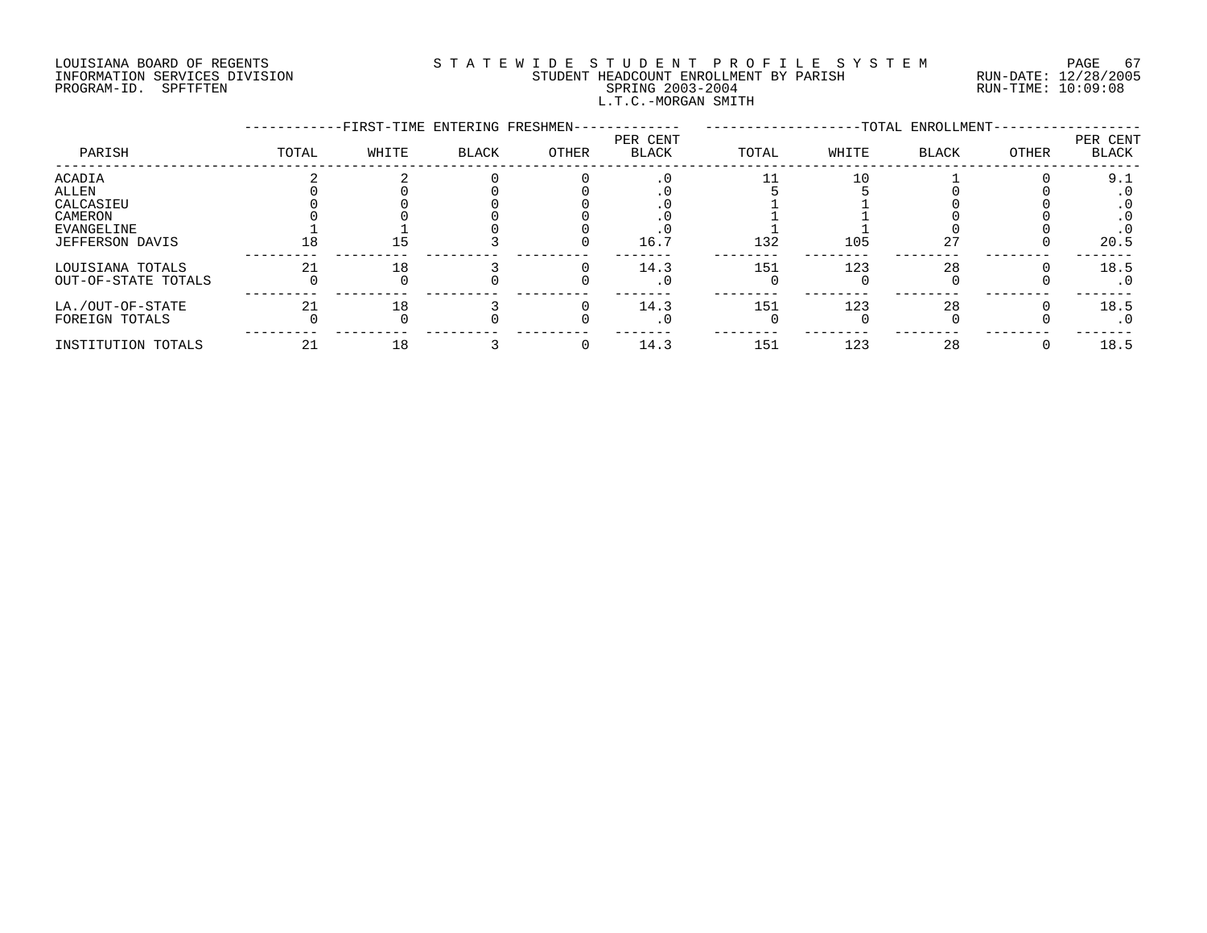# LOUISIANA BOARD OF REGENTS SOURCLEARIE WIDE STUDENT PROFILE SYSTEM PAGE 67. INFORMATION SERVICES DIVISION STUDENT HEADCOUNT ENROLLMENT BY PARISH RUN-DATE: 12/28/2005 PROGRAM-ID. SPFTFTEN SPRING 2003-2004 RUN-TIME: 10:09:08 L.T.C.-MORGAN SMITH

|                     |       | -FIRST-TIME ENTERING FRESHMEN- |       |       |                          |       |       | -TOTAL ENROLLMENT- |       |                   |
|---------------------|-------|--------------------------------|-------|-------|--------------------------|-------|-------|--------------------|-------|-------------------|
| PARISH              | TOTAL | WHITE                          | BLACK | OTHER | PER CENT<br><b>BLACK</b> | TOTAL | WHITE | <b>BLACK</b>       | OTHER | PER CENT<br>BLACK |
| ACADIA              |       |                                |       |       |                          |       | 10    |                    |       | 9.1               |
| ALLEN               |       |                                |       |       |                          |       |       |                    |       | $\cdot$ 0         |
| CALCASIEU           |       |                                |       |       |                          |       |       |                    |       | $\cdot$ 0         |
| CAMERON             |       |                                |       |       |                          |       |       |                    |       |                   |
| EVANGELINE          |       |                                |       |       |                          |       |       |                    |       |                   |
| JEFFERSON DAVIS     | 18    | 15.                            |       |       | 16.7                     | 132   | 105   | 27                 |       | 20.5              |
| LOUISIANA TOTALS    | 21    | 18                             |       |       | 14.3                     | 151   | 123   | 28                 |       | 18.5              |
| OUT-OF-STATE TOTALS |       |                                |       |       | . 0                      |       |       |                    |       | . 0               |
| LA./OUT-OF-STATE    | 21    | 18                             |       |       | 14.3                     | 151   | 123   | 28                 |       | 18.5              |
| FOREIGN TOTALS      |       |                                |       |       |                          |       |       |                    |       | $\cdot$ 0         |
| INSTITUTION TOTALS  | 21    | 18                             |       |       | 14.3                     | 151   | 123   | 28                 |       | 18.5              |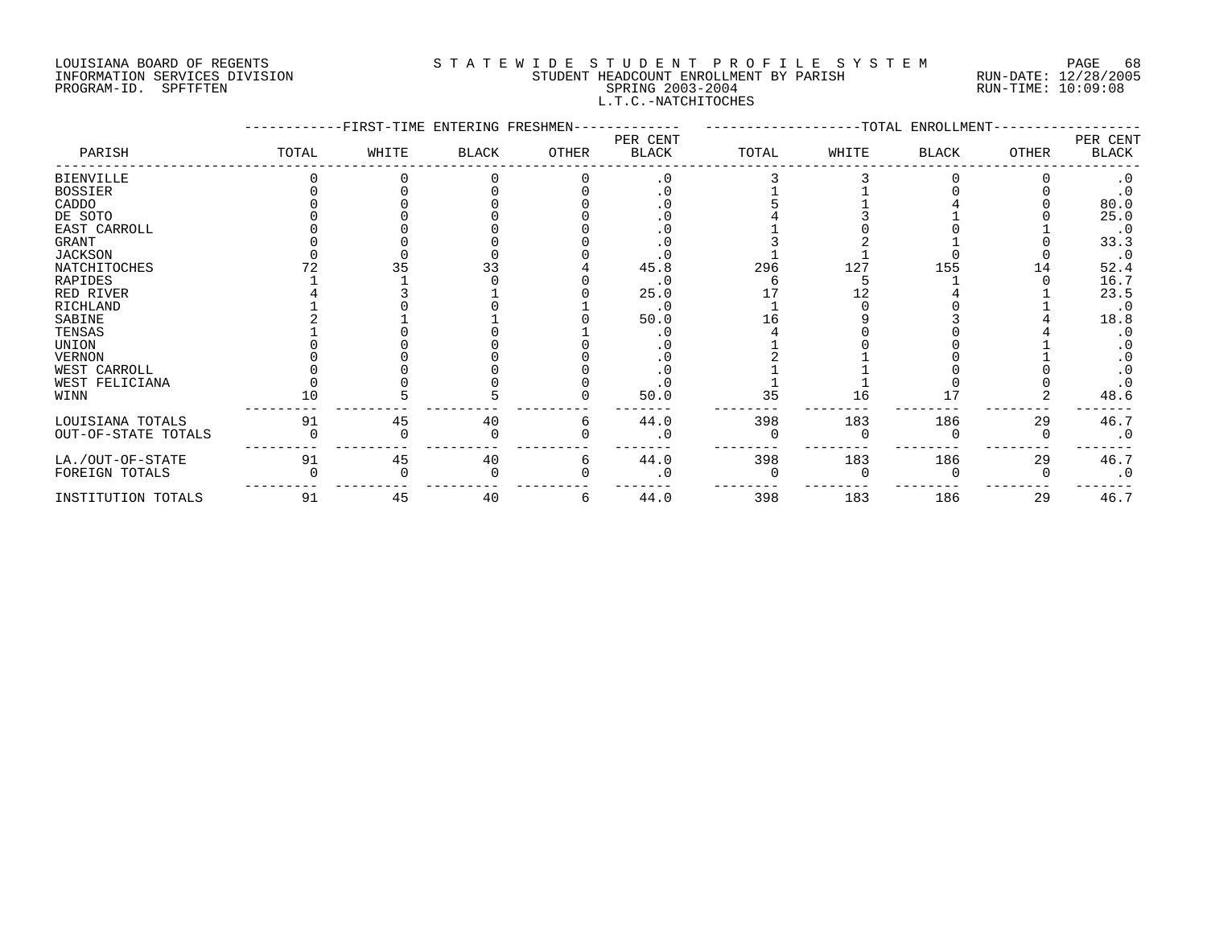# LOUISIANA BOARD OF REGENTS S T A T E W I D E S T U D E N T P R O F I L E S Y S T E M PAGE 68 INFORMATION SERVICES DIVISION STUDENT HEADCOUNT ENROLLMENT BY PARISH RUN-DATE: 12/28/2005 PROGRAM-ID. SPFTFTEN SPRING 2003-2004 RUN-TIME: 10:09:08 L.T.C.-NATCHITOCHES

|                     |       | -FIRST-TIME ENTERING FRESHMEN- |              |       |                          |       |       | -TOTAL ENROLLMENT |              |                   |
|---------------------|-------|--------------------------------|--------------|-------|--------------------------|-------|-------|-------------------|--------------|-------------------|
| PARISH              | TOTAL | WHITE                          | <b>BLACK</b> | OTHER | PER CENT<br><b>BLACK</b> | TOTAL | WHITE | <b>BLACK</b>      | <b>OTHER</b> | PER CENT<br>BLACK |
| <b>BIENVILLE</b>    |       |                                |              |       | . 0                      |       |       |                   |              |                   |
| <b>BOSSIER</b>      |       |                                |              |       | . 0                      |       |       |                   |              |                   |
| CADDO               |       |                                |              |       |                          |       |       |                   |              | 80.0              |
| DE SOTO             |       |                                |              |       |                          |       |       |                   |              | 25.0              |
| EAST CARROLL        |       |                                |              |       |                          |       |       |                   |              | $\cdot$ 0         |
| GRANT               |       |                                |              |       |                          |       |       |                   |              | 33.3              |
| <b>JACKSON</b>      |       |                                |              |       |                          |       |       |                   |              | $\cdot$ 0         |
| NATCHITOCHES        |       | 35                             | 33           |       | 45.8                     | 296   | 127   | 155               | 14           | 52.4              |
| RAPIDES             |       |                                |              |       | $\cdot$ 0                |       |       |                   |              | 16.7              |
| RED RIVER           |       |                                |              |       | 25.0                     |       |       |                   |              | 23.5              |
| RICHLAND            |       |                                |              |       | . 0                      |       |       |                   |              | $\cdot$ 0         |
| SABINE              |       |                                |              |       | 50.0                     |       |       |                   |              | 18.8              |
| TENSAS              |       |                                |              |       |                          |       |       |                   |              |                   |
| UNION               |       |                                |              |       |                          |       |       |                   |              |                   |
| <b>VERNON</b>       |       |                                |              |       |                          |       |       |                   |              |                   |
| WEST CARROLL        |       |                                |              |       |                          |       |       |                   |              |                   |
| WEST FELICIANA      |       |                                |              |       |                          |       |       |                   |              |                   |
| WINN                | 10    |                                |              |       | 50.0                     | 35    | 16    |                   |              | 48.6              |
| LOUISIANA TOTALS    | 91    | 45                             | 40           | 6     | 44.0                     | 398   | 183   | 186               | 29           | 46.7              |
| OUT-OF-STATE TOTALS |       |                                |              |       | $\cdot$ 0                |       |       |                   |              | $\cdot$ 0         |
| LA./OUT-OF-STATE    | 91    | 45                             | 40           | 6     | 44.0                     | 398   | 183   | 186               | 29           | 46.7              |
| FOREIGN TOTALS      |       |                                |              |       |                          |       |       |                   |              | $\cdot$ 0         |
| INSTITUTION TOTALS  | 91    | 45                             | 40           | 6     | 44.0                     | 398   | 183   | 186               | 29           | 46.7              |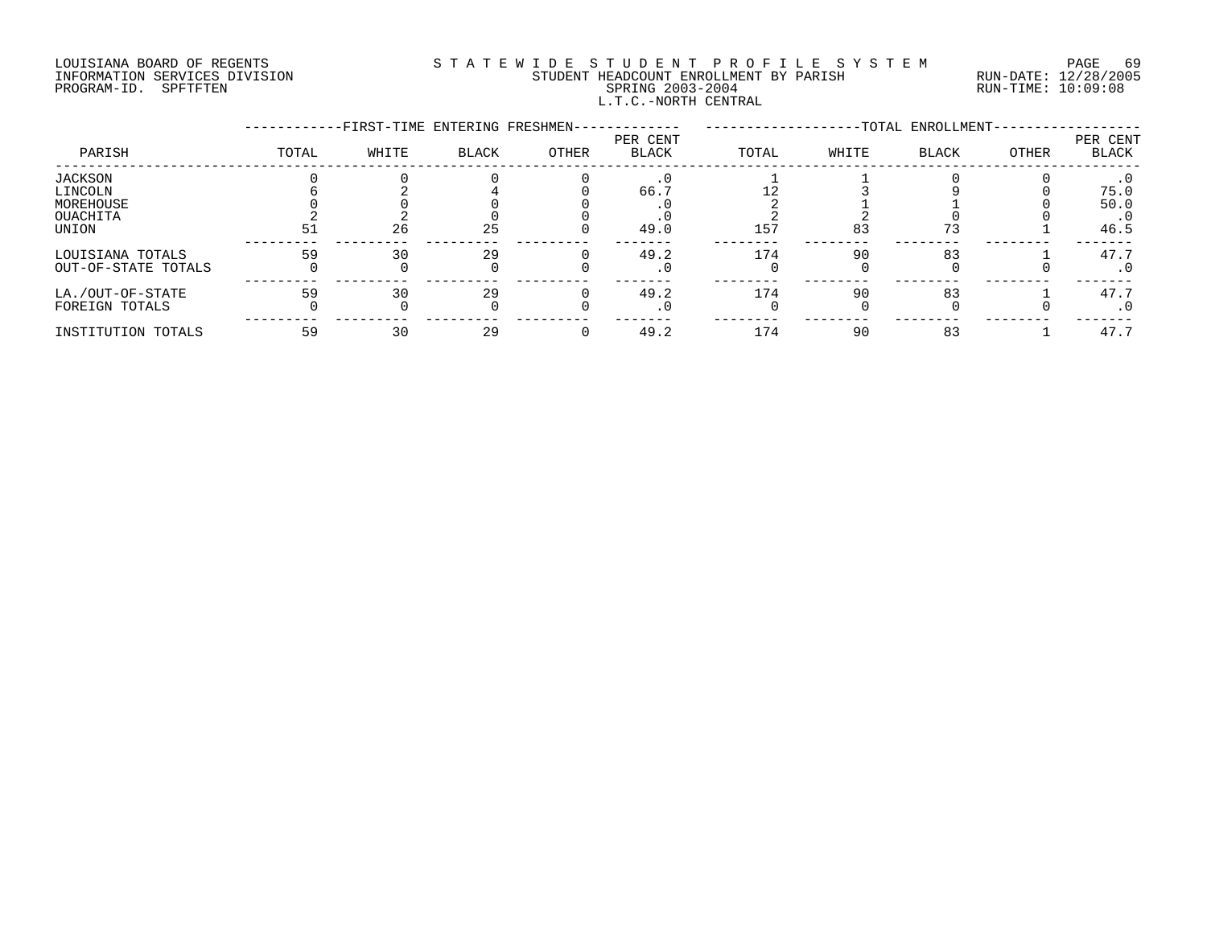## LOUISIANA BOARD OF REGENTS S T A T E W I D E S T U D E N T P R O F I L E S Y S T E M PAGE 69 INFORMATION SERVICES DIVISION STUDENT HEADCOUNT ENROLLMENT BY PARISH RUN-DATE: 12/28/2005 PROGRAM-ID. SPFTFTEN SPRING 2003-2004 RUN-TIME: 10:09:08 L.T.C.-NORTH CENTRAL

|                     |       | -FIRST-TIME ENTERING FRESHMEN- |              |       |                          |       |       | -TOTAL ENROLLMENT- |       |                   |
|---------------------|-------|--------------------------------|--------------|-------|--------------------------|-------|-------|--------------------|-------|-------------------|
| PARISH              | TOTAL | WHITE                          | <b>BLACK</b> | OTHER | PER CENT<br><b>BLACK</b> | TOTAL | WHITE | <b>BLACK</b>       | OTHER | PER CENT<br>BLACK |
| <b>JACKSON</b>      |       |                                |              |       |                          |       |       |                    |       |                   |
| LINCOLN             |       |                                |              |       | 66.                      |       |       |                    |       | 75.0              |
| MOREHOUSE           |       |                                |              |       |                          |       |       |                    |       | 50.0              |
| OUACHITA            |       |                                |              |       |                          |       |       |                    |       | $\cdot$ 0         |
| UNION               | 51    | 26                             | 25           |       | 49.0                     | 157   | 83    | 73                 |       | 46.5              |
| LOUISIANA TOTALS    | 59    | 30                             | 29           |       | 49.2                     | 174   | 90    | 83                 |       | 47.7              |
| OUT-OF-STATE TOTALS |       |                                |              |       | . 0                      |       |       |                    |       | $\cdot$ 0         |
| LA./OUT-OF-STATE    | 59    | 30                             | 29           |       | 49.2                     | 174   | 90    | 83                 |       | 47.7              |
| FOREIGN TOTALS      |       |                                |              |       |                          |       |       |                    |       | . 0               |
| INSTITUTION TOTALS  | 59    | 30                             | 29           |       | 49.2                     | 174   | 90    | 83                 |       | 47.7              |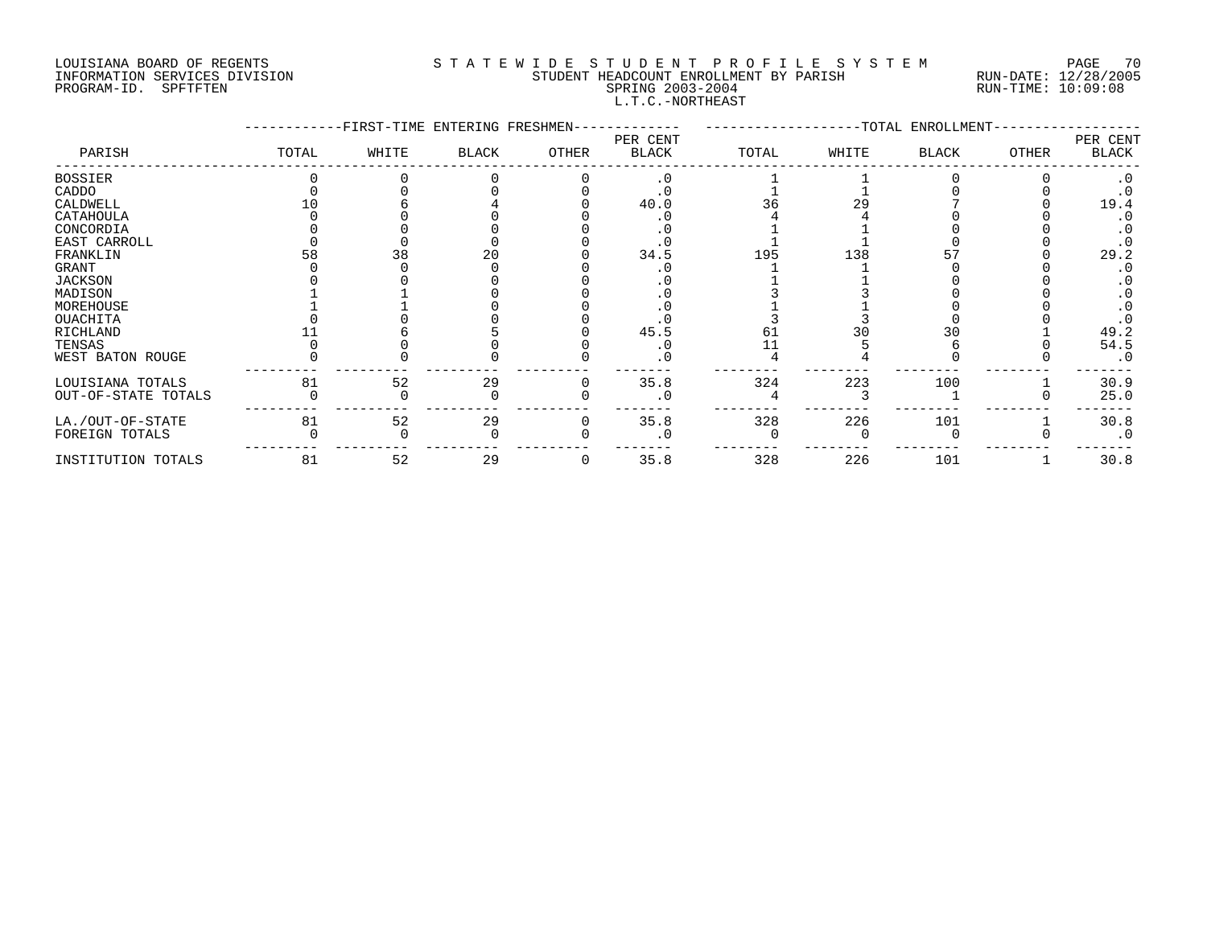# LOUISIANA BOARD OF REGENTS S T A T E W I D E S T U D E N T P R O F I L E S Y S T E M PAGE 70 INFORMATION SERVICES DIVISION STUDENT HEADCOUNT ENROLLMENT BY PARISH RUN-DATE: 12/28/2005 PROGRAM-ID. SPFTFTEN SPRING 2003-2004 RUN-TIME: 10:09:08 L.T.C.-NORTHEAST

|                     |       | -FIRST-TIME ENTERING FRESHMEN- |              |       |                          |       |       | -TOTAL ENROLLMENT- |              |                   |
|---------------------|-------|--------------------------------|--------------|-------|--------------------------|-------|-------|--------------------|--------------|-------------------|
| PARISH              | TOTAL | WHITE                          | <b>BLACK</b> | OTHER | PER CENT<br><b>BLACK</b> | TOTAL | WHITE | <b>BLACK</b>       | <b>OTHER</b> | PER CENT<br>BLACK |
| <b>BOSSIER</b>      |       |                                |              |       | $\cdot$ 0                |       |       |                    |              |                   |
| CADDO               |       |                                |              |       |                          |       |       |                    |              |                   |
| CALDWELL            |       |                                |              |       | 40.0                     | 36    |       |                    |              | 19.4              |
| CATAHOULA           |       |                                |              |       |                          |       |       |                    |              |                   |
| CONCORDIA           |       |                                |              |       |                          |       |       |                    |              |                   |
| EAST CARROLL        |       |                                |              |       |                          |       |       |                    |              |                   |
| FRANKLIN            |       | 38                             |              |       | 34.5                     | 195   | 138   |                    |              | 29.2              |
| GRANT               |       |                                |              |       |                          |       |       |                    |              |                   |
| <b>JACKSON</b>      |       |                                |              |       |                          |       |       |                    |              |                   |
| MADISON             |       |                                |              |       |                          |       |       |                    |              |                   |
| MOREHOUSE           |       |                                |              |       |                          |       |       |                    |              |                   |
| OUACHITA            |       |                                |              |       |                          |       |       |                    |              |                   |
| RICHLAND            |       |                                |              |       | 45.5                     | 6 ⊥   |       | 30                 |              | 49.2              |
| TENSAS              |       |                                |              |       |                          |       |       |                    |              | 54.5              |
| WEST BATON ROUGE    |       |                                |              |       | $\cdot$ 0                |       |       |                    |              | $\cdot$ 0         |
| LOUISIANA TOTALS    | 81    | 52                             | 29           |       | 35.8                     | 324   | 223   | 100                |              | 30.9              |
| OUT-OF-STATE TOTALS |       |                                |              |       | . 0                      |       |       |                    |              | 25.0              |
| LA./OUT-OF-STATE    | 81    | 52                             | 29           |       | 35.8                     | 328   | 226   | 101                |              | 30.8              |
| FOREIGN TOTALS      |       |                                |              |       | . 0                      |       |       |                    |              | $\cdot$ 0         |
| INSTITUTION TOTALS  | 81    | 52                             | 29           | 0     | 35.8                     | 328   | 226   | 101                |              | 30.8              |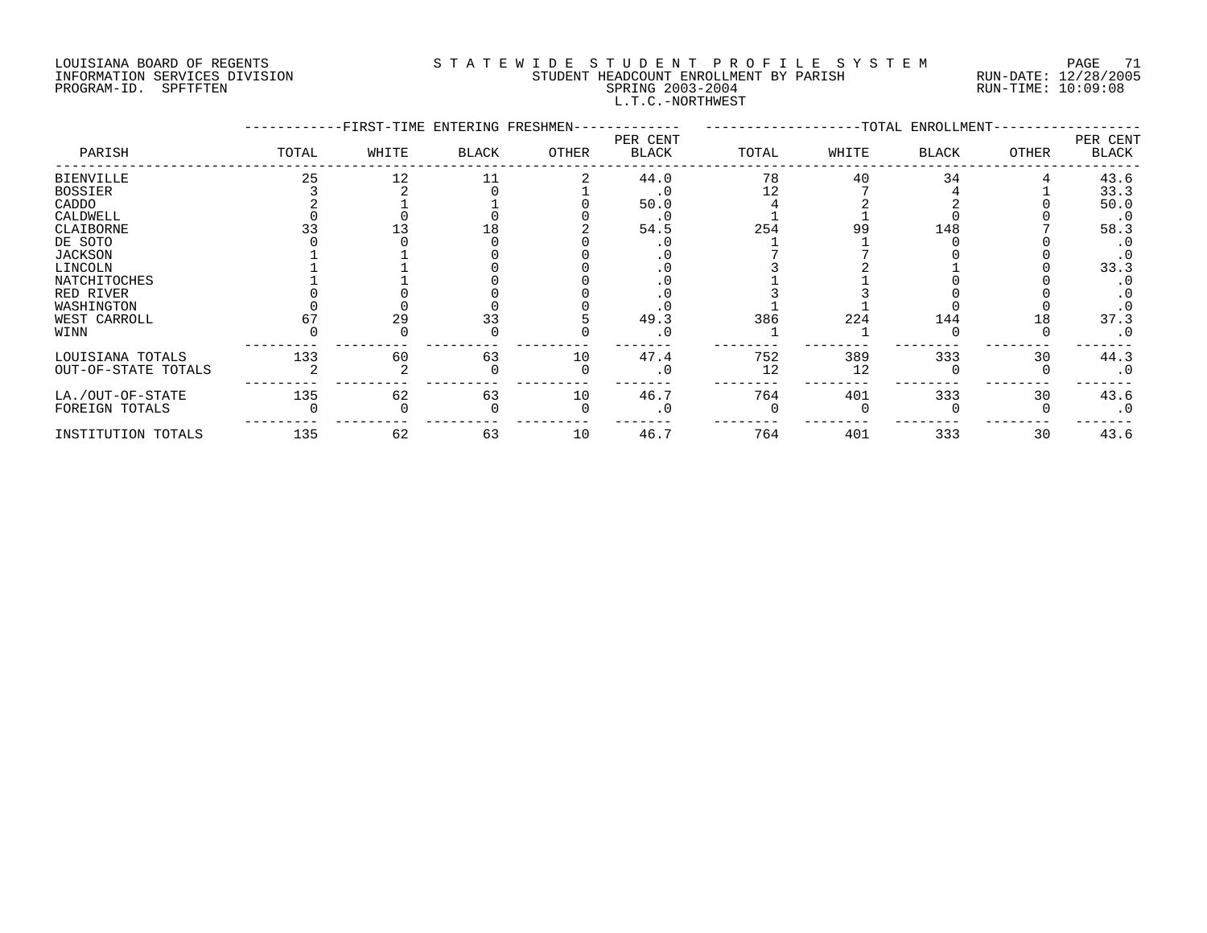# LOUISIANA BOARD OF REGENTS S T A T E W I D E S T U D E N T P R O F I L E S Y S T E M PAGE 71 INFORMATION SERVICES DIVISION STUDENT HEADCOUNT ENROLLMENT BY PARISH RUN-DATE: 12/28/2005 PROGRAM-ID. SPFTFTEN SPRING 2003-2004 RUN-TIME: 10:09:08 L.T.C.-NORTHWEST

|                     |       | -FIRST-TIME ENTERING FRESHMEN- |              |       |                          |       |       | -TOTAL ENROLLMENT- |              |                   |
|---------------------|-------|--------------------------------|--------------|-------|--------------------------|-------|-------|--------------------|--------------|-------------------|
| PARISH              | TOTAL | WHITE                          | <b>BLACK</b> | OTHER | PER CENT<br><b>BLACK</b> | TOTAL | WHITE | <b>BLACK</b>       | <b>OTHER</b> | PER CENT<br>BLACK |
| <b>BIENVILLE</b>    | 25    | 12                             |              |       | 44.0                     | 78    | 40    | 34                 |              | 43.6              |
| <b>BOSSIER</b>      |       |                                |              |       | . 0                      | 12    |       |                    |              | 33.3              |
| CADDO               |       |                                |              |       | 50.0                     |       |       |                    |              | 50.0              |
| CALDWELL            |       |                                |              |       | . 0                      |       |       |                    |              | $\cdot$ 0         |
| CLAIBORNE           |       |                                |              |       | 54.5                     | 254   | 99    | 148                |              | 58.3              |
| DE SOTO             |       |                                |              |       |                          |       |       |                    |              |                   |
| <b>JACKSON</b>      |       |                                |              |       |                          |       |       |                    |              |                   |
| LINCOLN             |       |                                |              |       |                          |       |       |                    |              | 33.3              |
| NATCHITOCHES        |       |                                |              |       |                          |       |       |                    |              |                   |
| RED RIVER           |       |                                |              |       |                          |       |       |                    |              |                   |
| WASHINGTON          |       |                                |              |       |                          |       |       |                    |              |                   |
| WEST CARROLL        |       | 29                             | 33           |       | 49.3                     | 386   | 224   | 144                | 18           | 37.3              |
| WINN                |       |                                |              |       | . 0                      |       |       |                    |              | $\cdot$ 0         |
| LOUISIANA TOTALS    | 133   | 60                             | 63           | 10    | 47.4                     | 752   | 389   | 333                | 30           | 44.3              |
| OUT-OF-STATE TOTALS |       |                                |              |       | $\cdot$ 0                | 12    | 12    |                    |              | $\cdot$ 0         |
| LA./OUT-OF-STATE    | 135   | 62                             | 63           | 10    | 46.7                     | 764   | 401   | 333                | 30           | 43.6              |
| FOREIGN TOTALS      |       |                                |              |       | . 0                      |       |       |                    |              | $\cdot$ 0         |
| INSTITUTION TOTALS  | 135   | 62                             | 63           | 10    | 46.7                     | 764   | 401   | 333                | 30           | 43.6              |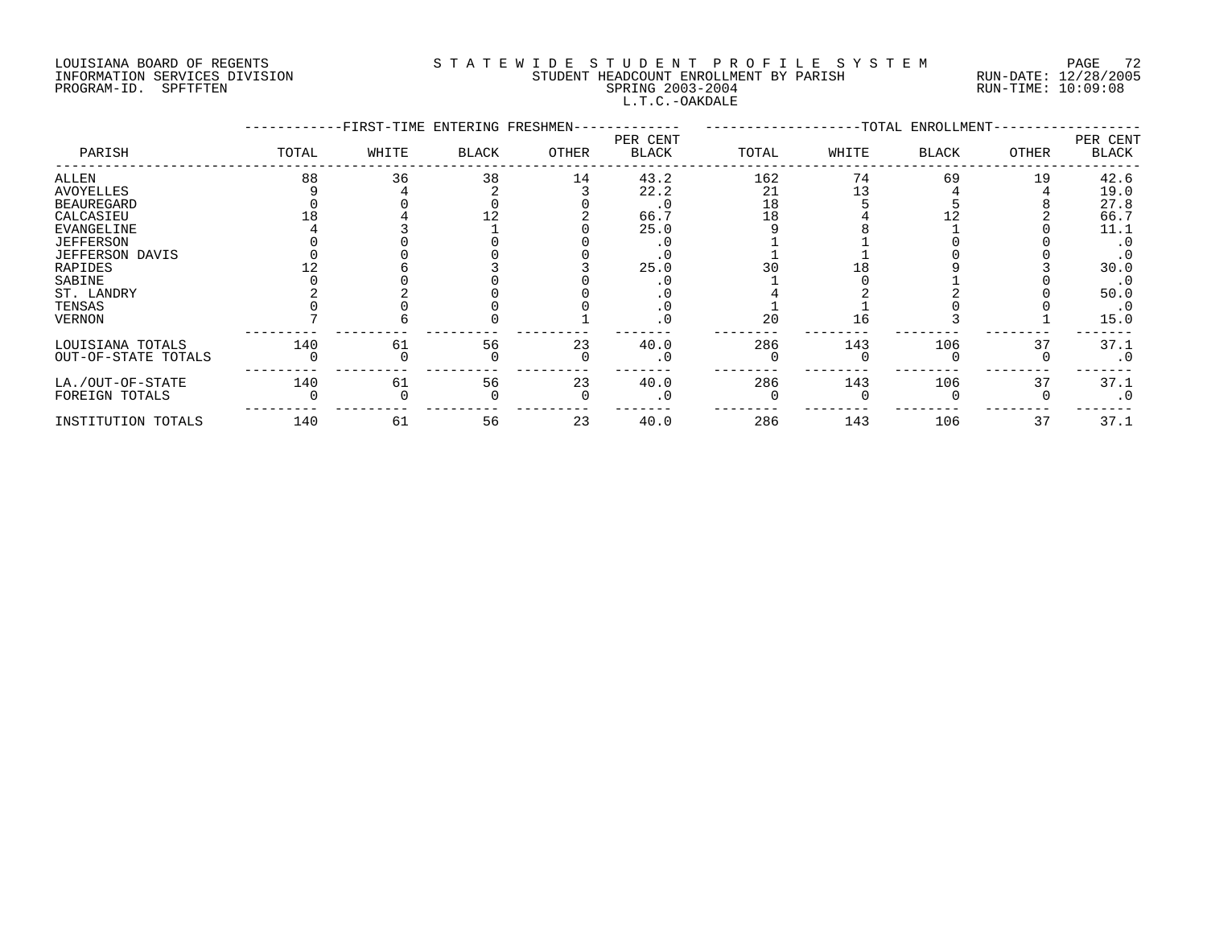# LOUISIANA BOARD OF REGENTS S T A T E W I D E S T U D E N T P R O F I L E S Y S T E M PAGE 72 INFORMATION SERVICES DIVISION STUDENT HEADCOUNT ENROLLMENT BY PARISH RUN-DATE: 12/28/2005 PROGRAM-ID. SPFTFTEN SPRING 2003-2004 RUN-TIME: 10:09:08 L.T.C.-OAKDALE

|                        |       | -FIRST-TIME ENTERING FRESHMEN- |       |       |                          |       |       | --TOTAL ENROLLMENT- |       |                          |
|------------------------|-------|--------------------------------|-------|-------|--------------------------|-------|-------|---------------------|-------|--------------------------|
| PARISH                 | TOTAL | WHITE                          | BLACK | OTHER | PER CENT<br><b>BLACK</b> | TOTAL | WHITE | <b>BLACK</b>        | OTHER | PER CENT<br><b>BLACK</b> |
| ALLEN                  | 88    | 36                             | 38    | 14    | 43.2                     | 162   | 74    | 69                  | 19    | 42.6                     |
| <b>AVOYELLES</b>       |       |                                |       |       | 22.2                     | 21    |       |                     |       | 19.0                     |
| <b>BEAUREGARD</b>      |       |                                |       |       | $\cdot$ 0                | 18    |       |                     |       | 27.8                     |
| CALCASIEU              |       |                                |       |       | 66.7                     | 18    |       |                     |       | 66.7                     |
| EVANGELINE             |       |                                |       |       | 25.0                     |       |       |                     |       | 11.1                     |
| <b>JEFFERSON</b>       |       |                                |       |       |                          |       |       |                     |       | $\cdot$ 0                |
| <b>JEFFERSON DAVIS</b> |       |                                |       |       |                          |       |       |                     |       |                          |
| RAPIDES                |       |                                |       |       | 25.0                     |       |       |                     |       | 30.0                     |
| SABINE                 |       |                                |       |       |                          |       |       |                     |       | $\cdot$ 0                |
| ST. LANDRY             |       |                                |       |       |                          |       |       |                     |       | 50.0                     |
| TENSAS                 |       |                                |       |       |                          |       |       |                     |       | $\cdot$ 0                |
| <b>VERNON</b>          |       |                                |       |       |                          | 20    |       |                     |       | 15.0                     |
| LOUISIANA TOTALS       | 140   | 61                             | 56    | 23    | 40.0                     | 286   | 143   | 106                 | 37    | 37.1                     |
| OUT-OF-STATE TOTALS    |       |                                |       |       |                          |       |       |                     |       | $\cdot$ 0                |
| LA./OUT-OF-STATE       | 140   | 61                             | 56    | 23    | 40.0                     | 286   | 143   | 106                 | 37    | 37.1                     |
| FOREIGN TOTALS         |       |                                |       |       | . 0                      |       |       |                     |       | $\cdot$ 0                |
| INSTITUTION TOTALS     | 140   | 61                             | 56    | 23    | 40.0                     | 286   | 143   | 106                 | 37    | 37.1                     |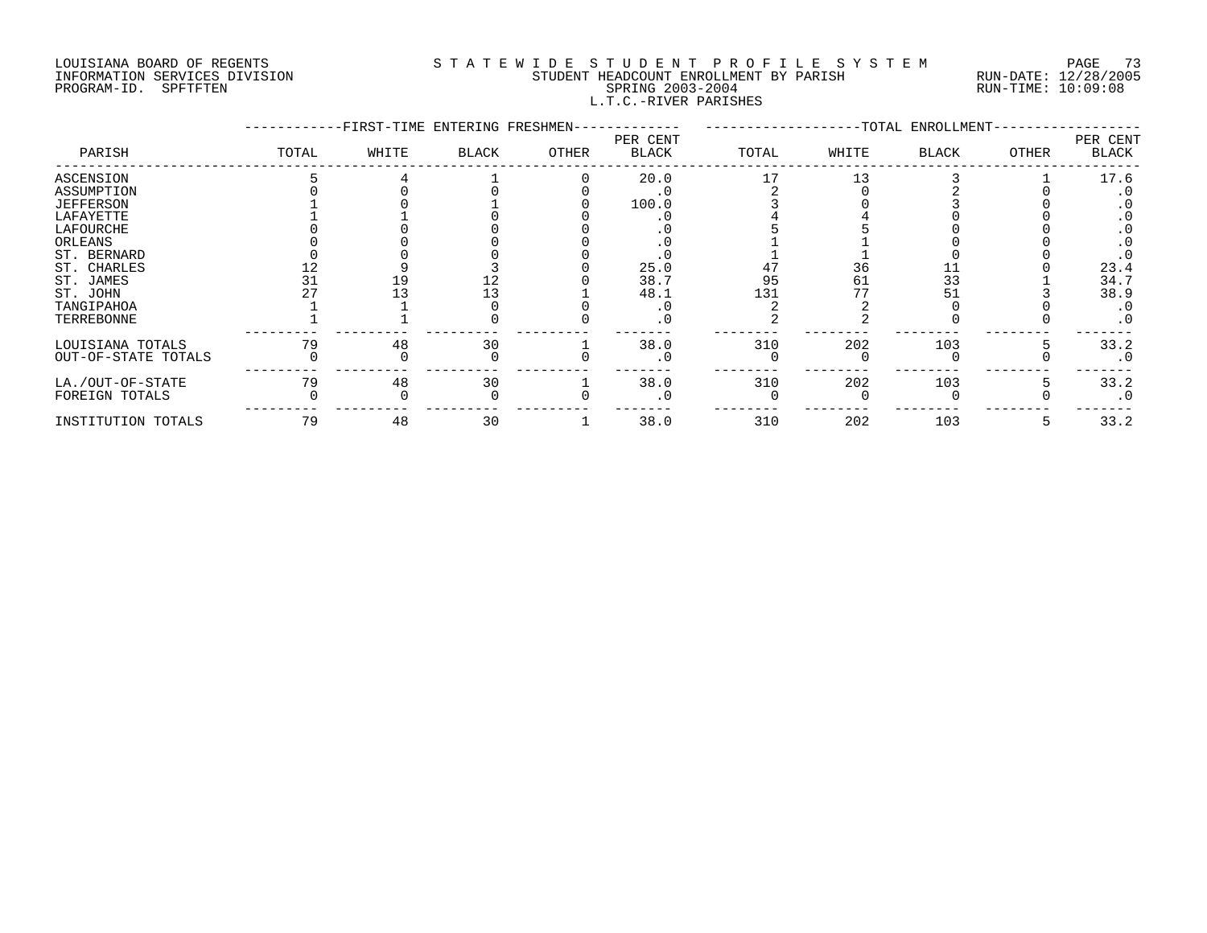#### LOUISIANA BOARD OF REGENTS S T A T E W I D E S T U D E N T P R O F I L E S Y S T E M PAGE 73 INFORMATION SERVICES DIVISION STUDENT HEADCOUNT ENROLLMENT BY PARISH RUN-DATE: 12/28/2005 PROGRAM-ID. SPFTFTEN SALL SOLUTION SPRING 2003-2004 RUN-TIME: 10:09:08 L.T.C.-RIVER PARISHES

|                     |       | -FIRST-TIME ENTERING FRESHMEN- |       |       |                   |       |       | -TOTAL ENROLLMENT- |              |                          |
|---------------------|-------|--------------------------------|-------|-------|-------------------|-------|-------|--------------------|--------------|--------------------------|
| PARISH              | TOTAL | WHITE                          | BLACK | OTHER | PER CENT<br>BLACK | TOTAL | WHITE | <b>BLACK</b>       | <b>OTHER</b> | PER CENT<br><b>BLACK</b> |
| ASCENSION           |       |                                |       |       | 20.0              |       | 13    |                    |              | 17.6                     |
| ASSUMPTION          |       |                                |       |       |                   |       |       |                    |              |                          |
| <b>JEFFERSON</b>    |       |                                |       |       | 100.0             |       |       |                    |              |                          |
| LAFAYETTE           |       |                                |       |       |                   |       |       |                    |              |                          |
| LAFOURCHE           |       |                                |       |       |                   |       |       |                    |              |                          |
| ORLEANS             |       |                                |       |       |                   |       |       |                    |              |                          |
| ST. BERNARD         |       |                                |       |       |                   |       |       |                    |              |                          |
| ST. CHARLES         |       |                                |       |       | 25.0              | 47    | 36    |                    |              | 23.4                     |
| ST. JAMES           |       |                                |       |       | 38.7              | 95    | 61    | 33                 |              | 34.7                     |
| ST. JOHN            |       |                                |       |       | 48.1              | 131   |       | 51                 |              | 38.9                     |
| TANGIPAHOA          |       |                                |       |       |                   |       |       |                    |              | $\cdot$ 0                |
| TERREBONNE          |       |                                |       |       |                   |       |       |                    |              | . 0                      |
| LOUISIANA TOTALS    | 79    | 48                             | 30    |       | 38.0              | 310   | 202   | 103                |              | 33.2                     |
| OUT-OF-STATE TOTALS |       |                                |       |       | $\cdot$ 0         |       |       |                    |              | $\cdot$ 0                |
| LA./OUT-OF-STATE    | 79    | 48                             | 30    |       | 38.0              | 310   | 202   | 103                |              | 33.2                     |
| FOREIGN TOTALS      |       |                                |       |       |                   |       |       |                    |              | $\cdot$ 0                |
| INSTITUTION TOTALS  | 79    | 48                             | 30    |       | 38.0              | 310   | 202   | 103                |              | 33.2                     |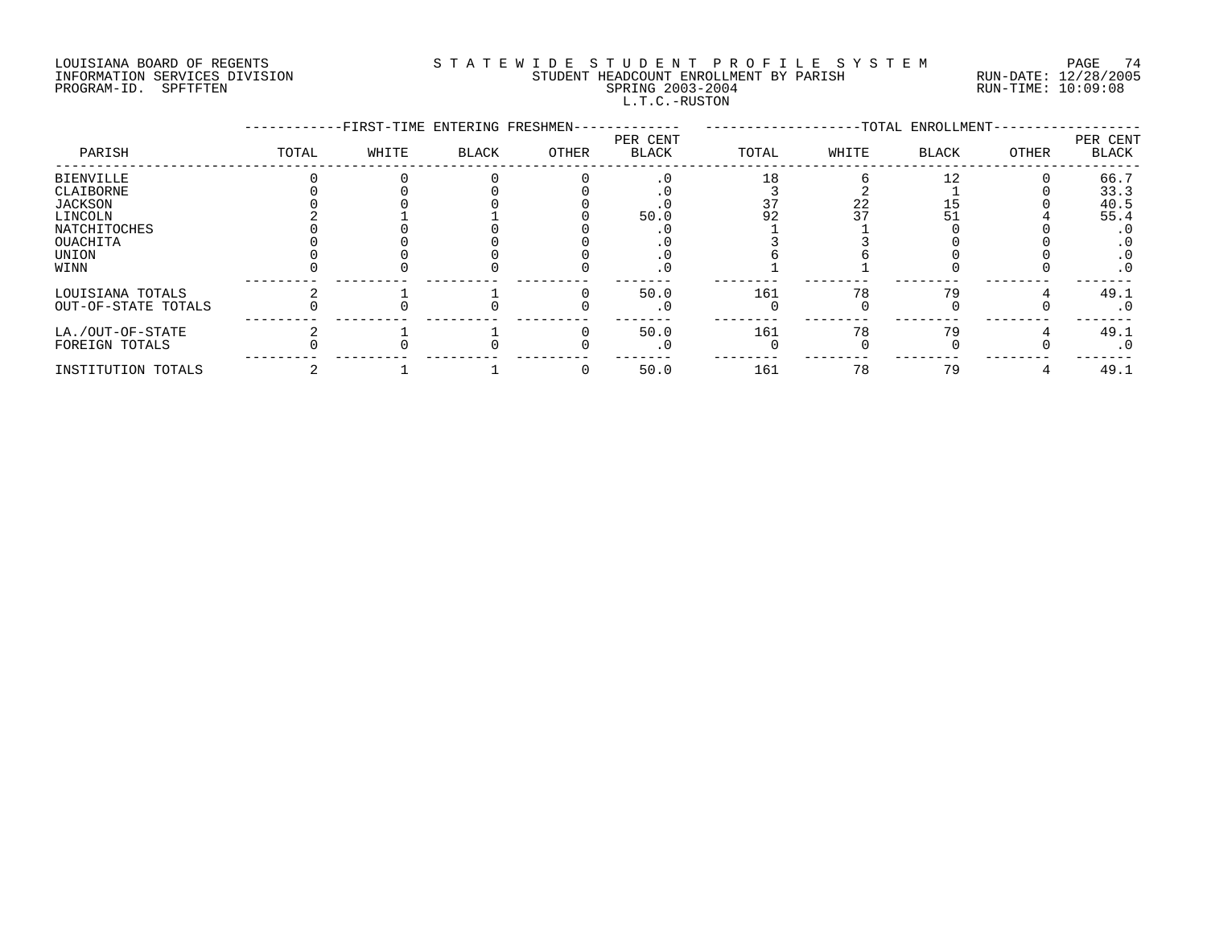# LOUISIANA BOARD OF REGENTS S T A T E W I D E S T U D E N T P R O F I L E S Y S T E M PAGE 74 INFORMATION SERVICES DIVISION STUDENT HEADCOUNT ENROLLMENT BY PARISH RUN-DATE: 12/28/2005 PROGRAM-ID. SPFTFTEN SPRING 2003-2004 RUN-TIME: 10:09:08 L.T.C.-RUSTON

|                                         |       | -FIRST-TIME ENTERING FRESHMEN- |       |       |                          |       |       | -TOTAL ENROLLMENT- |       |                   |
|-----------------------------------------|-------|--------------------------------|-------|-------|--------------------------|-------|-------|--------------------|-------|-------------------|
| PARISH                                  | TOTAL | WHITE                          | BLACK | OTHER | PER CENT<br><b>BLACK</b> | TOTAL | WHITE | BLACK              | OTHER | PER CENT<br>BLACK |
| <b>BIENVILLE</b><br>CLAIBORNE           |       |                                |       |       |                          |       |       |                    |       | 66.7<br>33.3      |
| <b>JACKSON</b><br>LINCOLN               |       |                                |       |       | 50.0                     | 92    | 22    |                    |       | 40.5<br>55.4      |
| NATCHITOCHES<br>OUACHITA                |       |                                |       |       |                          |       |       |                    |       | . 0<br>$\cdot$ 0  |
| UNION                                   |       |                                |       |       |                          |       |       |                    |       | $\cdot$ 0         |
| WINN                                    |       |                                |       |       | . 0                      |       |       |                    |       | . 0               |
| LOUISIANA TOTALS<br>OUT-OF-STATE TOTALS |       |                                |       |       | 50.0                     | 161   | 78    | 79                 |       | 49.1<br>. 0       |
| LA./OUT-OF-STATE<br>FOREIGN TOTALS      |       |                                |       |       | 50.0                     | 161   | 78    | 79                 |       | 49.1<br>$\cdot$ 0 |
| INSTITUTION TOTALS                      |       |                                |       |       | 50.0                     | 161   | 78    | 79                 |       | 49.1              |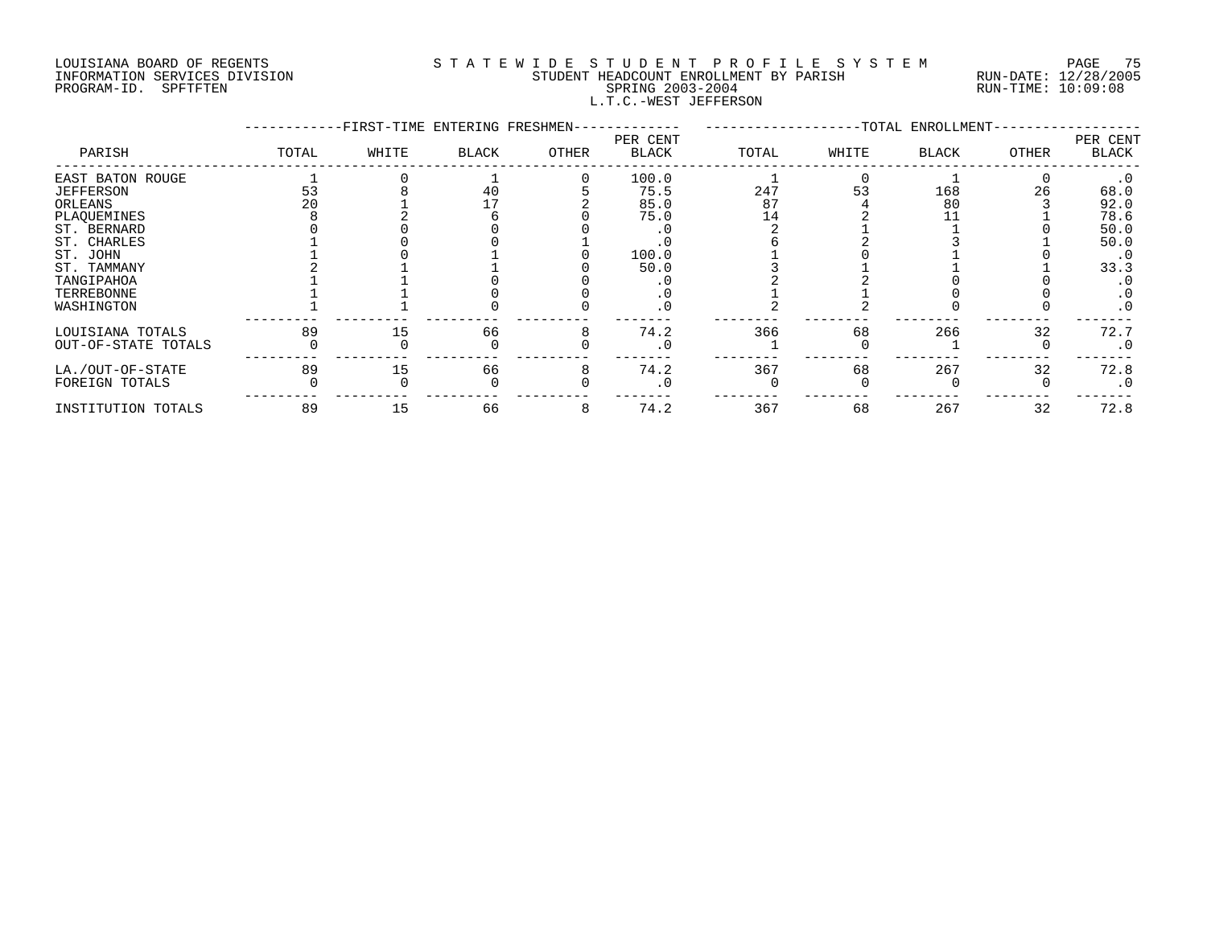### LOUISIANA BOARD OF REGENTS S T A T E W I D E S T U D E N T P R O F I L E S Y S T E M PAGE 75 INFORMATION SERVICES DIVISION STUDENT HEADCOUNT ENROLLMENT BY PARISH RUN-DATE: 12/28/2005 PROGRAM-ID. SPFTFTEN SPRING 2003-2004 RUN-TIME: 10:09:08 L.T.C.-WEST JEFFERSON

|                     |       | -FIRST-TIME ENTERING FRESHMEN- |       |       | ----------        |       |       | --TOTAL ENROLLMENT- |       |                   |
|---------------------|-------|--------------------------------|-------|-------|-------------------|-------|-------|---------------------|-------|-------------------|
| PARISH              | TOTAL | WHITE                          | BLACK | OTHER | PER CENT<br>BLACK | TOTAL | WHITE | <b>BLACK</b>        | OTHER | PER CENT<br>BLACK |
| EAST BATON ROUGE    |       |                                |       |       | 100.0             |       |       |                     |       | $\cdot$ 0         |
| <b>JEFFERSON</b>    | 53    |                                | 40    |       | 75.5              | 247   | 53    | 168                 | 26    | 68.0              |
| ORLEANS             |       |                                |       |       | 85.0              | 87    |       | 80                  |       | 92.0              |
| PLAQUEMINES         |       |                                |       |       | 75.0              |       |       |                     |       | 78.6              |
| ST. BERNARD         |       |                                |       |       |                   |       |       |                     |       | 50.0              |
| ST. CHARLES         |       |                                |       |       | . 0               |       |       |                     |       | 50.0              |
| ST. JOHN            |       |                                |       |       | 100.0             |       |       |                     |       | $\cdot$ 0         |
| ST. TAMMANY         |       |                                |       |       | 50.0              |       |       |                     |       | 33.3              |
| TANGIPAHOA          |       |                                |       |       |                   |       |       |                     |       | . 0               |
| TERREBONNE          |       |                                |       |       |                   |       |       |                     |       | $\cdot$ 0         |
| WASHINGTON          |       |                                |       |       | . 0               |       |       |                     |       | $\cdot$ 0         |
| LOUISIANA TOTALS    | 89    | 15                             | 66    |       | 74.2              | 366   | 68    | 266                 | 32    | 72.7              |
| OUT-OF-STATE TOTALS |       |                                |       |       | $\cdot$ 0         |       |       |                     |       | $\cdot$ 0         |
| LA./OUT-OF-STATE    | 89    | 15                             | 66    |       | 74.2              | 367   | 68    | 267                 | 32    | 72.8              |
| FOREIGN TOTALS      |       |                                |       |       |                   |       |       |                     |       | $\cdot$ 0         |
| INSTITUTION TOTALS  | 89    | 15                             | 66    |       | 74.2              | 367   | 68    | 267                 | 32    | 72.8              |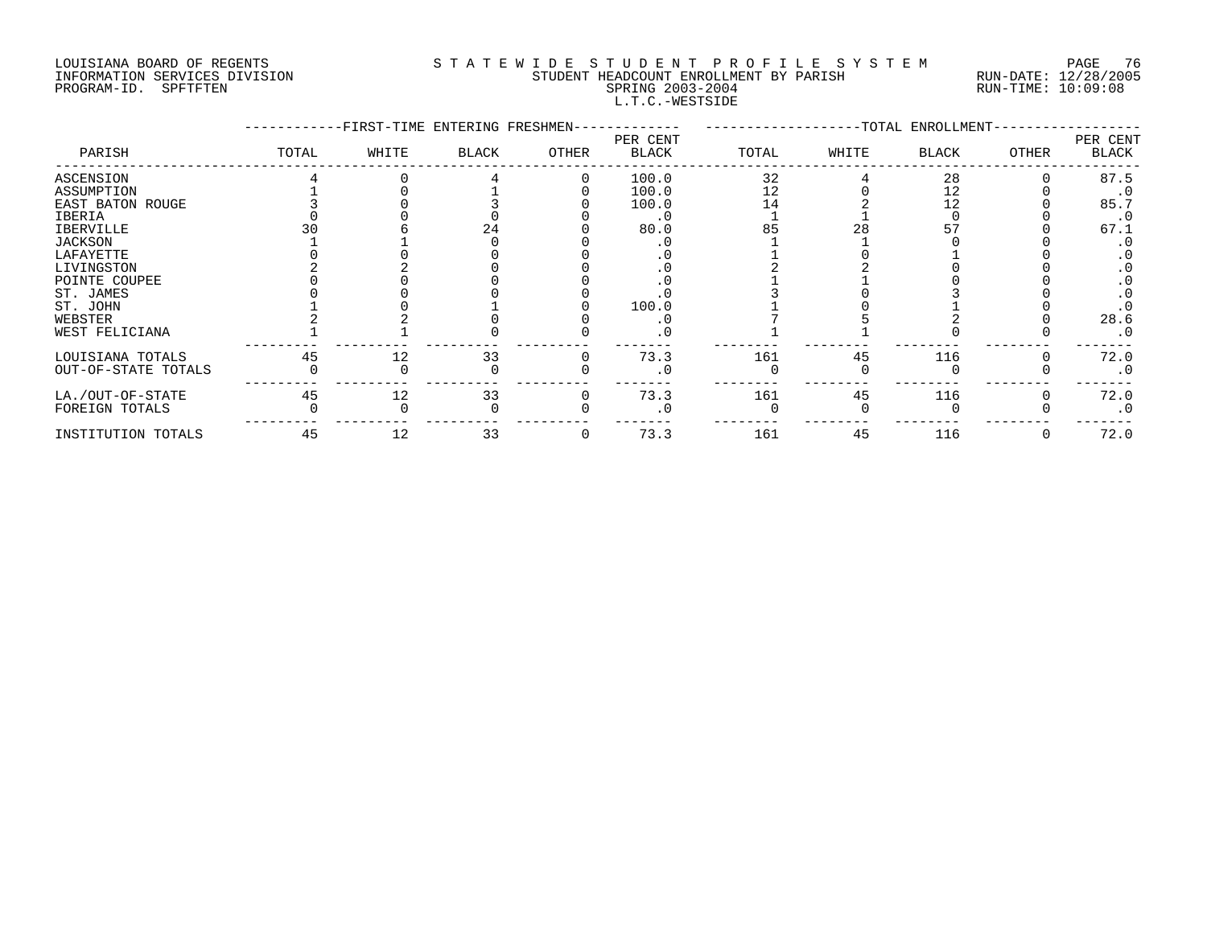# LOUISIANA BOARD OF REGENTS S T A T E W I D E S T U D E N T P R O F I L E S Y S T E M PAGE 76 INFORMATION SERVICES DIVISION STUDENT HEADCOUNT ENROLLMENT BY PARISH RUN-DATE: 12/28/2005 PROGRAM-ID. SPFTFTEN SPRING 2003-2004 RUN-TIME: 10:09:08 L.T.C.-WESTSIDE

|                     |       | -FIRST-TIME ENTERING FRESHMEN- |              |       |                   |       | ---------------TOTAL ENROLLMENT- |              |              |                   |
|---------------------|-------|--------------------------------|--------------|-------|-------------------|-------|----------------------------------|--------------|--------------|-------------------|
| PARISH              | TOTAL | WHITE                          | <b>BLACK</b> | OTHER | PER CENT<br>BLACK | TOTAL | WHITE                            | <b>BLACK</b> | <b>OTHER</b> | PER CENT<br>BLACK |
| ASCENSION           |       |                                |              |       | 100.0             | 32    |                                  | 28           |              | 87.5              |
| ASSUMPTION          |       |                                |              |       | 100.0             | 12    |                                  |              |              |                   |
| EAST BATON ROUGE    |       |                                |              |       | 100.0             |       |                                  |              |              | 85.7              |
| IBERIA              |       |                                |              |       |                   |       |                                  |              |              | $\cdot$ 0         |
| IBERVILLE           |       |                                |              |       | 80.0              |       |                                  |              |              | 67.1              |
| JACKSON             |       |                                |              |       |                   |       |                                  |              |              |                   |
| LAFAYETTE           |       |                                |              |       |                   |       |                                  |              |              |                   |
| LIVINGSTON          |       |                                |              |       |                   |       |                                  |              |              |                   |
| POINTE COUPEE       |       |                                |              |       |                   |       |                                  |              |              |                   |
| ST. JAMES           |       |                                |              |       |                   |       |                                  |              |              |                   |
| ST. JOHN            |       |                                |              |       | 100.0             |       |                                  |              |              |                   |
| WEBSTER             |       |                                |              |       |                   |       |                                  |              |              | 28.6              |
| WEST FELICIANA      |       |                                |              |       |                   |       |                                  |              |              | $\cdot$ 0         |
| LOUISIANA TOTALS    | 45    |                                | 33           |       | 73.3              | 161   | 45                               | 116          |              | 72.0              |
| OUT-OF-STATE TOTALS |       |                                |              |       |                   |       |                                  |              |              | $\cdot$ 0         |
| LA./OUT-OF-STATE    | 45    | 12                             | 33           |       | 73.3              | 161   | 45                               | 116          |              | 72.0              |
| FOREIGN TOTALS      |       |                                |              |       |                   |       |                                  |              |              | $\cdot$ 0         |
| INSTITUTION TOTALS  | 45    | 12                             | 33           |       | 73.3              | 161   | 45                               | 116          |              | 72.0              |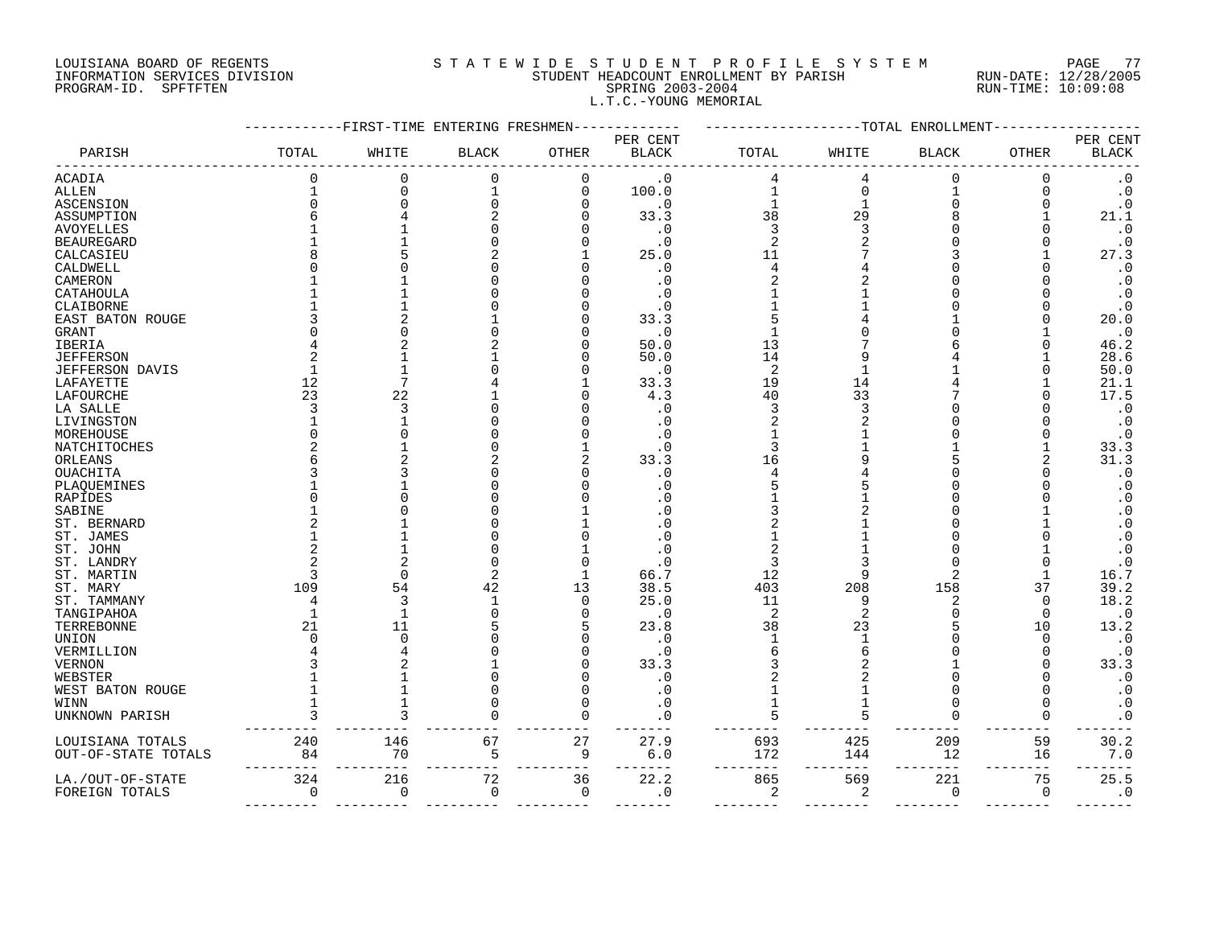#### LOUISIANA BOARD OF REGENTS S T A T E W I D E S T U D E N T P R O F I L E S Y S T E M PAGE 77 INFORMATION SERVICES DIVISION STUDENT HEADCOUNT ENROLLMENT BY PARISH RUN-DATE: 12/28/2005 PROGRAM-ID. SPFTFTEN SPRING 2003-2004 RUN-TIME: 10:09:08 L.T.C.-YOUNG MEMORIAL

|                     |          |          | --FIRST-TIME ENTERING FRESHMEN- |                |                          |                |       | -TOTAL ENROLLMENT |                |                          |
|---------------------|----------|----------|---------------------------------|----------------|--------------------------|----------------|-------|-------------------|----------------|--------------------------|
| PARISH              | TOTAL    | WHITE    | <b>BLACK</b>                    | OTHER          | PER CENT<br><b>BLACK</b> | TOTAL          | WHITE | <b>BLACK</b>      | OTHER          | PER CENT<br><b>BLACK</b> |
| <b>ACADIA</b>       |          |          | 0                               | 0              | $\cdot$ 0                |                |       | $\Omega$          | 0              | $\cdot$ 0                |
| ALLEN               |          |          | $\mathbf{1}$                    | 0              | 100.0                    | 1              | 0     |                   | 0              | $\cdot$ 0                |
| ASCENSION           | $\Omega$ |          | $\Omega$                        | O              | $\cdot$ 0                | $\mathbf{1}$   | 1     | O                 | $\sqrt{ }$     | $\cdot$ 0                |
| ASSUMPTION          |          |          | $\overline{2}$                  | n              | 33.3                     | 38             | 29    |                   |                | 21.1                     |
| <b>AVOYELLES</b>    |          |          | 0                               |                | $\cdot$ 0                | 3              | 3     |                   |                | $\cdot$ 0                |
| BEAUREGARD          |          |          | 0                               |                | $\cdot$ 0                | $\overline{2}$ |       |                   |                | $\cdot$ 0                |
| CALCASIEU           |          |          |                                 |                | 25.0                     | 11             |       |                   |                | 27.3                     |
| CALDWELL            |          |          |                                 |                | $\cdot$ 0                | 4              |       |                   |                | $\cdot$ 0                |
| CAMERON             |          |          | U                               |                | . 0                      |                |       |                   |                | $\cdot$ 0                |
| CATAHOULA           |          |          |                                 |                | . 0                      |                |       |                   |                | $\cdot$ 0                |
| CLAIBORNE           |          |          |                                 |                | . 0                      |                |       |                   |                | $\cdot$ 0                |
| EAST BATON ROUGE    |          |          |                                 |                | 33.3                     |                |       |                   |                | 20.0                     |
|                     |          |          |                                 |                |                          |                |       |                   |                |                          |
| GRANT               |          |          |                                 |                | $\cdot$ 0                |                |       |                   |                | $\cdot$ 0                |
| IBERIA              |          |          |                                 |                | 50.0                     | 13             |       |                   |                | 46.2                     |
| <b>JEFFERSON</b>    |          |          |                                 |                | 50.0                     | 14             |       |                   |                | 28.6                     |
| JEFFERSON DAVIS     |          |          |                                 |                | $\cdot$ 0                | $\overline{2}$ |       |                   |                | 50.0                     |
| LAFAYETTE           | 12       |          |                                 |                | 33.3                     | 19             | 14    |                   |                | 21.1                     |
| <b>LAFOURCHE</b>    | 23       | 22       |                                 |                | 4.3                      | 40             | 33    |                   |                | 17.5                     |
| LA SALLE            |          | 3        | O                               |                | . 0                      | 3              | 3     |                   |                | $\cdot$ 0                |
| LIVINGSTON          |          |          |                                 |                | $\cdot$ 0                | 2              |       |                   |                | $\cdot$ 0                |
| MOREHOUSE           |          |          |                                 |                | . 0                      |                |       |                   |                | . 0                      |
| NATCHITOCHES        |          |          | U                               |                | . 0                      | ₹              |       |                   |                | 33.3                     |
| ORLEANS             |          |          |                                 |                | 33.3                     | 16             |       |                   |                | 31.3                     |
| OUACHITA            |          |          | U                               |                | . 0                      |                |       |                   |                | $\cdot$ 0                |
| PLAQUEMINES         |          |          |                                 |                | . 0                      |                |       |                   |                | $\cdot$ 0                |
| RAPIDES             |          |          |                                 |                |                          |                |       |                   |                | . 0                      |
| SABINE              |          |          | U                               |                | . 0                      |                |       |                   |                | $\cdot$ 0                |
| ST. BERNARD         |          |          |                                 |                | . 0                      |                |       |                   |                | . 0                      |
| ST. JAMES           |          |          |                                 |                | . 0                      |                |       |                   |                | . 0                      |
| ST. JOHN            |          |          |                                 |                | . 0                      |                |       |                   |                | $\boldsymbol{\cdot}$ 0   |
| ST. LANDRY          |          |          | $\Omega$                        | ſ              | . 0                      | 3              |       |                   |                | . 0                      |
| ST. MARTIN          |          |          | 2                               |                | 66.7                     | 12             | 9     | 2                 |                | 16.7                     |
|                     | 109      | 54       | 42                              | 13             | 38.5                     | 403            | 208   | 158               | 37             | 39.2                     |
| ST. MARY            |          | 3        | 1                               | 0              | 25.0                     | 11             | 9     | 2                 | $\Omega$       | 18.2                     |
| ST. TAMMANY         |          |          | $\Omega$                        | $\Omega$       |                          |                |       |                   |                |                          |
| TANGIPAHOA          | 21       | 11       |                                 | 5              | $\cdot$ 0                | $\overline{2}$ | 2     |                   | $\Omega$<br>10 | . 0                      |
| TERREBONNE          |          |          |                                 |                | 23.8                     | 38             | 23    |                   |                | 13.2                     |
| UNION               |          |          | U                               |                | . 0                      | 1              |       |                   | $\sqrt{ }$     | $\cdot$ 0                |
| VERMILLION          |          |          |                                 |                | . 0                      |                |       |                   |                | . 0                      |
| VERNON              |          |          |                                 |                | 33.3                     |                |       |                   |                | 33.3                     |
| WEBSTER             |          |          | $\Omega$                        |                | $\cdot$ 0                |                |       |                   |                | $\cdot$ 0                |
| WEST BATON ROUGE    |          |          | $\Omega$                        | C              | $\cdot$ 0                |                |       | O                 | C              | $\cdot$ 0                |
| WINN                |          |          | 0                               | O              | . 0                      |                |       | U                 | C              | $\cdot$ 0                |
| UNKNOWN PARISH      |          |          |                                 | O              | . 0                      | 5              |       | U                 | $\Omega$       | $\cdot$ 0                |
| LOUISIANA TOTALS    | 240      | 146      | 67                              | 27             | 27.9                     | 693            | 425   | 209               | 59             | 30.2                     |
| OUT-OF-STATE TOTALS | 84       | 70       | 5                               | 9              | $6.0$                    | 172            | 144   | 12                | 16             | 7.0                      |
| LA./OUT-OF-STATE    | 324      | 216      | 72                              | 36             | 22.2                     | 865            | 569   | 221               | 75             | 25.5                     |
| FOREIGN TOTALS      | 0        | $\Omega$ | $\mathbf 0$                     | $\overline{0}$ | $\cdot$ 0                | 2              | 2     | $\mathbf 0$       | $\overline{0}$ | $\cdot$ 0                |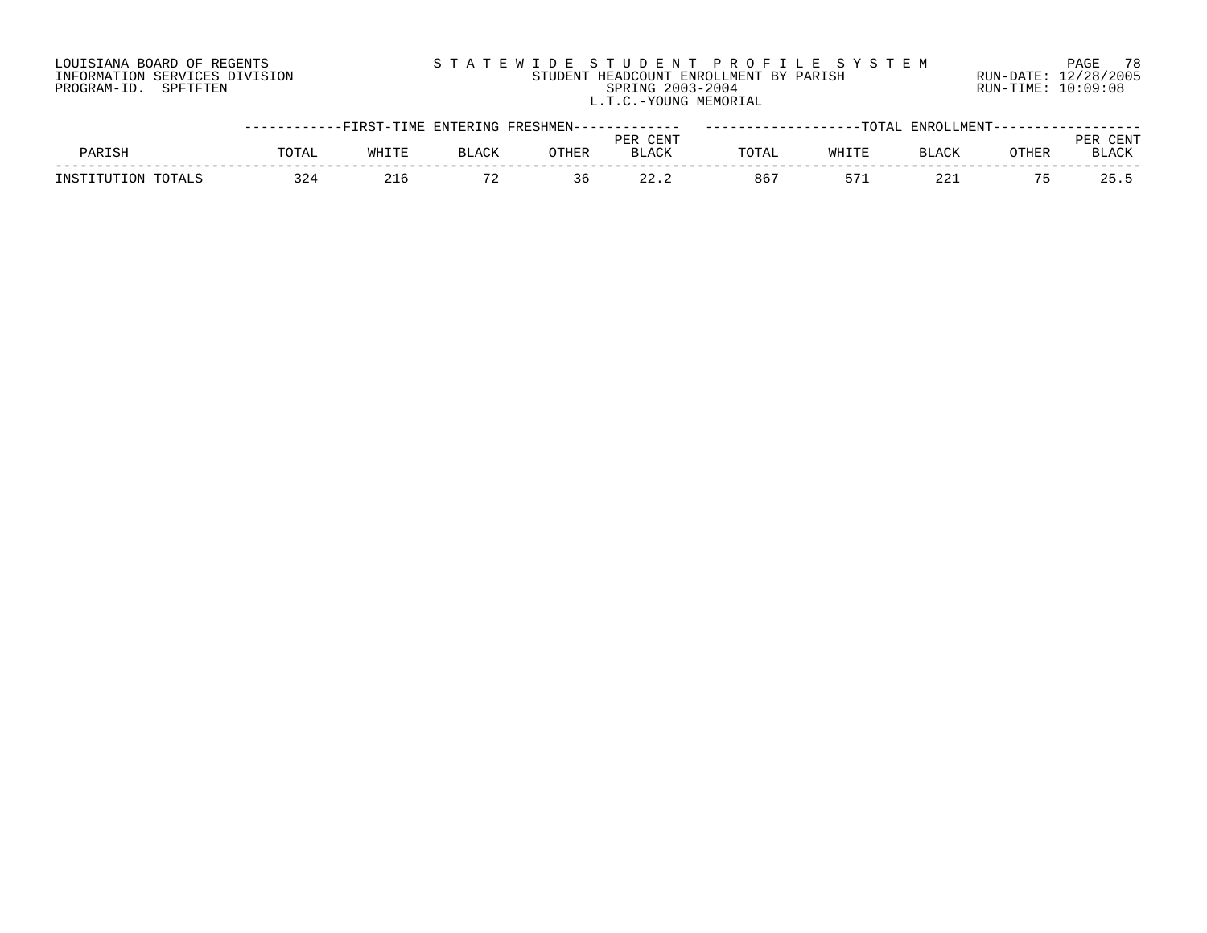# LOUISIANA BOARD OF REGENTS S T A T E W I D E S T U D E N T P R O F I L E S Y S T E M PAGE 78 INFORMATION SERVICES DIVISION STUDENT HEADCOUNT ENROLLMENT BY PARISH RUN-DATE: 12/28/2005 PROGRAM-ID. SPFTFTEN SPRING 2003-2004 RUN-TIME: 10:09:08 L.T.C.-YOUNG MEMORIAL

|                    | -----------FIRST-TIME ENTERING FRESHMEN------------ |       |       |       |              |       |       | -------TOTAL ENROLLMENT---- |       |              |
|--------------------|-----------------------------------------------------|-------|-------|-------|--------------|-------|-------|-----------------------------|-------|--------------|
|                    |                                                     |       |       |       | PER CENT     |       |       |                             |       | TENT         |
| PARISH             | TOTAL                                               | WHITE | BLACK | OTHER | <b>BLACK</b> | TOTAL | WHITE | BLACK                       | OTHER | <b>BLACK</b> |
| INSTITUTION TOTALS | 324                                                 |       |       | 36    |              | 86'   |       | 221                         |       | 25.5         |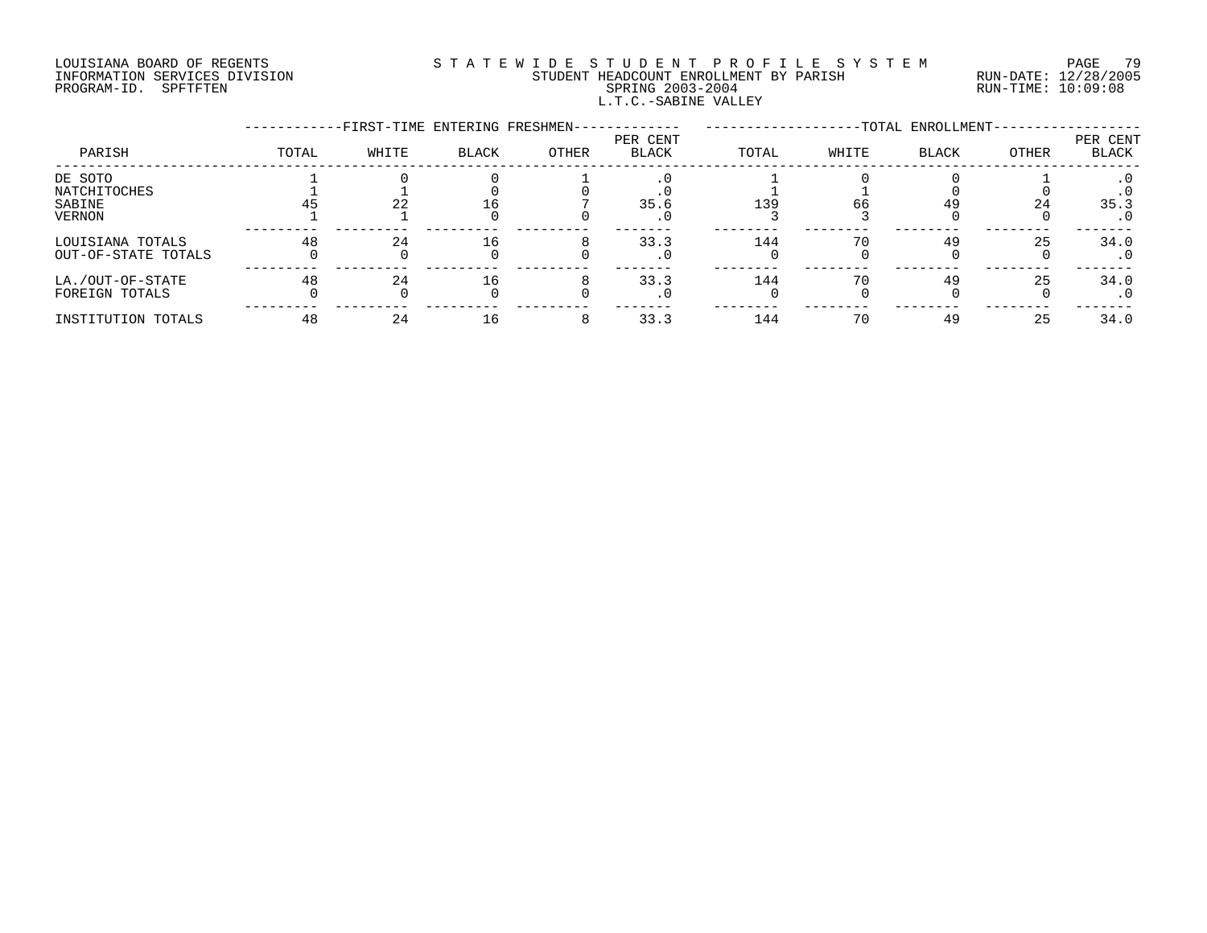# LOUISIANA BOARD OF REGENTS S T A T E W I D E S T U D E N T P R O F I L E S Y S T E M PAGE 79 INFORMATION SERVICES DIVISION STUDENT HEADCOUNT ENROLLMENT BY PARISH RUN-DATE: 12/28/2005 PROGRAM-ID. SPFTFTEN SPRING 2003-2004 RUN-TIME: 10:09:08 L.T.C.-SABINE VALLEY

|                     |       | -FIRST-TIME ENTERING FRESHMEN- |              |       |                          |       |       | -TOTAL ENROLLMENT- |              |                          |
|---------------------|-------|--------------------------------|--------------|-------|--------------------------|-------|-------|--------------------|--------------|--------------------------|
| PARISH              | TOTAL | WHITE                          | <b>BLACK</b> | OTHER | PER CENT<br><b>BLACK</b> | TOTAL | WHITE | <b>BLACK</b>       | <b>OTHER</b> | PER CENT<br><b>BLACK</b> |
| DE SOTO             |       |                                |              |       |                          |       |       |                    |              |                          |
| NATCHITOCHES        |       |                                |              |       |                          |       |       |                    |              |                          |
| SABINE              |       | 22                             |              |       | 35.6                     | 139   | 66    |                    | 24           | 35.3                     |
| VERNON              |       |                                |              |       | . U                      |       |       |                    |              | $\cdot$ 0                |
| LOUISIANA TOTALS    | 48    | 24                             | 16           |       | 33.3                     | 144   | 70    | 49                 | 25           | 34.0                     |
| OUT-OF-STATE TOTALS |       |                                |              |       |                          |       |       |                    |              | . 0                      |
| LA./OUT-OF-STATE    | 48    | 24                             | 16           |       | 33.3                     | 144   | 70    | 49                 | 25           | 34.0                     |
| FOREIGN TOTALS      |       |                                |              |       |                          |       |       |                    |              | . 0                      |
| INSTITUTION TOTALS  | 48    |                                |              |       | 33.3                     | 144   | 70    | 49                 | 25           | 34.0                     |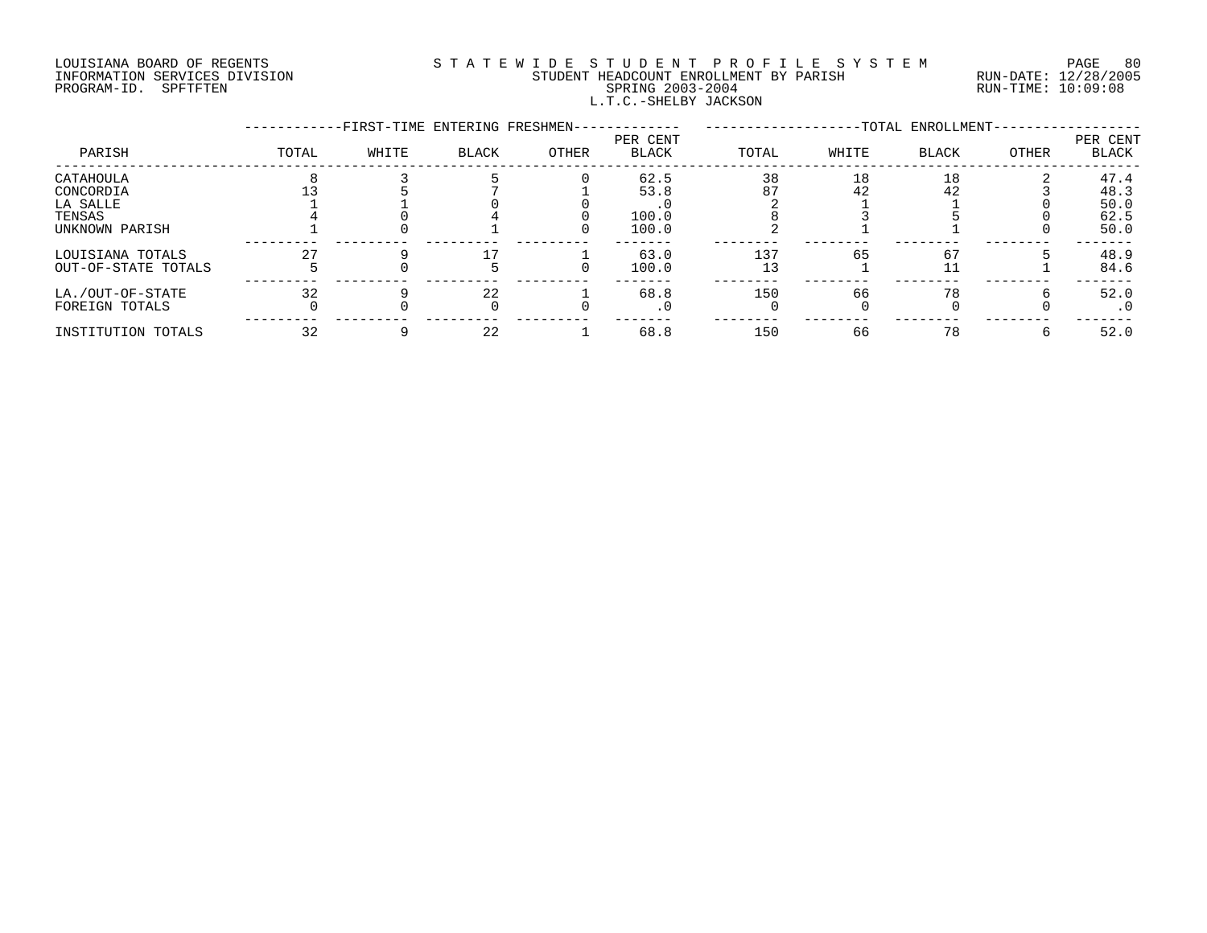### LOUISIANA BOARD OF REGENTS S T A T E W I D E S T U D E N T P R O F I L E S Y S T E M PAGE 80 INFORMATION SERVICES DIVISION STUDENT HEADCOUNT ENROLLMENT BY PARISH RUN-DATE: 12/28/2005 PROGRAM-ID. SPFTFTEN SPRING 2003-2004 RUN-TIME: 10:09:08 L.T.C.-SHELBY JACKSON

|                     |       | -FIRST-TIME ENTERING FRESHMEN- |              |       |                          |       | -TOTAL ENROLLMENT- |              |       |                          |
|---------------------|-------|--------------------------------|--------------|-------|--------------------------|-------|--------------------|--------------|-------|--------------------------|
| PARISH              | TOTAL | WHITE                          | <b>BLACK</b> | OTHER | PER CENT<br><b>BLACK</b> | TOTAL | WHITE              | <b>BLACK</b> | OTHER | PER CENT<br><b>BLACK</b> |
| CATAHOULA           |       |                                |              |       | 62.5                     | 38    | 18                 | 18           |       | 47.4                     |
| CONCORDIA           |       |                                |              |       | 53.8                     | 87    | 42                 | 42           |       | 48.3                     |
| LA SALLE            |       |                                |              |       |                          |       |                    |              |       | 50.0                     |
| TENSAS              |       |                                |              |       | 100.0                    |       |                    |              |       | 62.5                     |
| UNKNOWN PARISH      |       |                                |              |       | 100.0                    |       |                    |              |       | 50.0                     |
| LOUISIANA TOTALS    |       |                                |              |       | 63.0                     | 137   | 65                 | 67           |       | 48.9                     |
| OUT-OF-STATE TOTALS |       |                                |              |       | 100.0                    | 13    |                    |              |       | 84.6                     |
| LA./OUT-OF-STATE    | 32    |                                | 22           |       | 68.8                     | 150   | 66                 | 78           |       | 52.0                     |
| FOREIGN TOTALS      |       |                                |              |       | $\cdot$ 0                |       |                    |              |       | . 0                      |
| INSTITUTION TOTALS  | 32    |                                | 22           |       | 68.8                     | 150   | 66                 | 78           |       | 52.0                     |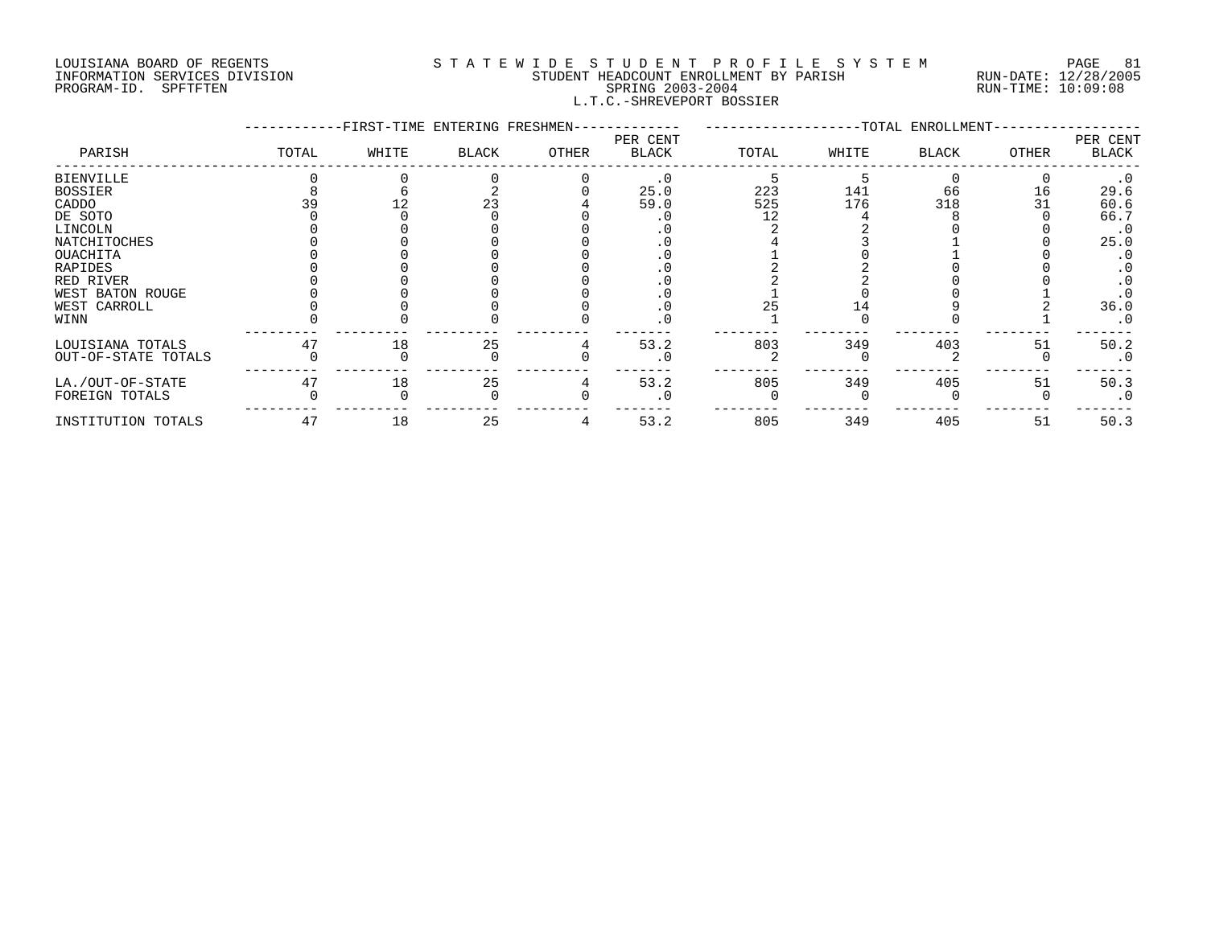#### LOUISIANA BOARD OF REGENTS SOURCLEARIE S T A T E W I D E S T U D E N T P R O F I L E S Y S T E M PAGE 81 INFORMATION SERVICES DIVISION STUDENT HEADCOUNT ENROLLMENT BY PARISH RUN-DATE: 12/28/2005 PAGE 8 ENGINEERT PROFIT AS A LOTE OF THE STRING AND HOTEL STRING AND HOST OF STRING 2003-2004 FROGRAM-ID. SPFTFTEN SPETTEN SPRING 2003-2004<br>PROGRAM-ID. SPFTFTEN SPETEN SPRING 2003-2004 STRING 2003-2004 L.T.C.-SHREVEPORT BOSSIER

|                     |       | -FIRST-TIME ENTERING FRESHMEN- |       |       |                   |       |       | -TOTAL ENROLLMENT- |              |                   |
|---------------------|-------|--------------------------------|-------|-------|-------------------|-------|-------|--------------------|--------------|-------------------|
| PARISH              | TOTAL | WHITE                          | BLACK | OTHER | PER CENT<br>BLACK | TOTAL | WHITE | <b>BLACK</b>       | <b>OTHER</b> | PER CENT<br>BLACK |
| <b>BIENVILLE</b>    |       |                                |       |       | $\cdot$ 0         |       |       |                    |              | $\cdot$ 0         |
| <b>BOSSIER</b>      |       |                                |       |       | 25.0              | 223   | 141   | 66                 | 16           | 29.6              |
| CADDO               |       |                                |       |       | 59.0              | 525   | 176   | 318                |              | 60.6              |
| DE SOTO             |       |                                |       |       |                   |       |       |                    |              | 66.7              |
| LINCOLN             |       |                                |       |       |                   |       |       |                    |              | $\cdot$ 0         |
| NATCHITOCHES        |       |                                |       |       |                   |       |       |                    |              | 25.0              |
| OUACHITA            |       |                                |       |       |                   |       |       |                    |              |                   |
| <b>RAPIDES</b>      |       |                                |       |       |                   |       |       |                    |              |                   |
| RED RIVER           |       |                                |       |       |                   |       |       |                    |              |                   |
| WEST BATON ROUGE    |       |                                |       |       |                   |       |       |                    |              |                   |
| WEST CARROLL        |       |                                |       |       |                   |       |       |                    |              | 36.0              |
| WINN                |       |                                |       |       |                   |       |       |                    |              | $\cdot$ 0         |
| LOUISIANA TOTALS    | 47    | 18                             | 25    |       | 53.2              | 803   | 349   | 403                | 51           | 50.2              |
| OUT-OF-STATE TOTALS |       |                                |       |       | $\cdot$ 0         |       |       |                    |              | $\cdot$ 0         |
| LA./OUT-OF-STATE    | 47    | 18                             | 25    |       | 53.2              | 805   | 349   | 405                | 51           | 50.3              |
| FOREIGN TOTALS      |       |                                |       |       |                   |       |       |                    |              | $\cdot$ 0         |
| INSTITUTION TOTALS  | 47    | 18                             | 25    |       | 53.2              | 805   | 349   | 405                | 51           | 50.3              |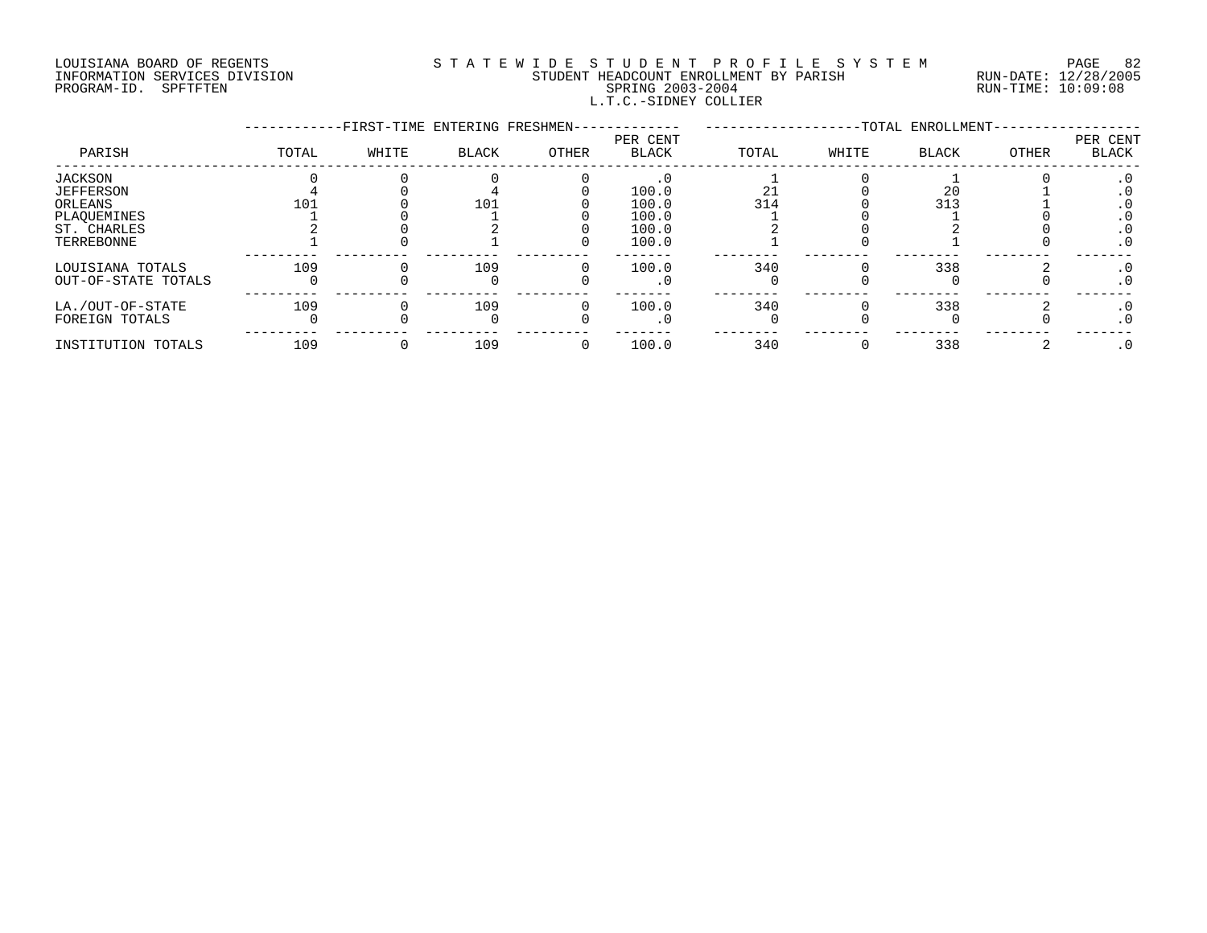### LOUISIANA BOARD OF REGENTS S T A T E W I D E S T U D E N T P R O F I L E S Y S T E M PAGE 82 INFORMATION SERVICES DIVISION STUDENT HEADCOUNT ENROLLMENT BY PARISH RUN-DATE: 12/28/2005 PROGRAM-ID. SPFTFTEN SPRING 2003-2004 RUN-TIME: 10:09:08 L.T.C.-SIDNEY COLLIER

|                     |       | -FIRST-TIME ENTERING FRESHMEN- |       |       |                   |       |       | -TOTAL ENROLLMENT- |       |                   |
|---------------------|-------|--------------------------------|-------|-------|-------------------|-------|-------|--------------------|-------|-------------------|
| PARISH              | TOTAL | WHITE                          | BLACK | OTHER | PER CENT<br>BLACK | TOTAL | WHITE | <b>BLACK</b>       | OTHER | PER CENT<br>BLACK |
| JACKSON             |       |                                |       |       |                   |       |       |                    |       | . 0               |
| <b>JEFFERSON</b>    |       |                                |       |       | 100.0             |       |       | 20                 |       |                   |
| ORLEANS             | 101   |                                | 101   |       | 100.0             | 314   |       | 313                |       |                   |
| PLAOUEMINES         |       |                                |       |       | 100.0             |       |       |                    |       |                   |
| ST. CHARLES         |       |                                |       |       | 100.0             |       |       |                    |       |                   |
| TERREBONNE          |       |                                |       |       | 100.0             |       |       |                    |       | . 0               |
| LOUISIANA TOTALS    | 109   |                                | 109   |       | 100.0             | 340   |       | 338                |       | . 0               |
| OUT-OF-STATE TOTALS |       |                                |       |       |                   |       |       |                    |       | $\cdot$ 0         |
| LA./OUT-OF-STATE    | 109   |                                | 109   |       | 100.0             | 340   |       | 338                |       | $\cdot$ 0         |
| FOREIGN TOTALS      |       |                                |       |       | . U               |       |       |                    |       | . 0               |
| INSTITUTION TOTALS  | 109   |                                | 109   |       | 100.0             | 340   |       | 338                |       |                   |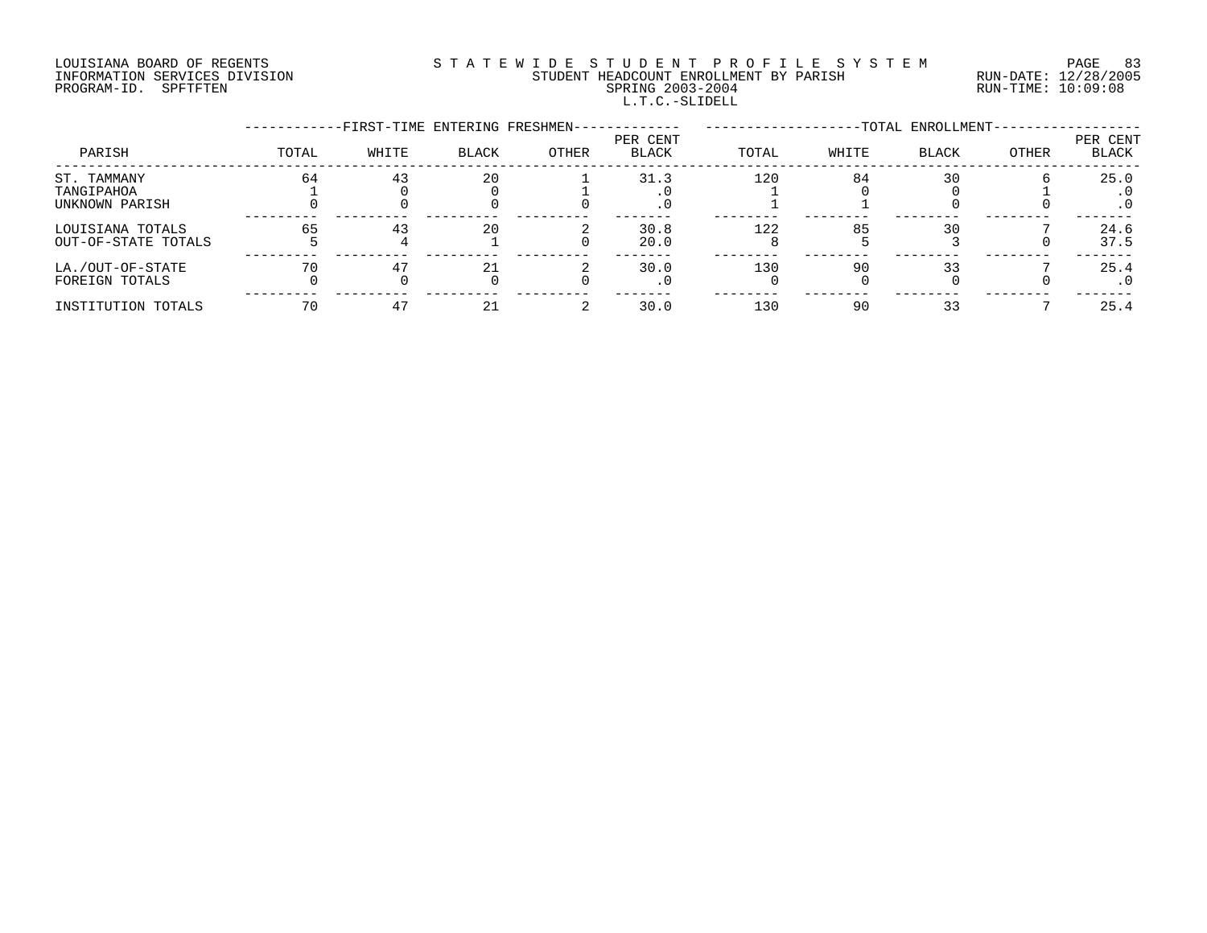# LOUISIANA BOARD OF REGENTS S T A T E W I D E S T U D E N T P R O F I L E S Y S T E M PAGE 83 INFORMATION SERVICES DIVISION STUDENT HEADCOUNT ENROLLMENT BY PARISH RUN-DATE: 12/28/2005 PROGRAM-ID. SPFTFTEN SPRING 2003-2004 RUN-TIME: 10:09:08 L.T.C.-SLIDELL

|                                             |       | -FIRST-TIME ENTERING FRESHMEN- |              |       |                          |       |       | -TOTAL ENROLLMENT- |       |                   |
|---------------------------------------------|-------|--------------------------------|--------------|-------|--------------------------|-------|-------|--------------------|-------|-------------------|
| PARISH                                      | TOTAL | WHITE                          | <b>BLACK</b> | OTHER | PER CENT<br><b>BLACK</b> | TOTAL | WHITE | <b>BLACK</b>       | OTHER | PER CENT<br>BLACK |
| ST. TAMMANY<br>TANGIPAHOA<br>UNKNOWN PARISH | 64    | 43                             | 20           |       | 31.3<br>$\cdot$ 0        | 120   | 84    | 30                 |       | 25.0<br>$\cdot$ 0 |
| LOUISIANA TOTALS<br>OUT-OF-STATE TOTALS     | 65    | 43                             | 20           |       | 30.8<br>20.0             | 122   | 85    | 30                 |       | 24.6<br>37.5      |
| LA./OUT-OF-STATE<br>FOREIGN TOTALS          | 70    |                                |              |       | 30.0<br>. 0              | 130   | 90    |                    |       | 25.4<br>$\cdot$ 0 |
| INSTITUTION TOTALS                          | 70    |                                |              |       | 30.0                     | 130   | 90    |                    |       | 25.4              |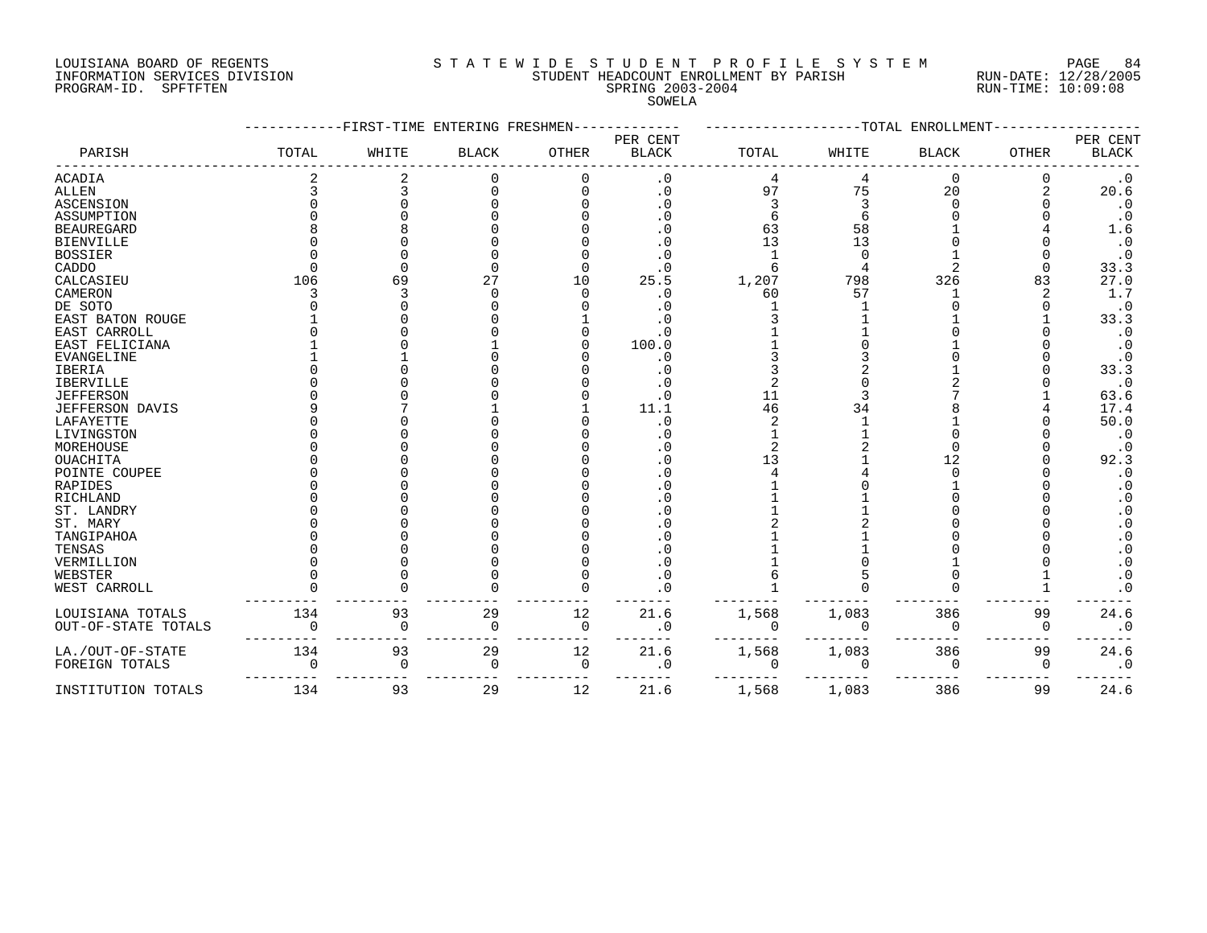# LOUISIANA BOARD OF REGENTS S T A T E W I D E S T U D E N T P R O F I L E S Y S T E M PAGE 84 INFORMATION SERVICES DIVISION STUDENT HEADCOUNT ENROLLMENT BY PARISH RUN-DATE: 12/28/2005 PROGRAM-ID. SPFTFTEN SPRING 2003-2004 RUN-TIME: 10:09:08

SOWELA

|                     |          | ------FIRST-TIME ENTERING FRESHMEN |              |          |                          |       |          | -------------TOTAL ENROLLMENT |       |                                                  |
|---------------------|----------|------------------------------------|--------------|----------|--------------------------|-------|----------|-------------------------------|-------|--------------------------------------------------|
| PARISH              | TOTAL    | WHITE                              | <b>BLACK</b> | OTHER    | PER CENT<br><b>BLACK</b> | TOTAL | WHITE    | <b>BLACK</b>                  | OTHER | PER CENT<br><b>BLACK</b>                         |
| <b>ACADIA</b>       |          |                                    | U            |          | . 0                      |       | 4        | $\Omega$                      |       | $.0^{0.0}_{0.6}$                                 |
| <b>ALLEN</b>        |          |                                    |              |          | . 0                      | 97    | 75       | 20                            | 2     |                                                  |
| <b>ASCENSION</b>    |          |                                    |              |          | $\cdot$ 0                |       |          |                               |       | $\cdot$ 0                                        |
| ASSUMPTION          |          |                                    |              |          |                          |       |          |                               |       | $\cdot$ 0                                        |
| <b>BEAUREGARD</b>   |          |                                    |              |          | . 0                      | 63    | 58       |                               |       | 1.6                                              |
| <b>BIENVILLE</b>    |          |                                    |              |          |                          | 13    | 13       |                               |       | $\cdot$ 0                                        |
| <b>BOSSIER</b>      |          |                                    |              |          |                          |       |          |                               |       | $\cdot$ 0                                        |
| CADDO               |          |                                    |              |          |                          | 6     |          |                               |       | 33.3                                             |
| CALCASIEU           | 106      | 69                                 | 27           | 10       | 25.5                     | 1,207 | 798      | 326                           | 83    | 27.0                                             |
| CAMERON             |          |                                    |              |          | $\cdot$ 0                | 60    | 57       |                               |       | 1.7                                              |
| DE SOTO             |          |                                    |              |          | . 0                      |       |          |                               |       | $\cdot$ 0                                        |
| EAST BATON ROUGE    |          |                                    |              |          |                          |       |          |                               |       | 33.3                                             |
| EAST CARROLL        |          |                                    |              |          |                          |       |          |                               |       | $\cdot$ 0                                        |
| EAST FELICIANA      |          |                                    |              |          | 100.0                    |       |          |                               |       | $\cdot$ 0                                        |
| <b>EVANGELINE</b>   |          |                                    |              |          | $\cdot$ 0                |       |          |                               |       | $\cdot$ 0                                        |
| IBERIA              |          |                                    |              |          |                          |       |          |                               |       | 33.3                                             |
| IBERVILLE           |          |                                    |              |          |                          |       |          |                               |       | $\cdot$ 0                                        |
| <b>JEFFERSON</b>    |          |                                    |              |          | . 0                      | 11    |          |                               |       | 63.6                                             |
| JEFFERSON DAVIS     |          |                                    |              |          | 11.1                     | 46    | 34       |                               |       | 17.4                                             |
| LAFAYETTE           |          |                                    |              |          | . 0                      |       |          |                               |       | 50.0                                             |
| LIVINGSTON          |          |                                    |              |          | . 0                      |       |          |                               |       | $\cdot$ 0                                        |
| MOREHOUSE           |          |                                    |              |          |                          |       |          |                               |       | $\cdot$ 0                                        |
| OUACHITA            |          |                                    |              |          | . 0                      | 13    |          | 12                            |       | 92.3                                             |
| POINTE COUPEE       |          |                                    |              |          |                          |       |          |                               |       | $\cdot$ 0                                        |
| RAPIDES             |          |                                    |              |          |                          |       |          |                               |       |                                                  |
| RICHLAND            |          |                                    |              |          |                          |       |          |                               |       | $\cdot$ 0<br>$\boldsymbol{\cdot}$ 0              |
| ST. LANDRY          |          |                                    |              |          |                          |       |          |                               |       | $\cdot$ 0                                        |
|                     |          |                                    |              |          |                          |       |          |                               |       |                                                  |
| ST. MARY            |          |                                    |              |          |                          |       |          |                               |       | $\boldsymbol{\cdot}$ 0<br>$\cdot$ 0              |
| TANGIPAHOA          |          |                                    |              |          |                          |       |          |                               |       |                                                  |
| TENSAS              |          |                                    |              |          |                          |       |          |                               |       | $\boldsymbol{\cdot}$ 0                           |
| VERMILLION          |          |                                    |              |          |                          |       |          |                               |       | $\boldsymbol{\cdot}$ 0<br>$\boldsymbol{\cdot}$ 0 |
| WEBSTER             |          |                                    |              |          |                          |       |          |                               |       |                                                  |
| WEST CARROLL        |          |                                    |              |          | . 0                      |       |          |                               |       | $\cdot$ 0                                        |
| LOUISIANA TOTALS    | 134      | 93                                 | 29           | 12       | 21.6                     | 1,568 | 1,083    | 386                           | 99    | 24.6                                             |
| OUT-OF-STATE TOTALS | $\Omega$ |                                    | $\Omega$     | $\Omega$ | $\cdot$ 0                |       | $\Omega$ | $\cap$                        | 0     | $\cdot$ 0                                        |
| LA./OUT-OF-STATE    | 134      | 93                                 | 29           | 12       | 21.6                     | 1,568 | 1,083    | 386                           | 99    | 24.6                                             |
| FOREIGN TOTALS      | 0        | 0                                  | 0            | 0        | $\cdot$ 0                | 0     | $\Omega$ | $\mathbf 0$                   | 0     | $\cdot$ 0                                        |
| INSTITUTION TOTALS  | 134      | 93                                 | 29           | 12       | 21.6                     | 1,568 | 1,083    | 386                           | 99    | 24.6                                             |
|                     |          |                                    |              |          |                          |       |          |                               |       |                                                  |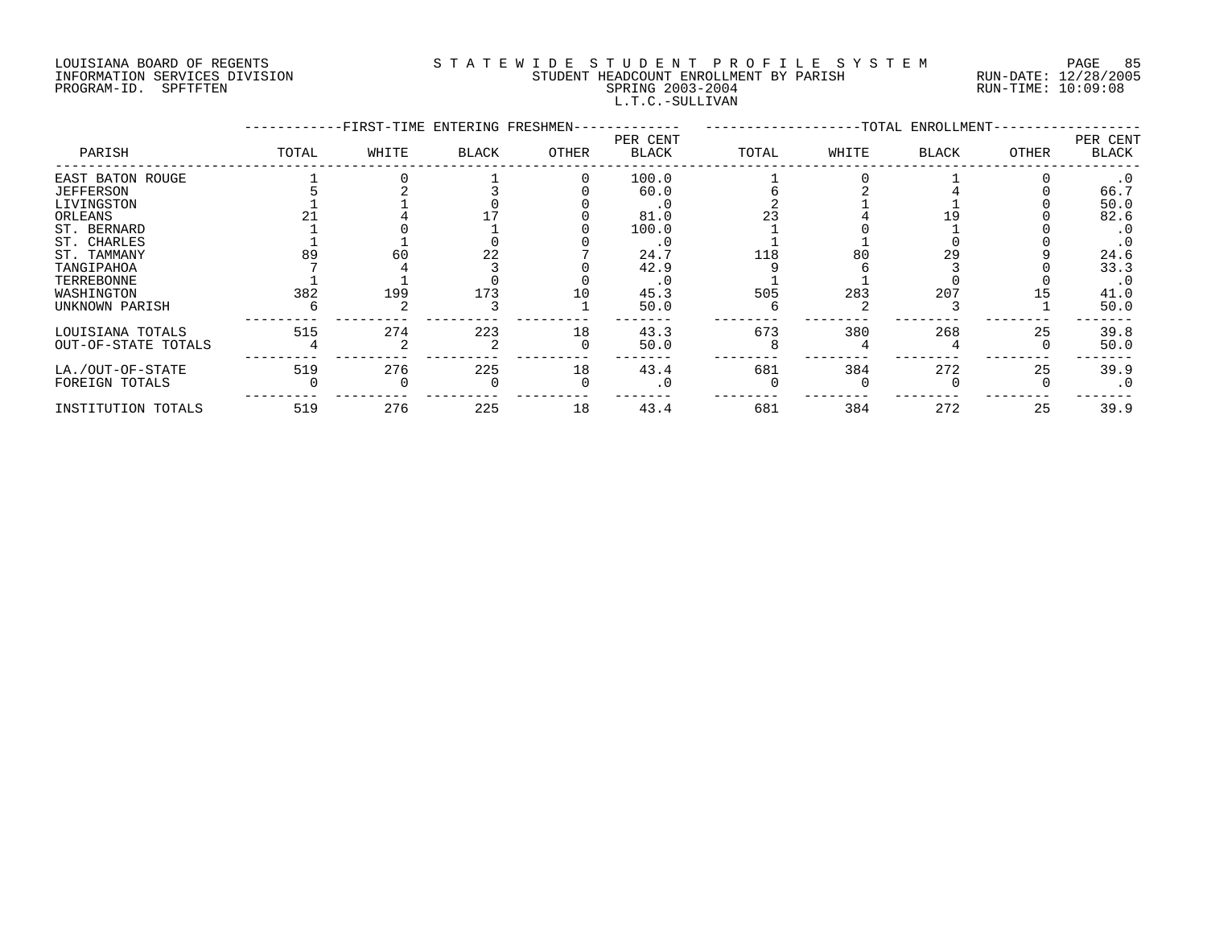# LOUISIANA BOARD OF REGENTS S T A T E W I D E S T U D E N T P R O F I L E S Y S T E M PAGE 85 INFORMATION SERVICES DIVISION STUDENT HEADCOUNT ENROLLMENT BY PARISH RUN-DATE: 12/28/2005 PROGRAM-ID. SPFTFTEN SPRING 2003-2004 RUN-TIME: 10:09:08 L.T.C.-SULLIVAN

|                     |       |       | -FIRST-TIME ENTERING FRESHMEN-<br>-------- |       |                          |       |       | --TOTAL ENROLLMENT- |       |                   |
|---------------------|-------|-------|--------------------------------------------|-------|--------------------------|-------|-------|---------------------|-------|-------------------|
| PARISH              | TOTAL | WHITE | BLACK                                      | OTHER | PER CENT<br><b>BLACK</b> | TOTAL | WHITE | BLACK               | OTHER | PER CENT<br>BLACK |
| EAST BATON ROUGE    |       |       |                                            |       | 100.0                    |       |       |                     |       |                   |
| <b>JEFFERSON</b>    |       |       |                                            |       | 60.0                     |       |       |                     |       | 66.7              |
| LIVINGSTON          |       |       |                                            |       | . 0                      |       |       |                     |       | 50.0              |
| ORLEANS             |       |       |                                            |       | 81.0                     |       |       |                     |       | 82.6              |
| ST. BERNARD         |       |       |                                            |       | 100.0                    |       |       |                     |       | $\cdot$ 0         |
| ST. CHARLES         |       |       |                                            |       | $\cdot$ 0                |       |       |                     |       |                   |
| ST. TAMMANY         | 89    | 60    | 22                                         |       | 24.7                     | 118   | 80    | 29                  |       | 24.6              |
| TANGIPAHOA          |       |       |                                            |       | 42.9                     |       |       |                     |       | 33.3              |
| TERREBONNE          |       |       |                                            |       |                          |       |       |                     |       | $\cdot$ 0         |
| WASHINGTON          | 382   | 199   | 173                                        | 10    | 45.3                     | 505   | 283   | 207                 |       | 41.0              |
| UNKNOWN PARISH      |       |       |                                            |       | 50.0                     |       |       |                     |       | 50.0              |
| LOUISIANA TOTALS    | 515   | 274   | 223                                        | 18    | 43.3                     | 673   | 380   | 268                 | 25    | 39.8              |
| OUT-OF-STATE TOTALS |       |       |                                            |       | 50.0                     |       |       |                     |       | 50.0              |
| LA./OUT-OF-STATE    | 519   | 276   | 225                                        | 18    | 43.4                     | 681   | 384   | 272                 | 25    | 39.9              |
| FOREIGN TOTALS      |       |       |                                            |       | . 0                      |       |       |                     |       | $\cdot$ 0         |
| INSTITUTION TOTALS  | 519   | 276   | 225                                        | 18    | 43.4                     | 681   | 384   | 272                 | 25    | 39.9              |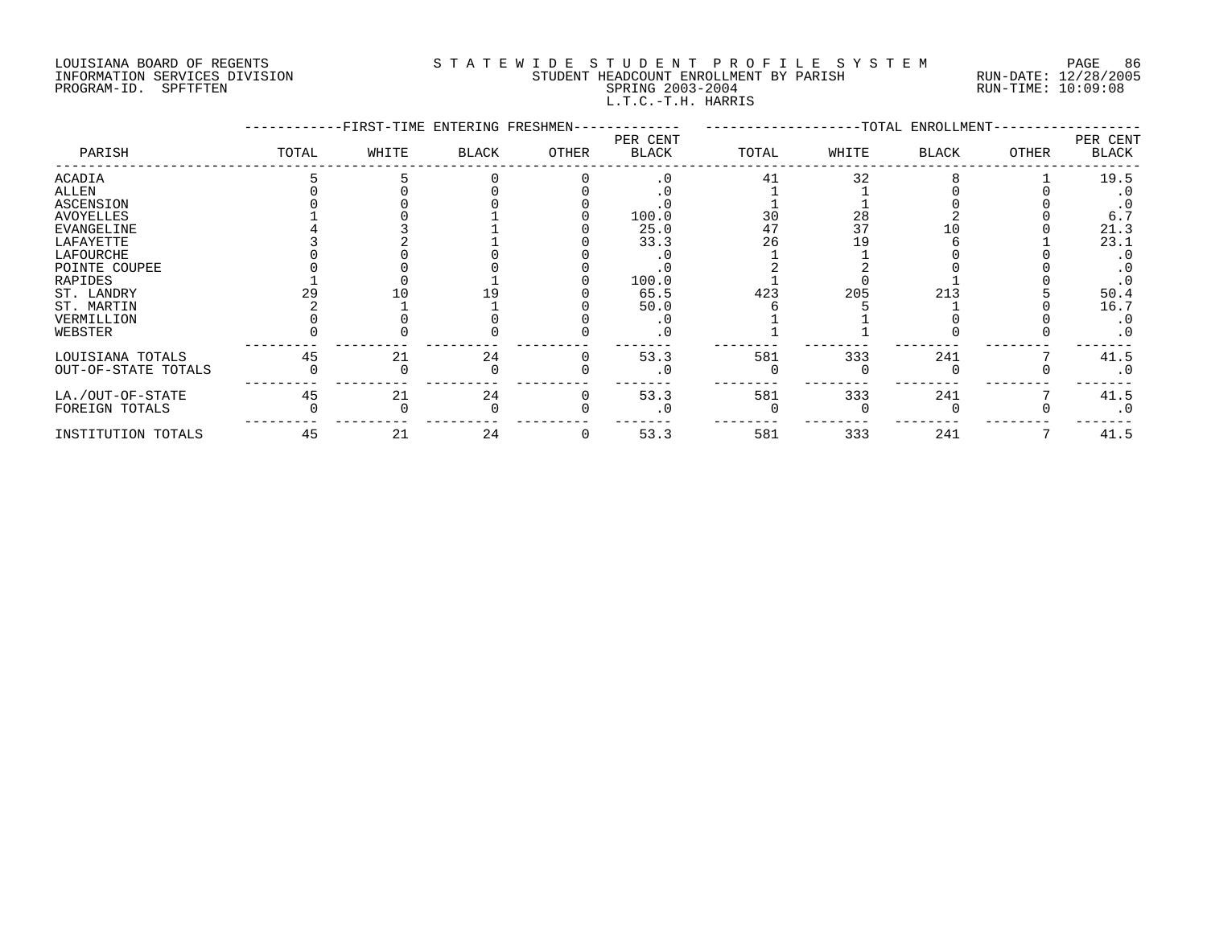## LOUISIANA BOARD OF REGENTS S T A T E W I D E S T U D E N T P R O F I L E S Y S T E M PAGE 86 INFORMATION SERVICES DIVISION STUDENT HEADCOUNT ENROLLMENT BY PARISH RUN-DATE: 12/28/2005 PROGRAM-ID. SPFTFTEN SPRING 2003-2004 RUN-TIME: 10:09:08 L.T.C.-T.H. HARRIS

|                     | -FIRST-TIME ENTERING FRESHMEN- |       |              |       |                          | --TOTAL ENROLLMENT- |       |              |              |                          |
|---------------------|--------------------------------|-------|--------------|-------|--------------------------|---------------------|-------|--------------|--------------|--------------------------|
| PARISH              | TOTAL                          | WHITE | <b>BLACK</b> | OTHER | PER CENT<br><b>BLACK</b> | TOTAL               | WHITE | <b>BLACK</b> | <b>OTHER</b> | PER CENT<br><b>BLACK</b> |
| <b>ACADIA</b>       |                                |       |              |       | .0                       | 41                  | 32    |              |              | 19.5                     |
| <b>ALLEN</b>        |                                |       |              |       |                          |                     |       |              |              |                          |
| <b>ASCENSION</b>    |                                |       |              |       |                          |                     |       |              |              |                          |
| <b>AVOYELLES</b>    |                                |       |              |       | 100.0                    | 30                  | 28    |              |              | 6.7                      |
| <b>EVANGELINE</b>   |                                |       |              |       | 25.0                     | 47                  | 37    |              |              | 21.3                     |
| LAFAYETTE           |                                |       |              |       | 33.3                     | 26                  |       |              |              | 23.1                     |
| LAFOURCHE           |                                |       |              |       |                          |                     |       |              |              |                          |
| POINTE COUPEE       |                                |       |              |       |                          |                     |       |              |              |                          |
| RAPIDES             |                                |       |              |       | 100.0                    |                     |       |              |              |                          |
| ST. LANDRY          |                                |       |              |       | 65.5                     | 423                 | 205   | 213          |              | 50.4                     |
| ST. MARTIN          |                                |       |              |       | 50.0                     |                     |       |              |              | 16.7                     |
| VERMILLION          |                                |       |              |       |                          |                     |       |              |              | . 0                      |
| WEBSTER             |                                |       |              |       |                          |                     |       |              |              | $\cdot$ 0                |
| LOUISIANA TOTALS    | 45                             | 21    | 24           |       | 53.3                     | 581                 | 333   | 241          |              | 41.5                     |
| OUT-OF-STATE TOTALS |                                |       |              |       |                          |                     |       |              |              |                          |
| LA./OUT-OF-STATE    | 45                             | 21    | 24           |       | 53.3                     | 581                 | 333   | 241          |              | 41.5                     |
| FOREIGN TOTALS      |                                |       |              |       |                          |                     |       |              |              | $\cdot$ 0                |
| INSTITUTION TOTALS  | 45                             | 21    | 24           |       | 53.3                     | 581                 | 333   | 241          |              | 41.5                     |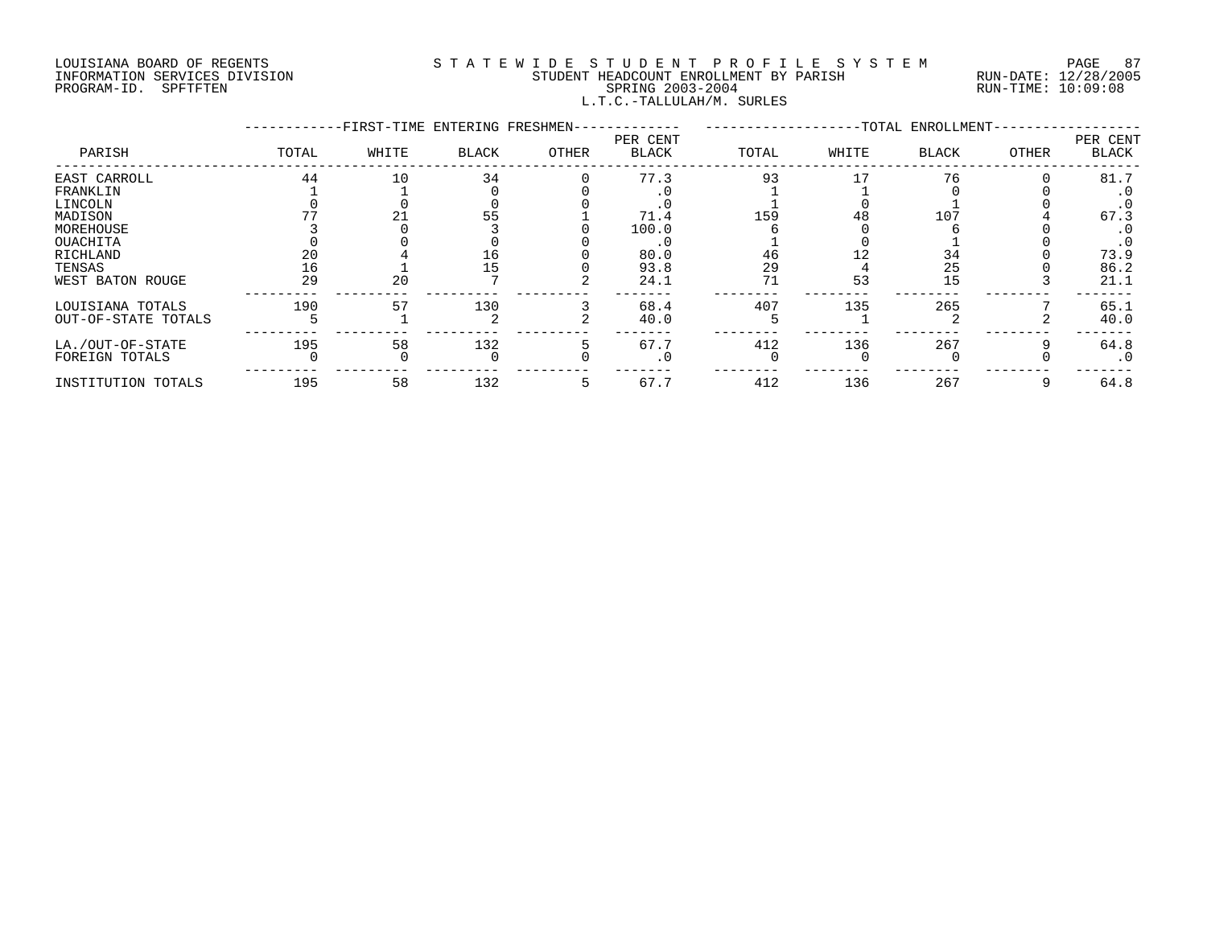## LOUISIANA BOARD OF REGENTS S T A T E W I D E S T U D E N T P R O F I L E S Y S T E M PAGE 87 INFORMATION SERVICES DIVISION STUDENT HEADCOUNT ENROLLMENT BY PARISH RUN-DATE: 12/28/2005 PROGRAM-ID. SPFTFTEN SPRING 2003-2004 RUN-TIME: 10:09:08 L.T.C.-TALLULAH/M. SURLES

|                     | -FIRST-TIME ENTERING FRESHMEN- |       |              |       |                          | -TOTAL ENROLLMENT- |       |              |       |                          |
|---------------------|--------------------------------|-------|--------------|-------|--------------------------|--------------------|-------|--------------|-------|--------------------------|
| PARISH              | TOTAL                          | WHITE | <b>BLACK</b> | OTHER | PER CENT<br><b>BLACK</b> | TOTAL              | WHITE | <b>BLACK</b> | OTHER | PER CENT<br><b>BLACK</b> |
| EAST CARROLL        | 44                             | 10    | 34           |       | 77.3                     | 93                 |       | 76           |       | 81.7                     |
| FRANKLIN            |                                |       |              |       |                          |                    |       |              |       |                          |
| LINCOLN             |                                |       |              |       |                          |                    |       |              |       | . 0                      |
| MADISON             |                                |       |              |       | 71.4                     | 159                | 48    | 107          |       | 67.3                     |
| MOREHOUSE           |                                |       |              |       | 100.0                    |                    |       |              |       |                          |
| OUACHITA            |                                |       |              |       |                          |                    |       |              |       | $\cdot$ 0                |
| RICHLAND            | 20                             |       | TР           |       | 80.0                     | 46                 |       | 34           |       | 73.9                     |
| TENSAS              | 16                             |       |              |       | 93.8                     | 29                 |       | 25           |       | 86.2                     |
| WEST BATON ROUGE    | 29                             | 20    |              |       | 24.1                     | 71                 | 53    | 15           |       | 21.1                     |
| LOUISIANA TOTALS    | 190                            | 57    | 130          |       | 68.4                     | 407                | 135   | 265          |       | 65.1                     |
| OUT-OF-STATE TOTALS |                                |       |              |       | 40.0                     |                    |       |              |       | 40.0                     |
| LA./OUT-OF-STATE    | 195                            | 58    | 132          |       | 67.7                     | 412                | 136   | 267          |       | 64.8                     |
| FOREIGN TOTALS      |                                |       |              |       | . 0                      |                    |       |              |       | $\cdot$ 0                |
| INSTITUTION TOTALS  | 195                            | 58    | 132          |       | 67.7                     | 412                | 136   | 267          |       | 64.8                     |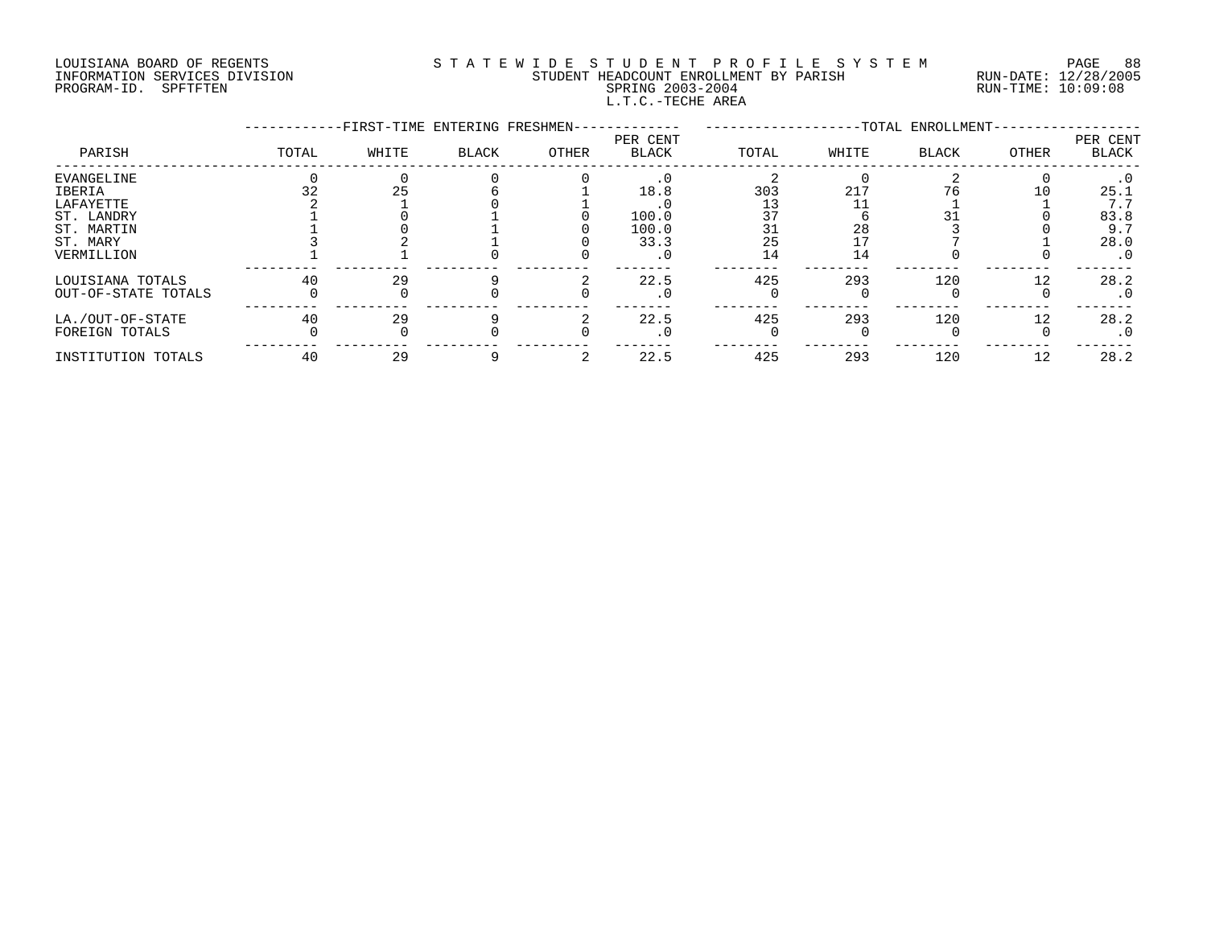### LOUISIANA BOARD OF REGENTS S T A T E W I D E S T U D E N T P R O F I L E S Y S T E M PAGE 88 INFORMATION SERVICES DIVISION STUDENT HEADCOUNT ENROLLMENT BY PARISH RUN-DATE: 12/28/2005 PROGRAM-ID. SPFTFTEN SPRING 2003-2004 RUN-TIME: 10:09:08 L.T.C.-TECHE AREA

|                     |       | -FIRST-TIME ENTERING FRESHMEN- |       |       |                          | --TOTAL ENROLLMENT- |       |              |       |                   |
|---------------------|-------|--------------------------------|-------|-------|--------------------------|---------------------|-------|--------------|-------|-------------------|
| PARISH              | TOTAL | WHITE                          | BLACK | OTHER | PER CENT<br><b>BLACK</b> | TOTAL               | WHITE | <b>BLACK</b> | OTHER | PER CENT<br>BLACK |
| EVANGELINE          |       |                                |       |       | $\cdot$ 0                |                     |       |              |       | $\cdot$ 0         |
| IBERIA              |       | 25                             |       |       | 18.8                     | 303                 | 217   | 76           | 10    | 25.1              |
| LAFAYETTE           |       |                                |       |       |                          |                     |       |              |       | 7.7               |
| ST. LANDRY          |       |                                |       |       | 100.0                    |                     |       |              |       | 83.8              |
| ST. MARTIN          |       |                                |       |       | 100.0                    | 31                  | 28    |              |       | 9.7               |
| ST. MARY            |       |                                |       |       | 33.3                     | 25                  |       |              |       | 28.0              |
| VERMILLION          |       |                                |       |       | $\cdot$ 0                | 14                  | 14    |              |       | $\cdot$ 0         |
| LOUISIANA TOTALS    | 40    | 29                             |       |       | 22.5                     | 425                 | 293   | 120          | 12    | 28.2              |
| OUT-OF-STATE TOTALS |       |                                |       |       | $\cdot$ 0                |                     |       |              |       | $\cdot$ 0         |
| LA./OUT-OF-STATE    | 40    | 29                             |       |       | 22.5                     | 425                 | 293   | 120          | 12    | 28.2              |
| FOREIGN TOTALS      |       |                                |       |       | . 0                      |                     |       |              |       | $\cdot$ 0         |
| INSTITUTION TOTALS  | 40    | 29                             |       |       | 22.5                     | 425                 | 293   | 120          | 12    | 28.2              |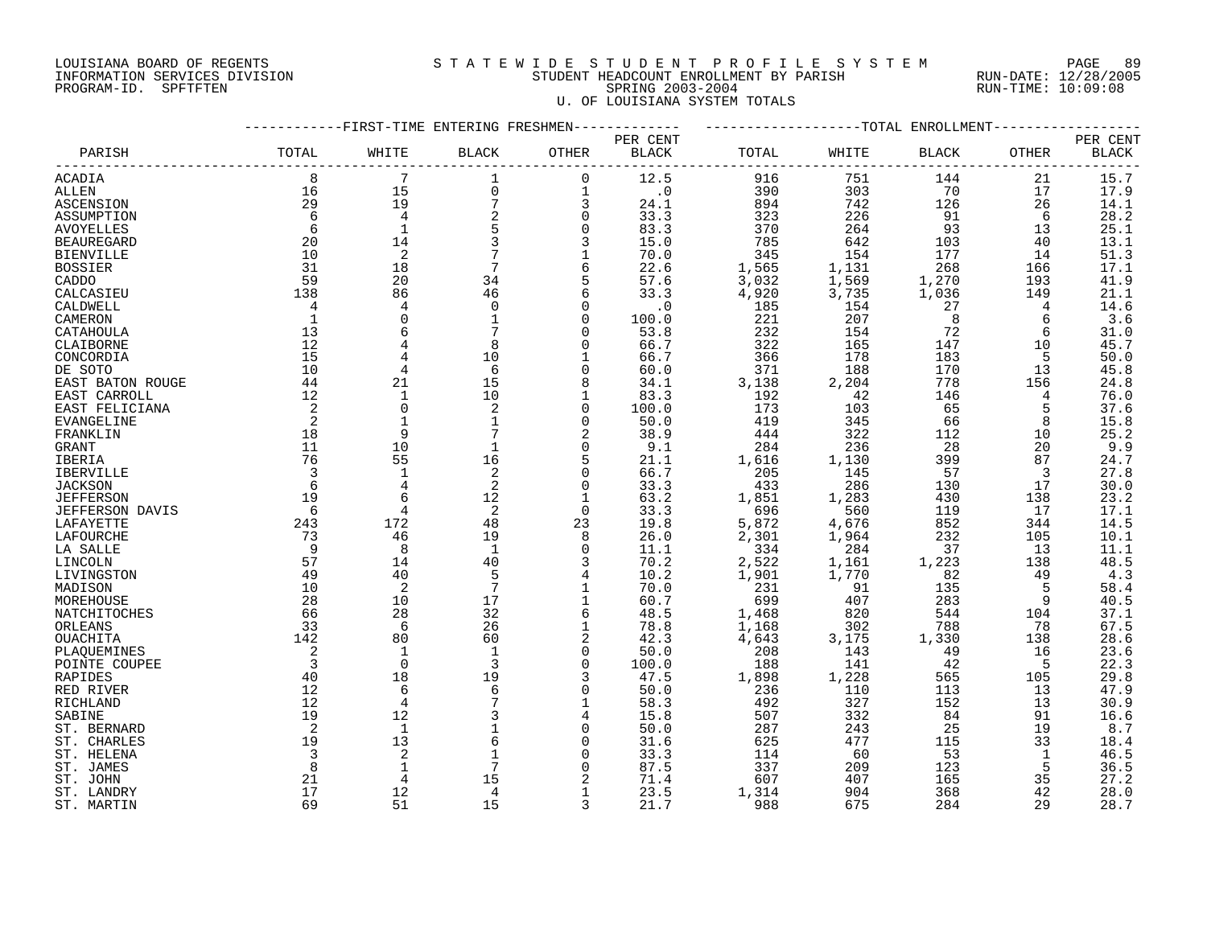### LOUISIANA BOARD OF REGENTS S T A T E W I D E S T U D E N T P R O F I L E S Y S T E M PAGE 89 INFORMATION SERVICES DIVISION STUDENT HEADCOUNT ENROLLMENT BY PARISH RUN-DATE: 12/28/2005 PROGRAM-ID. SPFTFTEN SPRING 2003-2004 RUN-TIME: 10:09:08 U. OF LOUISIANA SYSTEM TOTALS

|                        |                | ---------FIRST-TIME ENTERING FRESHMEN- |                 |                |                        |       | -------------------TOTAL ENROLLMENT- |              |       |          |
|------------------------|----------------|----------------------------------------|-----------------|----------------|------------------------|-------|--------------------------------------|--------------|-------|----------|
|                        |                |                                        |                 |                | PER CENT               |       |                                      |              |       | PER CENT |
| PARISH                 | TOTAL          | WHITE                                  | <b>BLACK</b>    | OTHER          | <b>BLACK</b>           | TOTAL | WHITE                                | <b>BLACK</b> | OTHER | BLACK    |
| <b>ACADIA</b>          | 8              | 7                                      | 1               | $\mathbf 0$    | 12.5                   | 916   | 751                                  | 144          | 21    | 15.7     |
| ALLEN                  | 16             | 15                                     | $\mathbf 0$     | $\mathbf 1$    | $\boldsymbol{\cdot}$ 0 | 390   | 303                                  | 70           | 17    | 17.9     |
| ASCENSION              | 29             | 19                                     | $\overline{7}$  | 3              | 24.1                   | 894   | 742                                  | 126          | 26    | 14.1     |
| ASSUMPTION             | 6              | $\overline{4}$                         | 2               | $\mathbf 0$    | 33.3                   | 323   | 226                                  | 91           | 6     | 28.2     |
| <b>AVOYELLES</b>       | 6              | $\mathbf{1}$                           | 5               | $\mathbf 0$    | 83.3                   | 370   | 264                                  | 93           | 13    | 25.1     |
| <b>BEAUREGARD</b>      | 20             | 14                                     | 3               | 3              | 15.0                   | 785   | 642                                  | 103          | 40    | 13.1     |
| <b>BIENVILLE</b>       | 10             | 2                                      | 7               | $\mathbf 1$    | 70.0                   | 345   | 154                                  | 177          | 14    | 51.3     |
| <b>BOSSIER</b>         | 31             | 18                                     | $7\phantom{.0}$ | 6              | 22.6                   | 1,565 | 1,131                                | 268          | 166   | 17.1     |
| CADDO                  | 59             | 20                                     | 34              | 5              | 57.6                   | 3,032 | 1,569                                | 1,270        | 193   | 41.9     |
| CALCASIEU              | 138            | 86                                     | 46              | 6              | 33.3                   | 4,920 | 3,735                                | 1,036        | 149   | 21.1     |
| CALDWELL               | 4              | 4                                      | 0               | 0              | $\cdot$ 0              | 185   | 154                                  | 27           | 4     | 14.6     |
| CAMERON                | 1              | $\overline{0}$                         |                 | $\Omega$       | 100.0                  | 221   | 207                                  | 8            | 6     | 3.6      |
| CATAHOULA              | 13             | 6                                      |                 | $\Omega$       | 53.8                   | 232   | 154                                  | 72           | 6     | 31.0     |
| CLAIBORNE              | 12             |                                        | 8               |                | 66.7                   | 322   | 165                                  | 147          | 10    | 45.7     |
| CONCORDIA              | 15             |                                        | 10              |                | 66.7                   | 366   | 178                                  | 183          | 5     | 50.0     |
| DE SOTO                | 10             | $\overline{4}$                         | 6               | $\Omega$       | 60.0                   | 371   | 188                                  | 170          | 13    | 45.8     |
|                        | 44             | 21                                     | 15              | 8              | 34.1                   | 3,138 | 2,204                                | 778          | 156   | 24.8     |
| EAST BATON ROUGE       |                | $\mathbf{1}$                           | 10              | $\mathbf{1}$   |                        |       |                                      |              |       |          |
| EAST CARROLL           | 12<br>2        | $\overline{0}$                         |                 |                | 83.3                   | 192   | 42                                   | 146          | 4     | 76.0     |
| EAST FELICIANA         |                |                                        | 2               | 0              | 100.0                  | 173   | 103                                  | 65           | 5     | 37.6     |
| EVANGELINE             | 2              |                                        |                 | $\Omega$       | 50.0                   | 419   | 345                                  | 66           | 8     | 15.8     |
| FRANKLIN               | 18             | 9                                      | 7               | 2              | 38.9                   | 444   | 322                                  | 112          | 10    | 25.2     |
| GRANT                  | 11             | 10                                     | $\mathbf 1$     | $\Omega$       | 9.1                    | 284   | 236                                  | 28           | 20    | 9.9      |
| IBERIA                 | 76             | 55                                     | 16              | 5              | 21.1                   | 1,616 | 1,130                                | 399          | 87    | 24.7     |
| IBERVILLE              | 3              | $\mathbf{1}$                           | 2               | 0              | 66.7                   | 205   | 145                                  | 57           | 3     | 27.8     |
| <b>JACKSON</b>         | 6              |                                        | 2               | $\Omega$       | 33.3                   | 433   | 286                                  | 130          | 17    | 30.0     |
| <b>JEFFERSON</b>       | 19             | 6                                      | 12              | 1              | 63.2                   | 1,851 | 1,283                                | 430          | 138   | 23.2     |
| <b>JEFFERSON DAVIS</b> | 6              | 4                                      | 2               | $\Omega$       | 33.3                   | 696   | 560                                  | 119          | 17    | 17.1     |
| LAFAYETTE              | 243            | 172                                    | 48              | 23             | 19.8                   | 5,872 | 4,676                                | 852          | 344   | 14.5     |
| LAFOURCHE              | 73             | 46                                     | 19              | 8              | 26.0                   | 2,301 | 1,964                                | 232          | 105   | 10.1     |
| LA SALLE               | 9              | 8                                      | $\mathbf{1}$    | $\Omega$       | 11.1                   | 334   | 284                                  | 37           | 13    | 11.1     |
| LINCOLN                | 57             | 14                                     | 40              | 3              | 70.2                   | 2,522 | 1,161                                | 1,223        | 138   | 48.5     |
| LIVINGSTON             | 49             | 40                                     | 5               | 4              | 10.2                   | 1,901 | 1,770                                | 82           | 49    | 4.3      |
| MADISON                | 10             | 2                                      | $7\phantom{.0}$ | 1              | 70.0                   | 231   | 91                                   | 135          | 5     | 58.4     |
| MOREHOUSE              | 28             | 10                                     | 17              | 1              | 60.7                   | 699   | 407                                  | 283          | 9     | 40.5     |
| <b>NATCHITOCHES</b>    | 66             | 28                                     | 32              | 6              | 48.5                   | 1,468 | 820                                  | 544          | 104   | 37.1     |
| ORLEANS                | 33             | 6                                      | 26              | $\mathbf 1$    | 78.8                   | 1,168 | 302                                  | 788          | 78    | 67.5     |
| OUACHITA               | 142            | 80                                     | 60              | $\overline{a}$ | 42.3                   | 4,643 | 3,175                                | 1,330        | 138   | 28.6     |
| PLAQUEMINES            | 2              | 1                                      |                 | 0              | 50.0                   | 208   | 143                                  | 49           | 16    | 23.6     |
| POINTE COUPEE          | $\overline{3}$ | $\overline{0}$                         | 3               | $\Omega$       | 100.0                  | 188   | 141                                  | 42           | 5     | 22.3     |
| RAPIDES                | 40             | 18                                     | 19              | 3              | 47.5                   | 1,898 | 1,228                                | 565          | 105   | 29.8     |
| RED RIVER              | 12             | 6                                      | 6               | $\Omega$       | 50.0                   | 236   | 110                                  | 113          | 13    | 47.9     |
| RICHLAND               | 12             | $\overline{4}$                         |                 | 1              | 58.3                   | 492   | 327                                  | 152          | 13    | 30.9     |
| SABINE                 | 19             | 12                                     |                 |                | 15.8                   | 507   | 332                                  | 84           | 91    | 16.6     |
| ST. BERNARD            | 2              | $\mathbf{1}$                           |                 | $\mathbf 0$    | 50.0                   | 287   | 243                                  | 25           | 19    | $8.7\,$  |
| ST. CHARLES            | 19             | 13                                     | 6               | $\Omega$       | 31.6                   | 625   | 477                                  | 115          | 33    | 18.4     |
| ST. HELENA             | 3              | $\overline{2}$                         |                 |                | 33.3                   | 114   | 60                                   | 53           |       | 46.5     |
| ST. JAMES              | 8              | $\mathbf{1}$                           | 7               | 0              | 87.5                   | 337   | 209                                  | 123          | 5     | 36.5     |
| ST. JOHN               | 21             | $\overline{4}$                         | 15              |                | 71.4                   | 607   | 407                                  | 165          | 35    | 27.2     |
| ST. LANDRY             | 17             | 12                                     | 4               | $\mathbf 1$    | 23.5                   | 1,314 | 904                                  | 368          | 42    | 28.0     |
| ST. MARTIN             | 69             | 51                                     | 15              | $\mathbf{3}$   | 21.7                   | 988   | 675                                  | 284          | 29    | 28.7     |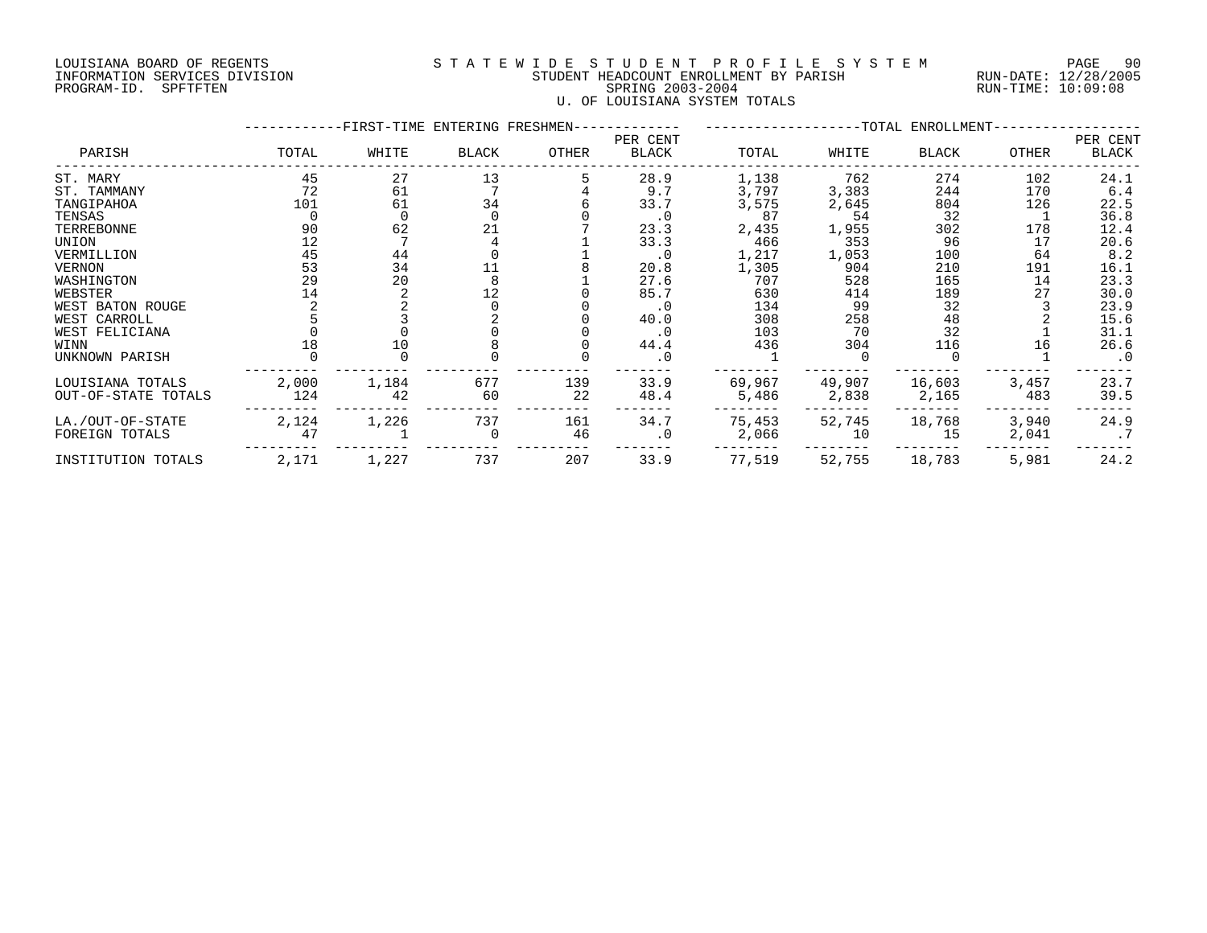### LOUISIANA BOARD OF REGENTS S T A T E W I D E S T U D E N T P R O F I L E S Y S T E M PAGE 90 INFORMATION SERVICES DIVISION STUDENT HEADCOUNT ENROLLMENT BY PARISH RUN-DATE: 12/28/2005 PROGRAM-ID. SPFTFTEN SPRING 2003-2004 RUN-TIME: 10:09:08 U. OF LOUISIANA SYSTEM TOTALS

|                     |       |       | -FIRST-TIME ENTERING FRESHMEN- |       |                   | ----------------TOTAL ENROLLMENT- |        |        |       |                   |
|---------------------|-------|-------|--------------------------------|-------|-------------------|-----------------------------------|--------|--------|-------|-------------------|
| PARISH              | TOTAL | WHITE | BLACK                          | OTHER | PER CENT<br>BLACK | TOTAL                             | WHITE  | BLACK  | OTHER | PER CENT<br>BLACK |
| ST. MARY            | 45    | 27    | 13                             |       | 28.9              | 1,138                             | 762    | 274    | 102   | 24.1              |
| ST. TAMMANY         | 72    | 61    |                                |       | 9.7               | 3,797                             | 3,383  | 244    | 170   | 6.4               |
| TANGIPAHOA          | 101   | 61    | 34                             |       | 33.7              | 3,575                             | 2,645  | 804    | 126   | 22.5              |
| TENSAS              |       |       |                                |       | $\cdot$ 0         | 87                                | 54     | 32     |       | 36.8              |
| TERREBONNE          | 90    | 62    | 21                             |       | 23.3              | 2,435                             | 1,955  | 302    | 178   | 12.4              |
| UNION               | 12    |       |                                |       | 33.3              | 466                               | 353    | 96     | 17    | 20.6              |
| VERMILLION          | 45    | 44    |                                |       | $\cdot$ 0         | 1,217                             | 1,053  | 100    | 64    | 8.2               |
| VERNON              | 53    | 34    |                                |       | 20.8              | 1,305                             | 904    | 210    | 191   | 16.1              |
| WASHINGTON          | 29    | 20    |                                |       | 27.6              | 707                               | 528    | 165    | 14    | 23.3              |
| WEBSTER             | 14    |       | 12                             |       | 85.7              | 630                               | 414    | 189    | 27    | 30.0              |
| WEST BATON ROUGE    |       |       |                                |       | $\cdot$ 0         | 134                               | 99     | 32     |       | 23.9              |
| WEST CARROLL        |       |       |                                |       | 40.0              | 308                               | 258    | 48     |       | 15.6              |
| WEST FELICIANA      |       |       |                                |       | $\cdot$ 0         | 103                               | 70     | 32     |       | 31.1              |
| WINN                | 18    | 10    |                                |       | 44.4              | 436                               | 304    | 116    | 16    | 26.6              |
| UNKNOWN PARISH      |       |       |                                |       | $\cdot$ 0         |                                   |        |        |       | $\cdot$ 0         |
| LOUISIANA TOTALS    | 2,000 | 1,184 | 677                            | 139   | 33.9              | 69,967                            | 49,907 | 16,603 | 3,457 | 23.7              |
| OUT-OF-STATE TOTALS | 124   | 42    | 60                             | 22    | 48.4              | 5,486                             | 2,838  | 2,165  | 483   | 39.5              |
| LA./OUT-OF-STATE    | 2,124 | 1,226 | 737                            | 161   | 34.7              | 75,453                            | 52,745 | 18,768 | 3,940 | 24.9              |
| FOREIGN TOTALS      | 47    |       |                                | 46    | $\cdot$ 0         | 2,066                             | 10     | 15     | 2,041 |                   |
| INSTITUTION TOTALS  | 2,171 | 1,227 | 737                            | 207   | 33.9              | 77,519                            | 52,755 | 18,783 | 5,981 | 24.2              |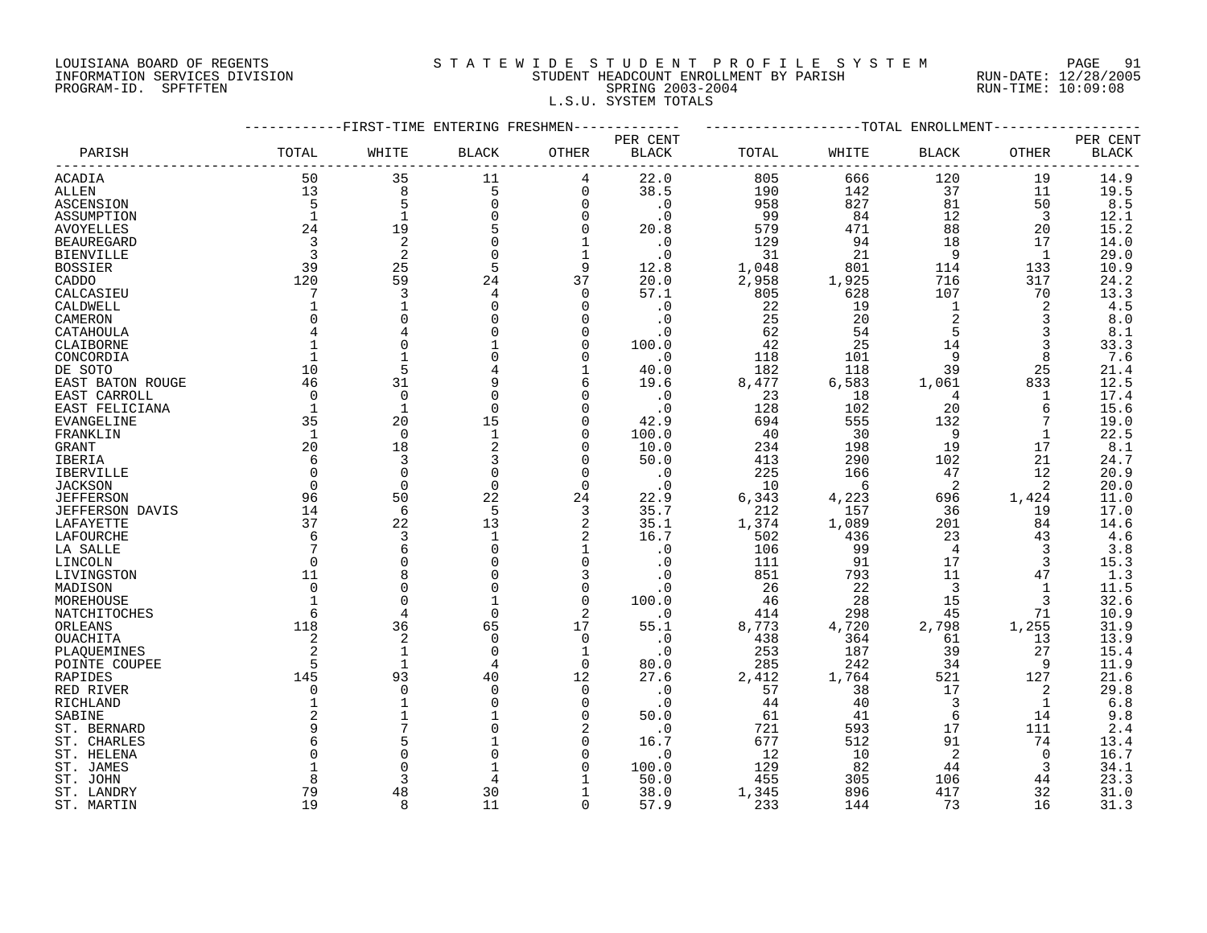### LOUISIANA BOARD OF REGENTS S T A T E W I D E S T U D E N T P R O F I L E S Y S T E M PAGE 91 INFORMATION SERVICES DIVISION STUDENT HEADCOUNT ENROLLMENT BY PARISH RUN-DATE: 12/28/2005 PROGRAM-ID. SPFTFTEN SPRING 2003-2004 RUN-TIME: 10:09:08 L.S.U. SYSTEM TOTALS

|                   |              | --------FIRST-TIME ENTERING FRESHMEN- |                    |                | ----------   | -------------------TOTAL ENROLLMENT- |       |                |              |              |
|-------------------|--------------|---------------------------------------|--------------------|----------------|--------------|--------------------------------------|-------|----------------|--------------|--------------|
|                   |              |                                       |                    |                | PER CENT     |                                      |       |                |              | PER CENT     |
| PARISH            | TOTAL        | WHITE                                 | <b>BLACK</b>       | OTHER          | <b>BLACK</b> | TOTAL                                | WHITE | <b>BLACK</b>   | OTHER        | <b>BLACK</b> |
| ACADIA            | 50           | 35                                    | 11                 | 4              | 22.0         | 805                                  | 666   | 120            | 19           | 14.9         |
| ALLEN             | 13           | 8                                     | 5                  | $\mathbf 0$    | 38.5         | 190                                  | 142   | 37             | 11           | 19.5         |
| ASCENSION         | 5            | 5                                     | $\mathbf 0$        | $\mathbf 0$    | $\cdot$ 0    | 958                                  | 827   | 81             | 50           | 8.5          |
| ASSUMPTION        | $\mathbf{1}$ | $\mathbf{1}$                          |                    | 0              | . 0          | 99                                   | 84    | 12             | 3            | 12.1         |
| <b>AVOYELLES</b>  | 24           | 19                                    |                    | $\Omega$       | 20.8         | 579                                  | 471   | 88             | 20           | 15.2         |
| <b>BEAUREGARD</b> | 3            | 2                                     | $\Omega$           | 1              | $\cdot$ 0    | 129                                  | 94    | 18             | 17           | 14.0         |
| <b>BIENVILLE</b>  | 3            | $\overline{2}$                        | $\Omega$           | $\mathbf 1$    | $\cdot$ 0    | 31                                   | 21    | 9              | 1            | 29.0         |
| <b>BOSSIER</b>    | 39           | 25                                    | 5                  | 9              | 12.8         | 1,048                                | 801   | 114            | 133          | 10.9         |
| CADDO             | 120          | 59                                    | 24                 | 37             | 20.0         | 2,958                                | 1,925 | 716            | 317          | 24.2         |
| CALCASIEU         | 7            | 3                                     | 4                  | $\mathbf 0$    | 57.1         | 805                                  | 628   | 107            | 70           | 13.3         |
| CALDWELL          |              |                                       | $\Omega$           | 0              | . 0          | 22                                   | 19    | 1              | 2            | 4.5          |
| CAMERON           | $\Omega$     | $\Omega$                              |                    | $\Omega$       | $\cdot$ 0    | 25                                   | 20    | $\overline{a}$ | 3            | 8.0          |
| CATAHOULA         |              |                                       |                    | $\Omega$       | . 0          | 62                                   | 54    | 5              |              | 8.1          |
| CLAIBORNE         |              | $\Omega$                              |                    | $\Omega$       | 100.0        | 42                                   | 25    | 14             | 3            | 33.3         |
| CONCORDIA         |              |                                       |                    | $\Omega$       | $\cdot$ 0    | 118                                  | 101   | 9              | 8            | 7.6          |
| DE SOTO           | 10           | 5                                     |                    | $\mathbf{1}$   | 40.0         | 182                                  | 118   | 39             | 25           | 21.4         |
| EAST BATON ROUGE  | 46           | 31                                    |                    | 6              | 19.6         | 8,477                                | 6,583 | 1,061          | 833          | 12.5         |
| EAST CARROLL      | $\mathbf 0$  | $\mathbf 0$                           |                    | $\Omega$       | $\cdot$ 0    | 23                                   | 18    | 4              | 1            | 17.4         |
| EAST FELICIANA    | 1            | $\mathbf{1}$                          | $\mathbf 0$        | $\Omega$       | $\cdot$ 0    | 128                                  | 102   | 20             | 6            | 15.6         |
| EVANGELINE        | 35           | 20                                    | 15                 | $\Omega$       | 42.9         | 694                                  | 555   | 132            | 7            | 19.0         |
| FRANKLIN          | 1            | $\Omega$                              | $\mathbf{1}$       | $\Omega$       | 100.0        | 40                                   | 30    | 9              | $\mathbf{1}$ | 22.5         |
| <b>GRANT</b>      | 20           | 18                                    | 2                  | 0              | 10.0         | 234                                  | 198   | 19             | 17           | 8.1          |
| IBERIA            | 6            | 3                                     | 3                  | $\Omega$       | 50.0         | 413                                  | 290   | 102            | 21           | 24.7         |
|                   | $\mathbf 0$  | $\mathbf 0$                           | 0                  | 0              | $\cdot$ 0    | 225                                  | 166   | 47             | 12           |              |
| IBERVILLE         | $\Omega$     | $\Omega$                              | $\Omega$           | $\Omega$       |              |                                      | - 6   | 2              | 2            | 20.9<br>20.0 |
| <b>JACKSON</b>    | 96           | 50                                    | 22                 |                | $\cdot$ 0    | 10                                   | 4,223 |                |              | 11.0         |
| <b>JEFFERSON</b>  |              | 6                                     | 5                  | 24             | 22.9<br>35.7 | 6,343                                | 157   | 696            | 1,424        | 17.0         |
| JEFFERSON DAVIS   | 14<br>37     | 22                                    |                    | 3<br>2         |              | 212                                  |       | 36             | 19           |              |
| LAFAYETTE         | 6            | 3                                     | 13<br>$\mathbf{1}$ |                | 35.1         | 1,374                                | 1,089 | 201            | 84           | 14.6         |
| LAFOURCHE         |              |                                       |                    | 2              | 16.7         | 502                                  | 436   | 23             | 43           | 4.6          |
| LA SALLE          |              | 6                                     | $\Omega$           | $\mathbf 1$    | $\cdot$ 0    | 106                                  | 99    | $\overline{4}$ | 3            | 3.8          |
| LINCOLN           | $\mathbf 0$  | $\mathbf 0$                           | 0                  | $\mathbf 0$    | . 0          | 111                                  | 91    | 17             | 3            | 15.3         |
| LIVINGSTON        | 11           | 8                                     |                    | 3              | . 0          | 851                                  | 793   | 11             | 47           | 1.3          |
| MADISON           | $\Omega$     | $\Omega$                              | $\Omega$           | $\mathbf 0$    | $\cdot$ 0    | 26                                   | 22    | 3              | 1            | 11.5         |
| MOREHOUSE         | 1            | $\Omega$                              | $\mathbf{1}$       | $\Omega$       | 100.0        | 46                                   | 28    | 15             | 3            | 32.6         |
| NATCHITOCHES      | 6            | $\overline{4}$                        | $\Omega$           | $\mathfrak{D}$ | $\cdot$ 0    | 414                                  | 298   | 45             | 71           | 10.9         |
| ORLEANS           | 118          | 36                                    | 65                 | 17             | 55.1         | 8,773                                | 4,720 | 2,798          | 1,255        | 31.9         |
| OUACHITA          | 2            | $\overline{2}$                        | $\mathbf 0$        | $\mathbf 0$    | $\cdot$ 0    | 438                                  | 364   | 61             | 13           | 13.9         |
| PLAQUEMINES       |              |                                       | $\Omega$           | 1              | $\cdot$ 0    | 253                                  | 187   | 39             | 27           | 15.4         |
| POINTE COUPEE     | 5            | $\mathbf{1}$                          | 4                  | $\Omega$       | 80.0         | 285                                  | 242   | 34             | 9            | 11.9         |
| RAPIDES           | 145          | 93                                    | 40                 | 12             | 27.6         | 2,412                                | 1,764 | 521            | 127          | 21.6         |
| RED RIVER         | $\mathbf 0$  | $\Omega$                              | $\Omega$           | $\Omega$       | $\cdot$ 0    | 57                                   | 38    | 17             | 2            | 29.8         |
| RICHLAND          | $\mathbf{1}$ | $\mathbf{1}$                          |                    | $\mathbf 0$    | $\cdot$ 0    | 44                                   | 40    | 3              | 1            | 6.8          |
| SABINE            |              |                                       |                    | $\Omega$       | 50.0         | 61                                   | 41    | 6              | 14           | 9.8          |
| ST. BERNARD       | 9            |                                       |                    |                | $\cdot$ 0    | 721                                  | 593   | 17             | 111          | 2.4          |
| ST. CHARLES       | 6            | 5                                     |                    | $\Omega$       | 16.7         | 677                                  | 512   | 91             | 74           | 13.4         |
| ST. HELENA        | $\Omega$     | $\Omega$                              |                    | $\Omega$       | $\cdot$ 0    | 12                                   | 10    | 2              | 0            | 16.7         |
| ST. JAMES         |              | $\Omega$                              |                    | $\Omega$       | 100.0        | 129                                  | 82    | 44             | 3            | 34.1         |
| ST. JOHN          | 8            | ₹                                     |                    |                | 50.0         | 455                                  | 305   | 106            | 44           | 23.3         |
| ST. LANDRY        | 79           | 48                                    | 30                 | 1              | 38.0         | 1,345                                | 896   | 417            | 32           | 31.0         |
| ST. MARTIN        | 19           | $\mathsf{R}$                          | 11                 | $\Omega$       | 57.9         | 233                                  | 144   | 73             | 16           | 31.3         |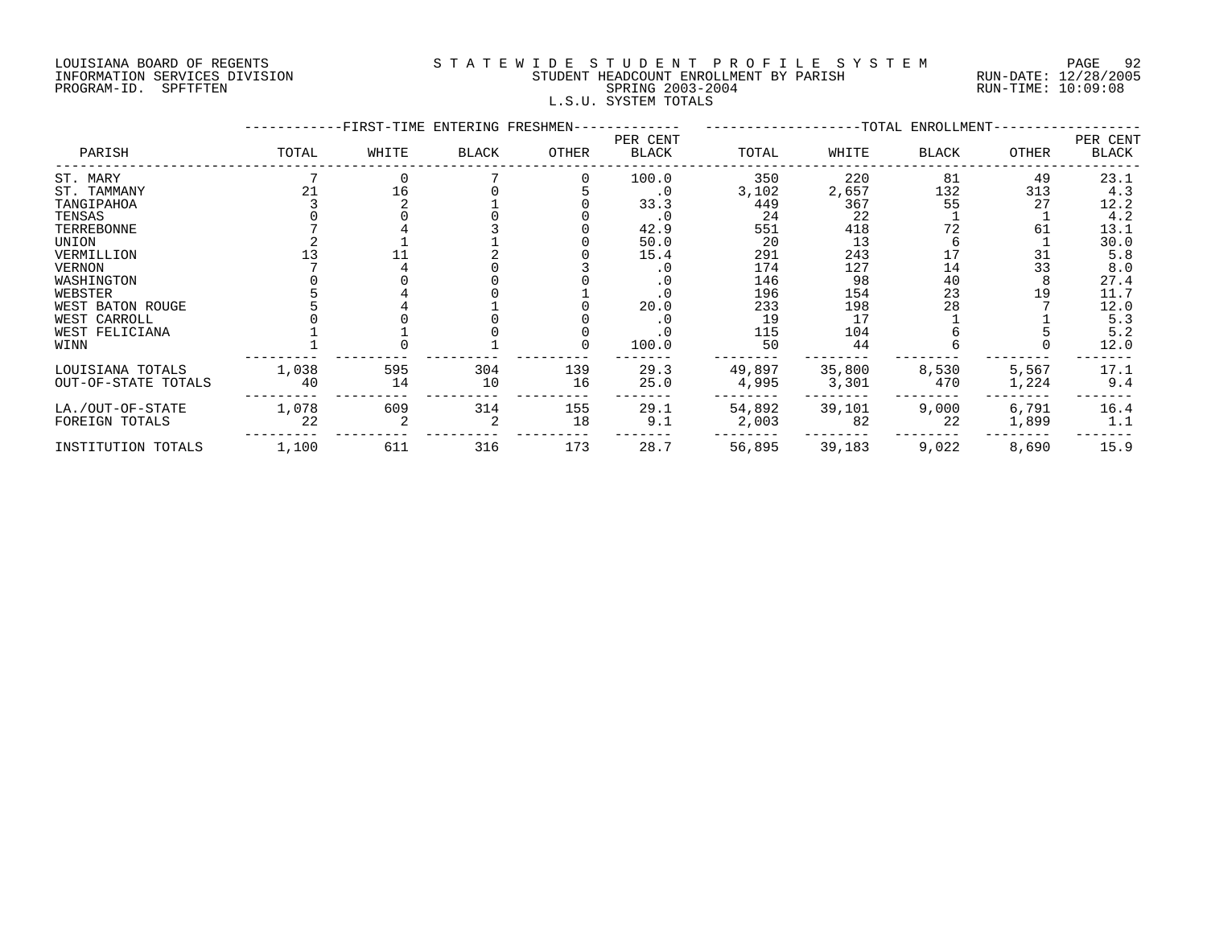#### LOUISIANA BOARD OF REGENTS S T A T E W I D E S T U D E N T P R O F I L E S Y S T E M PAGE 92 INFORMATION SERVICES DIVISION STUDENT HEADCOUNT ENROLLMENT BY PARISH RUN-DATE: 12/28/2005 PAGE 9: المستحسن المستحسن المستحسن المستحسن المستحسن المستحسن المستحسن المستحسن المستحسن المستحسن المستحسن الم<br>PROGRAM-ID. SPFTFTEN SPETTEN SPETER SPRING 2003-2004 STUDENT READCOUNT ENROLLMENT BY PARISH RUN-TIME: 10:09:08 L.S.U. SYSTEM TOTALS

|                                         |             | -FIRST-TIME ENTERING FRESHMEN- |           |           |                   |                 |                 | --TOTAL ENROLLMENT- |                |                   |
|-----------------------------------------|-------------|--------------------------------|-----------|-----------|-------------------|-----------------|-----------------|---------------------|----------------|-------------------|
| PARISH                                  | TOTAL       | WHITE                          | BLACK     | OTHER     | PER CENT<br>BLACK | TOTAL           | WHITE           | <b>BLACK</b>        | OTHER          | PER CENT<br>BLACK |
| ST. MARY                                |             |                                |           |           | 100.0             | 350             | 220             | 81                  | 49             | 23.1              |
| ST. TAMMANY                             | 21          | 16                             |           |           | $\cdot$ 0         | 3,102           | 2,657           | 132                 | 313            | 4.3               |
| TANGIPAHOA                              |             |                                |           |           | 33.3              | 449             | 367             | 55                  | 27             | 12.2              |
| TENSAS                                  |             |                                |           |           | $\cdot$ 0         | 24              | 22              |                     |                | 4.2               |
| TERREBONNE                              |             |                                |           |           | 42.9              | 551             | 418             | 72                  | 61             | 13.1              |
| UNION                                   |             |                                |           |           | 50.0              | 20              | 13              |                     |                | 30.0              |
| VERMILLION                              |             |                                |           |           | 15.4              | 291             | 243             |                     | 31             | 5.8               |
| VERNON                                  |             |                                |           |           |                   | 174             | 127             | 14                  | 33             | 8.0               |
| WASHINGTON                              |             |                                |           |           |                   | 146             | 98              | 40                  |                | 27.4              |
| WEBSTER                                 |             |                                |           |           |                   | 196             | 154             | 23                  | 19             | 11.7              |
| WEST BATON ROUGE                        |             |                                |           |           | 20.0              | 233             | 198             | 28                  |                | 12.0              |
| WEST CARROLL                            |             |                                |           |           |                   | 19              | 17              |                     |                | 5.3               |
| WEST FELICIANA                          |             |                                |           |           | . 0               | 115             | 104             |                     |                | 5.2               |
| WINN                                    |             |                                |           |           | 100.0             | 50              | 44              |                     |                | 12.0              |
| LOUISIANA TOTALS<br>OUT-OF-STATE TOTALS | 1,038<br>40 | 595<br>14                      | 304<br>10 | 139<br>16 | 29.3<br>25.0      | 49,897<br>4,995 | 35,800<br>3,301 | 8,530<br>470        | 5,567<br>1,224 | 17.1<br>9.4       |
| LA./OUT-OF-STATE                        | 1,078       | 609                            | 314       | 155       | 29.1              | 54,892          | 39,101          | 9,000               | 6,791          | 16.4              |
| FOREIGN TOTALS                          | 22          |                                |           | 18        | 9.1               | 2,003           | 82              | 22                  | 1,899          | 1.1               |
| INSTITUTION TOTALS                      | 1,100       | 611                            | 316       | 173       | 28.7              | 56,895          | 39,183          | 9,022               | 8,690          | 15.9              |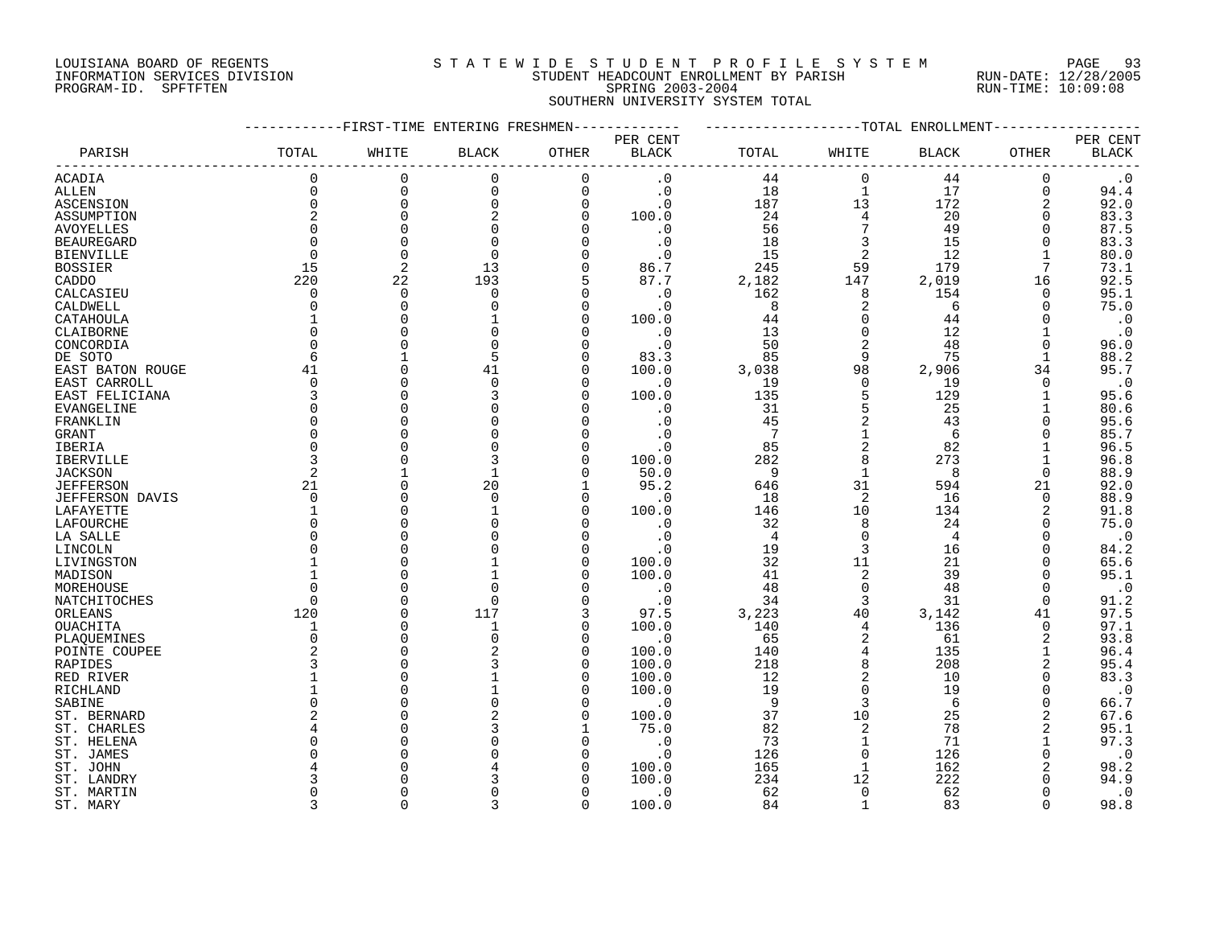#### LOUISIANA BOARD OF REGENTS S T A T E W I D E S T U D E N T P R O F I L E S Y S T E M PAGE 93 INFORMATION SERVICES DIVISION STUDENT HEADCOUNT ENROLLMENT BY PARISH RUN-DATE: 12/28/2005 PROGRAM-ID. SPFTFTEN SPRING 2003-2004 RUN-TIME: 10:09:08 SOUTHERN UNIVERSITY SYSTEM TOTAL

|                   | -----------FIRST-TIME ENTERING FRESHMEN------------ |              |                |              |              | -------------------TOTAL ENROLLMENT- |                          |       |                               |              |
|-------------------|-----------------------------------------------------|--------------|----------------|--------------|--------------|--------------------------------------|--------------------------|-------|-------------------------------|--------------|
|                   |                                                     |              |                |              | PER CENT     |                                      |                          |       |                               | PER CENT     |
| PARISH            | TOTAL                                               | WHITE        | <b>BLACK</b>   | OTHER        | <b>BLACK</b> | TOTAL                                | WHITE                    | BLACK | OTHER                         | <b>BLACK</b> |
| ACADIA            | $\Omega$                                            | $\mathbf 0$  | $\mathbf 0$    | $\mathbf 0$  | $\cdot$ 0    | 44                                   | $\Omega$                 | 44    | --------------<br>$\mathbf 0$ | $\cdot$ 0    |
| ALLEN             | $\Omega$                                            | $\mathsf{O}$ | $\mathbf 0$    | $\mathbf 0$  | $\cdot$ 0    | 18                                   | $\mathbf{1}$             | 17    | 0                             | 94.4         |
| ASCENSION         | $\Omega$                                            | $\mathbf 0$  | $\Omega$       | $\Omega$     | $\cdot$ 0    | 187                                  | 13                       | 172   | 2                             | 92.0         |
| ASSUMPTION        | 2                                                   | $\mathbf 0$  | $\overline{2}$ | $\mathbf 0$  | 100.0        | 24                                   | 4                        | 20    | 0                             | 83.3         |
|                   |                                                     | $\Omega$     | $\Omega$       | $\Omega$     |              | 56                                   | $7\overline{ }$          | 49    | $\Omega$                      |              |
| AVOYELLES         |                                                     |              |                |              | $\cdot$ 0    |                                      |                          |       |                               | 87.5         |
| <b>BEAUREGARD</b> | $\Omega$                                            | $\Omega$     | $\Omega$       | $\Omega$     | $\cdot$ 0    | 18                                   | $\overline{3}$           | 15    | 0                             | 83.3         |
| <b>BIENVILLE</b>  | $\Omega$                                            | $\Omega$     | $\Omega$       | $\Omega$     | $\cdot$ 0    | 15                                   | $\overline{\phantom{a}}$ | 12    | $\mathbf{1}$                  | 80.0         |
| <b>BOSSIER</b>    | 15                                                  | 2            | 13             | $\mathbf 0$  | 86.7         | 245                                  | 59                       | 179   | $7\overline{ }$               | 73.1         |
| CADDO             | 220                                                 | 22           | 193            | 5            | 87.7         | 2,182                                | 147                      | 2,019 | 16                            | 92.5         |
| CALCASIEU         | $\Omega$                                            | $\Omega$     | $\mathbf 0$    | $\Omega$     | $\cdot$ 0    | 162                                  | 8                        | 154   | $\Omega$                      | 95.1         |
| CALDWELL          | $\Omega$                                            | $\Omega$     | $\Omega$       | $\Omega$     | $\cdot$ 0    | 8                                    | 2                        | 6     | $\Omega$                      | 75.0         |
| CATAHOULA         |                                                     | $\Omega$     |                | 0            | 100.0        | 44                                   | $\mathbf 0$              | 44    | 0                             | $\cdot$ 0    |
| CLAIBORNE         |                                                     |              |                | $\Omega$     | $\cdot$ 0    | 13                                   | $\overline{0}$           | 12    | $\mathbf 1$                   | $\cdot$ 0    |
| CONCORDIA         |                                                     | $\Omega$     | $\Omega$       | $\Omega$     | $\cdot$ 0    | 50                                   | 2                        | 48    | $\mathbf 0$                   | 96.0         |
| DE SOTO           | -6                                                  |              | 5              | $\Omega$     | 83.3         | 85                                   | 9                        | 75    | $\mathbf{1}$                  | 88.2         |
| EAST BATON ROUGE  | 41                                                  |              | 41             | $\mathbf 0$  | 100.0        | 3,038                                | 98                       | 2,906 | 34                            | 95.7         |
|                   | $\Omega$                                            | $\Omega$     | $\Omega$       | $\Omega$     |              |                                      | $\Omega$                 |       | $\mathbf 0$                   |              |
| EAST CARROLL      |                                                     |              |                |              | $\cdot$ 0    | 19                                   |                          | 19    |                               | $\cdot$ 0    |
| EAST FELICIANA    |                                                     | $\Omega$     |                | $\Omega$     | 100.0        | 135                                  | 5                        | 129   | $\mathbf{1}$                  | 95.6         |
| EVANGELINE        |                                                     |              |                | $\Omega$     | $\cdot$ 0    | 31                                   | 5                        | 25    | 1                             | 80.6         |
| FRANKLIN          |                                                     |              |                | $\Omega$     | $\cdot$ 0    | 45                                   | 2                        | 43    | $\Omega$                      | 95.6         |
| GRANT             |                                                     |              | $\Omega$       | $\Omega$     | $\cdot$ 0    | $\overline{7}$                       | $\mathbf{1}$             | 6     | 0                             | 85.7         |
| IBERIA            |                                                     |              | $\mathbf 0$    | 0            | $\cdot$ 0    | 85                                   | 2                        | 82    | 1                             | 96.5         |
| <b>IBERVILLE</b>  |                                                     |              | 3              | $\Omega$     | 100.0        | 282                                  | 8                        | 273   | 1                             | 96.8         |
| <b>JACKSON</b>    |                                                     |              | $\mathbf{1}$   | $\Omega$     | 50.0         | - 9                                  | $\mathbf{1}$             | 8     | $\Omega$                      | 88.9         |
| <b>JEFFERSON</b>  | 21                                                  |              | 20             | $\mathbf{1}$ | 95.2         | 646                                  | 31                       | 594   | 21                            | 92.0         |
| JEFFERSON DAVIS   | $\Omega$                                            |              | $\Omega$       | $\Omega$     | $\cdot$ 0    | 18                                   | 2                        | 16    | $\Omega$                      | 88.9         |
| LAFAYETTE         |                                                     |              |                | $\mathbf 0$  | 100.0        | 146                                  | 10                       | 134   | 2                             | 91.8         |
| LAFOURCHE         |                                                     |              |                | $\Omega$     | $\cdot$ 0    | 32                                   | 8                        | 24    | $\Omega$                      | 75.0         |
| LA SALLE          |                                                     |              | $\Omega$       | $\mathbf 0$  | $\cdot$ 0    | $\overline{4}$                       | $\overline{0}$           | 4     | 0                             | $\ddotsc 0$  |
|                   |                                                     |              |                | $\Omega$     |              | 19                                   | $\overline{3}$           | 16    | $\Omega$                      | 84.2         |
| LINCOLN           |                                                     |              |                |              | $\cdot$ 0    |                                      |                          |       |                               |              |
| LIVINGSTON        |                                                     |              |                | $\Omega$     | 100.0        | 32                                   | 11                       | 21    | $\Omega$                      | 65.6         |
| MADISON           |                                                     |              |                | $\Omega$     | 100.0        | 41                                   | 2                        | 39    | $\Omega$                      | 95.1         |
| MOREHOUSE         |                                                     |              | $\Omega$       | $\Omega$     | $\cdot$ 0    | 48                                   | $\overline{0}$           | 48    | $\Omega$                      | $\cdot$ 0    |
| NATCHITOCHES      |                                                     |              | $\mathbf 0$    | $\mathbf 0$  | $\cdot$ 0    | 34                                   | $\overline{3}$           | 31    | $\mathbf 0$                   | 91.2         |
| ORLEANS           | 120                                                 | $\Omega$     | 117            | 3            | 97.5         | 3,223                                | 40                       | 3,142 | 41                            | 97.5         |
| OUACHITA          | 1                                                   | $\Omega$     | 1              | $\mathbf 0$  | 100.0        | 140                                  | 4                        | 136   | $\mathbf 0$                   | 97.1         |
| PLAQUEMINES       |                                                     | $\Omega$     | $\Omega$       | 0            | $\cdot$ 0    | 65                                   | 2                        | 61    | 2                             | 93.8         |
| POINTE COUPEE     |                                                     |              |                | $\mathbf 0$  | 100.0        | 140                                  | $\overline{4}$           | 135   | 1                             | 96.4         |
| RAPIDES           |                                                     |              |                | $\Omega$     | 100.0        | 218                                  | 8                        | 208   |                               | 95.4         |
| RED RIVER         |                                                     |              |                | $\mathbf 0$  | 100.0        | 12                                   | 2                        | 10    | 0                             | 83.3         |
| RICHLAND          |                                                     |              |                | $\Omega$     | 100.0        | 19                                   | $\Omega$                 | 19    | $\Omega$                      | $\cdot$ 0    |
| SABINE            |                                                     |              | $\Omega$       | 0            | $\cdot$ 0    | - 9                                  | 3                        | 6     | $\Omega$                      | 66.7         |
| ST. BERNARD       |                                                     |              | 2              | $\Omega$     | 100.0        | 37                                   | 10                       | 25    | 2                             | 67.6         |
|                   |                                                     |              |                | 1            | 75.0         | 82                                   | 2                        | 78    | 2                             |              |
| ST. CHARLES       |                                                     |              |                |              |              |                                      |                          |       |                               | 95.1         |
| ST. HELENA        |                                                     |              |                | $\Omega$     | $\cdot$ 0    | 73                                   | $\mathbf{1}$             | 71    | 1                             | 97.3         |
| ST. JAMES         |                                                     |              |                | $\Omega$     | $\cdot$ 0    | 126                                  | $\Omega$                 | 126   | $\Omega$                      | $\cdot$ 0    |
| ST. JOHN          |                                                     |              |                | $\Omega$     | 100.0        | 165                                  | $\mathbf{1}$             | 162   | 2                             | 98.2         |
| ST. LANDRY        |                                                     |              |                | $\Omega$     | 100.0        | 234                                  | 12                       | 222   | 0                             | 94.9         |
| ST. MARTIN        |                                                     |              |                | $\Omega$     | $\cdot$ 0    | 62                                   | $\Omega$                 | 62    | 0                             | $\cdot$ 0    |
| ST. MARY          | 3                                                   | $\Omega$     | 3              | $\Omega$     | 100.0        | 84                                   | $\mathbf{1}$             | 83    | $\Omega$                      | 98.8         |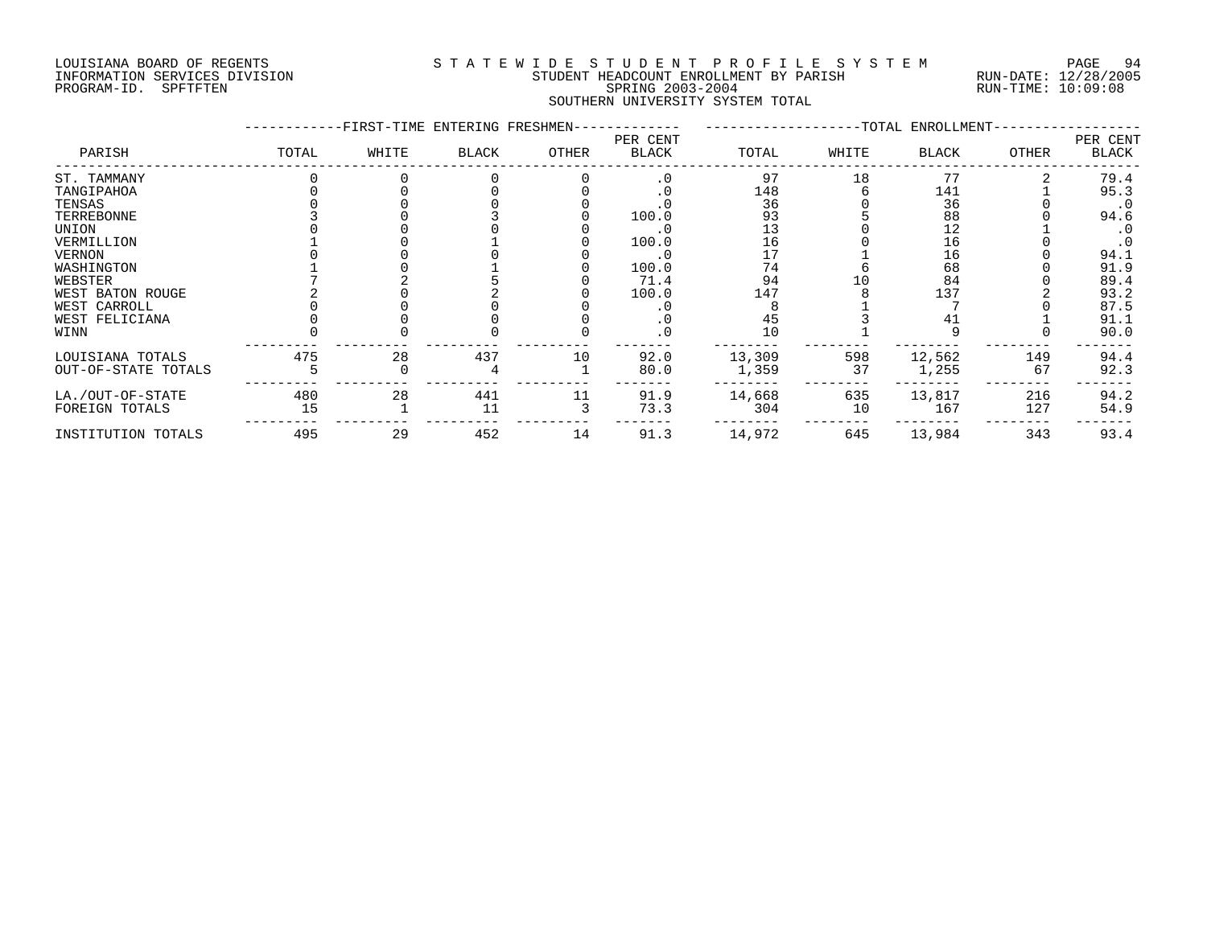#### LOUISIANA BOARD OF REGENTS S T A T E W I D E S T U D E N T P R O F I L E S Y S T E M PAGE 94 INFORMATION SERVICES DIVISION STUDENT HEADCOUNT ENROLLMENT BY PARISH RUN-DATE: 12/28/2005 PROGRAM-ID. SPFTFTEN SPRING 2003-2004 RUN-TIME: 10:09:08 SOUTHERN UNIVERSITY SYSTEM TOTAL

| -FIRST-TIME ENTERING FRESHMEN- |       |              |       |                   |        | -TOTAL ENROLLMENT- |              |        |                   |  |
|--------------------------------|-------|--------------|-------|-------------------|--------|--------------------|--------------|--------|-------------------|--|
| TOTAL                          | WHITE | <b>BLACK</b> | OTHER | PER CENT<br>BLACK | TOTAL  | WHITE              | <b>BLACK</b> | OTHER  | PER CENT<br>BLACK |  |
|                                |       |              |       | . 0               | 97     | 18                 | 77           |        | 79.4              |  |
|                                |       |              |       |                   | 148    |                    | 141          |        | 95.3              |  |
|                                |       |              |       |                   | 36     |                    | 36           |        | $\cdot$ 0         |  |
|                                |       |              |       | 100.0             | 93     |                    | 88           |        | 94.6              |  |
|                                |       |              |       |                   | 13     |                    | 12           |        | $\cdot$ 0         |  |
|                                |       |              |       | 100.0             | 16     |                    | 16           |        | $\cdot$ 0         |  |
|                                |       |              |       | $\cdot$ 0         |        |                    | 16           |        | 94.1              |  |
|                                |       |              |       | 100.0             | 74     |                    | 68           |        | 91.9              |  |
|                                |       |              |       | 71.4              | 94     |                    | 84           |        | 89.4              |  |
|                                |       |              |       | 100.0             | 147    |                    | 137          |        | 93.2              |  |
|                                |       |              |       |                   |        |                    |              |        | 87.5              |  |
|                                |       |              |       |                   | 45     |                    |              |        | 91.1              |  |
|                                |       |              |       |                   | 10     |                    |              |        | 90.0              |  |
| 475                            | 28    | 437          | 10    | 92.0              | 13,309 | 598                | 12,562       | 149    | 94.4              |  |
|                                |       |              |       | 80.0              | 1,359  | 37                 | 1,255        | 67     | 92.3              |  |
|                                |       |              |       |                   |        |                    |              |        | 94.2              |  |
| 15                             |       | 11           |       | 73.3              | 304    | 10                 | 167          | 127    | 54.9              |  |
| 495                            | 29    | 452          | 14    | 91.3              | 14,972 | 645                | 13,984       | 343    | 93.4              |  |
|                                | 480   | 28           | 441   | 11                | 91.9   | 14,668             | 635          | 13,817 | 216               |  |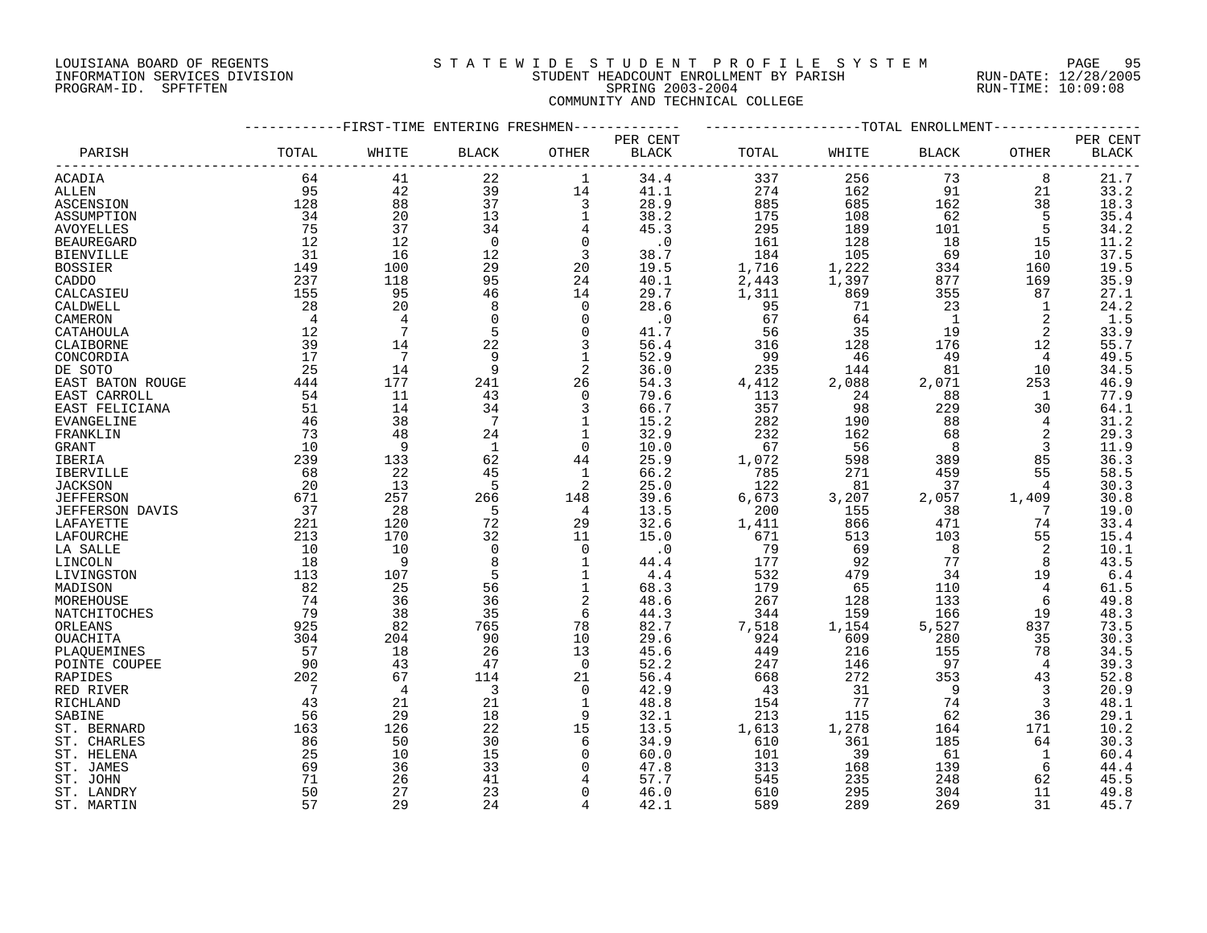### LOUISIANA BOARD OF REGENTS S T A T E W I D E S T U D E N T P R O F I L E S Y S T E M PAGE 95 INFORMATION SERVICES DIVISION STUDENT HEADCOUNT ENROLLMENT BY PARISH RUN-DATE: 12/28/2005 PROGRAM-ID. SPFTFTEN SPRING 2003-2004 RUN-TIME: 10:09:08 COMMUNITY AND TECHNICAL COLLEGE

|                              | -----------FIRST-TIME ENTERING FRESHMEN- |                |                |                |              | -------------------TOTAL ENROLLMENT- |              |                |           |              |
|------------------------------|------------------------------------------|----------------|----------------|----------------|--------------|--------------------------------------|--------------|----------------|-----------|--------------|
|                              |                                          |                |                |                | PER CENT     |                                      |              |                |           | PER CENT     |
| PARISH                       | TOTAL                                    | WHITE          | BLACK          | OTHER          | <b>BLACK</b> | TOTAL                                | WHITE        | <b>BLACK</b>   | OTHER     | <b>BLACK</b> |
| ACADIA                       | 64                                       | 41             | 22             | 1              | 34.4         | 337                                  | 256          | 73             | 8         | 21.7         |
| ALLEN                        | 95                                       | 42             | 39             | 14             | 41.1         | 274                                  | 162          | 91             | 21        | 33.2         |
| ASCENSION                    | 128                                      | 88             | 37             | 3              | 28.9         | 885                                  | 685          | 162            | 38        | 18.3         |
| ASSUMPTION                   | 34                                       | 20             | 13             | 1              | 38.2         | 175                                  | 108          | 62             | 5         | 35.4         |
| AVOYELLES                    | 75                                       | 37             | 34             | 4              | 45.3         | 295                                  | 189          | 101            | 5         | 34.2         |
| <b>BEAUREGARD</b>            | 12                                       | 12             | $\overline{0}$ | 0              | $\cdot$ 0    | 161                                  | 128          | 18             | 15        | 11.2         |
| <b>BIENVILLE</b>             | 31                                       | 16             | 12             | 3              | 38.7         | 184                                  | 105          | 69             | 10        | 37.5         |
| <b>BOSSIER</b>               | 149                                      | 100            | 29             | 20             | 19.5         | 1,716                                | 1,222        | 334            | 160       | 19.5         |
| CADDO                        | 237                                      | 118            | 95             | 24             | 40.1         | 2,443                                | 1,397        | 877            | 169       | 35.9         |
| CALCASIEU                    | 155                                      | 95             | 46             | 14             | 29.7         | 1,311                                | 869          | 355            | 87        | 27.1         |
| CALDWELL                     | 28                                       | 20             | 8              | 0              | 28.6         | 95                                   | 71           | 23             | 1         | 24.2         |
| CAMERON                      | $\overline{4}$                           | $\overline{4}$ | $\Omega$       | $\mathbf 0$    | $\cdot$ 0    | 67                                   | 64           | $\overline{1}$ | 2         | 1.5          |
| CATAHOULA                    | 12                                       | 7              |                | $\mathbf 0$    | 41.7         | 56                                   | 35           | 19             | 2         | 33.9         |
| CLAIBORNE                    | 39                                       | 14             | 22             | 3              | 56.4         | 316                                  | 128          | 176            | 12        | 55.7         |
| CONCORDIA                    | 17                                       | 7              | 9              | 1              | 52.9         | 99                                   | - 46         | 49             | 4         | 49.5         |
| DE SOTO                      | 25                                       | 14             | 9              | 2              | 36.0         | 235                                  | 144          | 81             | 10        | 34.5         |
| EAST BATON ROUGE             | 444                                      | 177            | 241            | 26             | 54.3         | 4,412                                | 2,088        | 2,071          | 253       | 46.9         |
| EAST CARROLL                 | 54                                       | 11             | 43             | $\mathbf 0$    | 79.6         | 113                                  | 24           | 88             | 1         | 77.9         |
| EAST FELICIANA               | 51                                       | 14             | 34             | 3              | 66.7         | 357                                  | 98           | 229            | 30        | 64.1         |
| EVANGELINE                   | 46                                       | 38             | 7              | 1              | 15.2         | 282                                  | 190          | 88             | 4         | 31.2         |
| FRANKLIN                     | 73                                       | 48             | 24             | 1              | 32.9         | 232                                  | 162          | 68             | 2         | 29.3         |
| <b>GRANT</b>                 | 10                                       | 9              | 1              | $\mathbf 0$    | 10.0         | 67                                   | 56           | 8              | 3         | 11.9         |
| IBERIA                       | 239                                      | 133            | 62             | 44             | 25.9         | 1,072                                | 598          | 389            | 85        | 36.3         |
| IBERVILLE                    | 68                                       | 22             | 45             | 1              | 66.2         | 785                                  | 271          | 459            | 55        | 58.5         |
| <b>JACKSON</b>               | 20                                       | 13             | 5              | 2              | 25.0         | 122                                  | 81           | 37             | 4         | 30.3         |
| <b>JEFFERSON</b>             | 671                                      | 257            | 266            | 148            | 39.6         | 6,673                                | 3,207        | 2,057          | 1,409     | 30.8         |
| <b>JEFFERSON DAVIS</b>       | 37                                       | 28             | 5              | 4              | 13.5         | 200                                  | 155          | 38             | 7         | 19.0         |
| LAFAYETTE                    | 221                                      | 120            | 72             | 29             | 32.6         | 1,411                                | 866          | 471            | 74        | 33.4         |
| LAFOURCHE                    | 213                                      | 170            | 32             | 11             | 15.0         | 671                                  | 513          | 103            | 55        | 15.4         |
| LA SALLE                     | 10                                       | 10             | $\Omega$       | $\mathbf 0$    | $\cdot$ 0    | 79                                   | 69           | 8              | 2         | 10.1         |
| LINCOLN                      | 18                                       | 9              | 8              | 1              | 44.4         | 177                                  | 92           | 77             | 8         | 43.5         |
| LIVINGSTON                   | 113                                      | 107            | 5              | 1              | 4.4          | 532                                  | 479          | 34             | 19        | 6.4          |
| MADISON                      | 82                                       | 25             | 56             | 1              | 68.3         | 179                                  | 65           | 110            | 4         | 61.5         |
| MOREHOUSE                    | 74                                       | 36             | 36             | 2              | 48.6         | 267                                  | 128          | 133            | 6         | 49.8         |
| <b>NATCHITOCHES</b>          | 79                                       | 38             | 35             | 6              | 44.3         | 344                                  | 159          | 166            | 19        | 48.3         |
| ORLEANS                      | 925<br>304                               | 82<br>204      | 765<br>90      | 78<br>10       | 82.7<br>29.6 | 7,518<br>924                         | 1,154<br>609 | 5,527<br>280   | 837<br>35 | 73.5<br>30.3 |
| OUACHITA                     |                                          |                |                |                | 45.6         |                                      |              |                |           | 34.5         |
| PLAQUEMINES<br>POINTE COUPEE | 57<br>90                                 | 18<br>43       | 26<br>47       | 13<br>0        | 52.2         | 449<br>247                           | 216<br>146   | 155<br>97      | 78<br>4   | 39.3         |
| RAPIDES                      | 202                                      | 67             | 114            | 21             | 56.4         | 668                                  | 272          | 353            | 43        | 52.8         |
| RED RIVER                    | $\overline{7}$                           | 4              | 3              | $\Omega$       | 42.9         | 43                                   | 31           | 9              | 3         | 20.9         |
| RICHLAND                     | 43                                       | 21             | 21             | 1              | 48.8         | 154                                  | 77           | 74             | 3         | 48.1         |
| SABINE                       | 56                                       | 29             | 18             | 9              | 32.1         | 213                                  | 115          | 62             | 36        | 29.1         |
| ST. BERNARD                  | 163                                      | 126            | 22             | 15             | 13.5         | 1,613                                | 1,278        | 164            | 171       | 10.2         |
| ST. CHARLES                  | 86                                       | 50             | 30             | 6              | 34.9         | 610                                  | 361          | 185            | 64        | 30.3         |
| ST. HELENA                   | 25                                       | 10             | 15             | $\mathbf 0$    | 60.0         | 101                                  | 39           | 61             | 1         | 60.4         |
| ST. JAMES                    | 69                                       | 36             | 33             | 0              | 47.8         | 313                                  | 168          | 139            | 6         | 44.4         |
| ST. JOHN                     | 71                                       | 26             | 41             |                | 57.7         | 545                                  | 235          | 248            | 62        | 45.5         |
| ST. LANDRY                   | 50                                       | 27             | 23             | $\Omega$       | 46.0         | 610                                  | 295          | 304            | 11        | 49.8         |
| ST. MARTIN                   | 57                                       | 29             | 24             | $\overline{4}$ | 42.1         | 589                                  | 289          | 269            | 31        | 45.7         |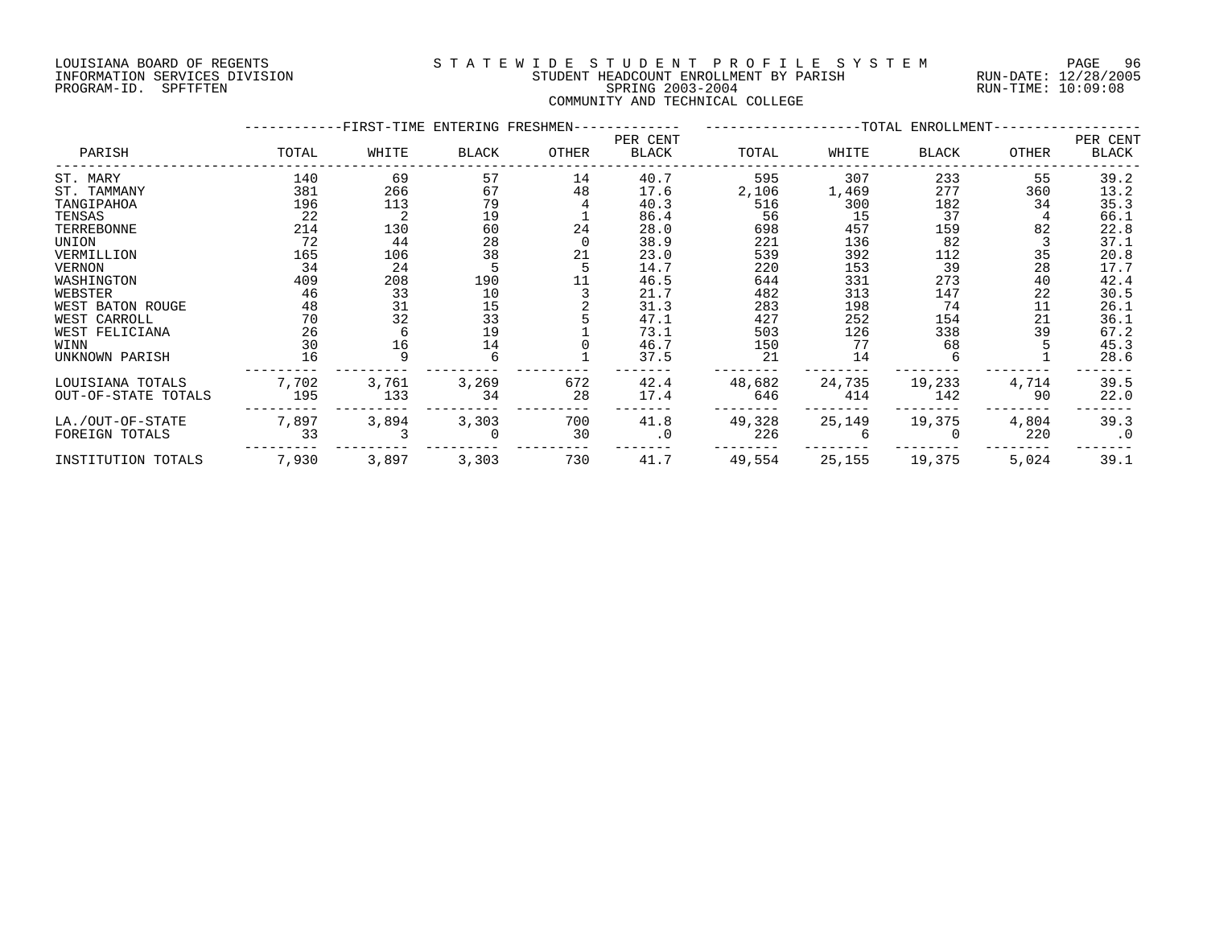#### LOUISIANA BOARD OF REGENTS S T A T E W I D E S T U D E N T P R O F I L E S Y S T E M PAGE 96 INFORMATION SERVICES DIVISION STUDENT HEADCOUNT ENROLLMENT BY PARISH RUN-DATE: 12/28/2005 PROGRAM-ID. SPFTFTEN SPRING 2003-2004 RUN-TIME: 10:09:08 COMMUNITY AND TECHNICAL COLLEGE

|                     |       | -FIRST-TIME ENTERING FRESHMEN- |                                         |       |                   |        |        | ------------------TOTAL ENROLLMENT- |       |                   |
|---------------------|-------|--------------------------------|-----------------------------------------|-------|-------------------|--------|--------|-------------------------------------|-------|-------------------|
| PARISH              | TOTAL | WHITE                          | <b>BLACK</b>                            | OTHER | PER CENT<br>BLACK | TOTAL  | WHITE  | BLACK                               | OTHER | PER CENT<br>BLACK |
| ST. MARY            | 140   | 69                             | 57                                      | 14    | 40.7              | 595    | 307    | 233                                 | 55    | 39.2              |
| ST. TAMMANY         | 381   | 266                            | 67                                      | 48    | 17.6              | 2,106  | 1,469  | 277                                 | 360   | 13.2              |
| TANGIPAHOA          | 196   | 113                            | 79                                      |       | 40.3              | 516    | 300    | 182                                 | 34    | 35.3              |
| TENSAS              | 22    |                                | 19                                      |       | 86.4              | 56     | 15     | 37                                  |       | 66.1              |
| TERREBONNE          | 214   | 130                            | 60                                      | 24    | 28.0              | 698    | 457    | 159                                 | 82    | 22.8              |
| UNION               | 72    | 44                             | 28                                      |       | 38.9              | 221    | 136    | 82                                  |       | 37.1              |
| VERMILLION          | 165   | 106                            | 38                                      | 21    | 23.0              | 539    | 392    | 112                                 | 35    | 20.8              |
| <b>VERNON</b>       | 34    | 24                             |                                         |       | 14.7              | 220    | 153    | 39                                  | 28    | 17.7              |
| WASHINGTON          | 409   | 208                            | 190                                     | 11    | 46.5              | 644    | 331    | 273                                 | 40    | 42.4              |
| WEBSTER             | 46    | 33                             | 10                                      |       | 21.7              | 482    | 313    | 147                                 | 22    | 30.5              |
| WEST BATON ROUGE    | 48    | 31                             | $\begin{array}{c} 15 \\ 33 \end{array}$ |       | 31.3              | 283    | 198    | 74                                  | 11    | 26.1              |
| WEST CARROLL        | 70    | 32                             |                                         |       | 47.1              | 427    | 252    | 154                                 | 21    | 36.1              |
| WEST FELICIANA      | 26    |                                | 19                                      |       | 73.1              | 503    | 126    | 338                                 | 39    | 67.2              |
| WINN                | 30    | 16                             | 14                                      |       | 46.7              | 150    | 77     | 68                                  |       | 45.3              |
| UNKNOWN PARISH      | 16    |                                |                                         |       | 37.5              | 21     | 14     |                                     |       | 28.6              |
| LOUISIANA TOTALS    | 7,702 | 3,761                          | 3,269                                   | 672   | 42.4              | 48,682 | 24,735 | 19,233                              | 4,714 | 39.5              |
| OUT-OF-STATE TOTALS | 195   | 133                            | 34                                      | 28    | 17.4              | 646    | 414    | 142                                 | 90    | 22.0              |
| LA./OUT-OF-STATE    | 7,897 | 3,894                          | 3,303                                   | 700   | 41.8              | 49,328 | 25,149 | 19,375                              | 4,804 | 39.3              |
| FOREIGN TOTALS      | 33    |                                |                                         | 30    | $\cdot$ 0         | 226    |        |                                     | 220   | $\cdot$ 0         |
| INSTITUTION TOTALS  | 7,930 | 3,897                          | 3,303                                   | 730   | 41.7              | 49,554 | 25,155 | 19,375                              | 5,024 | 39.1              |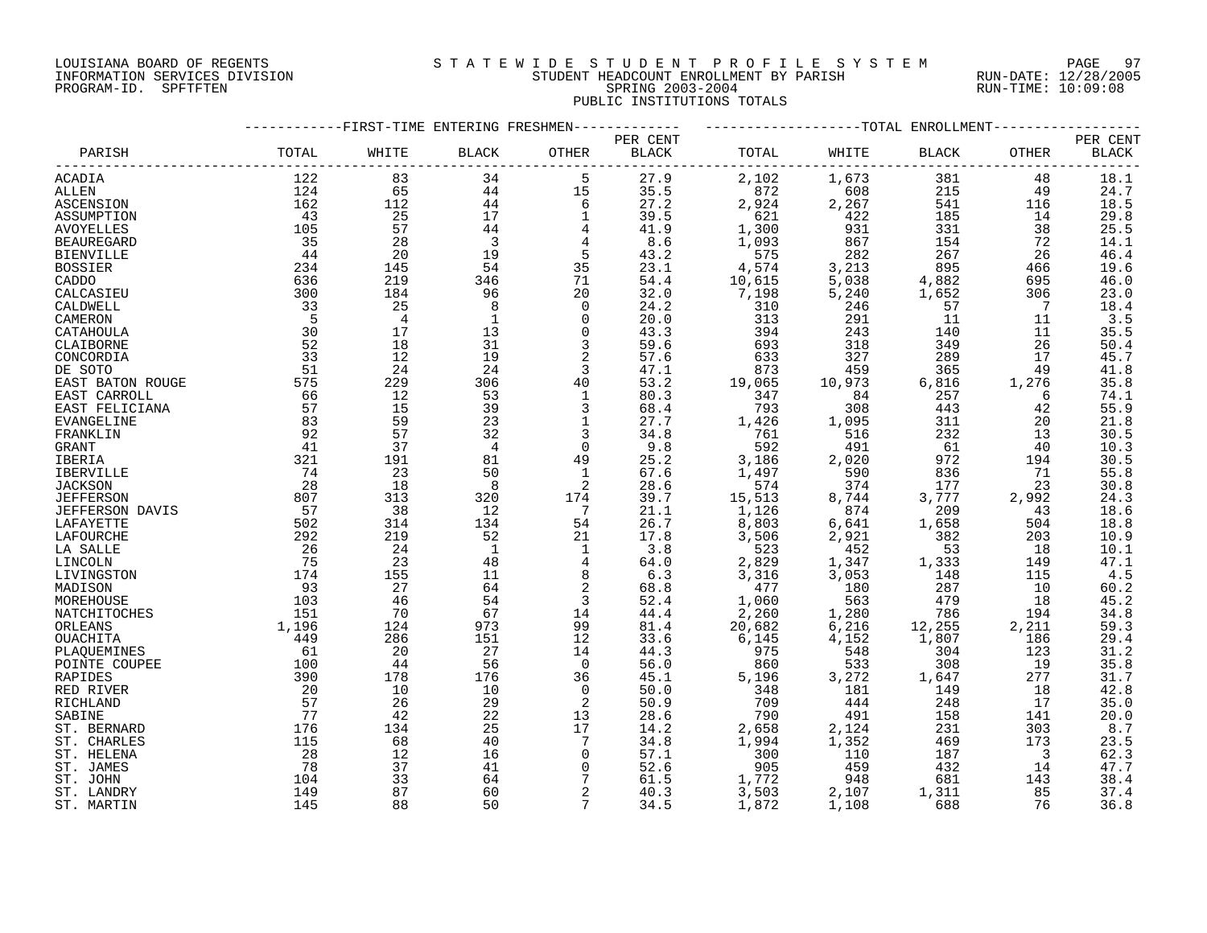#### LOUISIANA BOARD OF REGENTS S T A T E W I D E S T U D E N T P R O F I L E S Y S T E M PAGE 97 INFORMATION SERVICES DIVISION STUDENT HEADCOUNT ENROLLMENT BY PARISH RUN-DATE: 12/28/2005 PROGRAM-ID. SPFTFTEN SPRING 2003-2004 RUN-TIME: 10:09:08 PUBLIC INSTITUTIONS TOTALS

|                   | -FIRST-TIME ENTERING FRESHMEN |                |                |                |              | --TOTAL ENROLLMENT |                  |        |       |                    |  |
|-------------------|-------------------------------|----------------|----------------|----------------|--------------|--------------------|------------------|--------|-------|--------------------|--|
|                   |                               |                |                |                | PER CENT     |                    |                  |        |       | PER CENT           |  |
| PARISH            | TOTAL                         | WHITE          | <b>BLACK</b>   | OTHER          | <b>BLACK</b> | TOTAL              | WHITE            | BLACK  | OTHER | <b>BLACK</b>       |  |
| ACADIA            | 122                           | 83             | 34             | 5              | 27.9         | 2,102              | 1,673            | 381    | 48    | $18.1\,$           |  |
| ALLEN             | 124                           | 65             | 44             | 15             | 35.5         | 872                | 608              | 215    | 49    | 24.7               |  |
| ASCENSION         | 162                           | 112            | 44             | 6              | 27.2         | 2,924              | 2,267            | 541    | 116   | 18.5               |  |
| ASSUMPTION        | 43                            | 25             | 17             | 1              | 39.5         | 621                | 422              | 185    | 14    | 29.8               |  |
| <b>AVOYELLES</b>  | 105                           | 57             | 44             | 4              | 41.9         | 1,300              | 931              | 331    | 38    | 25.5               |  |
| <b>BEAUREGARD</b> | 35                            | 28             | $\overline{3}$ | 4              | 8.6          | 1,093              | 867              | 154    | 72    | 14.1               |  |
| <b>BIENVILLE</b>  | 44                            | 20             | 19             | 5              | 43.2         | 575                | 282              | 267    | 26    | 46.4               |  |
| <b>BOSSIER</b>    | 234                           | 145            | 54             | 35             | 23.1         | 4,574              | 3,213            | 895    | 466   | 19.6               |  |
| CADDO             | 636                           | 219            | 346            | 71             | 54.4         | 10,615             | 5,038            | 4,882  | 695   | 46.0               |  |
| CALCASIEU         | 300                           | 184            | 96             | 20             | 32.0         | 7,198              | 5,240            | 1,652  | 306   | 23.0               |  |
| CALDWELL          | 33                            | 25             | 8              | $\Omega$       | 24.2         | 310                | 246              | 57     | 7     | 18.4               |  |
| CAMERON           | - 5                           | $\overline{4}$ | $\mathbf{1}$   | $\Omega$       | 20.0         | 313                | 291              | 11     | 11    | 3.5                |  |
| CATAHOULA         | 30                            | 17             | 13             | $\Omega$       | 43.3         | 394                | 243              | 140    | 11    | 35.5               |  |
| CLAIBORNE         | 52                            | 18             | 31             | 3              | 59.6         | 693                | 318              | 349    | 26    | 50.4               |  |
|                   | 33                            | 12             | 19             | $\sqrt{2}$     | 57.6         |                    | 327              | 289    | 17    | 45.7               |  |
| CONCORDIA         | 51                            | 24             | 24             | 3              | 47.1         | 633<br>873         |                  | 365    | 49    |                    |  |
| DE SOTO           |                               |                |                |                |              |                    | 459              |        |       | 41.8               |  |
| EAST BATON ROUGE  | 575                           | 229            | 306            | 40             | 53.2         | 19,065             | 10,973           | 6,816  | 1,276 | 35.8               |  |
| EAST CARROLL      | 66                            | 12             | 53             | $\mathbf 1$    | 80.3         | 347                | 84               | 257    | 6     | 74.1               |  |
| EAST FELICIANA    | 57                            | 15             | 39             | 3              | 68.4         | 793                | 308              | 443    | 42    | 55.9               |  |
| EVANGELINE        | 83                            | 59             | 23             | $\mathbf 1$    | 27.7         | 1,426              | 1,095            | 311    | 20    | 21.8               |  |
| FRANKLIN          | 92                            | 57             | 32             | 3              | 34.8         | 761                | 516              | 232    | 13    | 30.5               |  |
| GRANT             | 41                            | 37             | 4              | $\mathbf 0$    | 9.8          | 592                | 491              | 61     | 40    | 10.3               |  |
| <b>IBERIA</b>     | 321                           | 191            | 81             | 49             | 25.2         | 3,186              | 2,020            | 972    | 194   | 30.5               |  |
| IBERVILLE         | 74                            | 23             | 50             | $\mathbf{1}$   | 67.6         | 1,497              | 590              | 836    | 71    | 55.8               |  |
| <b>JACKSON</b>    | 28                            | 18             | 8              | 2              | 28.6         | 574                | 374              | 177    | 23    | 30.8               |  |
| <b>JEFFERSON</b>  | 807                           | 313            | 320            | 174            | 39.7         | 15,513             | 8,744            | 3,777  | 2,992 | 24.3               |  |
| JEFFERSON DAVIS   | 57                            | 38             | 12             | -7             | 21.1         | 1,126              | 874              | 209    | 43    | 18.6               |  |
| LAFAYETTE         | 502                           | 314            | 134            | 54             | 26.7         | 8,803              | $\,$ 6, 641 $\,$ | 1,658  | 504   | 18.8               |  |
| LAFOURCHE         | 292                           | 219            | 52             | 21             | 17.8         | 3,506              | 2,921            | 382    | 203   | 10.9               |  |
| LA SALLE          | 26                            | 24             | $\mathbf{1}$   | 1              | 3.8          | 523                | 452              | 53     | 18    | 10.1               |  |
| LINCOLN           | 75                            | 23             | 48             | $\overline{4}$ | 64.0         | 2,829              | 1,347            | 1,333  | 149   | $\frac{47.1}{4.5}$ |  |
| LIVINGSTON        | 174                           | 155            | 11             | 8              | 6.3          | 3,316              | 3,053            | 148    | 115   |                    |  |
| MADISON           | 93                            | 27             | 64             | 2              | 68.8         | 477                | 180              | 287    | 10    | 60.2               |  |
| MOREHOUSE         | 103                           | 46             | 54             | 3              | 52.4         | 1,060              | 563              | 479    | 18    | 45.2               |  |
| NATCHITOCHES      | 151                           | 70             | 67             | 14             | 44.4         | 2,260              | 1,280            | 786    | 194   | 34.8               |  |
| ORLEANS           | 1,196                         | 124            | 973            | 99             | 81.4         | 20,682             | 6,216            | 12,255 | 2,211 | 59.3               |  |
| OUACHITA          | 449                           | 286            | 151            | 12             | 33.6         | 6,145              | 4,152            | 1,807  | 186   | 29.4               |  |
| PLAQUEMINES       | 61                            | 20             | 27             | 14             | 44.3         | 975                | 548              | 304    | 123   | 31.2               |  |
| POINTE COUPEE     | 100                           | 44             | 56             | $\Omega$       | 56.0         | 860                | 533              | 308    | 19    | 35.8               |  |
| RAPIDES           | 390                           | 178            | 176            | 36             | 45.1         | 5,196              | 3,272            | 1,647  | 277   | 31.7               |  |
| RED RIVER         | 20                            | 10             | 10             | $\Omega$       | 50.0         | 348                | 181              | 149    | 18    | 42.8               |  |
| RICHLAND          | 57                            | 26             | 29             | 2              | 50.9         | 709                | 444              | 248    | 17    | 35.0               |  |
| SABINE            | 77                            | 42             | 22             | 13             | 28.6         | 790                | 491              | 158    | 141   | 20.0               |  |
| ST. BERNARD       | 176                           | 134            | 25             | 17             | 14.2         | 2,658              | 2,124            | 231    | 303   | 8.7                |  |
| ST. CHARLES       | 115                           | 68             | 40             | 7              | 34.8         | 1,994              | 1,352            | 469    | 173   | 23.5               |  |
| ST. HELENA        | 28                            | 12             | 16             | $\Omega$       | 57.1         | 300                | 110              | 187    | 3     | 62.3               |  |
| ST. JAMES         | 78                            | 37             | 41             | 0              | 52.6         | 905                | 459              | 432    | 14    | 47.7               |  |
| ST. JOHN          | 104                           | 33             | 64             |                | 61.5         | 1,772              | 948              | 681    | 143   | 38.4               |  |
| ST. LANDRY        | 149                           | 87             | 60             | 2              | 40.3         | 3,503              | 2,107            | 1,311  | 85    | 37.4               |  |
| ST. MARTIN        | 145                           | 88             | 50             | 7              | 34.5         | 1,872              | 1,108            | 688    | 76    | 36.8               |  |
|                   |                               |                |                |                |              |                    |                  |        |       |                    |  |